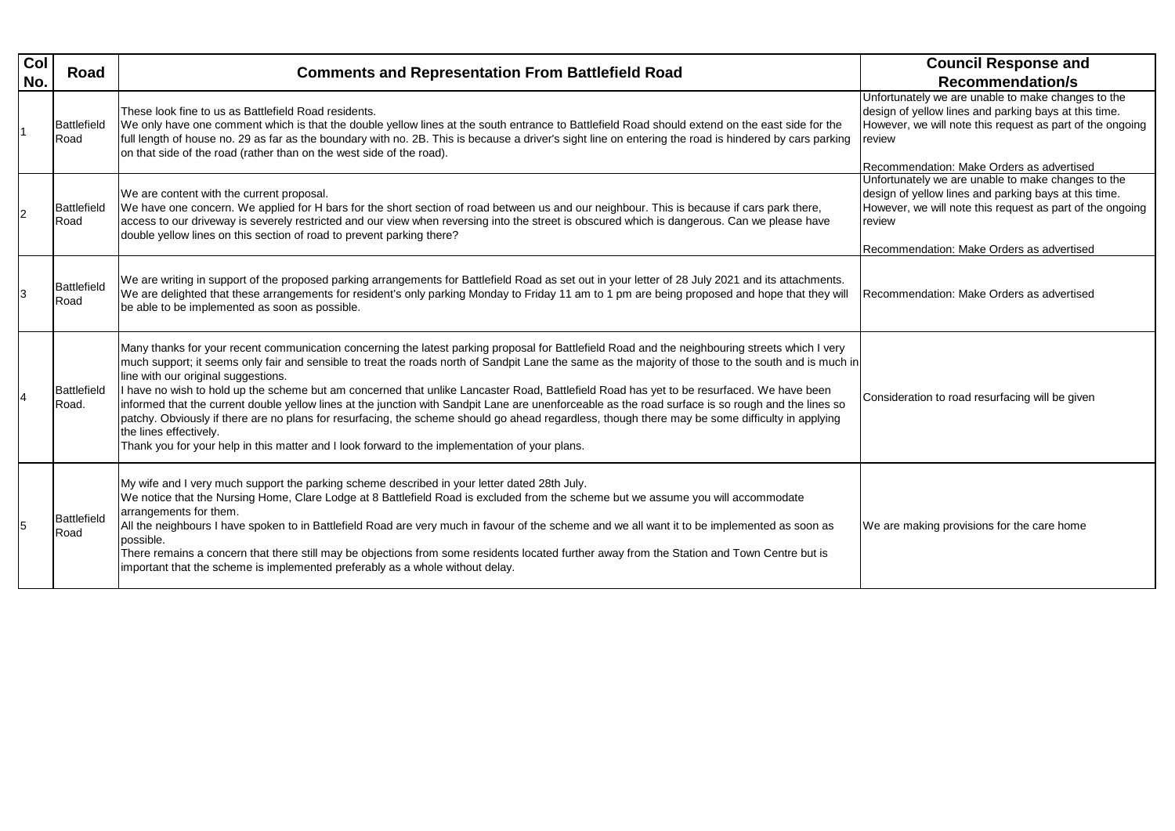Intunately we are unable to make changes to the gn of yellow lines and parking bays at this time. ever, we will note this request as part of the ongoing  $w$ 

Recommendation: Make Orders as advertised Unfortunately we are unable to make changes to the gn of yellow lines and parking bays at this time. ever, we will note this request as part of the ongoing  $w$ 

| Col<br>No. | Road                        | <b>Comments and Representation From Battlefield Road</b>                                                                                                                                                                                                                                                                                                                                                                                                                                                                                                                                                                                                                                                                                                                                                                                                                                                                          | <b>Council Response and</b><br><b>Recommendation/s</b>                                                                                                                                                     |
|------------|-----------------------------|-----------------------------------------------------------------------------------------------------------------------------------------------------------------------------------------------------------------------------------------------------------------------------------------------------------------------------------------------------------------------------------------------------------------------------------------------------------------------------------------------------------------------------------------------------------------------------------------------------------------------------------------------------------------------------------------------------------------------------------------------------------------------------------------------------------------------------------------------------------------------------------------------------------------------------------|------------------------------------------------------------------------------------------------------------------------------------------------------------------------------------------------------------|
|            | <b>Battlefield</b><br>Road  | These look fine to us as Battlefield Road residents.<br>We only have one comment which is that the double yellow lines at the south entrance to Battlefield Road should extend on the east side for the<br>full length of house no. 29 as far as the boundary with no. 2B. This is because a driver's sight line on entering the road is hindered by cars parking<br>on that side of the road (rather than on the west side of the road).                                                                                                                                                                                                                                                                                                                                                                                                                                                                                         | Unfortunately we are unable to make changes<br>design of yellow lines and parking bays at this<br>However, we will note this request as part of th<br>review<br>Recommendation: Make Orders as advertised  |
|            | <b>Battlefield</b><br>Road  | We are content with the current proposal.<br>We have one concern. We applied for H bars for the short section of road between us and our neighbour. This is because if cars park there,<br>access to our driveway is severely restricted and our view when reversing into the street is obscured which is dangerous. Can we please have<br>double yellow lines on this section of road to prevent parking there?                                                                                                                                                                                                                                                                                                                                                                                                                                                                                                                  | Unfortunately we are unable to make changes<br>design of yellow lines and parking bays at this<br>However, we will note this request as part of the<br>review<br>Recommendation: Make Orders as advertised |
|            | <b>Battlefield</b><br>Road  | We are writing in support of the proposed parking arrangements for Battlefield Road as set out in your letter of 28 July 2021 and its attachments.<br>We are delighted that these arrangements for resident's only parking Monday to Friday 11 am to 1 pm are being proposed and hope that they will<br>be able to be implemented as soon as possible.                                                                                                                                                                                                                                                                                                                                                                                                                                                                                                                                                                            | Recommendation: Make Orders as advertised                                                                                                                                                                  |
|            | <b>Battlefield</b><br>Road. | Many thanks for your recent communication concerning the latest parking proposal for Battlefield Road and the neighbouring streets which I very<br> much support; it seems only fair and sensible to treat the roads north of Sandpit Lane the same as the majority of those to the south and is much in<br>line with our original suggestions.<br>I have no wish to hold up the scheme but am concerned that unlike Lancaster Road, Battlefield Road has yet to be resurfaced. We have been<br>informed that the current double yellow lines at the junction with Sandpit Lane are unenforceable as the road surface is so rough and the lines so<br>patchy. Obviously if there are no plans for resurfacing, the scheme should go ahead regardless, though there may be some difficulty in applying<br>the lines effectively.<br>Thank you for your help in this matter and I look forward to the implementation of your plans. | Consideration to road resurfacing will be giver                                                                                                                                                            |
|            | Battlefield<br>Road         | My wife and I very much support the parking scheme described in your letter dated 28th July.<br>We notice that the Nursing Home, Clare Lodge at 8 Battlefield Road is excluded from the scheme but we assume you will accommodate<br>arrangements for them.<br>All the neighbours I have spoken to in Battlefield Road are very much in favour of the scheme and we all want it to be implemented as soon as<br>possible.<br>There remains a concern that there still may be objections from some residents located further away from the Station and Town Centre but is<br>important that the scheme is implemented preferably as a whole without delay.                                                                                                                                                                                                                                                                         | We are making provisions for the care home                                                                                                                                                                 |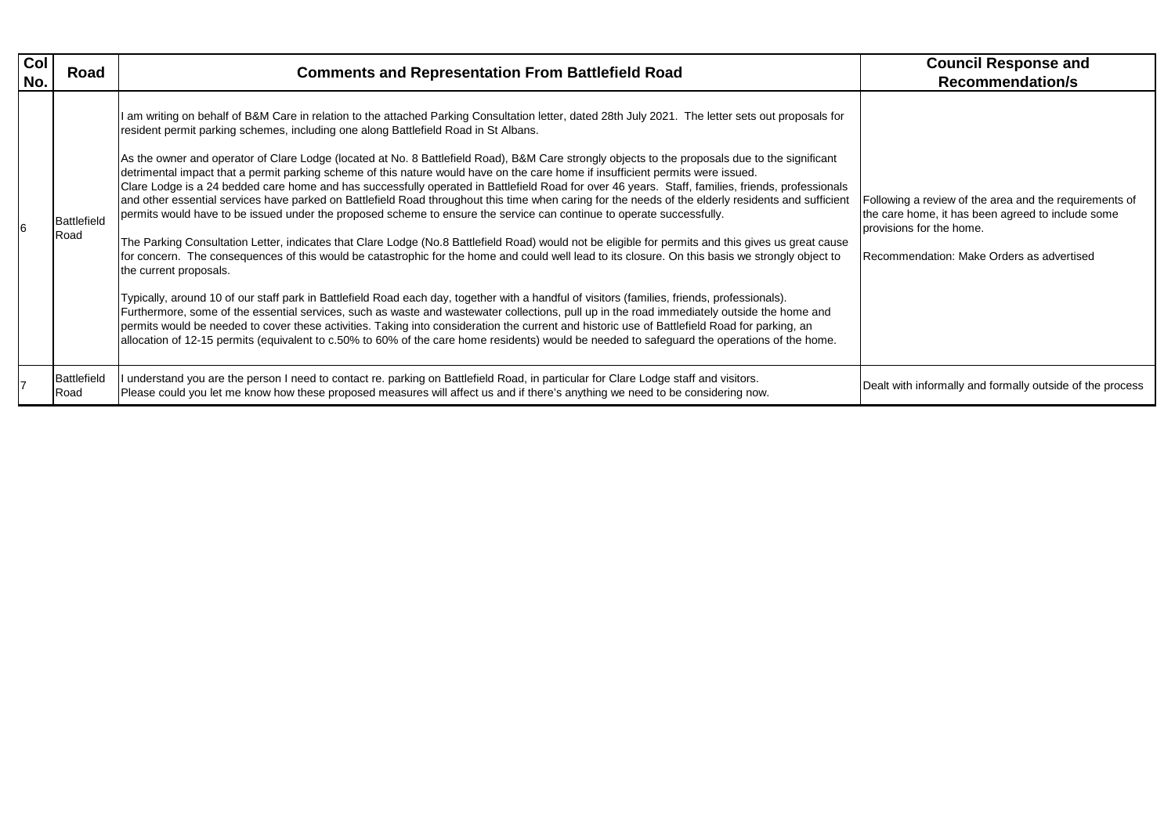Following a review of the area and the requirements of the care home, it has been agreed to include some sions for the home.

with informally and formally outside of the process

| Col<br>No. | Road                | <b>Comments and Representation From Battlefield Road</b>                                                                                                                                                                                                                                                                                                                                                                                                                                                                                                                                                                                                                                                                                                                                                                                                                                                                                                                                                                                                                                                                                                                                                                                                                                                                                                                                                                                                                                                                                                                                                                                                                                                                                                                                                                                                                                                   | <b>Council Response and</b><br><b>Recommendation/s</b>                                                                                                                    |
|------------|---------------------|------------------------------------------------------------------------------------------------------------------------------------------------------------------------------------------------------------------------------------------------------------------------------------------------------------------------------------------------------------------------------------------------------------------------------------------------------------------------------------------------------------------------------------------------------------------------------------------------------------------------------------------------------------------------------------------------------------------------------------------------------------------------------------------------------------------------------------------------------------------------------------------------------------------------------------------------------------------------------------------------------------------------------------------------------------------------------------------------------------------------------------------------------------------------------------------------------------------------------------------------------------------------------------------------------------------------------------------------------------------------------------------------------------------------------------------------------------------------------------------------------------------------------------------------------------------------------------------------------------------------------------------------------------------------------------------------------------------------------------------------------------------------------------------------------------------------------------------------------------------------------------------------------------|---------------------------------------------------------------------------------------------------------------------------------------------------------------------------|
|            | Battlefield<br>Road | I am writing on behalf of B&M Care in relation to the attached Parking Consultation letter, dated 28th July 2021. The letter sets out proposals for<br>resident permit parking schemes, including one along Battlefield Road in St Albans.<br>As the owner and operator of Clare Lodge (located at No. 8 Battlefield Road), B&M Care strongly objects to the proposals due to the significant<br>detrimental impact that a permit parking scheme of this nature would have on the care home if insufficient permits were issued.<br>Clare Lodge is a 24 bedded care home and has successfully operated in Battlefield Road for over 46 years. Staff, families, friends, professionals<br>and other essential services have parked on Battlefield Road throughout this time when caring for the needs of the elderly residents and sufficient<br>permits would have to be issued under the proposed scheme to ensure the service can continue to operate successfully.<br>The Parking Consultation Letter, indicates that Clare Lodge (No.8 Battlefield Road) would not be eligible for permits and this gives us great cause<br>for concern. The consequences of this would be catastrophic for the home and could well lead to its closure. On this basis we strongly object to<br>the current proposals.<br>Typically, around 10 of our staff park in Battlefield Road each day, together with a handful of visitors (families, friends, professionals).<br>Furthermore, some of the essential services, such as waste and wastewater collections, pull up in the road immediately outside the home and<br>permits would be needed to cover these activities. Taking into consideration the current and historic use of Battlefield Road for parking, an<br>allocation of 12-15 permits (equivalent to c.50% to 60% of the care home residents) would be needed to safeguard the operations of the home. | Following a review of the area and the require<br>the care home, it has been agreed to include s<br>provisions for the home.<br>Recommendation: Make Orders as advertised |
|            | Battlefield<br>Road | understand you are the person I need to contact re. parking on Battlefield Road, in particular for Clare Lodge staff and visitors.<br>Please could you let me know how these proposed measures will affect us and if there's anything we need to be considering now.                                                                                                                                                                                                                                                                                                                                                                                                                                                                                                                                                                                                                                                                                                                                                                                                                                                                                                                                                                                                                                                                                                                                                                                                                                                                                                                                                                                                                                                                                                                                                                                                                                       | Dealt with informally and formally outside of th                                                                                                                          |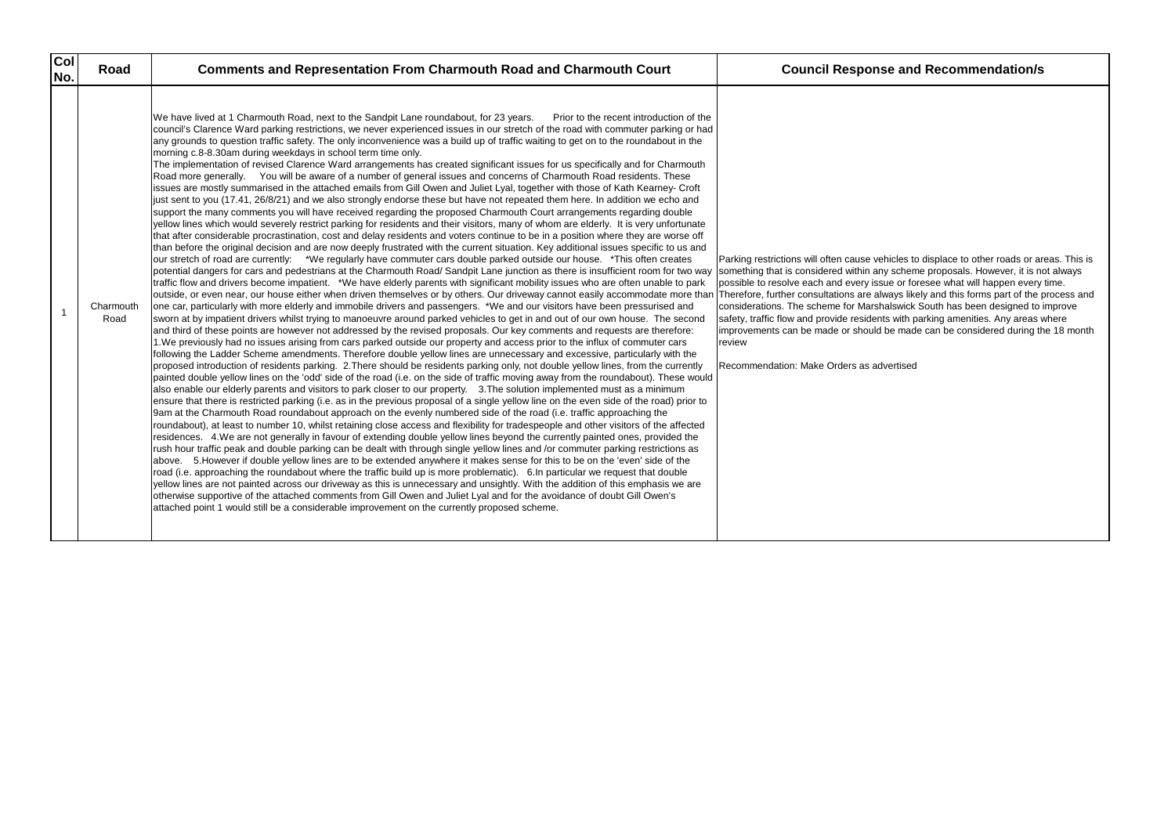| <b>Col</b><br>No. | Road              | <b>Comments and Representation From Charmouth Road and Charmouth Court</b>                                                                                                                                                                                                                                                                                                                                                                                                                                                                                                                                                                                                                                                                                                                                                                                                                                                                                                                                                                                                                                                                                                                                                                                                                                                                                                                                                                                                                                                                                                                                                                                                                                                                                                                                                                                                                                                                                                                                                                                                                                                                                                                                                                                                                                                                                                                                                                                                                                                                                                                                                                                                                                                                                                                                                                                                                                                                                                                                                                                                                                                                                                                                                                                                                                                                                                                                                                                                                                                                                                                                                                                                                                                                                                                                                                                                                                                                                                                                                                                                                                                                                                                                                                                                                                                                                                                                                                                                                  | <b>Council Response and Recommendation/s</b>                                                                                                                                                                                                                                                                                                                                                                                                                                                                                                                                                                                  |
|-------------------|-------------------|---------------------------------------------------------------------------------------------------------------------------------------------------------------------------------------------------------------------------------------------------------------------------------------------------------------------------------------------------------------------------------------------------------------------------------------------------------------------------------------------------------------------------------------------------------------------------------------------------------------------------------------------------------------------------------------------------------------------------------------------------------------------------------------------------------------------------------------------------------------------------------------------------------------------------------------------------------------------------------------------------------------------------------------------------------------------------------------------------------------------------------------------------------------------------------------------------------------------------------------------------------------------------------------------------------------------------------------------------------------------------------------------------------------------------------------------------------------------------------------------------------------------------------------------------------------------------------------------------------------------------------------------------------------------------------------------------------------------------------------------------------------------------------------------------------------------------------------------------------------------------------------------------------------------------------------------------------------------------------------------------------------------------------------------------------------------------------------------------------------------------------------------------------------------------------------------------------------------------------------------------------------------------------------------------------------------------------------------------------------------------------------------------------------------------------------------------------------------------------------------------------------------------------------------------------------------------------------------------------------------------------------------------------------------------------------------------------------------------------------------------------------------------------------------------------------------------------------------------------------------------------------------------------------------------------------------------------------------------------------------------------------------------------------------------------------------------------------------------------------------------------------------------------------------------------------------------------------------------------------------------------------------------------------------------------------------------------------------------------------------------------------------------------------------------------------------------------------------------------------------------------------------------------------------------------------------------------------------------------------------------------------------------------------------------------------------------------------------------------------------------------------------------------------------------------------------------------------------------------------------------------------------------------------------------------------------------------------------------------------------------------------------------------------------------------------------------------------------------------------------------------------------------------------------------------------------------------------------------------------------------------------------------------------------------------------------------------------------------------------------------------------------------------------------------------------------------------------------------------------------|-------------------------------------------------------------------------------------------------------------------------------------------------------------------------------------------------------------------------------------------------------------------------------------------------------------------------------------------------------------------------------------------------------------------------------------------------------------------------------------------------------------------------------------------------------------------------------------------------------------------------------|
|                   | Charmouth<br>Road | We have lived at 1 Charmouth Road, next to the Sandpit Lane roundabout, for 23 years.<br>Prior to the recent introduction of the<br>council's Clarence Ward parking restrictions, we never experienced issues in our stretch of the road with commuter parking or had<br>any grounds to question traffic safety. The only inconvenience was a build up of traffic waiting to get on to the roundabout in the<br>morning c.8-8.30am during weekdays in school term time only.<br>The implementation of revised Clarence Ward arrangements has created significant issues for us specifically and for Charmouth<br>Road more generally. You will be aware of a number of general issues and concerns of Charmouth Road residents. These<br>issues are mostly summarised in the attached emails from Gill Owen and Juliet Lyal, together with those of Kath Kearney- Croft<br>just sent to you (17.41, 26/8/21) and we also strongly endorse these but have not repeated them here. In addition we echo and<br>support the many comments you will have received regarding the proposed Charmouth Court arrangements regarding double<br>yellow lines which would severely restrict parking for residents and their visitors, many of whom are elderly. It is very unfortunate<br>that after considerable procrastination, cost and delay residents and voters continue to be in a position where they are worse off<br>than before the original decision and are now deeply frustrated with the current situation. Key additional issues specific to us and<br>our stretch of road are currently: *We regularly have commuter cars double parked outside our house. *This often creates<br>potential dangers for cars and pedestrians at the Charmouth Road/ Sandpit Lane junction as there is insufficient room for two way<br>traffic flow and drivers become impatient. *We have elderly parents with significant mobility issues who are often unable to park<br>outside, or even near, our house either when driven themselves or by others. Our driveway cannot easily accommodate more than<br>one car, particularly with more elderly and immobile drivers and passengers. *We and our visitors have been pressurised and<br>sworn at by impatient drivers whilst trying to manoeuvre around parked vehicles to get in and out of our own house. The second<br>and third of these points are however not addressed by the revised proposals. Our key comments and requests are therefore:<br>1. We previously had no issues arising from cars parked outside our property and access prior to the influx of commuter cars<br>following the Ladder Scheme amendments. Therefore double yellow lines are unnecessary and excessive, particularly with the<br>proposed introduction of residents parking. 2. There should be residents parking only, not double yellow lines, from the currently<br>painted double yellow lines on the 'odd' side of the road (i.e. on the side of traffic moving away from the roundabout). These would<br>also enable our elderly parents and visitors to park closer to our property. 3. The solution implemented must as a minimum<br>ensure that there is restricted parking (i.e. as in the previous proposal of a single yellow line on the even side of the road) prior to<br>9am at the Charmouth Road roundabout approach on the evenly numbered side of the road (i.e. traffic approaching the<br>roundabout), at least to number 10, whilst retaining close access and flexibility for tradespeople and other visitors of the affected<br>residences. 4. We are not generally in favour of extending double yellow lines beyond the currently painted ones, provided the<br>rush hour traffic peak and double parking can be dealt with through single yellow lines and /or commuter parking restrictions as<br>above. 5. However if double yellow lines are to be extended anywhere it makes sense for this to be on the 'even' side of the<br>road (i.e. approaching the roundabout where the traffic build up is more problematic). 6. In particular we request that double<br>yellow lines are not painted across our driveway as this is unnecessary and unsightly. With the addition of this emphasis we are<br>otherwise supportive of the attached comments from Gill Owen and Juliet Lyal and for the avoidance of doubt Gill Owen's<br>attached point 1 would still be a considerable improvement on the currently proposed scheme. | Parking restrictions will often cause vehicles to displace to other roads or are<br>something that is considered within any scheme proposals. However, it is no<br>possible to resolve each and every issue or foresee what will happen every<br>Therefore, further consultations are always likely and this forms part of the p<br>considerations. The scheme for Marshalswick South has been designed to<br>safety, traffic flow and provide residents with parking amenities. Any areas v<br>improvements can be made or should be made can be considered during th<br>review<br>Recommendation: Make Orders as advertised |

Parking restrictions will often cause vehicles to displace to other roads or areas. This is something that is considered within any scheme proposals. However, it is not always possible to resolve each and every issue or foresee what will happen every time. Therefore, further consultations are always likely and this forms part of the process and considerations. The scheme for Marshalswick South has been designed to improve safety, traffic flow and provide residents with parking amenities. Any areas where improvements can be made or should be made can be considered during the 18 month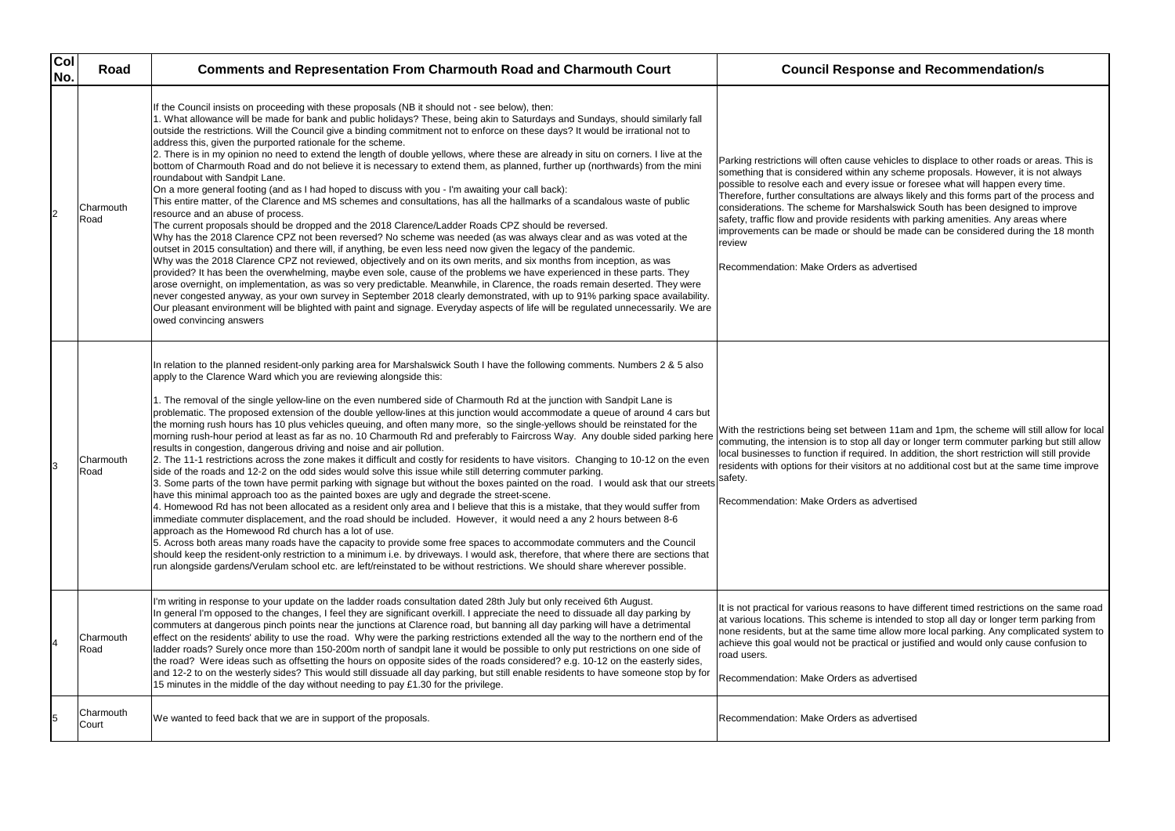| Col<br>No. | Road               | <b>Comments and Representation From Charmouth Road and Charmouth Court</b>                                                                                                                                                                                                                                                                                                                                                                                                                                                                                                                                                                                                                                                                                                                                                                                                                                                                                                                                                                                                                                                                                                                                                                                                                                                                                                                                                                                                                                                                                                                                                                                                                                                                                                                                                                                                                                                                                                                                                                                   | <b>Council Response and Recommendation/s</b>                                                                                                                                                                                                                                                                                                                                                                                                                                                                                                                                                                                 |
|------------|--------------------|--------------------------------------------------------------------------------------------------------------------------------------------------------------------------------------------------------------------------------------------------------------------------------------------------------------------------------------------------------------------------------------------------------------------------------------------------------------------------------------------------------------------------------------------------------------------------------------------------------------------------------------------------------------------------------------------------------------------------------------------------------------------------------------------------------------------------------------------------------------------------------------------------------------------------------------------------------------------------------------------------------------------------------------------------------------------------------------------------------------------------------------------------------------------------------------------------------------------------------------------------------------------------------------------------------------------------------------------------------------------------------------------------------------------------------------------------------------------------------------------------------------------------------------------------------------------------------------------------------------------------------------------------------------------------------------------------------------------------------------------------------------------------------------------------------------------------------------------------------------------------------------------------------------------------------------------------------------------------------------------------------------------------------------------------------------|------------------------------------------------------------------------------------------------------------------------------------------------------------------------------------------------------------------------------------------------------------------------------------------------------------------------------------------------------------------------------------------------------------------------------------------------------------------------------------------------------------------------------------------------------------------------------------------------------------------------------|
| 2          | Charmouth<br>Road  | If the Council insists on proceeding with these proposals (NB it should not - see below), then:<br>l. What allowance will be made for bank and public holidays? These, being akin to Saturdays and Sundays, should similarly fall<br>outside the restrictions. Will the Council give a binding commitment not to enforce on these days? It would be irrational not to<br>address this, given the purported rationale for the scheme.<br>2. There is in my opinion no need to extend the length of double yellows, where these are already in situ on corners. I live at the<br>bottom of Charmouth Road and do not believe it is necessary to extend them, as planned, further up (northwards) from the mini<br>roundabout with Sandpit Lane.<br>On a more general footing (and as I had hoped to discuss with you - I'm awaiting your call back):<br>This entire matter, of the Clarence and MS schemes and consultations, has all the hallmarks of a scandalous waste of public<br>resource and an abuse of process.<br>The current proposals should be dropped and the 2018 Clarence/Ladder Roads CPZ should be reversed.<br>Why has the 2018 Clarence CPZ not been reversed? No scheme was needed (as was always clear and as was voted at the<br>outset in 2015 consultation) and there will, if anything, be even less need now given the legacy of the pandemic.<br>Why was the 2018 Clarence CPZ not reviewed, objectively and on its own merits, and six months from inception, as was<br>provided? It has been the overwhelming, maybe even sole, cause of the problems we have experienced in these parts. They<br>arose overnight, on implementation, as was so very predictable. Meanwhile, in Clarence, the roads remain deserted. They were<br>never congested anyway, as your own survey in September 2018 clearly demonstrated, with up to 91% parking space availability.<br>Our pleasant environment will be blighted with paint and signage. Everyday aspects of life will be regulated unnecessarily. We are<br>owed convincing answers | Parking restrictions will often cause vehicles to displace to other roads or ar<br>something that is considered within any scheme proposals. However, it is no<br>possible to resolve each and every issue or foresee what will happen every<br>Therefore, further consultations are always likely and this forms part of the p<br>considerations. The scheme for Marshalswick South has been designed to<br>safety, traffic flow and provide residents with parking amenities. Any areas v<br>improvements can be made or should be made can be considered during th<br>review<br>Recommendation: Make Orders as advertised |
| Iз         | Charmouth<br>Road  | In relation to the planned resident-only parking area for Marshalswick South I have the following comments. Numbers 2 & 5 also<br>apply to the Clarence Ward which you are reviewing alongside this:<br>I. The removal of the single yellow-line on the even numbered side of Charmouth Rd at the junction with Sandpit Lane is<br>problematic. The proposed extension of the double yellow-lines at this junction would accommodate a queue of around 4 cars but<br>the morning rush hours has 10 plus vehicles queuing, and often many more, so the single-yellows should be reinstated for the<br>morning rush-hour period at least as far as no. 10 Charmouth Rd and preferably to Faircross Way. Any double sided parking here<br>results in congestion, dangerous driving and noise and air pollution.<br>2. The 11-1 restrictions across the zone makes it difficult and costly for residents to have visitors. Changing to 10-12 on the even<br>side of the roads and 12-2 on the odd sides would solve this issue while still deterring commuter parking.<br>3. Some parts of the town have permit parking with signage but without the boxes painted on the road. I would ask that our streets<br>have this minimal approach too as the painted boxes are ugly and degrade the street-scene.<br>4. Homewood Rd has not been allocated as a resident only area and I believe that this is a mistake, that they would suffer from<br>immediate commuter displacement, and the road should be included. However, it would need a any 2 hours between 8-6<br>approach as the Homewood Rd church has a lot of use.<br>5. Across both areas many roads have the capacity to provide some free spaces to accommodate commuters and the Council<br>should keep the resident-only restriction to a minimum i.e. by driveways. I would ask, therefore, that where there are sections that<br>run alongside gardens/Verulam school etc. are left/reinstated to be without restrictions. We should share wherever possible.                                    | With the restrictions being set between 11am and 1pm, the scheme will still<br>commuting, the intension is to stop all day or longer term commuter parking<br>local businesses to function if required. In addition, the short restriction will a<br>residents with options for their visitors at no additional cost but at the same<br>safety.<br>Recommendation: Make Orders as advertised                                                                                                                                                                                                                                 |
|            | Charmouth<br>Road  | I'm writing in response to your update on the ladder roads consultation dated 28th July but only received 6th August.<br>In general I'm opposed to the changes, I feel they are significant overkill. I appreciate the need to dissuade all day parking by<br>commuters at dangerous pinch points near the junctions at Clarence road, but banning all day parking will have a detrimental<br>effect on the residents' ability to use the road. Why were the parking restrictions extended all the way to the northern end of the<br>ladder roads? Surely once more than 150-200m north of sandpit lane it would be possible to only put restrictions on one side of<br>the road? Were ideas such as offsetting the hours on opposite sides of the roads considered? e.g. 10-12 on the easterly sides,<br>and 12-2 to on the westerly sides? This would still dissuade all day parking, but still enable residents to have someone stop by for<br>15 minutes in the middle of the day without needing to pay £1.30 for the privilege.                                                                                                                                                                                                                                                                                                                                                                                                                                                                                                                                                                                                                                                                                                                                                                                                                                                                                                                                                                                                                        | It is not practical for various reasons to have different timed restrictions on t<br>at various locations. This scheme is intended to stop all day or longer term pate<br>none residents, but at the same time allow more local parking. Any complical<br>achieve this goal would not be practical or justified and would only cause co<br>road users.<br>Recommendation: Make Orders as advertised                                                                                                                                                                                                                          |
|            | Charmouth<br>Court | We wanted to feed back that we are in support of the proposals.                                                                                                                                                                                                                                                                                                                                                                                                                                                                                                                                                                                                                                                                                                                                                                                                                                                                                                                                                                                                                                                                                                                                                                                                                                                                                                                                                                                                                                                                                                                                                                                                                                                                                                                                                                                                                                                                                                                                                                                              | Recommendation: Make Orders as advertised                                                                                                                                                                                                                                                                                                                                                                                                                                                                                                                                                                                    |

hicles to displace to other roads or areas. This is y scheme proposals. However, it is not always ue or foresee what will happen every time. ways likely and this forms part of the process and alswick South has been designed to improve ts with parking amenities. Any areas where be made can be considered during the 18 month

11am and 1pm, the scheme will still allow for local day or longer term commuter parking but still allow . In addition, the short restriction will still provide at no additional cost but at the same time improve

It is not extrictions on the same road tended to stop all day or longer term parking from allow more local parking. Any complicated system to al or justified and would only cause confusion to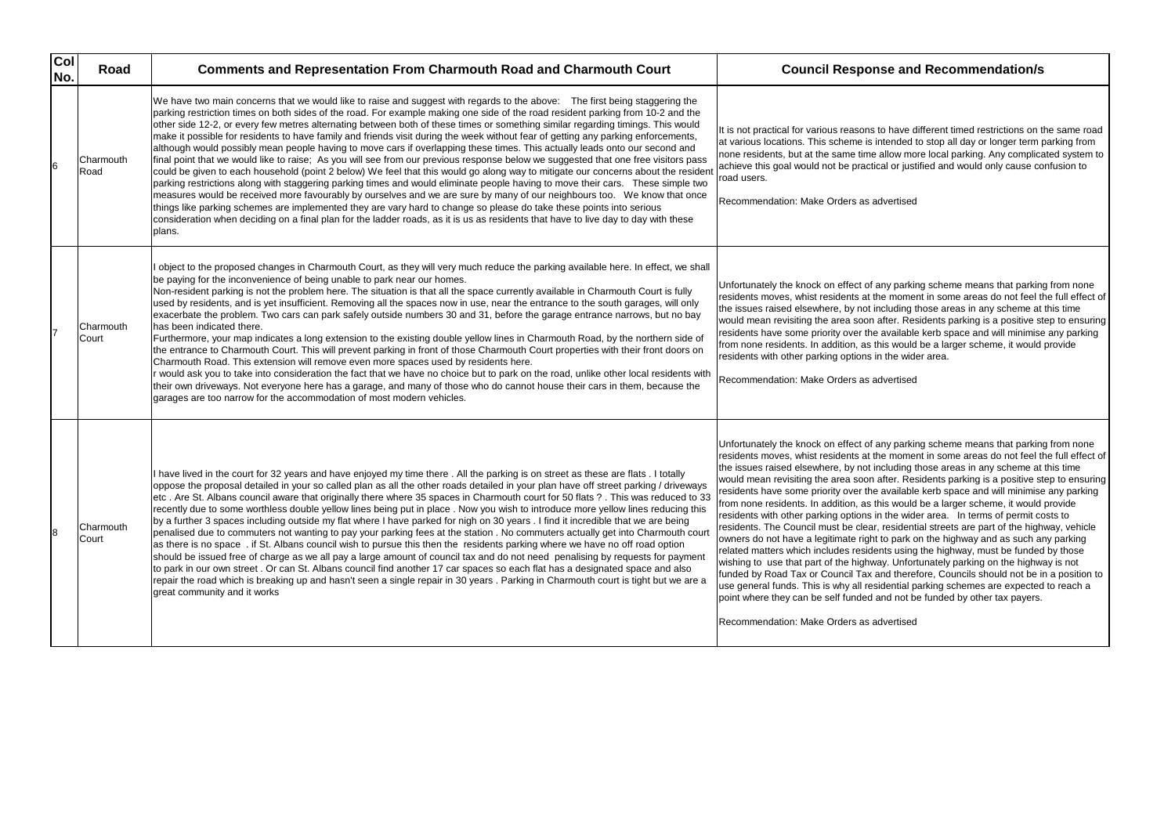| Col<br>No. | Road               | <b>Comments and Representation From Charmouth Road and Charmouth Court</b>                                                                                                                                                                                                                                                                                                                                                                                                                                                                                                                                                                                                                                                                                                                                                                                                                                                                                                                                                                                                                                                                                                                                                                                                                                                                                                                                                                                                               | <b>Council Response and Recommendation/s</b>                                                                                                                                                                                                                                                                                                                                                                                                                                                                                                                                                                                                                                                                                                                                                                                                                                                                                                                                                                                                                                                                                                                                                        |
|------------|--------------------|------------------------------------------------------------------------------------------------------------------------------------------------------------------------------------------------------------------------------------------------------------------------------------------------------------------------------------------------------------------------------------------------------------------------------------------------------------------------------------------------------------------------------------------------------------------------------------------------------------------------------------------------------------------------------------------------------------------------------------------------------------------------------------------------------------------------------------------------------------------------------------------------------------------------------------------------------------------------------------------------------------------------------------------------------------------------------------------------------------------------------------------------------------------------------------------------------------------------------------------------------------------------------------------------------------------------------------------------------------------------------------------------------------------------------------------------------------------------------------------|-----------------------------------------------------------------------------------------------------------------------------------------------------------------------------------------------------------------------------------------------------------------------------------------------------------------------------------------------------------------------------------------------------------------------------------------------------------------------------------------------------------------------------------------------------------------------------------------------------------------------------------------------------------------------------------------------------------------------------------------------------------------------------------------------------------------------------------------------------------------------------------------------------------------------------------------------------------------------------------------------------------------------------------------------------------------------------------------------------------------------------------------------------------------------------------------------------|
| 6          | Charmouth<br>Road  | We have two main concerns that we would like to raise and suggest with regards to the above: The first being staggering the<br>parking restriction times on both sides of the road. For example making one side of the road resident parking from 10-2 and the<br>other side 12-2, or every few metres alternating between both of these times or something similar regarding timings. This would<br>make it possible for residents to have family and friends visit during the week without fear of getting any parking enforcements,<br>although would possibly mean people having to move cars if overlapping these times. This actually leads onto our second and<br>final point that we would like to raise; As you will see from our previous response below we suggested that one free visitors pass<br>could be given to each household (point 2 below) We feel that this would go along way to mitigate our concerns about the resident<br>parking restrictions along with staggering parking times and would eliminate people having to move their cars. These simple two<br>measures would be received more favourably by ourselves and we are sure by many of our neighbours too.  We know that once<br>things like parking schemes are implemented they are vary hard to change so please do take these points into serious<br>consideration when deciding on a final plan for the ladder roads, as it is us as residents that have to live day to day with these<br>plans. | It is not practical for various reasons to have different timed restrictions on t<br>at various locations. This scheme is intended to stop all day or longer term p<br>none residents, but at the same time allow more local parking. Any complical<br>achieve this goal would not be practical or justified and would only cause co<br>road users.<br>Recommendation: Make Orders as advertised                                                                                                                                                                                                                                                                                                                                                                                                                                                                                                                                                                                                                                                                                                                                                                                                    |
|            | Charmouth<br>Court | object to the proposed changes in Charmouth Court, as they will very much reduce the parking available here. In effect, we shall<br>be paying for the inconvenience of being unable to park near our homes.<br>Non-resident parking is not the problem here. The situation is that all the space currently available in Charmouth Court is fully<br>used by residents, and is yet insufficient. Removing all the spaces now in use, near the entrance to the south garages, will only<br>exacerbate the problem. Two cars can park safely outside numbers 30 and 31, before the garage entrance narrows, but no bay<br>has been indicated there.<br>Furthermore, your map indicates a long extension to the existing double yellow lines in Charmouth Road, by the northern side of<br>the entrance to Charmouth Court. This will prevent parking in front of those Charmouth Court properties with their front doors on<br>Charmouth Road. This extension will remove even more spaces used by residents here.<br>would ask you to take into consideration the fact that we have no choice but to park on the road, unlike other local residents with<br>their own driveways. Not everyone here has a garage, and many of those who do cannot house their cars in them, because the<br>garages are too narrow for the accommodation of most modern vehicles.                                                                                                                            | Unfortunately the knock on effect of any parking scheme means that parking<br>residents moves, whist residents at the moment in some areas do not feel tl<br>the issues raised elsewhere, by not including those areas in any scheme at<br>would mean revisiting the area soon after. Residents parking is a positive st<br>residents have some priority over the available kerb space and will minimise<br>from none residents. In addition, as this would be a larger scheme, it would<br>residents with other parking options in the wider area.<br>Recommendation: Make Orders as advertised                                                                                                                                                                                                                                                                                                                                                                                                                                                                                                                                                                                                    |
| l8         | Charmouth<br>Court | I have lived in the court for 32 years and have enjoyed my time there . All the parking is on street as these are flats . I totally<br>oppose the proposal detailed in your so called plan as all the other roads detailed in your plan have off street parking / driveways<br>etc. Are St. Albans council aware that originally there where 35 spaces in Charmouth court for 50 flats ? . This was reduced to 33<br>recently due to some worthless double yellow lines being put in place. Now you wish to introduce more yellow lines reducing this<br>by a further 3 spaces including outside my flat where I have parked for nigh on 30 years . I find it incredible that we are being<br>penalised due to commuters not wanting to pay your parking fees at the station. No commuters actually get into Charmouth court<br>as there is no space. if St. Albans council wish to pursue this then the residents parking where we have no off road option<br>should be issued free of charge as we all pay a large amount of council tax and do not need penalising by requests for payment<br>to park in our own street. Or can St. Albans council find another 17 car spaces so each flat has a designated space and also<br>repair the road which is breaking up and hasn't seen a single repair in 30 years . Parking in Charmouth court is tight but we are a<br>great community and it works                                                                                     | Unfortunately the knock on effect of any parking scheme means that parking<br>residents moves, whist residents at the moment in some areas do not feel tl<br>the issues raised elsewhere, by not including those areas in any scheme at<br>would mean revisiting the area soon after. Residents parking is a positive st<br>residents have some priority over the available kerb space and will minimise<br>from none residents. In addition, as this would be a larger scheme, it would<br>residents with other parking options in the wider area. In terms of permit con-<br>residents. The Council must be clear, residential streets are part of the high<br>owners do not have a legitimate right to park on the highway and as such ar<br>related matters which includes residents using the highway, must be funded<br>wishing to use that part of the highway. Unfortunately parking on the highway<br>funded by Road Tax or Council Tax and therefore, Councils should not be in<br>use general funds. This is why all residential parking schemes are expected<br>point where they can be self funded and not be funded by other tax payers.<br>Recommendation: Make Orders as advertised |

have different timed restrictions on the same road ended to stop all day or longer term parking from low more local parking. Any complicated system to I or justified and would only cause confusion to

parking scheme means that parking from none moment in some areas do not feel the full effect of luding those areas in any scheme at this time ter. Residents parking is a positive step to ensuring vailable kerb space and will minimise any parking i would be a larger scheme, it would provide the wider area.

parking scheme means that parking from none moment in some areas do not feel the full effect of uding those areas in any scheme at this time ter. Residents parking is a positive step to ensuring vailable kerb space and will minimise any parking from would be a larger scheme, it would provide the wider area. In terms of permit costs to esidential streets are part of the highway, vehicle park on the highway and as such any parking s using the highway, must be funded by those . Unfortunately parking on the highway is not therefore, Councils should not be in a position to ential parking schemes are expected to reach a d not be funded by other tax payers.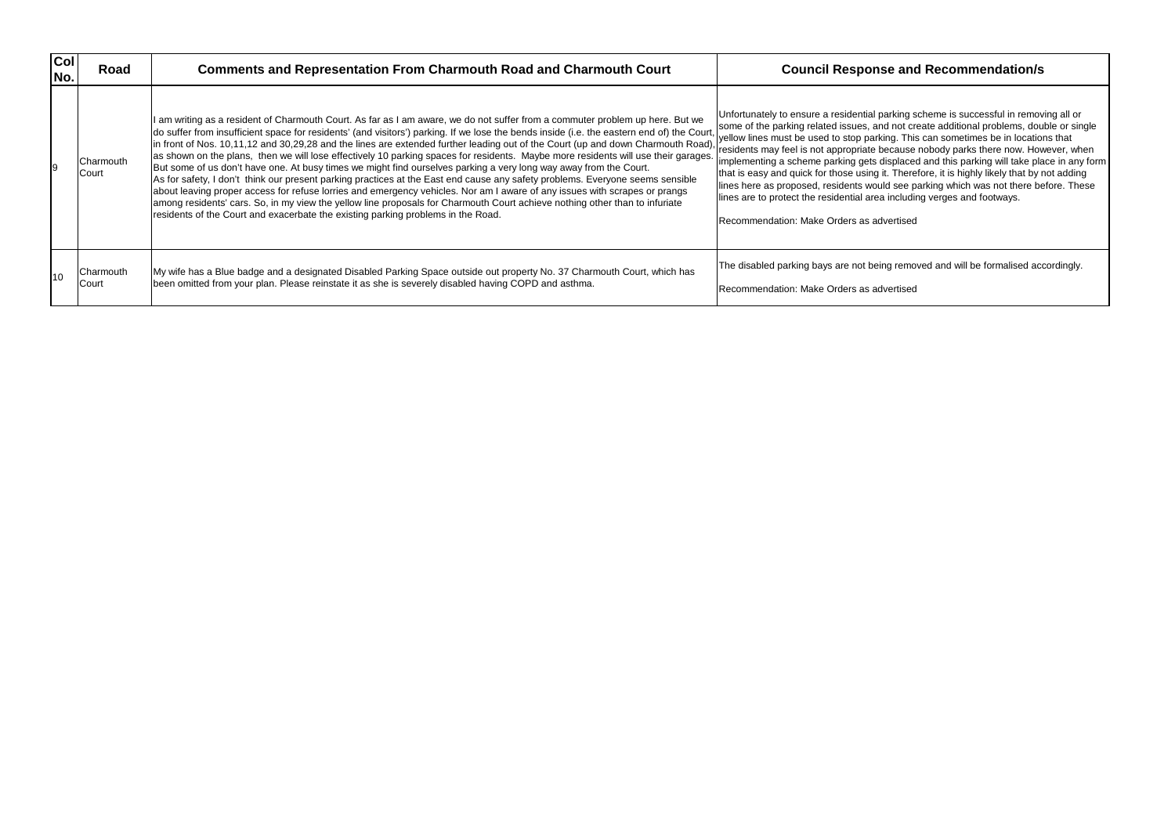Unfortunately to ensure a residential parking scheme is successful in removing all or some of the parking related issues, and not create additional problems, double or single yellow lines must be used to stop parking. This can sometimes be in locations that residents may feel is not appropriate because nobody parks there now. However, when implementing a scheme parking gets displaced and this parking will take place in any form that is easy and quick for those using it. Therefore, it is highly likely that by not adding lines here as proposed, residents would see parking which was not there before. These including verges and footways.

ng removed and will be formalised accordingly.

| col<br>No. | Road               | <b>Comments and Representation From Charmouth Road and Charmouth Court</b>                                                                                                                                                                                                                                                                                                                                                                                                                                                                                                                                                                                                                                                                                                                                                                                                                                                                                                                                                                                                                                                                                   | <b>Council Response and Recommendation/s</b>                                                                                                                                                                                                                                                                                                                                                                                                                                                                                                                                                                                                                                                          |
|------------|--------------------|--------------------------------------------------------------------------------------------------------------------------------------------------------------------------------------------------------------------------------------------------------------------------------------------------------------------------------------------------------------------------------------------------------------------------------------------------------------------------------------------------------------------------------------------------------------------------------------------------------------------------------------------------------------------------------------------------------------------------------------------------------------------------------------------------------------------------------------------------------------------------------------------------------------------------------------------------------------------------------------------------------------------------------------------------------------------------------------------------------------------------------------------------------------|-------------------------------------------------------------------------------------------------------------------------------------------------------------------------------------------------------------------------------------------------------------------------------------------------------------------------------------------------------------------------------------------------------------------------------------------------------------------------------------------------------------------------------------------------------------------------------------------------------------------------------------------------------------------------------------------------------|
|            | Charmouth<br>Court | I am writing as a resident of Charmouth Court. As far as I am aware, we do not suffer from a commuter problem up here. But we<br>do suffer from insufficient space for residents' (and visitors') parking. If we lose the bends inside (i.e. the eastern end of) the Court,<br>in front of Nos. 10,11,12 and 30,29,28 and the lines are extended further leading out of the Court (up and down Charmouth Road),<br>as shown on the plans, then we will lose effectively 10 parking spaces for residents. Maybe more residents will use their garages.<br>But some of us don't have one. At busy times we might find ourselves parking a very long way away from the Court.<br>As for safety, I don't think our present parking practices at the East end cause any safety problems. Everyone seems sensible<br>about leaving proper access for refuse lorries and emergency vehicles. Nor am I aware of any issues with scrapes or prangs<br>among residents' cars. So, in my view the yellow line proposals for Charmouth Court achieve nothing other than to infuriate<br>residents of the Court and exacerbate the existing parking problems in the Road. | Unfortunately to ensure a residential parking scheme is successful in remov<br>some of the parking related issues, and not create additional problems, dou<br>yellow lines must be used to stop parking. This can sometimes be in location<br>residents may feel is not appropriate because nobody parks there now. Hov<br>implementing a scheme parking gets displaced and this parking will take pla<br>that is easy and quick for those using it. Therefore, it is highly likely that by r<br>lines here as proposed, residents would see parking which was not there be<br>lines are to protect the residential area including verges and footways.<br>IRecommendation: Make Orders as advertised |
| 10         | Charmouth<br>Court | My wife has a Blue badge and a designated Disabled Parking Space outside out property No. 37 Charmouth Court, which has<br>been omitted from your plan. Please reinstate it as she is severely disabled having COPD and asthma.                                                                                                                                                                                                                                                                                                                                                                                                                                                                                                                                                                                                                                                                                                                                                                                                                                                                                                                              | The disabled parking bays are not being removed and will be formalised aco<br>Recommendation: Make Orders as advertised                                                                                                                                                                                                                                                                                                                                                                                                                                                                                                                                                                               |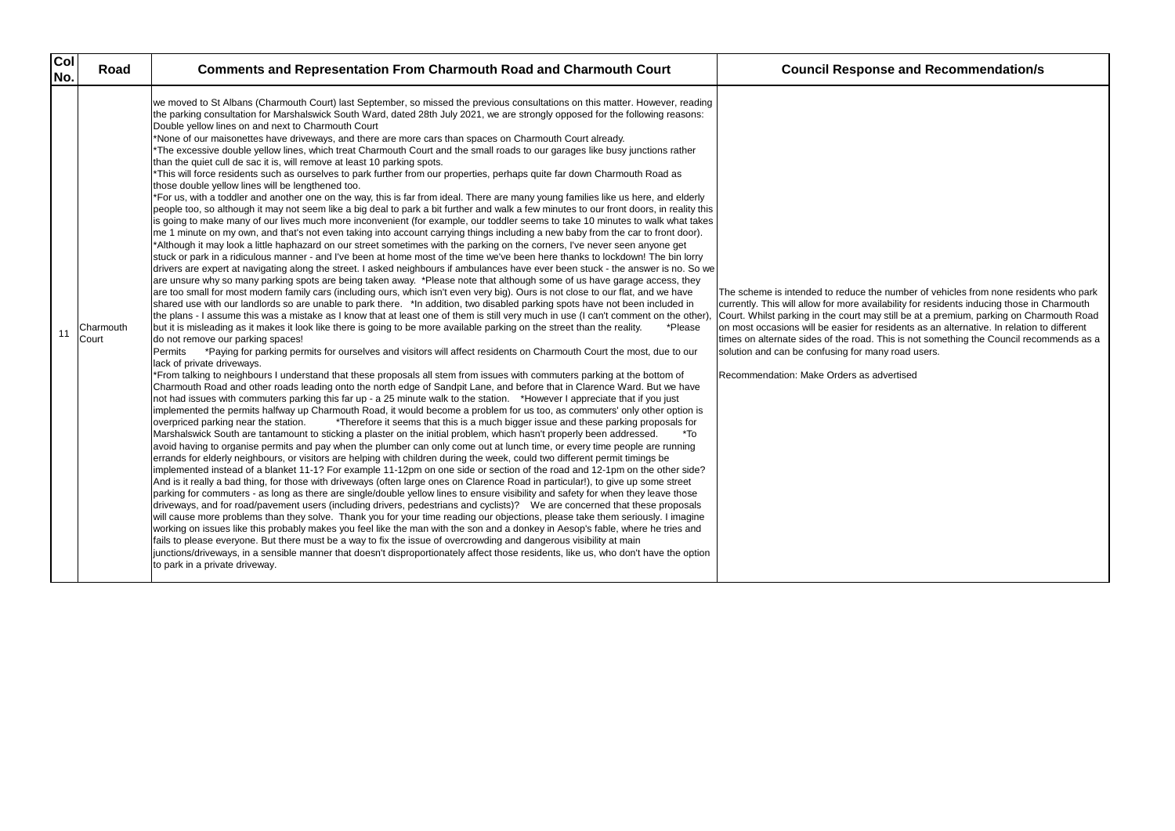The scheme is intended to reduce the number of vehicles from none residents who park currently. This will allow for more availability for residents inducing those in Charmouth Court. Whilst parking in the court may still be at a premium, parking on Charmouth Road on most occasions will be easier for residents as an alternative. In relation to different his is not something the Council recommends as a road users.

| Col <br>Road<br>No.      | <b>Comments and Representation From Charmouth Road and Charmouth Court</b>                                                                                                                                                                                                                                                                                                                                                                                                                                                                                                                                                                                                                                                                                                                                                                                                                                                                                                                                                                                                                                                                                                                                                                                                                                                                                                                                                                                                                                                                                                                                                                                                                                                                                                                                                                                                                                                                                                                                                                                                                                                                                                                                                                                                                                                                                                                                                                                                                                                                                                                                                                                                                                                                                                                                                                                                                                                                                                                                                                                                                                                                                                                                                                                                                                                                                                                                                                                                                                                                                                                                                                                                                                                                                                                                                                                                                                                                                                                                                                                                                                                                                                                                                                                                                                                                                                                                                                                                                                                                                                                                                                                                                                                                                                                                                                                            | <b>Council Response and Recommendation/s</b>                                                                                                                                                                                                                                                                                                                                                                                                                                                                             |
|--------------------------|-----------------------------------------------------------------------------------------------------------------------------------------------------------------------------------------------------------------------------------------------------------------------------------------------------------------------------------------------------------------------------------------------------------------------------------------------------------------------------------------------------------------------------------------------------------------------------------------------------------------------------------------------------------------------------------------------------------------------------------------------------------------------------------------------------------------------------------------------------------------------------------------------------------------------------------------------------------------------------------------------------------------------------------------------------------------------------------------------------------------------------------------------------------------------------------------------------------------------------------------------------------------------------------------------------------------------------------------------------------------------------------------------------------------------------------------------------------------------------------------------------------------------------------------------------------------------------------------------------------------------------------------------------------------------------------------------------------------------------------------------------------------------------------------------------------------------------------------------------------------------------------------------------------------------------------------------------------------------------------------------------------------------------------------------------------------------------------------------------------------------------------------------------------------------------------------------------------------------------------------------------------------------------------------------------------------------------------------------------------------------------------------------------------------------------------------------------------------------------------------------------------------------------------------------------------------------------------------------------------------------------------------------------------------------------------------------------------------------------------------------------------------------------------------------------------------------------------------------------------------------------------------------------------------------------------------------------------------------------------------------------------------------------------------------------------------------------------------------------------------------------------------------------------------------------------------------------------------------------------------------------------------------------------------------------------------------------------------------------------------------------------------------------------------------------------------------------------------------------------------------------------------------------------------------------------------------------------------------------------------------------------------------------------------------------------------------------------------------------------------------------------------------------------------------------------------------------------------------------------------------------------------------------------------------------------------------------------------------------------------------------------------------------------------------------------------------------------------------------------------------------------------------------------------------------------------------------------------------------------------------------------------------------------------------------------------------------------------------------------------------------------------------------------------------------------------------------------------------------------------------------------------------------------------------------------------------------------------------------------------------------------------------------------------------------------------------------------------------------------------------------------------------------------------------------------------------------------------------------------------------|--------------------------------------------------------------------------------------------------------------------------------------------------------------------------------------------------------------------------------------------------------------------------------------------------------------------------------------------------------------------------------------------------------------------------------------------------------------------------------------------------------------------------|
| Charmouth<br>11<br>Court | we moved to St Albans (Charmouth Court) last September, so missed the previous consultations on this matter. However, reading<br>the parking consultation for Marshalswick South Ward, dated 28th July 2021, we are strongly opposed for the following reasons:<br>Double yellow lines on and next to Charmouth Court<br>*None of our maisonettes have driveways, and there are more cars than spaces on Charmouth Court already.<br>*The excessive double yellow lines, which treat Charmouth Court and the small roads to our garages like busy junctions rather<br>than the quiet cull de sac it is, will remove at least 10 parking spots.<br>*This will force residents such as ourselves to park further from our properties, perhaps quite far down Charmouth Road as<br>those double yellow lines will be lengthened too.<br>*For us, with a toddler and another one on the way, this is far from ideal. There are many young families like us here, and elderly<br>people too, so although it may not seem like a big deal to park a bit further and walk a few minutes to our front doors, in reality this<br>is going to make many of our lives much more inconvenient (for example, our toddler seems to take 10 minutes to walk what takes<br>me 1 minute on my own, and that's not even taking into account carrying things including a new baby from the car to front door).<br>*Although it may look a little haphazard on our street sometimes with the parking on the corners, I've never seen anyone get<br>stuck or park in a ridiculous manner - and I've been at home most of the time we've been here thanks to lockdown! The bin lorry<br>drivers are expert at navigating along the street. I asked neighbours if ambulances have ever been stuck - the answer is no. So we<br>are unsure why so many parking spots are being taken away. *Please note that although some of us have garage access, they<br>are too small for most modern family cars (including ours, which isn't even very big). Ours is not close to our flat, and we have<br>shared use with our landlords so are unable to park there. *In addition, two disabled parking spots have not been included in<br>the plans - I assume this was a mistake as I know that at least one of them is still very much in use (I can't comment on the other),<br>but it is misleading as it makes it look like there is going to be more available parking on the street than the reality.<br>*Please<br>do not remove our parking spaces!<br>*Paying for parking permits for ourselves and visitors will affect residents on Charmouth Court the most, due to our<br>Permits<br>lack of private driveways.<br>*From talking to neighbours I understand that these proposals all stem from issues with commuters parking at the bottom of<br>Charmouth Road and other roads leading onto the north edge of Sandpit Lane, and before that in Clarence Ward. But we have<br>not had issues with commuters parking this far up - a 25 minute walk to the station. *However I appreciate that if you just<br>implemented the permits halfway up Charmouth Road, it would become a problem for us too, as commuters' only other option is<br>overpriced parking near the station.<br>*Therefore it seems that this is a much bigger issue and these parking proposals for<br>Marshalswick South are tantamount to sticking a plaster on the initial problem, which hasn't properly been addressed.<br>*To<br>avoid having to organise permits and pay when the plumber can only come out at lunch time, or every time people are running<br>errands for elderly neighbours, or visitors are helping with children during the week, could two different permit timings be<br>implemented instead of a blanket 11-1? For example 11-12pm on one side or section of the road and 12-1pm on the other side?<br>And is it really a bad thing, for those with driveways (often large ones on Clarence Road in particular!), to give up some street<br>parking for commuters - as long as there are single/double yellow lines to ensure visibility and safety for when they leave those<br>driveways, and for road/pavement users (including drivers, pedestrians and cyclists)? We are concerned that these proposals<br>will cause more problems than they solve. Thank you for your time reading our objections, please take them seriously. I imagine<br>working on issues like this probably makes you feel like the man with the son and a donkey in Aesop's fable, where he tries and<br>fails to please everyone. But there must be a way to fix the issue of overcrowding and dangerous visibility at main<br>junctions/driveways, in a sensible manner that doesn't disproportionately affect those residents, like us, who don't have the option<br>to park in a private driveway. | The scheme is intended to reduce the number of vehicles from none reside<br>currently. This will allow for more availability for residents inducing those in (<br>Court. Whilst parking in the court may still be at a premium, parking on Chain<br>on most occasions will be easier for residents as an alternative. In relation to<br>times on alternate sides of the road. This is not something the Council recor<br>solution and can be confusing for many road users.<br>Recommendation: Make Orders as advertised |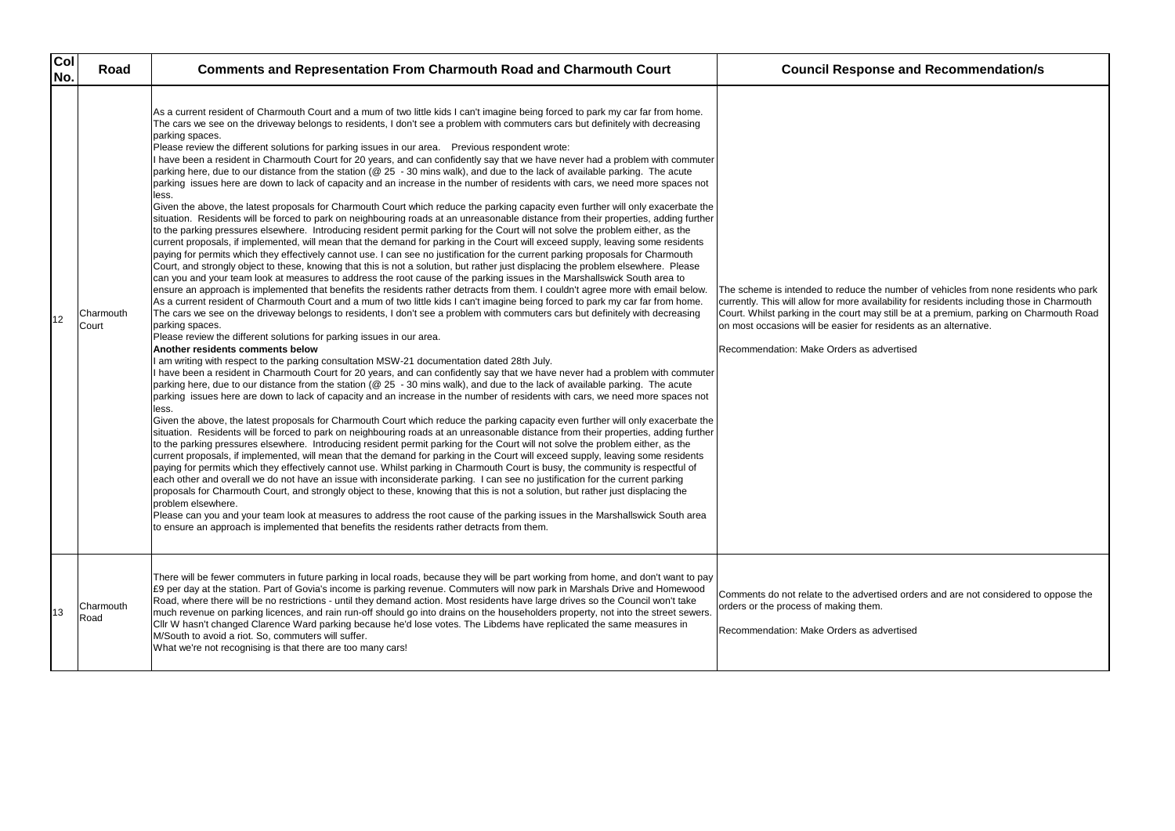| <b>Col</b><br>No. | Road               | <b>Comments and Representation From Charmouth Road and Charmouth Court</b>                                                                                                                                                                                                                                                                                                                                                                                                                                                                                                                                                                                                                                                                                                                                                                                                                                                                                                                                                                                                                                                                                                                                                                                                                                                                                                                                                                                                                                                                                                                                                                                                                                                                                                                                                                                                                                                                                                                                                                                                                                                                                                                                                                                                                                                                                                                                                                                                                                                                                                                                                                                                                                                                                                                                                                                                                                                                                                                                                                                                                                                                                                                                                                                                                                                                                                                                                                                                                                                                                                                                                                                                                                                                                                                                                                                                                                                                                                                                                                | <b>Council Response and Recommendation/s</b>                                                                                                                                                                                                                                                                                                                     |
|-------------------|--------------------|-------------------------------------------------------------------------------------------------------------------------------------------------------------------------------------------------------------------------------------------------------------------------------------------------------------------------------------------------------------------------------------------------------------------------------------------------------------------------------------------------------------------------------------------------------------------------------------------------------------------------------------------------------------------------------------------------------------------------------------------------------------------------------------------------------------------------------------------------------------------------------------------------------------------------------------------------------------------------------------------------------------------------------------------------------------------------------------------------------------------------------------------------------------------------------------------------------------------------------------------------------------------------------------------------------------------------------------------------------------------------------------------------------------------------------------------------------------------------------------------------------------------------------------------------------------------------------------------------------------------------------------------------------------------------------------------------------------------------------------------------------------------------------------------------------------------------------------------------------------------------------------------------------------------------------------------------------------------------------------------------------------------------------------------------------------------------------------------------------------------------------------------------------------------------------------------------------------------------------------------------------------------------------------------------------------------------------------------------------------------------------------------------------------------------------------------------------------------------------------------------------------------------------------------------------------------------------------------------------------------------------------------------------------------------------------------------------------------------------------------------------------------------------------------------------------------------------------------------------------------------------------------------------------------------------------------------------------------------------------------------------------------------------------------------------------------------------------------------------------------------------------------------------------------------------------------------------------------------------------------------------------------------------------------------------------------------------------------------------------------------------------------------------------------------------------------------------------------------------------------------------------------------------------------------------------------------------------------------------------------------------------------------------------------------------------------------------------------------------------------------------------------------------------------------------------------------------------------------------------------------------------------------------------------------------------------------------------------------------------------------------------------------------------------|------------------------------------------------------------------------------------------------------------------------------------------------------------------------------------------------------------------------------------------------------------------------------------------------------------------------------------------------------------------|
| 12                | Charmouth<br>Court | As a current resident of Charmouth Court and a mum of two little kids I can't imagine being forced to park my car far from home.<br>The cars we see on the driveway belongs to residents, I don't see a problem with commuters cars but definitely with decreasing<br>parking spaces.<br>Please review the different solutions for parking issues in our area. Previous respondent wrote:<br>I have been a resident in Charmouth Court for 20 years, and can confidently say that we have never had a problem with commuter<br>parking here, due to our distance from the station (@ 25 - 30 mins walk), and due to the lack of available parking. The acute<br>parking issues here are down to lack of capacity and an increase in the number of residents with cars, we need more spaces not<br>less.<br>Given the above, the latest proposals for Charmouth Court which reduce the parking capacity even further will only exacerbate the<br>situation. Residents will be forced to park on neighbouring roads at an unreasonable distance from their properties, adding further<br>to the parking pressures elsewhere. Introducing resident permit parking for the Court will not solve the problem either, as the<br>current proposals, if implemented, will mean that the demand for parking in the Court will exceed supply, leaving some residents<br>paying for permits which they effectively cannot use. I can see no justification for the current parking proposals for Charmouth<br>Court, and strongly object to these, knowing that this is not a solution, but rather just displacing the problem elsewhere. Please<br>can you and your team look at measures to address the root cause of the parking issues in the Marshallswick South area to<br>ensure an approach is implemented that benefits the residents rather detracts from them. I couldn't agree more with email below.<br>As a current resident of Charmouth Court and a mum of two little kids I can't imagine being forced to park my car far from home.<br>The cars we see on the driveway belongs to residents, I don't see a problem with commuters cars but definitely with decreasing<br>parking spaces.<br>Please review the different solutions for parking issues in our area.<br>Another residents comments below<br>I am writing with respect to the parking consultation MSW-21 documentation dated 28th July.<br>I have been a resident in Charmouth Court for 20 years, and can confidently say that we have never had a problem with commuter<br>parking here, due to our distance from the station (@ 25 - 30 mins walk), and due to the lack of available parking. The acute<br>parking issues here are down to lack of capacity and an increase in the number of residents with cars, we need more spaces not<br>less.<br>Given the above, the latest proposals for Charmouth Court which reduce the parking capacity even further will only exacerbate the<br>situation. Residents will be forced to park on neighbouring roads at an unreasonable distance from their properties, adding further<br>to the parking pressures elsewhere. Introducing resident permit parking for the Court will not solve the problem either, as the<br>current proposals, if implemented, will mean that the demand for parking in the Court will exceed supply, leaving some residents<br>paying for permits which they effectively cannot use. Whilst parking in Charmouth Court is busy, the community is respectful of<br>each other and overall we do not have an issue with inconsiderate parking. I can see no justification for the current parking<br>proposals for Charmouth Court, and strongly object to these, knowing that this is not a solution, but rather just displacing the<br>problem elsewhere.<br>Please can you and your team look at measures to address the root cause of the parking issues in the Marshallswick South area<br>to ensure an approach is implemented that benefits the residents rather detracts from them. | The scheme is intended to reduce the number of vehicles from none reside<br>currently. This will allow for more availability for residents including those in<br>Court. Whilst parking in the court may still be at a premium, parking on Chai<br>on most occasions will be easier for residents as an alternative.<br>Recommendation: Make Orders as advertised |
| 113               | Charmouth<br>Road  | There will be fewer commuters in future parking in local roads, because they will be part working from home, and don't want to pay<br>£9 per day at the station. Part of Govia's income is parking revenue. Commuters will now park in Marshals Drive and Homewood<br>Road, where there will be no restrictions - until they demand action. Most residents have large drives so the Council won't take<br>much revenue on parking licences, and rain run-off should go into drains on the householders property, not into the street sewers.<br>CIIr W hasn't changed Clarence Ward parking because he'd lose votes. The Libdems have replicated the same measures in<br>M/South to avoid a riot. So, commuters will suffer.<br>What we're not recognising is that there are too many cars!                                                                                                                                                                                                                                                                                                                                                                                                                                                                                                                                                                                                                                                                                                                                                                                                                                                                                                                                                                                                                                                                                                                                                                                                                                                                                                                                                                                                                                                                                                                                                                                                                                                                                                                                                                                                                                                                                                                                                                                                                                                                                                                                                                                                                                                                                                                                                                                                                                                                                                                                                                                                                                                                                                                                                                                                                                                                                                                                                                                                                                                                                                                                                                                                                                               | Comments do not relate to the advertised orders and are not considered to<br>orders or the process of making them.<br>Recommendation: Make Orders as advertised                                                                                                                                                                                                  |

The scheme is intended to reduce the number of vehicles from none residents who park currently. This will allow for more availability for residents including those in Charmouth Court. Whilst parking in the court may still be at a premium, parking on Charmouth Road sidents as an alternative.

sed orders and are not considered to oppose the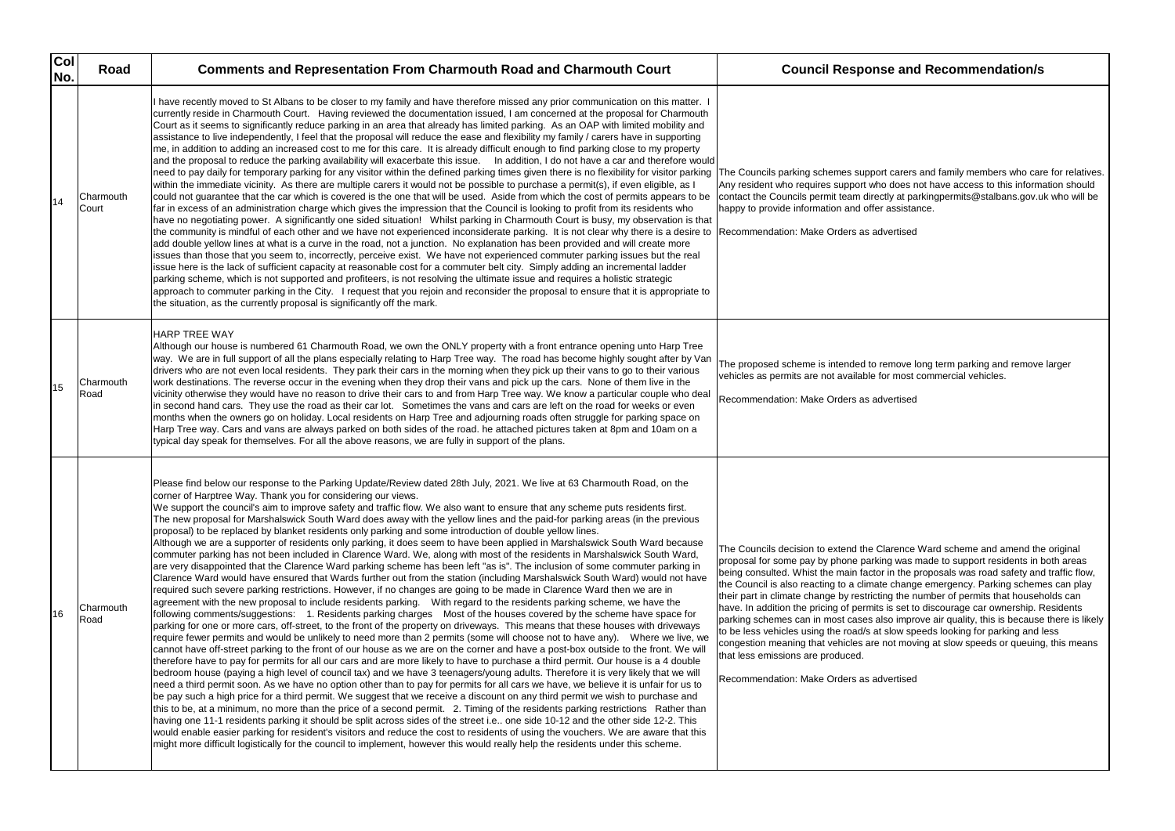| Col<br>No. | Road               | <b>Comments and Representation From Charmouth Road and Charmouth Court</b>                                                                                                                                                                                                                                                                                                                                                                                                                                                                                                                                                                                                                                                                                                                                                                                                                                                                                                                                                                                                                                                                                                                                                                                                                                                                                                                                                                                                                                                                                                                                                                                                                                                                                                                                                                                                                                                                                                                                                                                                                                                                                                                                                                                                                                                                                                                                                                                                                                                                                                                                                                                                                                                                                                                                                                                                                                                                                                                     | <b>Council Response and Recommendation/s</b>                                                                                                                                                                                                                                                                                                                                                                                                                                                                                                                                                                                                                                                                                                                                                                              |
|------------|--------------------|------------------------------------------------------------------------------------------------------------------------------------------------------------------------------------------------------------------------------------------------------------------------------------------------------------------------------------------------------------------------------------------------------------------------------------------------------------------------------------------------------------------------------------------------------------------------------------------------------------------------------------------------------------------------------------------------------------------------------------------------------------------------------------------------------------------------------------------------------------------------------------------------------------------------------------------------------------------------------------------------------------------------------------------------------------------------------------------------------------------------------------------------------------------------------------------------------------------------------------------------------------------------------------------------------------------------------------------------------------------------------------------------------------------------------------------------------------------------------------------------------------------------------------------------------------------------------------------------------------------------------------------------------------------------------------------------------------------------------------------------------------------------------------------------------------------------------------------------------------------------------------------------------------------------------------------------------------------------------------------------------------------------------------------------------------------------------------------------------------------------------------------------------------------------------------------------------------------------------------------------------------------------------------------------------------------------------------------------------------------------------------------------------------------------------------------------------------------------------------------------------------------------------------------------------------------------------------------------------------------------------------------------------------------------------------------------------------------------------------------------------------------------------------------------------------------------------------------------------------------------------------------------------------------------------------------------------------------------------------------------|---------------------------------------------------------------------------------------------------------------------------------------------------------------------------------------------------------------------------------------------------------------------------------------------------------------------------------------------------------------------------------------------------------------------------------------------------------------------------------------------------------------------------------------------------------------------------------------------------------------------------------------------------------------------------------------------------------------------------------------------------------------------------------------------------------------------------|
| 14         | Charmouth<br>Court | I have recently moved to St Albans to be closer to my family and have therefore missed any prior communication on this matter. I<br>currently reside in Charmouth Court. Having reviewed the documentation issued, I am concerned at the proposal for Charmouth<br>Court as it seems to significantly reduce parking in an area that already has limited parking. As an OAP with limited mobility and<br>assistance to live independently, I feel that the proposal will reduce the ease and flexibility my family / carers have in supporting<br>me, in addition to adding an increased cost to me for this care. It is already difficult enough to find parking close to my property<br>and the proposal to reduce the parking availability will exacerbate this issue. In addition, I do not have a car and therefore would<br>need to pay daily for temporary parking for any visitor within the defined parking times given there is no flexibility for visitor parking<br>within the immediate vicinity. As there are multiple carers it would not be possible to purchase a permit(s), if even eligible, as I<br>could not guarantee that the car which is covered is the one that will be used. Aside from which the cost of permits appears to be<br>far in excess of an administration charge which gives the impression that the Council is looking to profit from its residents who<br>have no negotiating power. A significantly one sided situation! Whilst parking in Charmouth Court is busy, my observation is that<br>the community is mindful of each other and we have not experienced inconsiderate parking. It is not clear why there is a desire to  Recommendation: Make Orders as advertised<br>add double yellow lines at what is a curve in the road, not a junction. No explanation has been provided and will create more<br>issues than those that you seem to, incorrectly, perceive exist. We have not experienced commuter parking issues but the real<br>issue here is the lack of sufficient capacity at reasonable cost for a commuter belt city. Simply adding an incremental ladder<br>parking scheme, which is not supported and profiteers, is not resolving the ultimate issue and requires a holistic strategic<br>approach to commuter parking in the City. I request that you rejoin and reconsider the proposal to ensure that it is appropriate to<br>the situation, as the currently proposal is significantly off the mark.                                                                                                                                                                                                                                                                                                                                                                                                                                                                                                                    | The Councils parking schemes support carers and family members who car<br>Any resident who requires support who does not have access to this informa<br>contact the Councils permit team directly at parkingpermits@stalbans.gov.u<br>happy to provide information and offer assistance.                                                                                                                                                                                                                                                                                                                                                                                                                                                                                                                                  |
| 15         | Charmouth<br>Road  | <b>HARP TREE WAY</b><br>Although our house is numbered 61 Charmouth Road, we own the ONLY property with a front entrance opening unto Harp Tree<br>way. We are in full support of all the plans especially relating to Harp Tree way. The road has become highly sought after by Van<br>drivers who are not even local residents. They park their cars in the morning when they pick up their vans to go to their various<br>work destinations. The reverse occur in the evening when they drop their vans and pick up the cars. None of them live in the<br>vicinity otherwise they would have no reason to drive their cars to and from Harp Tree way. We know a particular couple who deal<br>in second hand cars. They use the road as their car lot. Sometimes the vans and cars are left on the road for weeks or even<br>months when the owners go on holiday. Local residents on Harp Tree and adjourning roads often struggle for parking space on<br>Harp Tree way. Cars and vans are always parked on both sides of the road. he attached pictures taken at 8pm and 10am on a<br>typical day speak for themselves. For all the above reasons, we are fully in support of the plans.                                                                                                                                                                                                                                                                                                                                                                                                                                                                                                                                                                                                                                                                                                                                                                                                                                                                                                                                                                                                                                                                                                                                                                                                                                                                                                                                                                                                                                                                                                                                                                                                                                                                                                                                                                                                 | The proposed scheme is intended to remove long term parking and remove<br>vehicles as permits are not available for most commercial vehicles.<br>Recommendation: Make Orders as advertised                                                                                                                                                                                                                                                                                                                                                                                                                                                                                                                                                                                                                                |
| l16        | Charmouth<br>Road  | Please find below our response to the Parking Update/Review dated 28th July, 2021. We live at 63 Charmouth Road, on the<br>corner of Harptree Way. Thank you for considering our views.<br>We support the council's aim to improve safety and traffic flow. We also want to ensure that any scheme puts residents first.<br>The new proposal for Marshalswick South Ward does away with the yellow lines and the paid-for parking areas (in the previous<br>proposal) to be replaced by blanket residents only parking and some introduction of double yellow lines.<br>Although we are a supporter of residents only parking, it does seem to have been applied in Marshalswick South Ward because<br>commuter parking has not been included in Clarence Ward. We, along with most of the residents in Marshalswick South Ward,<br>are very disappointed that the Clarence Ward parking scheme has been left "as is". The inclusion of some commuter parking in<br>Clarence Ward would have ensured that Wards further out from the station (including Marshalswick South Ward) would not have<br>required such severe parking restrictions. However, if no changes are going to be made in Clarence Ward then we are in<br>agreement with the new proposal to include residents parking.  With regard to the residents parking scheme, we have the<br>following comments/suggestions: 1. Residents parking charges Most of the houses covered by the scheme have space for<br>parking for one or more cars, off-street, to the front of the property on driveways. This means that these houses with driveways<br>require fewer permits and would be unlikely to need more than 2 permits (some will choose not to have any).  Where we live, we<br>cannot have off-street parking to the front of our house as we are on the corner and have a post-box outside to the front. We will<br>therefore have to pay for permits for all our cars and are more likely to have to purchase a third permit. Our house is a 4 double<br>bedroom house (paying a high level of council tax) and we have 3 teenagers/young adults. Therefore it is very likely that we will<br>need a third permit soon. As we have no option other than to pay for permits for all cars we have, we believe it is unfair for us to<br>be pay such a high price for a third permit. We suggest that we receive a discount on any third permit we wish to purchase and<br>this to be, at a minimum, no more than the price of a second permit. 2. Timing of the residents parking restrictions Rather than<br>having one 11-1 residents parking it should be split across sides of the street i.e one side 10-12 and the other side 12-2. This<br>would enable easier parking for resident's visitors and reduce the cost to residents of using the vouchers. We are aware that this<br>might more difficult logistically for the council to implement, however this would really help the residents under this scheme. | The Councils decision to extend the Clarence Ward scheme and amend the<br>proposal for some pay by phone parking was made to support residents in <b>k</b><br>being consulted. Whist the main factor in the proposals was road safety and<br>the Council is also reacting to a climate change emergency. Parking scheme<br>their part in climate change by restricting the number of permits that househ<br>have. In addition the pricing of permits is set to discourage car ownership. F<br>parking schemes can in most cases also improve air quality, this is because<br>to be less vehicles using the road/s at slow speeds looking for parking and I<br>congestion meaning that vehicles are not moving at slow speeds or queuing<br>that less emissions are produced.<br>Recommendation: Make Orders as advertised |

carers and family members who care for relatives. does not have access to this information should ly at parkingpermits@stalbans.gov.uk who will be assistance.

move long term parking and remove larger r most commercial vehicles.

arence Ward scheme and amend the original g was made to support residents in both areas  $\frac{1}{2}$  in the proposals was road safety and traffic flow,  $e$  change emergency. Parking schemes can play ig the number of permits that households can is set to discourage car ownership. Residents so improve air quality, this is because there is likely slow speeds looking for parking and less ot moving at slow speeds or queuing, this means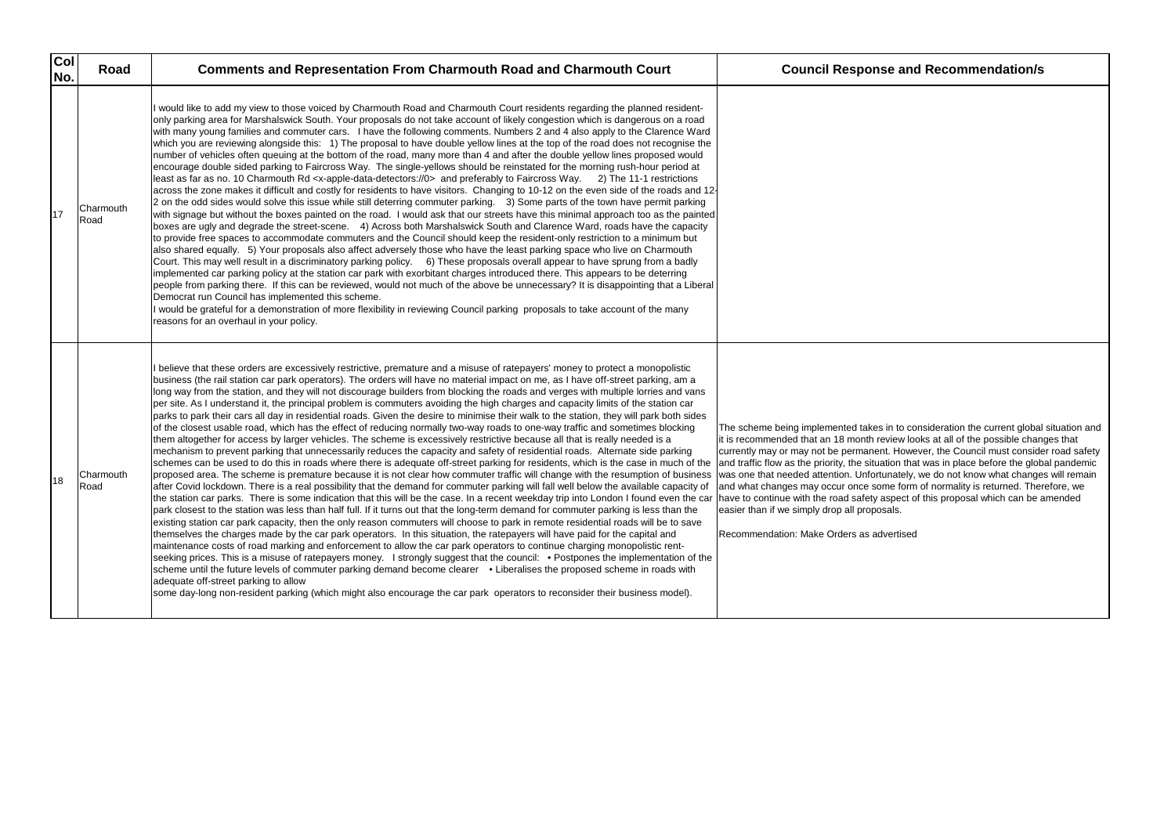| Col<br>No. | Road              | <b>Comments and Representation From Charmouth Road and Charmouth Court</b>                                                                                                                                                                                                                                                                                                                                                                                                                                                                                                                                                                                                                                                                                                                                                                                                                                                                                                                                                                                                                                                                                                                                                                                                                                                                                                                                                                                                                                                                                                                                                                                                                                                                                                                                                                                                                                                                                                                                                                                                                                                                                                                                                                                                                                                                                                                                                                                                                                                                                                                                                            | <b>Council Response and Recommendation/s</b>                                                                                                                                                                                                                                                                                                                                                                                                                                                                                                                                                                                                                   |
|------------|-------------------|---------------------------------------------------------------------------------------------------------------------------------------------------------------------------------------------------------------------------------------------------------------------------------------------------------------------------------------------------------------------------------------------------------------------------------------------------------------------------------------------------------------------------------------------------------------------------------------------------------------------------------------------------------------------------------------------------------------------------------------------------------------------------------------------------------------------------------------------------------------------------------------------------------------------------------------------------------------------------------------------------------------------------------------------------------------------------------------------------------------------------------------------------------------------------------------------------------------------------------------------------------------------------------------------------------------------------------------------------------------------------------------------------------------------------------------------------------------------------------------------------------------------------------------------------------------------------------------------------------------------------------------------------------------------------------------------------------------------------------------------------------------------------------------------------------------------------------------------------------------------------------------------------------------------------------------------------------------------------------------------------------------------------------------------------------------------------------------------------------------------------------------------------------------------------------------------------------------------------------------------------------------------------------------------------------------------------------------------------------------------------------------------------------------------------------------------------------------------------------------------------------------------------------------------------------------------------------------------------------------------------------------|----------------------------------------------------------------------------------------------------------------------------------------------------------------------------------------------------------------------------------------------------------------------------------------------------------------------------------------------------------------------------------------------------------------------------------------------------------------------------------------------------------------------------------------------------------------------------------------------------------------------------------------------------------------|
| 17         | Charmouth<br>Road | I would like to add my view to those voiced by Charmouth Road and Charmouth Court residents regarding the planned resident-<br>only parking area for Marshalswick South. Your proposals do not take account of likely congestion which is dangerous on a road<br>with many young families and commuter cars. I have the following comments. Numbers 2 and 4 also apply to the Clarence Ward<br>which you are reviewing alongside this: 1) The proposal to have double yellow lines at the top of the road does not recognise the<br>number of vehicles often queuing at the bottom of the road, many more than 4 and after the double yellow lines proposed would<br>encourage double sided parking to Faircross Way. The single-yellows should be reinstated for the morning rush-hour period at<br>least as far as no. 10 Charmouth Rd <x-apple-data-detectors: 0=""> and preferably to Faircross Way. 2) The 11-1 restrictions<br/>across the zone makes it difficult and costly for residents to have visitors. Changing to 10-12 on the even side of the roads and 12-<br/>2 on the odd sides would solve this issue while still deterring commuter parking. 3) Some parts of the town have permit parking<br/>with signage but without the boxes painted on the road. I would ask that our streets have this minimal approach too as the painted<br/>boxes are ugly and degrade the street-scene. 4) Across both Marshalswick South and Clarence Ward, roads have the capacity<br/>to provide free spaces to accommodate commuters and the Council should keep the resident-only restriction to a minimum but<br/>also shared equally. 5) Your proposals also affect adversely those who have the least parking space who live on Charmouth<br/>Court. This may well result in a discriminatory parking policy. 6) These proposals overall appear to have sprung from a badly<br/>implemented car parking policy at the station car park with exorbitant charges introduced there. This appears to be deterring<br/>people from parking there. If this can be reviewed, would not much of the above be unnecessary? It is disappointing that a Liberal<br/>Democrat run Council has implemented this scheme.<br/>I would be grateful for a demonstration of more flexibility in reviewing Council parking proposals to take account of the many<br/>reasons for an overhaul in your policy.</x-apple-data-detectors:>                                                                                                                                                                                                           |                                                                                                                                                                                                                                                                                                                                                                                                                                                                                                                                                                                                                                                                |
| 18         | Charmouth<br>Road | I believe that these orders are excessively restrictive, premature and a misuse of ratepayers' money to protect a monopolistic<br>business (the rail station car park operators). The orders will have no material impact on me, as I have off-street parking, am a<br>long way from the station, and they will not discourage builders from blocking the roads and verges with multiple lorries and vans<br>per site. As I understand it, the principal problem is commuters avoiding the high charges and capacity limits of the station car<br>parks to park their cars all day in residential roads. Given the desire to minimise their walk to the station, they will park both sides<br>of the closest usable road, which has the effect of reducing normally two-way roads to one-way traffic and sometimes blocking<br>them altogether for access by larger vehicles. The scheme is excessively restrictive because all that is really needed is a<br>mechanism to prevent parking that unnecessarily reduces the capacity and safety of residential roads. Alternate side parking<br>schemes can be used to do this in roads where there is adequate off-street parking for residents, which is the case in much of the<br>proposed area. The scheme is premature because it is not clear how commuter traffic will change with the resumption of business<br>after Covid lockdown. There is a real possibility that the demand for commuter parking will fall well below the available capacity of<br>the station car parks. There is some indication that this will be the case. In a recent weekday trip into London I found even the car<br>park closest to the station was less than half full. If it turns out that the long-term demand for commuter parking is less than the<br>existing station car park capacity, then the only reason commuters will choose to park in remote residential roads will be to save<br>themselves the charges made by the car park operators. In this situation, the ratepayers will have paid for the capital and<br>maintenance costs of road marking and enforcement to allow the car park operators to continue charging monopolistic rent-<br>seeking prices. This is a misuse of ratepayers money. I strongly suggest that the council: • Postpones the implementation of the<br>scheme until the future levels of commuter parking demand become clearer • Liberalises the proposed scheme in roads with<br>adequate off-street parking to allow<br>some day-long non-resident parking (which might also encourage the car park operators to reconsider their business model). | The scheme being implemented takes in to consideration the current global<br>it is recommended that an 18 month review looks at all of the possible chan<br>currently may or may not be permanent. However, the Council must conside<br>and traffic flow as the priority, the situation that was in place before the glob<br>was one that needed attention. Unfortunately, we do not know what change<br>and what changes may occur once some form of normality is returned. Ther<br>have to continue with the road safety aspect of this proposal which can be a<br>easier than if we simply drop all proposals.<br>Recommendation: Make Orders as advertised |

The scheme being implemented takes in to consideration the current global situation and it is recommended that an 18 month review looks at all of the possible changes that currently may or may not be permanent. However, the Council must consider road safety ation that was in place before the global pandemic was one that needed attention. Unfortunately, we do not know what changes will remain and what changes may occur once some form of normality is returned. Therefore, we have to continue with the road safety aspect of this proposal which can be amended sals.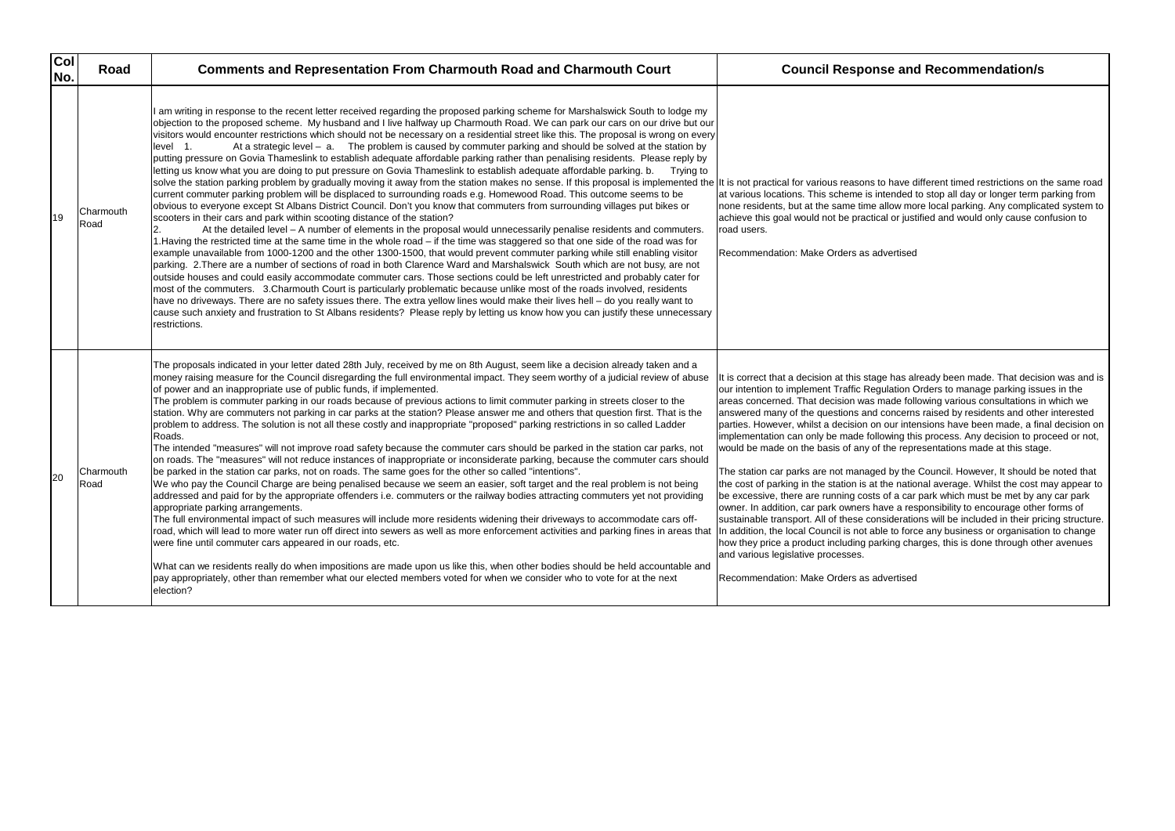| Col<br>No. | Road              | <b>Comments and Representation From Charmouth Road and Charmouth Court</b>                                                                                                                                                                                                                                                                                                                                                                                                                                                                                                                                                                                                                                                                                                                                                                                                                                                                                                                                                                                                                                                                                                                                                                                                                                                                                                                                                                                                                                                                                                                                                                                                                                                                                                                                                                                                                                                                                                                                                                                                                                                                                                                                                                                                                                                                                             | <b>Council Response and Recommendation/s</b>                                                                                                                                                                                                                                                                                                                                                                                                                                                                                                                                                                                                                                                                                                                                                                                                                                                                                                                                                                                                                                                                                                                                                                                                    |
|------------|-------------------|------------------------------------------------------------------------------------------------------------------------------------------------------------------------------------------------------------------------------------------------------------------------------------------------------------------------------------------------------------------------------------------------------------------------------------------------------------------------------------------------------------------------------------------------------------------------------------------------------------------------------------------------------------------------------------------------------------------------------------------------------------------------------------------------------------------------------------------------------------------------------------------------------------------------------------------------------------------------------------------------------------------------------------------------------------------------------------------------------------------------------------------------------------------------------------------------------------------------------------------------------------------------------------------------------------------------------------------------------------------------------------------------------------------------------------------------------------------------------------------------------------------------------------------------------------------------------------------------------------------------------------------------------------------------------------------------------------------------------------------------------------------------------------------------------------------------------------------------------------------------------------------------------------------------------------------------------------------------------------------------------------------------------------------------------------------------------------------------------------------------------------------------------------------------------------------------------------------------------------------------------------------------------------------------------------------------------------------------------------------------|-------------------------------------------------------------------------------------------------------------------------------------------------------------------------------------------------------------------------------------------------------------------------------------------------------------------------------------------------------------------------------------------------------------------------------------------------------------------------------------------------------------------------------------------------------------------------------------------------------------------------------------------------------------------------------------------------------------------------------------------------------------------------------------------------------------------------------------------------------------------------------------------------------------------------------------------------------------------------------------------------------------------------------------------------------------------------------------------------------------------------------------------------------------------------------------------------------------------------------------------------|
| 19         | Charmouth<br>Road | am writing in response to the recent letter received regarding the proposed parking scheme for Marshalswick South to lodge my<br>objection to the proposed scheme. My husband and I live halfway up Charmouth Road. We can park our cars on our drive but our<br>visitors would encounter restrictions which should not be necessary on a residential street like this. The proposal is wrong on every<br>At a strategic level $-$ a. The problem is caused by commuter parking and should be solved at the station by<br>level 1.<br>putting pressure on Govia Thameslink to establish adequate affordable parking rather than penalising residents. Please reply by<br>letting us know what you are doing to put pressure on Govia Thameslink to establish adequate affordable parking. b.<br>Trving to<br>solve the station parking problem by gradually moving it away from the station makes no sense. If this proposal is implemented the<br>current commuter parking problem will be displaced to surrounding roads e.g. Homewood Road. This outcome seems to be<br>obvious to everyone except St Albans District Council. Don't you know that commuters from surrounding villages put bikes or<br>scooters in their cars and park within scooting distance of the station?<br>At the detailed level - A number of elements in the proposal would unnecessarily penalise residents and commuters.<br>2.<br>1. Having the restricted time at the same time in the whole road – if the time was staggered so that one side of the road was for<br>example unavailable from 1000-1200 and the other 1300-1500, that would prevent commuter parking while still enabling visitor<br>parking. 2.There are a number of sections of road in both Clarence Ward and Marshalswick South which are not busy, are not<br>outside houses and could easily accommodate commuter cars. Those sections could be left unrestricted and probably cater for<br>most of the commuters. 3. Charmouth Court is particularly problematic because unlike most of the roads involved, residents<br>have no driveways. There are no safety issues there. The extra yellow lines would make their lives hell – do you really want to<br>cause such anxiety and frustration to St Albans residents? Please reply by letting us know how you can justify these unnecessary<br>restrictions. | It is not practical for various reasons to have different timed restrictions on t<br>at various locations. This scheme is intended to stop all day or longer term p<br>none residents, but at the same time allow more local parking. Any complica<br>achieve this goal would not be practical or justified and would only cause co<br>road users.<br>Recommendation: Make Orders as advertised                                                                                                                                                                                                                                                                                                                                                                                                                                                                                                                                                                                                                                                                                                                                                                                                                                                 |
| 20         | Charmouth<br>Road | The proposals indicated in your letter dated 28th July, received by me on 8th August, seem like a decision already taken and a<br>money raising measure for the Council disregarding the full environmental impact. They seem worthy of a judicial review of abuse<br>of power and an inappropriate use of public funds, if implemented.<br>The problem is commuter parking in our roads because of previous actions to limit commuter parking in streets closer to the<br>station. Why are commuters not parking in car parks at the station? Please answer me and others that question first. That is the<br>problem to address. The solution is not all these costly and inappropriate "proposed" parking restrictions in so called Ladder<br>Roads.<br>The intended "measures" will not improve road safety because the commuter cars should be parked in the station car parks, not<br>on roads. The "measures" will not reduce instances of inappropriate or inconsiderate parking, because the commuter cars should<br>be parked in the station car parks, not on roads. The same goes for the other so called "intentions".<br>We who pay the Council Charge are being penalised because we seem an easier, soft target and the real problem is not being<br>addressed and paid for by the appropriate offenders i.e. commuters or the railway bodies attracting commuters yet not providing<br>appropriate parking arrangements.<br>The full environmental impact of such measures will include more residents widening their driveways to accommodate cars off-<br>road, which will lead to more water run off direct into sewers as well as more enforcement activities and parking fines in areas that<br>were fine until commuter cars appeared in our roads, etc.<br>What can we residents really do when impositions are made upon us like this, when other bodies should be held accountable and<br>pay appropriately, other than remember what our elected members voted for when we consider who to vote for at the next<br>election?                                                                                                                                                                                                                                                                                                                | t is correct that a decision at this stage has already been made. That decisi<br>our intention to implement Traffic Regulation Orders to manage parking issu<br>areas concerned. That decision was made following various consultations ir<br>answered many of the questions and concerns raised by residents and othe<br>parties. However, whilst a decision on our intensions have been made, a fin<br>implementation can only be made following this process. Any decision to pro<br>would be made on the basis of any of the representations made at this stag<br>The station car parks are not managed by the Council. However, It should b<br>the cost of parking in the station is at the national average. Whilst the cost r<br>be excessive, there are running costs of a car park which must be met by are<br>owner. In addition, car park owners have a responsibility to encourage other<br>sustainable transport. All of these considerations will be included in their pri<br>In addition, the local Council is not able to force any business or organisation<br>how they price a product including parking charges, this is done through oth<br>and various legislative processes.<br>Recommendation: Make Orders as advertised |

have different timed restrictions on the same road ended to stop all day or longer term parking from low more local parking. Any complicated system to I or justified and would only cause confusion to

 $\theta$  has already been made. That decision was and is lation Orders to manage parking issues in the ade following various consultations in which we oncerns raised by residents and other interested pur intensions have been made, a final decision on wing this process. Any decision to proceed or not, he representations made at this stage.

by the Council. However, It should be noted that ie national average. Whilst the cost may appear to of a car park which must be met by any car park e a responsibility to encourage other forms of iderations will be included in their pricing structure. to force any business or organisation to change ing charges, this is done through other avenues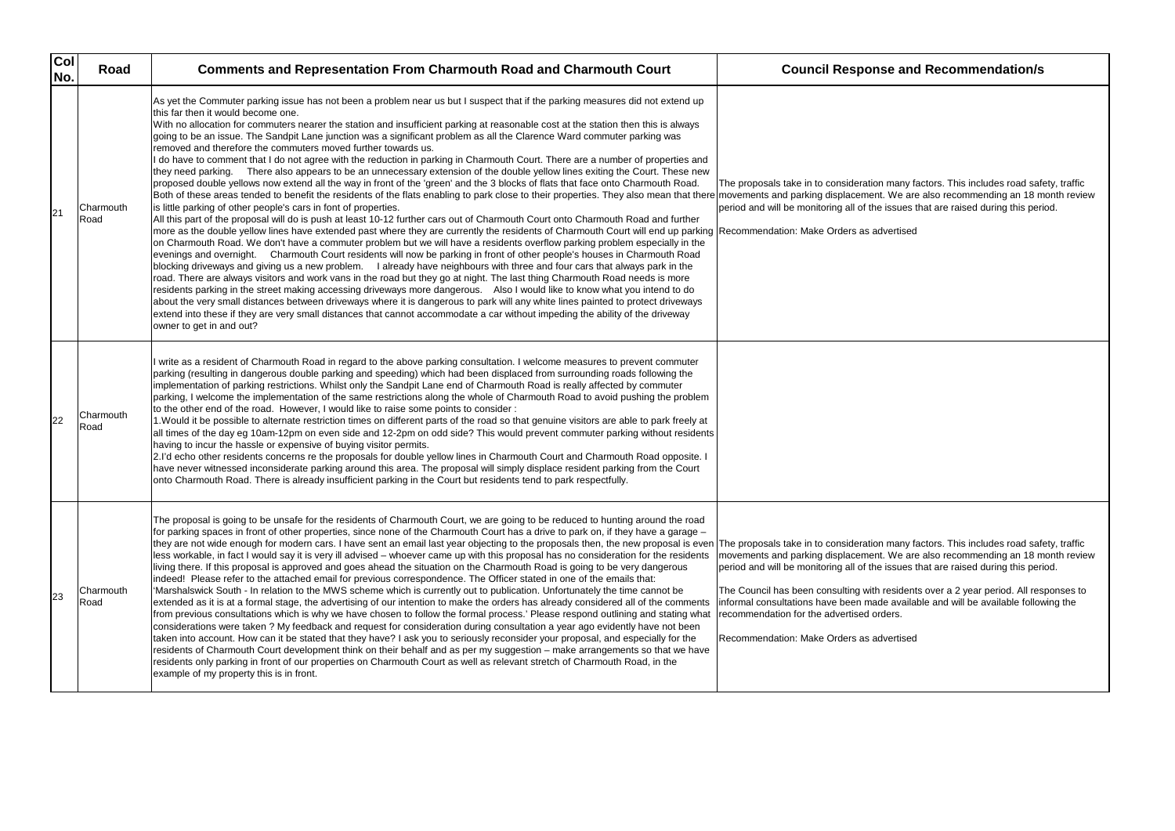The proposals take in to consideration many factors. This includes road safety, traffic movements and parking displacement. We are also recommending an 18 month review period and will be monitoring all of the issues that are raised during this period.

The proposals take in to consideration many factors. This includes road safety, traffic movements and parking displacement. We are also recommending an 18 month review issues that are raised during this period.

| Col<br>No. | Road              | <b>Comments and Representation From Charmouth Road and Charmouth Court</b>                                                                                                                                                                                                                                                                                                                                                                                                                                                                                                                                                                                                                                                                                                                                                                                                                                                                                                                                                                                                                                                                                                                                                                                                                                                                                                                                                                                                                                                                                                                                                                                                                                                                                                                                                                                                                                                                                                                                                                                                                                                                                                                                                                                                                                                                                                                                                                                              | <b>Council Response and Recommendation/s</b>                                                                                                                                                                                                                                                                                                                                                                       |
|------------|-------------------|-------------------------------------------------------------------------------------------------------------------------------------------------------------------------------------------------------------------------------------------------------------------------------------------------------------------------------------------------------------------------------------------------------------------------------------------------------------------------------------------------------------------------------------------------------------------------------------------------------------------------------------------------------------------------------------------------------------------------------------------------------------------------------------------------------------------------------------------------------------------------------------------------------------------------------------------------------------------------------------------------------------------------------------------------------------------------------------------------------------------------------------------------------------------------------------------------------------------------------------------------------------------------------------------------------------------------------------------------------------------------------------------------------------------------------------------------------------------------------------------------------------------------------------------------------------------------------------------------------------------------------------------------------------------------------------------------------------------------------------------------------------------------------------------------------------------------------------------------------------------------------------------------------------------------------------------------------------------------------------------------------------------------------------------------------------------------------------------------------------------------------------------------------------------------------------------------------------------------------------------------------------------------------------------------------------------------------------------------------------------------------------------------------------------------------------------------------------------------|--------------------------------------------------------------------------------------------------------------------------------------------------------------------------------------------------------------------------------------------------------------------------------------------------------------------------------------------------------------------------------------------------------------------|
| 21         | Charmouth<br>Road | As yet the Commuter parking issue has not been a problem near us but I suspect that if the parking measures did not extend up<br>this far then it would become one.<br>With no allocation for commuters nearer the station and insufficient parking at reasonable cost at the station then this is always<br>going to be an issue. The Sandpit Lane junction was a significant problem as all the Clarence Ward commuter parking was<br>removed and therefore the commuters moved further towards us.<br>I do have to comment that I do not agree with the reduction in parking in Charmouth Court. There are a number of properties and<br>they need parking. There also appears to be an unnecessary extension of the double yellow lines exiting the Court. These new<br>proposed double yellows now extend all the way in front of the 'green' and the 3 blocks of flats that face onto Charmouth Road.<br>Both of these areas tended to benefit the residents of the flats enabling to park close to their properties. They also mean that there movements and parking displacement. We are also recommending an 18 m<br>is little parking of other people's cars in font of properties.<br>All this part of the proposal will do is push at least 10-12 further cars out of Charmouth Court onto Charmouth Road and further<br>more as the double yellow lines have extended past where they are currently the residents of Charmouth Court will end up parking Recommendation: Make Orders as advertised<br>on Charmouth Road. We don't have a commuter problem but we will have a residents overflow parking problem especially in the<br>evenings and overnight. Charmouth Court residents will now be parking in front of other people's houses in Charmouth Road<br>blocking driveways and giving us a new problem. I already have neighbours with three and four cars that always park in the<br>road. There are always visitors and work vans in the road but they go at night. The last thing Charmouth Road needs is more<br>residents parking in the street making accessing driveways more dangerous. Also I would like to know what you intend to do<br>about the very small distances between driveways where it is dangerous to park will any white lines painted to protect driveways<br>extend into these if they are very small distances that cannot accommodate a car without impeding the ability of the driveway<br>owner to get in and out? | The proposals take in to consideration many factors. This includes road saf<br>period and will be monitoring all of the issues that are raised during this peri                                                                                                                                                                                                                                                    |
| 22         | Charmouth<br>Road | I write as a resident of Charmouth Road in regard to the above parking consultation. I welcome measures to prevent commuter<br>parking (resulting in dangerous double parking and speeding) which had been displaced from surrounding roads following the<br>implementation of parking restrictions. Whilst only the Sandpit Lane end of Charmouth Road is really affected by commuter<br>parking, I welcome the implementation of the same restrictions along the whole of Charmouth Road to avoid pushing the problem<br>to the other end of the road. However, I would like to raise some points to consider :<br>1. Would it be possible to alternate restriction times on different parts of the road so that genuine visitors are able to park freely at<br>all times of the day eg 10am-12pm on even side and 12-2pm on odd side? This would prevent commuter parking without residents<br>having to incur the hassle or expensive of buying visitor permits.<br>2.I'd echo other residents concerns re the proposals for double yellow lines in Charmouth Court and Charmouth Road opposite. I<br>have never witnessed inconsiderate parking around this area. The proposal will simply displace resident parking from the Court<br>onto Charmouth Road. There is already insufficient parking in the Court but residents tend to park respectfully.                                                                                                                                                                                                                                                                                                                                                                                                                                                                                                                                                                                                                                                                                                                                                                                                                                                                                                                                                                                                                                                                                                            |                                                                                                                                                                                                                                                                                                                                                                                                                    |
| 23         | Charmouth<br>Road | The proposal is going to be unsafe for the residents of Charmouth Court, we are going to be reduced to hunting around the road<br>for parking spaces in front of other properties, since none of the Charmouth Court has a drive to park on, if they have a garage -<br>they are not wide enough for modern cars. I have sent an email last year objecting to the proposals then, the new proposal is even The proposals take in to consideration many factors. This includes road saf<br>less workable, in fact I would say it is very ill advised – whoever came up with this proposal has no consideration for the residents<br>living there. If this proposal is approved and goes ahead the situation on the Charmouth Road is going to be very dangerous<br>indeed! Please refer to the attached email for previous correspondence. The Officer stated in one of the emails that:<br>'Marshalswick South - In relation to the MWS scheme which is currently out to publication. Unfortunately the time cannot be<br>extended as it is at a formal stage, the advertising of our intention to make the orders has already considered all of the comments<br>from previous consultations which is why we have chosen to follow the formal process.' Please respond outlining and stating what<br>considerations were taken? My feedback and request for consideration during consultation a year ago evidently have not been<br>taken into account. How can it be stated that they have? I ask you to seriously reconsider your proposal, and especially for the<br>residents of Charmouth Court development think on their behalf and as per my suggestion - make arrangements so that we have<br>residents only parking in front of our properties on Charmouth Court as well as relevant stretch of Charmouth Road, in the<br>example of my property this is in front.                                                                                                                                                                                                                                                                                                                                                                                                                                                                                                                                                                                           | movements and parking displacement. We are also recommending an 18 m<br>period and will be monitoring all of the issues that are raised during this peri<br>The Council has been consulting with residents over a 2 year period. All res<br>informal consultations have been made available and will be available follov<br>recommendation for the advertised orders.<br>Recommendation: Make Orders as advertised |

The Council has been consulting with residents over a 2 year period. All responses to informal consultations have been made available and will be available following the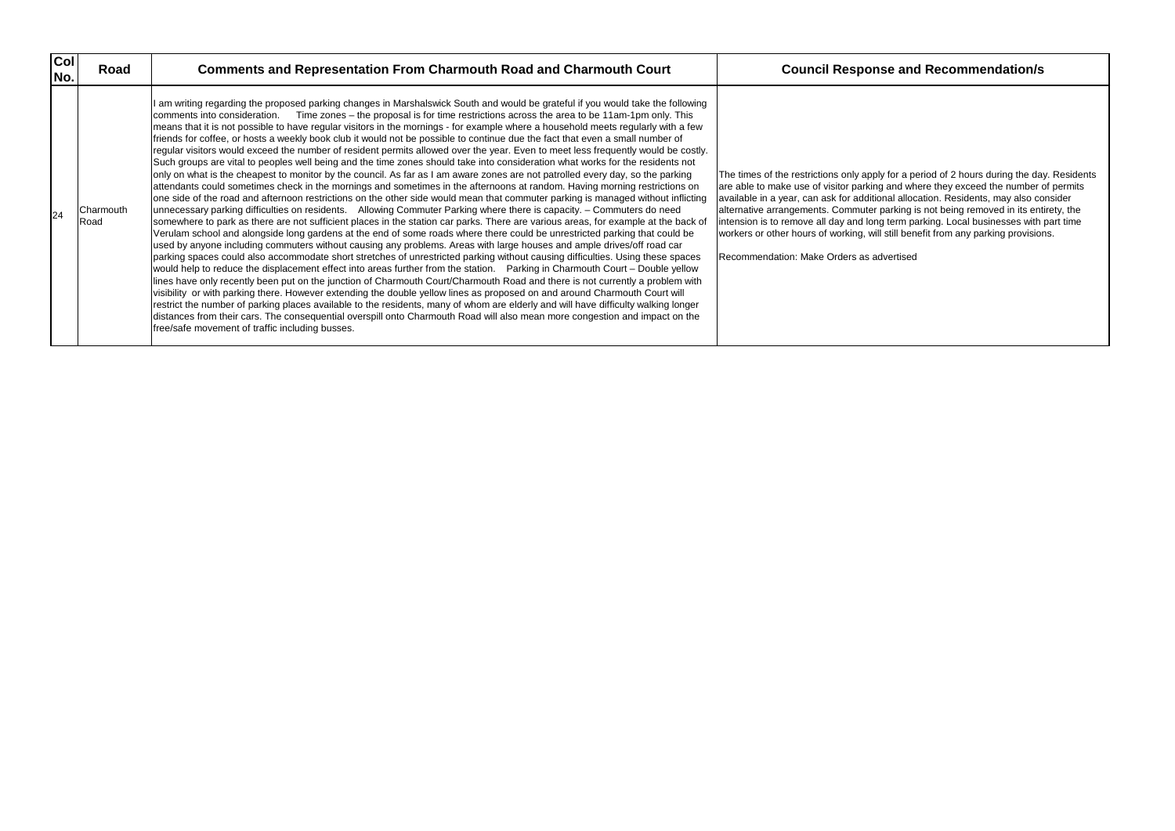| <b>Col</b><br>No. | Road              | <b>Comments and Representation From Charmouth Road and Charmouth Court</b>                                                                                                                                                                                                                                                                                                                                                                                                                                                                                                                                                                                                                                                                                                                                                                                                                                                                                                                                                                                                                                                                                                                                                                                                                                                                                                                                                                                                                                                                                                                                                                                                                                                                                                                                                                                                                                                                                                                                                                                                                                                                                                                                                                                                                                                                                                                                                                                                                                                                                                                    | <b>Council Response and Recommendation/s</b>                                                                                                                                                                                                                                                                                                                                                                                                                                                                                                  |
|-------------------|-------------------|-----------------------------------------------------------------------------------------------------------------------------------------------------------------------------------------------------------------------------------------------------------------------------------------------------------------------------------------------------------------------------------------------------------------------------------------------------------------------------------------------------------------------------------------------------------------------------------------------------------------------------------------------------------------------------------------------------------------------------------------------------------------------------------------------------------------------------------------------------------------------------------------------------------------------------------------------------------------------------------------------------------------------------------------------------------------------------------------------------------------------------------------------------------------------------------------------------------------------------------------------------------------------------------------------------------------------------------------------------------------------------------------------------------------------------------------------------------------------------------------------------------------------------------------------------------------------------------------------------------------------------------------------------------------------------------------------------------------------------------------------------------------------------------------------------------------------------------------------------------------------------------------------------------------------------------------------------------------------------------------------------------------------------------------------------------------------------------------------------------------------------------------------------------------------------------------------------------------------------------------------------------------------------------------------------------------------------------------------------------------------------------------------------------------------------------------------------------------------------------------------------------------------------------------------------------------------------------------------|-----------------------------------------------------------------------------------------------------------------------------------------------------------------------------------------------------------------------------------------------------------------------------------------------------------------------------------------------------------------------------------------------------------------------------------------------------------------------------------------------------------------------------------------------|
| 24                | Charmouth<br>Road | I am writing regarding the proposed parking changes in Marshalswick South and would be grateful if you would take the following<br>comments into consideration. Time zones – the proposal is for time restrictions across the area to be 11am-1pm only. This<br>means that it is not possible to have regular visitors in the mornings - for example where a household meets regularly with a few<br>friends for coffee, or hosts a weekly book club it would not be possible to continue due the fact that even a small number of<br>regular visitors would exceed the number of resident permits allowed over the year. Even to meet less frequently would be costly.<br>Such groups are vital to peoples well being and the time zones should take into consideration what works for the residents not<br>only on what is the cheapest to monitor by the council. As far as I am aware zones are not patrolled every day, so the parking<br>attendants could sometimes check in the mornings and sometimes in the afternoons at random. Having morning restrictions on<br>one side of the road and afternoon restrictions on the other side would mean that commuter parking is managed without inflicting<br>unnecessary parking difficulties on residents. Allowing Commuter Parking where there is capacity. - Commuters do need<br>somewhere to park as there are not sufficient places in the station car parks. There are various areas, for example at the back of<br>Verulam school and alongside long gardens at the end of some roads where there could be unrestricted parking that could be<br>used by anyone including commuters without causing any problems. Areas with large houses and ample drives/off road car<br>parking spaces could also accommodate short stretches of unrestricted parking without causing difficulties. Using these spaces<br>would help to reduce the displacement effect into areas further from the station. Parking in Charmouth Court – Double yellow<br>lines have only recently been put on the junction of Charmouth Court/Charmouth Road and there is not currently a problem with<br>visibility or with parking there. However extending the double yellow lines as proposed on and around Charmouth Court will<br>restrict the number of parking places available to the residents, many of whom are elderly and will have difficulty walking longer<br>distances from their cars. The consequential overspill onto Charmouth Road will also mean more congestion and impact on the<br>free/safe movement of traffic including busses. | The times of the restrictions only apply for a period of 2 hours during the da<br>are able to make use of visitor parking and where they exceed the number of<br>available in a year, can ask for additional allocation. Residents, may also co<br>alternative arrangements. Commuter parking is not being removed in its ent<br>intension is to remove all day and long term parking. Local businesses with<br>workers or other hours of working, will still benefit from any parking provision<br>Recommendation: Make Orders as advertised |

The times of the restrictions only apply for a period of 2 hours during the day. Residents are able to make use of visitor parking and where they exceed the number of permits available in a year, can ask for additional allocation. Residents, may also consider alternative arrangements. Commuter parking is not being removed in its entirety, the intension is to remove all day and long term parking. Local businesses with part time workers or other hours of working, will still benefit from any parking provisions.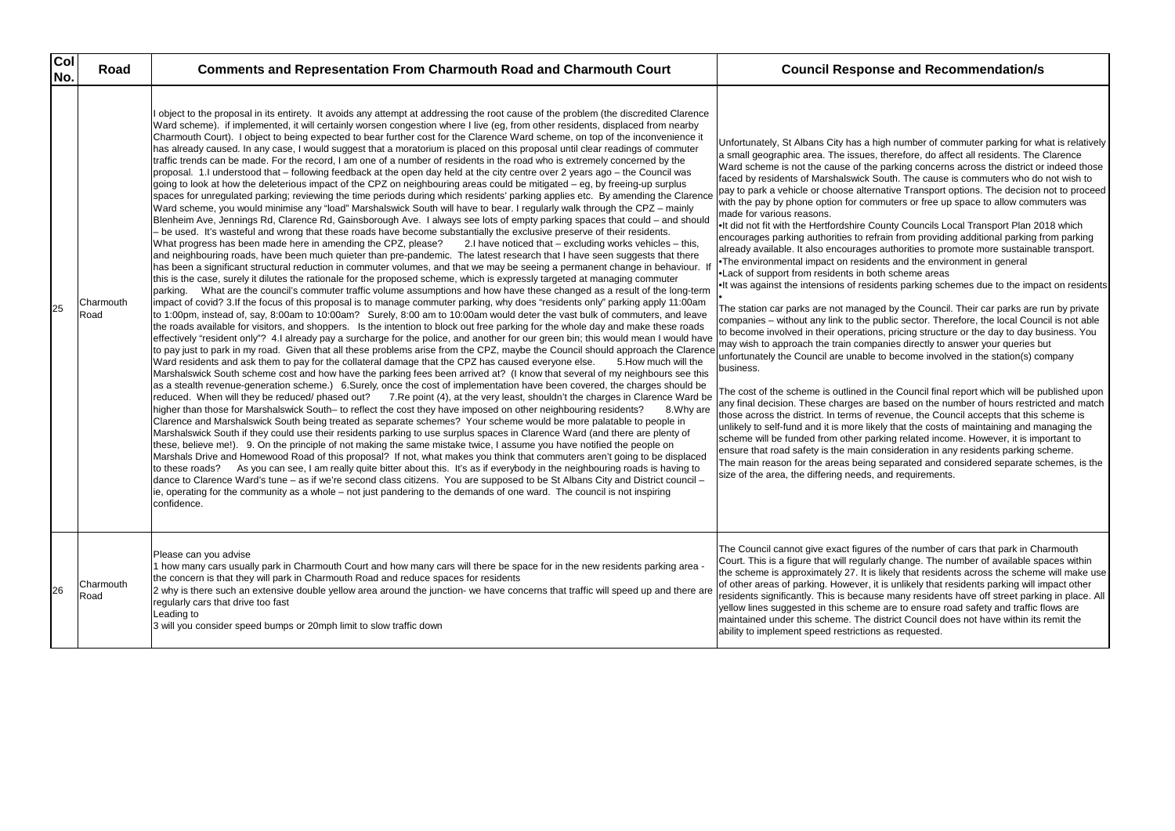| col<br>No. | Road              | <b>Comments and Representation From Charmouth Road and Charmouth Court</b>                                                                                                                                                                                                                                                                                                                                                                                                                                                                                                                                                                                                                                                                                                                                                                                                                                                                                                                                                                                                                                                                                                                                                                                                                                                                                                                                                                                                                                                                                                                                                                                                                                                                                                                                                                                                                                                                                                                                                                                                                                                                                                                                                                                                                                                                                                                                                                                                                                                                                                                                                                                                                                                                                                                                                                                                                                                                                                                                                                                                                                                                                                                                                                                                                                                                                                                                                                                                                                                                                                                                                                                                                                                                                                                                                                                                                                                                                                                                                                                                                                                                                                                                                                                                                                                                                                                                                 | <b>Council Response and Recommendation/s</b>                                                                                                                                                                                                                                                                                                                                                                                                                                                                                                                                                                                                                                                                                                                                                                                                                                                                                                                                                                                                                                                                                                                                                                                                                                                                                                                                                                                                                                                                                                                                                                                                                                                                                                                                                                                                                                                                                                                                                                                                                    |
|------------|-------------------|----------------------------------------------------------------------------------------------------------------------------------------------------------------------------------------------------------------------------------------------------------------------------------------------------------------------------------------------------------------------------------------------------------------------------------------------------------------------------------------------------------------------------------------------------------------------------------------------------------------------------------------------------------------------------------------------------------------------------------------------------------------------------------------------------------------------------------------------------------------------------------------------------------------------------------------------------------------------------------------------------------------------------------------------------------------------------------------------------------------------------------------------------------------------------------------------------------------------------------------------------------------------------------------------------------------------------------------------------------------------------------------------------------------------------------------------------------------------------------------------------------------------------------------------------------------------------------------------------------------------------------------------------------------------------------------------------------------------------------------------------------------------------------------------------------------------------------------------------------------------------------------------------------------------------------------------------------------------------------------------------------------------------------------------------------------------------------------------------------------------------------------------------------------------------------------------------------------------------------------------------------------------------------------------------------------------------------------------------------------------------------------------------------------------------------------------------------------------------------------------------------------------------------------------------------------------------------------------------------------------------------------------------------------------------------------------------------------------------------------------------------------------------------------------------------------------------------------------------------------------------------------------------------------------------------------------------------------------------------------------------------------------------------------------------------------------------------------------------------------------------------------------------------------------------------------------------------------------------------------------------------------------------------------------------------------------------------------------------------------------------------------------------------------------------------------------------------------------------------------------------------------------------------------------------------------------------------------------------------------------------------------------------------------------------------------------------------------------------------------------------------------------------------------------------------------------------------------------------------------------------------------------------------------------------------------------------------------------------------------------------------------------------------------------------------------------------------------------------------------------------------------------------------------------------------------------------------------------------------------------------------------------------------------------------------------------------------------------------------------------------------------------------------------------------|-----------------------------------------------------------------------------------------------------------------------------------------------------------------------------------------------------------------------------------------------------------------------------------------------------------------------------------------------------------------------------------------------------------------------------------------------------------------------------------------------------------------------------------------------------------------------------------------------------------------------------------------------------------------------------------------------------------------------------------------------------------------------------------------------------------------------------------------------------------------------------------------------------------------------------------------------------------------------------------------------------------------------------------------------------------------------------------------------------------------------------------------------------------------------------------------------------------------------------------------------------------------------------------------------------------------------------------------------------------------------------------------------------------------------------------------------------------------------------------------------------------------------------------------------------------------------------------------------------------------------------------------------------------------------------------------------------------------------------------------------------------------------------------------------------------------------------------------------------------------------------------------------------------------------------------------------------------------------------------------------------------------------------------------------------------------|
| 25         | Charmouth<br>Road | object to the proposal in its entirety. It avoids any attempt at addressing the root cause of the problem (the discredited Clarence<br>Ward scheme). if implemented, it will certainly worsen congestion where I live (eg, from other residents, displaced from nearby<br>Charmouth Court). I object to being expected to bear further cost for the Clarence Ward scheme, on top of the inconvenience it<br>has already caused. In any case, I would suggest that a moratorium is placed on this proposal until clear readings of commuter<br>traffic trends can be made. For the record, I am one of a number of residents in the road who is extremely concerned by the<br>proposal. 1.I understood that – following feedback at the open day held at the city centre over 2 years ago – the Council was<br>going to look at how the deleterious impact of the CPZ on neighbouring areas could be mitigated – eg, by freeing-up surplus<br>spaces for unregulated parking; reviewing the time periods during which residents' parking applies etc. By amending the Clarence<br>Ward scheme, you would minimise any "load" Marshalswick South will have to bear. I regularly walk through the CPZ – mainly<br>Blenheim Ave, Jennings Rd, Clarence Rd, Gainsborough Ave. I always see lots of empty parking spaces that could - and should<br>- be used. It's wasteful and wrong that these roads have become substantially the exclusive preserve of their residents.<br>What progress has been made here in amending the CPZ, please?<br>2.I have noticed that - excluding works vehicles - this,<br>and neighbouring roads, have been much quieter than pre-pandemic. The latest research that I have seen suggests that there<br>has been a significant structural reduction in commuter volumes, and that we may be seeing a permanent change in behaviour. If<br>this is the case, surely it dilutes the rationale for the proposed scheme, which is expressly targeted at managing commuter<br>parking. What are the council's commuter traffic volume assumptions and how have these changed as a result of the long-term<br>impact of covid? 3.If the focus of this proposal is to manage commuter parking, why does "residents only" parking apply 11:00am<br>to 1:00pm, instead of, say, 8:00am to 10:00am? Surely, 8:00 am to 10:00am would deter the vast bulk of commuters, and leave<br>the roads available for visitors, and shoppers. Is the intention to block out free parking for the whole day and make these roads<br>effectively "resident only"? 4.I already pay a surcharge for the police, and another for our green bin; this would mean I would have<br>to pay just to park in my road. Given that all these problems arise from the CPZ, maybe the Council should approach the Clarence<br>Ward residents and ask them to pay for the collateral damage that the CPZ has caused everyone else.<br>5. How much will the<br>Marshalswick South scheme cost and how have the parking fees been arrived at? (I know that several of my neighbours see this<br>as a stealth revenue-generation scheme.) 6.Surely, once the cost of implementation have been covered, the charges should be<br>reduced. When will they be reduced/ phased out? 7.Re point (4), at the very least, shouldn't the charges in Clarence Ward be<br>higher than those for Marshalswick South– to reflect the cost they have imposed on other neighbouring residents?<br>8. Why are<br>Clarence and Marshalswick South being treated as separate schemes? Your scheme would be more palatable to people in<br>Marshalswick South if they could use their residents parking to use surplus spaces in Clarence Ward (and there are plenty of<br>these, believe me!). 9. On the principle of not making the same mistake twice, I assume you have notified the people on<br>Marshals Drive and Homewood Road of this proposal? If not, what makes you think that commuters aren't going to be displaced<br>As you can see, I am really quite bitter about this. It's as if everybody in the neighbouring roads is having to<br>to these roads?<br>dance to Clarence Ward's tune – as if we're second class citizens. You are supposed to be St Albans City and District council –<br>ie, operating for the community as a whole – not just pandering to the demands of one ward. The council is not inspiring<br>confidence. | Unfortunately, St Albans City has a high number of commuter parking for wi<br>a small geographic area. The issues, therefore, do affect all residents. The<br>Ward scheme is not the cause of the parking concerns across the district or<br>faced by residents of Marshalswick South. The cause is commuters who do<br>pay to park a vehicle or choose alternative Transport options. The decision<br>with the pay by phone option for commuters or free up space to allow comm<br>made for various reasons.<br>. It did not fit with the Hertfordshire County Councils Local Transport Plan 20<br>encourages parking authorities to refrain from providing additional parking fi<br>already available. It also encourages authorities to promote more sustainab<br>•The environmental impact on residents and the environment in general<br>. Lack of support from residents in both scheme areas<br>.It was against the intensions of residents parking schemes due to the impa<br>The station car parks are not managed by the Council. Their car parks are r<br>companies - without any link to the public sector. Therefore, the local Coun<br>to become involved in their operations, pricing structure or the day to day but<br>may wish to approach the train companies directly to answer your queries b<br>unfortunately the Council are unable to become involved in the station(s) co<br>business.<br>The cost of the scheme is outlined in the Council final report which will be p<br>any final decision. These charges are based on the number of hours restrict<br>those across the district. In terms of revenue, the Council accepts that this s<br>unlikely to self-fund and it is more likely that the costs of maintaining and ma<br>scheme will be funded from other parking related income. However, it is imp<br>ensure that road safety is the main consideration in any residents parking so<br>The main reason for the areas being separated and considered separate so<br>size of the area, the differing needs, and requirements. |
| 26         | Charmouth<br>Road | Please can you advise<br>1 how many cars usually park in Charmouth Court and how many cars will there be space for in the new residents parking area<br>the concern is that they will park in Charmouth Road and reduce spaces for residents<br>2 why is there such an extensive double yellow area around the junction- we have concerns that traffic will speed up and there are<br>regularly cars that drive too fast<br>Leading to<br>3 will you consider speed bumps or 20mph limit to slow traffic down                                                                                                                                                                                                                                                                                                                                                                                                                                                                                                                                                                                                                                                                                                                                                                                                                                                                                                                                                                                                                                                                                                                                                                                                                                                                                                                                                                                                                                                                                                                                                                                                                                                                                                                                                                                                                                                                                                                                                                                                                                                                                                                                                                                                                                                                                                                                                                                                                                                                                                                                                                                                                                                                                                                                                                                                                                                                                                                                                                                                                                                                                                                                                                                                                                                                                                                                                                                                                                                                                                                                                                                                                                                                                                                                                                                                                                                                                                              | The Council cannot give exact figures of the number of cars that park in Cha<br>Court. This is a figure that will regularly change. The number of available sp<br>the scheme is approximately 27. It is likely that residents across the scheme<br>of other areas of parking. However, it is unlikely that residents parking will in<br>residents significantly. This is because many residents have off street parkir<br>yellow lines suggested in this scheme are to ensure road safety and traffic f<br>maintained under this scheme. The district Council does not have within its<br>ability to implement speed restrictions as requested.                                                                                                                                                                                                                                                                                                                                                                                                                                                                                                                                                                                                                                                                                                                                                                                                                                                                                                                                                                                                                                                                                                                                                                                                                                                                                                                                                                                                                 |

number of commuter parking for what is relatively nerefore, do affect all residents. The Clarence arking concerns across the district or indeed those ath. The cause is commuters who do not wish to tive Transport options. The decision not to proceed uters or free up space to allow commuters was

nty Councils Local Transport Plan 2018 which in from providing additional parking from parking athorities to promote more sustainable transport. and the environment in general scheme areas

hts parking schemes due to the impact on residents

by the Council. Their car parks are run by private  $\frac{1}{2}$  is ector. Therefore, the local Council is not able pricing structure or the day to day business. You hies directly to answer your queries but become involved in the station(s) company

Ie Council final report which will be published upon ased on the number of hours restricted and match venue, the Council accepts that this scheme is that the costs of maintaining and managing the ng related income. However, it is important to sideration in any residents parking scheme. eparated and considered separate schemes, is the d requirements.

of the number of cars that park in Charmouth change. The number of available spaces within tely that residents across the scheme will make use unlikely that residents parking will impact other many residents have off street parking in place. All are to ensure road safety and traffic flows are trict Council does not have within its remit the as requested.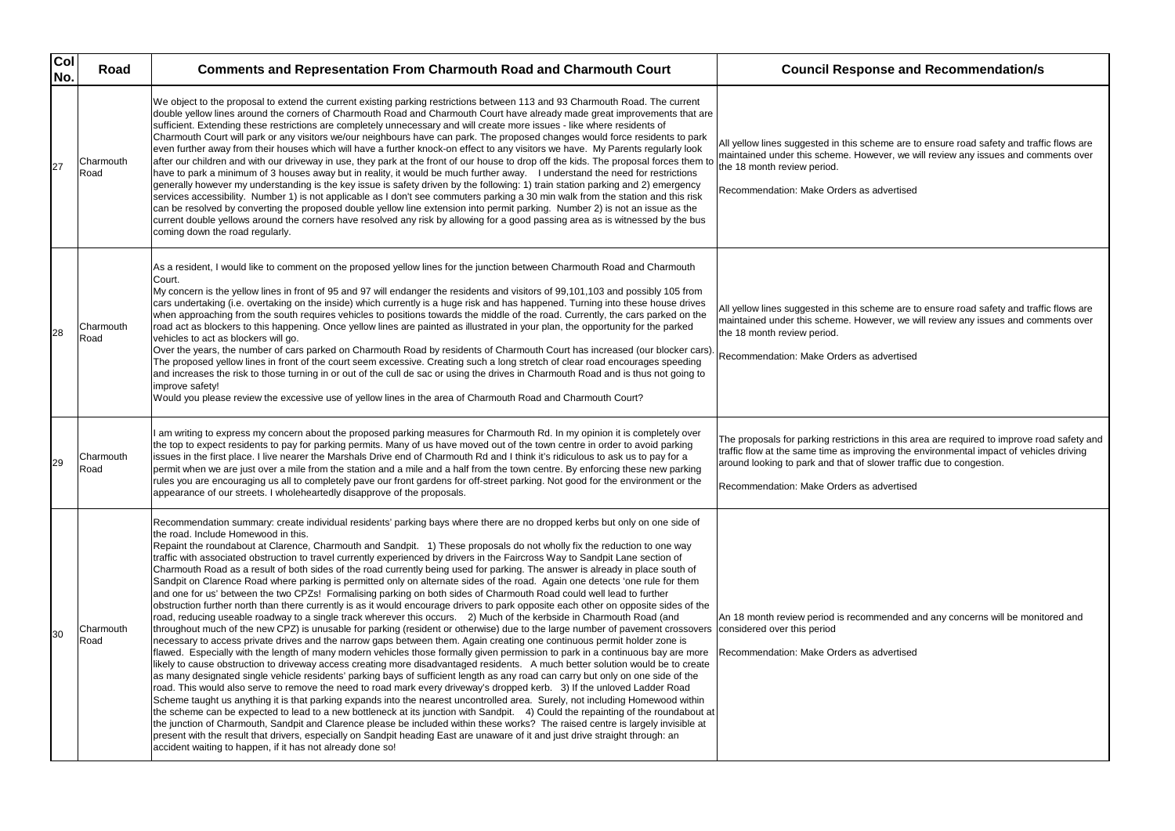| col<br>No. | Road              | <b>Comments and Representation From Charmouth Road and Charmouth Court</b>                                                                                                                                                                                                                                                                                                                                                                                                                                                                                                                                                                                                                                                                                                                                                                                                                                                                                                                                                                                                                                                                                                                                                                                                                                                                                                                                                                                                                                                                                                                                                                                                                                                                                                                                                                                                                                                                                                                                                                                                                                                                                                                                                                                                                                                                                                                                                                                                                                                             | <b>Council Response and Recommendation/s</b>                                                                                                                                                                                                                                        |
|------------|-------------------|----------------------------------------------------------------------------------------------------------------------------------------------------------------------------------------------------------------------------------------------------------------------------------------------------------------------------------------------------------------------------------------------------------------------------------------------------------------------------------------------------------------------------------------------------------------------------------------------------------------------------------------------------------------------------------------------------------------------------------------------------------------------------------------------------------------------------------------------------------------------------------------------------------------------------------------------------------------------------------------------------------------------------------------------------------------------------------------------------------------------------------------------------------------------------------------------------------------------------------------------------------------------------------------------------------------------------------------------------------------------------------------------------------------------------------------------------------------------------------------------------------------------------------------------------------------------------------------------------------------------------------------------------------------------------------------------------------------------------------------------------------------------------------------------------------------------------------------------------------------------------------------------------------------------------------------------------------------------------------------------------------------------------------------------------------------------------------------------------------------------------------------------------------------------------------------------------------------------------------------------------------------------------------------------------------------------------------------------------------------------------------------------------------------------------------------------------------------------------------------------------------------------------------------|-------------------------------------------------------------------------------------------------------------------------------------------------------------------------------------------------------------------------------------------------------------------------------------|
| 27         | Charmouth<br>Road | We object to the proposal to extend the current existing parking restrictions between 113 and 93 Charmouth Road. The current<br>double yellow lines around the corners of Charmouth Road and Charmouth Court have already made great improvements that are<br>sufficient. Extending these restrictions are completely unnecessary and will create more issues - like where residents of<br>Charmouth Court will park or any visitors we/our neighbours have can park. The proposed changes would force residents to park<br>even further away from their houses which will have a further knock-on effect to any visitors we have. My Parents regularly look<br>after our children and with our driveway in use, they park at the front of our house to drop off the kids. The proposal forces them to<br>have to park a minimum of 3 houses away but in reality, it would be much further away. I understand the need for restrictions<br>generally however my understanding is the key issue is safety driven by the following: 1) train station parking and 2) emergency<br>services accessibility. Number 1) is not applicable as I don't see commuters parking a 30 min walk from the station and this risk<br>can be resolved by converting the proposed double yellow line extension into permit parking. Number 2) is not an issue as the<br>current double yellows around the corners have resolved any risk by allowing for a good passing area as is witnessed by the bus<br>coming down the road regularly.                                                                                                                                                                                                                                                                                                                                                                                                                                                                                                                                                                                                                                                                                                                                                                                                                                                                                                                                                                                                                | All yellow lines suggested in this scheme are to ensure road safety and traff<br>maintained under this scheme. However, we will review any issues and com<br>the 18 month review period.<br>Recommendation: Make Orders as advertised                                               |
| 28         | Charmouth<br>Road | As a resident, I would like to comment on the proposed yellow lines for the junction between Charmouth Road and Charmouth<br>Court.<br>My concern is the yellow lines in front of 95 and 97 will endanger the residents and visitors of 99,101,103 and possibly 105 from<br>cars undertaking (i.e. overtaking on the inside) which currently is a huge risk and has happened. Turning into these house drives<br>when approaching from the south requires vehicles to positions towards the middle of the road. Currently, the cars parked on the<br>road act as blockers to this happening. Once yellow lines are painted as illustrated in your plan, the opportunity for the parked<br>vehicles to act as blockers will go.<br>Over the years, the number of cars parked on Charmouth Road by residents of Charmouth Court has increased (our blocker cars).<br>The proposed yellow lines in front of the court seem excessive. Creating such a long stretch of clear road encourages speeding<br>and increases the risk to those turning in or out of the cull de sac or using the drives in Charmouth Road and is thus not going to<br>improve safety!<br>Would you please review the excessive use of yellow lines in the area of Charmouth Road and Charmouth Court?                                                                                                                                                                                                                                                                                                                                                                                                                                                                                                                                                                                                                                                                                                                                                                                                                                                                                                                                                                                                                                                                                                                                                                                                                                                            | All yellow lines suggested in this scheme are to ensure road safety and traff<br>maintained under this scheme. However, we will review any issues and com<br>the 18 month review period.<br>Recommendation: Make Orders as advertised                                               |
| 29         | Charmouth<br>Road | I am writing to express my concern about the proposed parking measures for Charmouth Rd. In my opinion it is completely over<br>the top to expect residents to pay for parking permits. Many of us have moved out of the town centre in order to avoid parking<br>issues in the first place. I live nearer the Marshals Drive end of Charmouth Rd and I think it's ridiculous to ask us to pay for a<br>permit when we are just over a mile from the station and a mile and a half from the town centre. By enforcing these new parking<br>rules you are encouraging us all to completely pave our front gardens for off-street parking. Not good for the environment or the<br>appearance of our streets. I wholeheartedly disapprove of the proposals.                                                                                                                                                                                                                                                                                                                                                                                                                                                                                                                                                                                                                                                                                                                                                                                                                                                                                                                                                                                                                                                                                                                                                                                                                                                                                                                                                                                                                                                                                                                                                                                                                                                                                                                                                                               | The proposals for parking restrictions in this area are required to improve ro<br>traffic flow at the same time as improving the environmental impact of vehic<br>around looking to park and that of slower traffic due to congestion.<br>Recommendation: Make Orders as advertised |
| 30         | Charmouth<br>Road | Recommendation summary: create individual residents' parking bays where there are no dropped kerbs but only on one side of<br>the road. Include Homewood in this.<br>Repaint the roundabout at Clarence, Charmouth and Sandpit. 1) These proposals do not wholly fix the reduction to one way<br>traffic with associated obstruction to travel currently experienced by drivers in the Faircross Way to Sandpit Lane section of<br>Charmouth Road as a result of both sides of the road currently being used for parking. The answer is already in place south of<br>Sandpit on Clarence Road where parking is permitted only on alternate sides of the road. Again one detects 'one rule for them<br>and one for us' between the two CPZs! Formalising parking on both sides of Charmouth Road could well lead to further<br>obstruction further north than there currently is as it would encourage drivers to park opposite each other on opposite sides of the<br>road, reducing useable roadway to a single track wherever this occurs. 2) Much of the kerbside in Charmouth Road (and<br>throughout much of the new CPZ) is unusable for parking (resident or otherwise) due to the large number of pavement crossovers considered over this period<br>necessary to access private drives and the narrow gaps between them. Again creating one continuous permit holder zone is<br>flawed. Especially with the length of many modern vehicles those formally given permission to park in a continuous bay are more<br>likely to cause obstruction to driveway access creating more disadvantaged residents. A much better solution would be to create<br>as many designated single vehicle residents' parking bays of sufficient length as any road can carry but only on one side of the<br>road. This would also serve to remove the need to road mark every driveway's dropped kerb. 3) If the unloved Ladder Road<br>Scheme taught us anything it is that parking expands into the nearest uncontrolled area. Surely, not including Homewood within<br>the scheme can be expected to lead to a new bottleneck at its junction with Sandpit. 4) Could the repainting of the roundabout at<br>the junction of Charmouth, Sandpit and Clarence please be included within these works? The raised centre is largely invisible at<br>present with the result that drivers, especially on Sandpit heading East are unaware of it and just drive straight through: an<br>accident waiting to happen, if it has not already done so! | An 18 month review period is recommended and any concerns will be monit<br>Recommendation: Make Orders as advertised                                                                                                                                                                |

| <b>Council Response and Recommendation/s</b>                                                                                                                                                                                                                                                                |
|-------------------------------------------------------------------------------------------------------------------------------------------------------------------------------------------------------------------------------------------------------------------------------------------------------------|
| All yellow lines suggested in this scheme are to ensure road safety and traffic flows are<br>maintained under this scheme. However, we will review any issues and comments over<br>the 18 month review period.<br>Recommendation: Make Orders as advertised                                                 |
| All yellow lines suggested in this scheme are to ensure road safety and traffic flows are<br>maintained under this scheme. However, we will review any issues and comments over<br>the 18 month review period.<br>Recommendation: Make Orders as advertised                                                 |
| The proposals for parking restrictions in this area are required to improve road safety and<br>traffic flow at the same time as improving the environmental impact of vehicles driving<br>around looking to park and that of slower traffic due to congestion.<br>Recommendation: Make Orders as advertised |
| An 18 month review period is recommended and any concerns will be monitored and<br>considered over this period                                                                                                                                                                                              |
|                                                                                                                                                                                                                                                                                                             |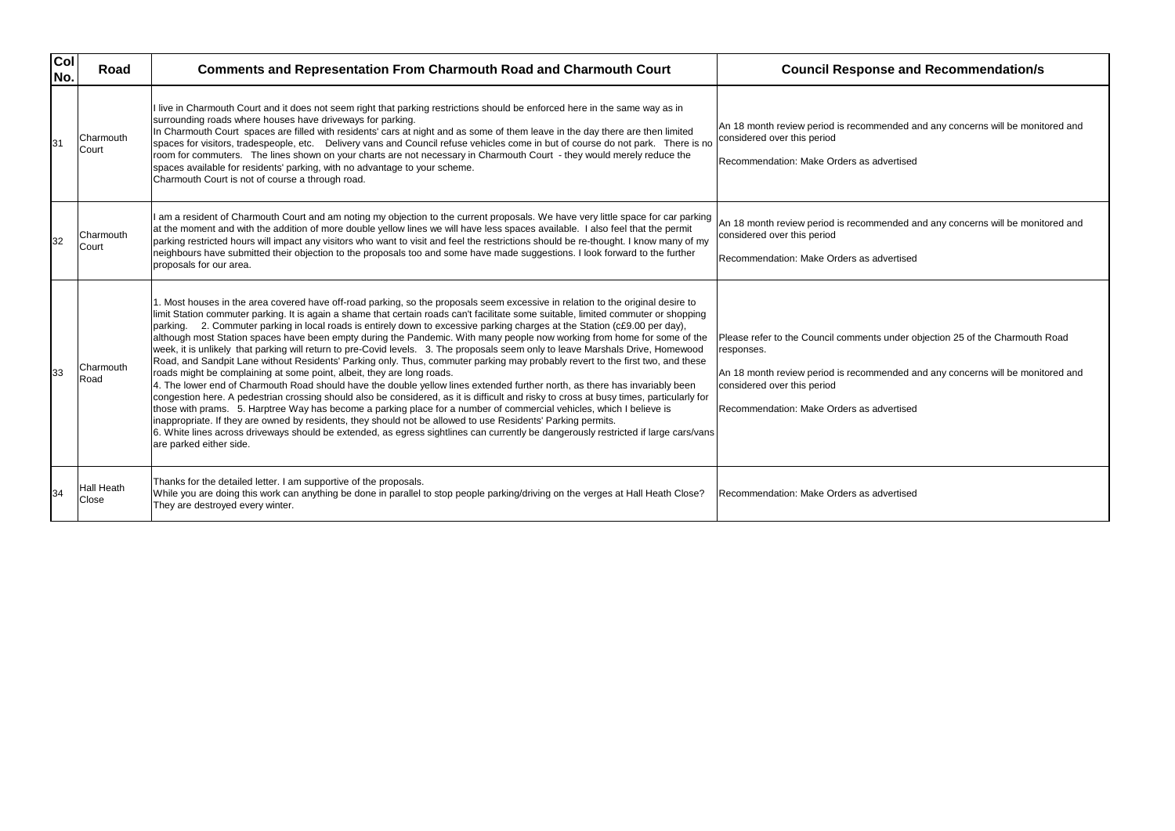| col<br>No. | Road                       | <b>Comments and Representation From Charmouth Road and Charmouth Court</b>                                                                                                                                                                                                                                                                                                                                                                                                                                                                                                                                                                                                                                                                                                                                                                                                                                                                                                                                                                                                                                                                                                                                                                                                                                                                                                                                                                                                                                                                                          | <b>Council Response and Recommendation/s</b>                                                                                                                                                                                                  |
|------------|----------------------------|---------------------------------------------------------------------------------------------------------------------------------------------------------------------------------------------------------------------------------------------------------------------------------------------------------------------------------------------------------------------------------------------------------------------------------------------------------------------------------------------------------------------------------------------------------------------------------------------------------------------------------------------------------------------------------------------------------------------------------------------------------------------------------------------------------------------------------------------------------------------------------------------------------------------------------------------------------------------------------------------------------------------------------------------------------------------------------------------------------------------------------------------------------------------------------------------------------------------------------------------------------------------------------------------------------------------------------------------------------------------------------------------------------------------------------------------------------------------------------------------------------------------------------------------------------------------|-----------------------------------------------------------------------------------------------------------------------------------------------------------------------------------------------------------------------------------------------|
| 31         | Charmouth<br>Court         | I live in Charmouth Court and it does not seem right that parking restrictions should be enforced here in the same way as in<br>surrounding roads where houses have driveways for parking.<br>In Charmouth Court spaces are filled with residents' cars at night and as some of them leave in the day there are then limited<br>spaces for visitors, tradespeople, etc. Delivery vans and Council refuse vehicles come in but of course do not park. There is no<br>room for commuters. The lines shown on your charts are not necessary in Charmouth Court - they would merely reduce the<br>spaces available for residents' parking, with no advantage to your scheme.<br>Charmouth Court is not of course a through road.                                                                                                                                                                                                                                                                                                                                                                                                                                                                                                                                                                                                                                                                                                                                                                                                                                        | An 18 month review period is recommended and any concerns will be monit<br>considered over this period<br>Recommendation: Make Orders as advertised                                                                                           |
| 32         | Charmouth<br>Court         | I am a resident of Charmouth Court and am noting my objection to the current proposals. We have very little space for car parking<br>at the moment and with the addition of more double yellow lines we will have less spaces available. I also feel that the permit<br>parking restricted hours will impact any visitors who want to visit and feel the restrictions should be re-thought. I know many of my<br>neighbours have submitted their objection to the proposals too and some have made suggestions. I look forward to the further<br>proposals for our area.                                                                                                                                                                                                                                                                                                                                                                                                                                                                                                                                                                                                                                                                                                                                                                                                                                                                                                                                                                                            | An 18 month review period is recommended and any concerns will be monit<br>considered over this period<br>Recommendation: Make Orders as advertised                                                                                           |
| 33         | Charmouth<br>Road          | 1. Most houses in the area covered have off-road parking, so the proposals seem excessive in relation to the original desire to<br>limit Station commuter parking. It is again a shame that certain roads can't facilitate some suitable, limited commuter or shopping<br>parking. 2. Commuter parking in local roads is entirely down to excessive parking charges at the Station (c£9.00 per day),<br>although most Station spaces have been empty during the Pandemic. With many people now working from home for some of the<br>week, it is unlikely that parking will return to pre-Covid levels. 3. The proposals seem only to leave Marshals Drive, Homewood<br>Road, and Sandpit Lane without Residents' Parking only. Thus, commuter parking may probably revert to the first two, and these<br>roads might be complaining at some point, albeit, they are long roads.<br>4. The lower end of Charmouth Road should have the double yellow lines extended further north, as there has invariably been<br>congestion here. A pedestrian crossing should also be considered, as it is difficult and risky to cross at busy times, particularly for<br>those with prams. 5. Harptree Way has become a parking place for a number of commercial vehicles, which I believe is<br>inappropriate. If they are owned by residents, they should not be allowed to use Residents' Parking permits.<br>6. White lines across driveways should be extended, as egress sightlines can currently be dangerously restricted if large cars/vans<br>are parked either side. | Please refer to the Council comments under objection 25 of the Charmouth<br>responses.<br>An 18 month review period is recommended and any concerns will be monit<br>considered over this period<br>Recommendation: Make Orders as advertised |
| 34         | <b>Hall Heath</b><br>Close | Thanks for the detailed letter. I am supportive of the proposals.<br>While you are doing this work can anything be done in parallel to stop people parking/driving on the verges at Hall Heath Close?<br>They are destroyed every winter.                                                                                                                                                                                                                                                                                                                                                                                                                                                                                                                                                                                                                                                                                                                                                                                                                                                                                                                                                                                                                                                                                                                                                                                                                                                                                                                           | Recommendation: Make Orders as advertised                                                                                                                                                                                                     |

ended and any concerns will be monitored and

ended and any concerns will be monitored and

under objection 25 of the Charmouth Road

ended and any concerns will be monitored and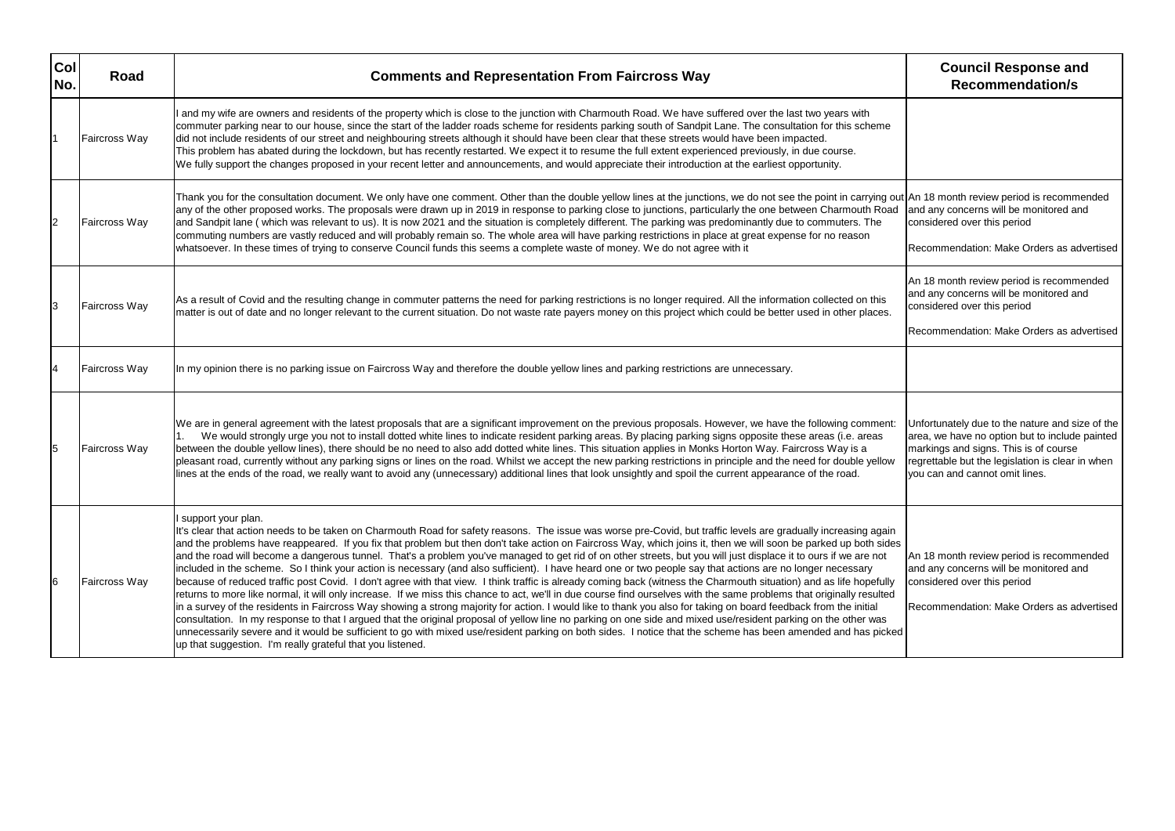| Col<br>No. | Road                 | <b>Comments and Representation From Faircross Way</b>                                                                                                                                                                                                                                                                                                                                                                                                                                                                                                                                                                                                                                                                                                                                                                                                                                                                                                                                                                                                                                                                                                                                                                                                                                                                                                                                                                                                                                                                                                                                                              | <b>Council Response and</b><br><b>Recommendation/s</b>                                                                                                                                                            |
|------------|----------------------|--------------------------------------------------------------------------------------------------------------------------------------------------------------------------------------------------------------------------------------------------------------------------------------------------------------------------------------------------------------------------------------------------------------------------------------------------------------------------------------------------------------------------------------------------------------------------------------------------------------------------------------------------------------------------------------------------------------------------------------------------------------------------------------------------------------------------------------------------------------------------------------------------------------------------------------------------------------------------------------------------------------------------------------------------------------------------------------------------------------------------------------------------------------------------------------------------------------------------------------------------------------------------------------------------------------------------------------------------------------------------------------------------------------------------------------------------------------------------------------------------------------------------------------------------------------------------------------------------------------------|-------------------------------------------------------------------------------------------------------------------------------------------------------------------------------------------------------------------|
|            | Faircross Way        | I and my wife are owners and residents of the property which is close to the junction with Charmouth Road. We have suffered over the last two years with<br>commuter parking near to our house, since the start of the ladder roads scheme for residents parking south of Sandpit Lane. The consultation for this scheme<br>did not include residents of our street and neighbouring streets although it should have been clear that these streets would have been impacted.<br>This problem has abated during the lockdown, but has recently restarted. We expect it to resume the full extent experienced previously, in due course.<br>We fully support the changes proposed in your recent letter and announcements, and would appreciate their introduction at the earliest opportunity.                                                                                                                                                                                                                                                                                                                                                                                                                                                                                                                                                                                                                                                                                                                                                                                                                      |                                                                                                                                                                                                                   |
|            | <b>Faircross Way</b> | Thank you for the consultation document. We only have one comment. Other than the double yellow lines at the junctions, we do not see the point in carrying out An 18 month review period is recommen<br>any of the other proposed works. The proposals were drawn up in 2019 in response to parking close to junctions, particularly the one between Charmouth Road<br>and Sandpit lane (which was relevant to us). It is now 2021 and the situation is completely different. The parking was predominantly due to commuters. The<br>commuting numbers are vastly reduced and will probably remain so. The whole area will have parking restrictions in place at great expense for no reason<br>whatsoever. In these times of trying to conserve Council funds this seems a complete waste of money. We do not agree with it                                                                                                                                                                                                                                                                                                                                                                                                                                                                                                                                                                                                                                                                                                                                                                                      | and any concerns will be monitored and<br>considered over this period<br>Recommendation: Make Orders as adve                                                                                                      |
|            | <b>Faircross Way</b> | As a result of Covid and the resulting change in commuter patterns the need for parking restrictions is no longer required. All the information collected on this<br>matter is out of date and no longer relevant to the current situation. Do not waste rate payers money on this project which could be better used in other places.                                                                                                                                                                                                                                                                                                                                                                                                                                                                                                                                                                                                                                                                                                                                                                                                                                                                                                                                                                                                                                                                                                                                                                                                                                                                             | An 18 month review period is recommen<br>and any concerns will be monitored and<br>considered over this period<br>Recommendation: Make Orders as adve                                                             |
|            | <b>Faircross Way</b> | In my opinion there is no parking issue on Faircross Way and therefore the double yellow lines and parking restrictions are unnecessary.                                                                                                                                                                                                                                                                                                                                                                                                                                                                                                                                                                                                                                                                                                                                                                                                                                                                                                                                                                                                                                                                                                                                                                                                                                                                                                                                                                                                                                                                           |                                                                                                                                                                                                                   |
|            | <b>Faircross Way</b> | We are in general agreement with the latest proposals that are a significant improvement on the previous proposals. However, we have the following comment:<br>We would strongly urge you not to install dotted white lines to indicate resident parking areas. By placing parking signs opposite these areas (i.e. areas<br>between the double yellow lines), there should be no need to also add dotted white lines. This situation applies in Monks Horton Way. Faircross Way is a<br>pleasant road, currently without any parking signs or lines on the road. Whilst we accept the new parking restrictions in principle and the need for double yellow<br>lines at the ends of the road, we really want to avoid any (unnecessary) additional lines that look unsightly and spoil the current appearance of the road.                                                                                                                                                                                                                                                                                                                                                                                                                                                                                                                                                                                                                                                                                                                                                                                         | Unfortunately due to the nature and size<br>area, we have no option but to include pa<br>markings and signs. This is of course<br>regrettable but the legislation is clear in v<br>you can and cannot omit lines. |
| 6          | <b>Faircross Way</b> | I support your plan.<br>It's clear that action needs to be taken on Charmouth Road for safety reasons. The issue was worse pre-Covid, but traffic levels are gradually increasing again<br>and the problems have reappeared. If you fix that problem but then don't take action on Faircross Way, which joins it, then we will soon be parked up both sides<br>and the road will become a dangerous tunnel. That's a problem you've managed to get rid of on other streets, but you will just displace it to ours if we are not<br>included in the scheme. So I think your action is necessary (and also sufficient). I have heard one or two people say that actions are no longer necessary<br>because of reduced traffic post Covid. I don't agree with that view. I think traffic is already coming back (witness the Charmouth situation) and as life hopefully<br>returns to more like normal, it will only increase. If we miss this chance to act, we'll in due course find ourselves with the same problems that originally resulted<br>in a survey of the residents in Faircross Way showing a strong majority for action. I would like to thank you also for taking on board feedback from the initial<br>consultation. In my response to that I argued that the original proposal of yellow line no parking on one side and mixed use/resident parking on the other was<br>unnecessarily severe and it would be sufficient to go with mixed use/resident parking on both sides. I notice that the scheme has been amended and has picked<br>up that suggestion. I'm really grateful that you listened. | An 18 month review period is recommen<br>and any concerns will be monitored and<br>considered over this period<br>Recommendation: Make Orders as adve                                                             |

|                              | <b>Council Response and</b><br><b>Recommendation/s</b>                                                                                                                                                                           |
|------------------------------|----------------------------------------------------------------------------------------------------------------------------------------------------------------------------------------------------------------------------------|
|                              |                                                                                                                                                                                                                                  |
| ad                           | out An 18 month review period is recommended<br>and any concerns will be monitored and<br>considered over this period<br>Recommendation: Make Orders as advertised                                                               |
|                              | An 18 month review period is recommended<br>and any concerns will be monitored and<br>considered over this period<br>Recommendation: Make Orders as advertised                                                                   |
|                              |                                                                                                                                                                                                                                  |
| ۱t:<br>w                     | Unfortunately due to the nature and size of the<br>area, we have no option but to include painted<br>markings and signs. This is of course<br>regrettable but the legislation is clear in when<br>you can and cannot omit lines. |
| in<br>les<br>ly<br>١d<br>ked | An 18 month review period is recommended<br>and any concerns will be monitored and<br>considered over this period<br>Recommendation: Make Orders as advertised                                                                   |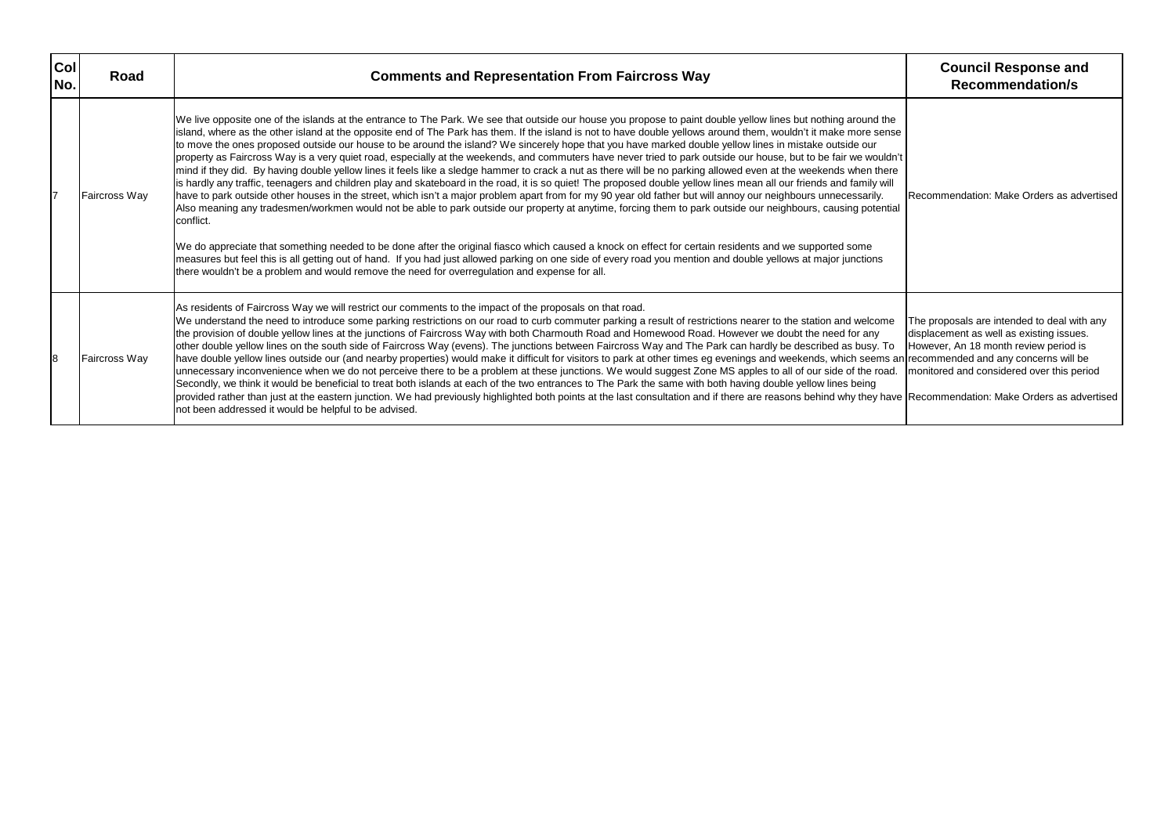| Col<br>No. | Road                 | <b>Comments and Representation From Faircross Way</b>                                                                                                                                                                                                                                                                                                                                                                                                                                                                                                                                                                                                                                                                                                                                                                                                                                                                                                                                                                                                                                                                                                                                                                                                                                                                                                                                                                                                                                                                                                                                                                                                                                                                                                                                    | <b>Council Response and</b><br><b>Recommendation/s</b>                                                                                                                     |
|------------|----------------------|------------------------------------------------------------------------------------------------------------------------------------------------------------------------------------------------------------------------------------------------------------------------------------------------------------------------------------------------------------------------------------------------------------------------------------------------------------------------------------------------------------------------------------------------------------------------------------------------------------------------------------------------------------------------------------------------------------------------------------------------------------------------------------------------------------------------------------------------------------------------------------------------------------------------------------------------------------------------------------------------------------------------------------------------------------------------------------------------------------------------------------------------------------------------------------------------------------------------------------------------------------------------------------------------------------------------------------------------------------------------------------------------------------------------------------------------------------------------------------------------------------------------------------------------------------------------------------------------------------------------------------------------------------------------------------------------------------------------------------------------------------------------------------------|----------------------------------------------------------------------------------------------------------------------------------------------------------------------------|
|            | <b>Faircross Way</b> | We live opposite one of the islands at the entrance to The Park. We see that outside our house you propose to paint double yellow lines but nothing around the<br>island, where as the other island at the opposite end of The Park has them. If the island is not to have double yellows around them, wouldn't it make more sense<br>to move the ones proposed outside our house to be around the island? We sincerely hope that you have marked double yellow lines in mistake outside our<br>property as Faircross Way is a very quiet road, especially at the weekends, and commuters have never tried to park outside our house, but to be fair we wouldn't<br>mind if they did. By having double yellow lines it feels like a sledge hammer to crack a nut as there will be no parking allowed even at the weekends when there<br>is hardly any traffic, teenagers and children play and skateboard in the road, it is so quiet! The proposed double yellow lines mean all our friends and family will<br>have to park outside other houses in the street, which isn't a major problem apart from for my 90 year old father but will annoy our neighbours unnecessarily.<br>Also meaning any tradesmen/workmen would not be able to park outside our property at anytime, forcing them to park outside our neighbours, causing potential<br>conflict.<br>We do appreciate that something needed to be done after the original fiasco which caused a knock on effect for certain residents and we supported some<br>measures but feel this is all getting out of hand. If you had just allowed parking on one side of every road you mention and double yellows at major junctions<br>there wouldn't be a problem and would remove the need for overregulation and expense for all. | Recommendation: Make Orders as adve                                                                                                                                        |
| 8          | Faircross Way        | As residents of Faircross Way we will restrict our comments to the impact of the proposals on that road.<br>We understand the need to introduce some parking restrictions on our road to curb commuter parking a result of restrictions nearer to the station and welcome<br>the provision of double yellow lines at the junctions of Faircross Way with both Charmouth Road and Homewood Road. However we doubt the need for any<br>other double yellow lines on the south side of Faircross Way (evens). The junctions between Faircross Way and The Park can hardly be described as busy. To<br>have double yellow lines outside our (and nearby properties) would make it difficult for visitors to park at other times eg evenings and weekends, which seems an recommended and any concerns will be<br>unnecessary inconvenience when we do not perceive there to be a problem at these junctions. We would suggest Zone MS apples to all of our side of the road.<br>Secondly, we think it would be beneficial to treat both islands at each of the two entrances to The Park the same with both having double yellow lines being<br>provided rather than just at the eastern junction. We had previously highlighted both points at the last consultation and if there are reasons behind why they have Recommendation: Make Orders as adve<br>not been addressed it would be helpful to be advised.                                                                                                                                                                                                                                                                                                                                                                             | The proposals are intended to deal with a<br>displacement as well as existing issues.<br>However, An 18 month review period is<br>monitored and considered over this peric |

|                                         | <b>Council Response and</b><br><b>Recommendation/s</b>                                                                                                                                                                                                                  |
|-----------------------------------------|-------------------------------------------------------------------------------------------------------------------------------------------------------------------------------------------------------------------------------------------------------------------------|
| ١ė<br>ารe<br>dn't<br>ere<br>ill<br>tial | Recommendation: Make Orders as advertised                                                                                                                                                                                                                               |
| ıе<br>ō<br>ıd.<br>ave                   | The proposals are intended to deal with any<br>displacement as well as existing issues.<br>However, An 18 month review period is<br>s an recommended and any concerns will be<br>monitored and considered over this period<br>Recommendation: Make Orders as advertised |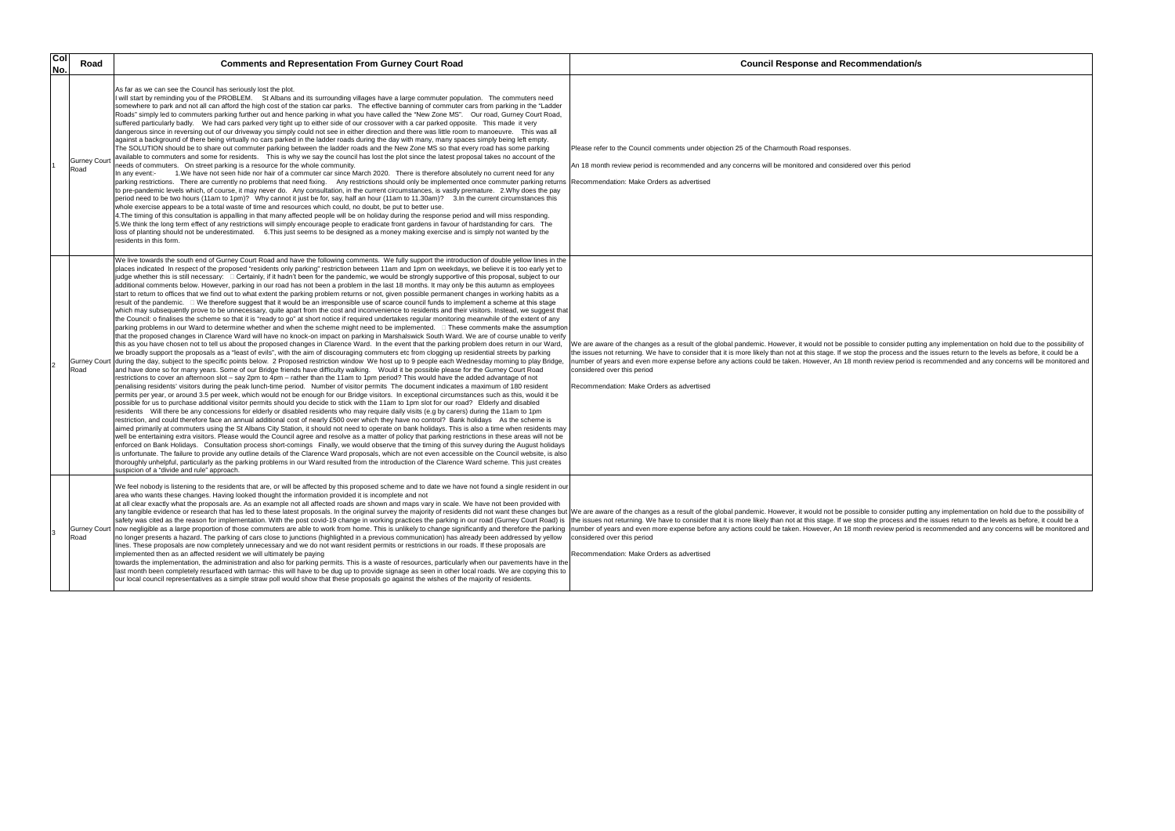| Col<br>No. | Road                       | <b>Comments and Representation From Gurney Court Road</b>                                                                                                                                                                                                                                                                                                                                                                                                                                                                                                                                                                                                                                                                                                                                                                                                                                                                                                                                                                                                                                                                                                                                                                                                                                                                                                                                                                                                                                                                                                                                                                                                                                                                                                                                                                                                                                                                                                                                                                                                                                                                                                                                                                                                                                                                                                                                                                                                                                                                                                                                                                                                                                                                                                                                                                                                                                                                                                                                                                                                                                                                                                                                                                                                                                                                                                                                                                                                                                                                                                                                                                                                                                                                                                                                                                                                                                                                                        | <b>Council Response and Recommendation/s</b>                                                                                                                                                                                                                                                                                                                                                                                                                                                                                                                                                                                                                                                                      |
|------------|----------------------------|--------------------------------------------------------------------------------------------------------------------------------------------------------------------------------------------------------------------------------------------------------------------------------------------------------------------------------------------------------------------------------------------------------------------------------------------------------------------------------------------------------------------------------------------------------------------------------------------------------------------------------------------------------------------------------------------------------------------------------------------------------------------------------------------------------------------------------------------------------------------------------------------------------------------------------------------------------------------------------------------------------------------------------------------------------------------------------------------------------------------------------------------------------------------------------------------------------------------------------------------------------------------------------------------------------------------------------------------------------------------------------------------------------------------------------------------------------------------------------------------------------------------------------------------------------------------------------------------------------------------------------------------------------------------------------------------------------------------------------------------------------------------------------------------------------------------------------------------------------------------------------------------------------------------------------------------------------------------------------------------------------------------------------------------------------------------------------------------------------------------------------------------------------------------------------------------------------------------------------------------------------------------------------------------------------------------------------------------------------------------------------------------------------------------------------------------------------------------------------------------------------------------------------------------------------------------------------------------------------------------------------------------------------------------------------------------------------------------------------------------------------------------------------------------------------------------------------------------------------------------------------------------------------------------------------------------------------------------------------------------------------------------------------------------------------------------------------------------------------------------------------------------------------------------------------------------------------------------------------------------------------------------------------------------------------------------------------------------------------------------------------------------------------------------------------------------------------------------------------------------------------------------------------------------------------------------------------------------------------------------------------------------------------------------------------------------------------------------------------------------------------------------------------------------------------------------------------------------------------------------------------------------------------------------------------------------------|-------------------------------------------------------------------------------------------------------------------------------------------------------------------------------------------------------------------------------------------------------------------------------------------------------------------------------------------------------------------------------------------------------------------------------------------------------------------------------------------------------------------------------------------------------------------------------------------------------------------------------------------------------------------------------------------------------------------|
|            | <b>Gurney Cour</b><br>Road | As far as we can see the Council has seriously lost the plot.<br>If will start by reminding you of the PROBLEM. St Albans and its surrounding villages have a large commuter population. The commuters need<br>somewhere to park and not all can afford the high cost of the station car parks. The effective banning of commuter cars from parking in the "Ladder<br>Roads" simply led to commuters parking further out and hence parking in what you have called the "New Zone MS". Our road, Gurney Court Road,<br>suffered particularly badly. We had cars parked very tight up to either side of our crossover with a car parked opposite. This made it very<br>dangerous since in reversing out of our driveway you simply could not see in either direction and there was little room to manoeuvre. This was all<br>against a background of there being virtually no cars parked in the ladder roads during the day with many, many spaces simply being left empty.<br>The SOLUTION should be to share out commuter parking between the ladder roads and the New Zone MS so that every road has some parking<br>available to commuters and some for residents. This is why we say the council has lost the plot since the latest proposal takes no account of the<br>eeds of commuters. On street parking is a resource for the whole community.<br>1. We have not seen hide nor hair of a commuter car since March 2020. There is therefore absolutely no current need for any<br>In any event:-<br>parking restrictions. There are currently no problems that need fixing. Any restrictions should only be implemented once commuter parking returns<br>to pre-pandemic levels which, of course, it may never do. Any consultation, in the current circumstances, is vastly premature. 2. Why does the pay<br>period need to be two hours (11am to 1pm)? Why cannot it just be for, say, half an hour (11am to 11.30am)? 3.In the current circumstances this<br>whole exercise appears to be a total waste of time and resources which could, no doubt, be put to better use.<br>4. The timing of this consultation is appalling in that many affected people will be on holiday during the response period and will miss responding.<br>5. We think the long term effect of any restrictions will simply encourage people to eradicate front gardens in favour of hardstanding for cars. The<br>loss of planting should not be underestimated. 6. This just seems to be designed as a money making exercise and is simply not wanted by the<br>residents in this form.                                                                                                                                                                                                                                                                                                                                                                                                                                                                                                                                                                                                                                                                                                                                                                                                                                                                                                                                                                                                                                                                                                                                                                                                                                                                                                                                                                 | Please refer to the Council comments under objection 25 of the Charmouth Road responses.<br>An 18 month review period is recommended and any concerns will be monitored and considered over this period<br>Recommendation: Make Orders as advertised                                                                                                                                                                                                                                                                                                                                                                                                                                                              |
|            | Road                       | We live towards the south end of Gurney Court Road and have the following comments. We fully support the introduction of double yellow lines in the<br>places indicated In respect of the proposed "residents only parking" restriction between 11am and 1pm on weekdays, we believe it is too early yet to<br>judge whether this is still necessary: □ Certainly, if it hadn't been for the pandemic, we would be strongly supportive of this proposal, subject to our<br>additional comments below. However, parking in our road has not been a problem in the last 18 months. It may only be this autumn as employees<br>start to return to offices that we find out to what extent the parking problem returns or not, given possible permanent changes in working habits as a<br>result of the pandemic. □ We therefore suggest that it would be an irresponsible use of scarce council funds to implement a scheme at this stage<br>which may subsequently prove to be unnecessary, quite apart from the cost and inconvenience to residents and their visitors. Instead, we suggest that<br>the Council: o finalises the scheme so that it is "ready to go" at short notice if required undertakes regular monitoring meanwhile of the extent of any<br> parking problems in our Ward to determine whether and when the scheme might need to be implemented. □ These comments make the assumptior<br>that the proposed changes in Clarence Ward will have no knock-on impact on parking in Marshalswick South Ward. We are of course unable to verify<br>this as you have chosen not to tell us about the proposed changes in Clarence Ward. In the event that the parking problem does return in our Ward,<br>we broadly support the proposals as a "least of evils", with the aim of discouraging commuters etc from clogging up residential streets by parking<br>Gurney Court during the day, subject to the specific points below. 2 Proposed restriction window We host up to 9 people each Wednesday morning to play Bridge,<br>and have done so for many years. Some of our Bridge friends have difficulty walking.  Would it be possible please for the Gurney Court Road<br>restrictions to cover an afternoon slot – say 2pm to 4pm – rather than the 11am to 1pm period? This would have the added advantage of not<br>penalising residents' visitors during the peak lunch-time period. Number of visitor permits The document indicates a maximum of 180 resident<br>permits per year, or around 3.5 per week, which would not be enough for our Bridge visitors. In exceptional circumstances such as this, would it be<br>possible for us to purchase additional visitor permits should you decide to stick with the 11am to 1pm slot for our road? Elderly and disabled<br>residents Will there be any concessions for elderly or disabled residents who may require daily visits (e.g by carers) during the 11am to 1pm<br>restriction, and could therefore face an annual additional cost of nearly £500 over which they have no control? Bank holidays As the scheme is<br>aimed primarily at commuters using the St Albans City Station, it should not need to operate on bank holidays. This is also a time when residents may<br>well be entertaining extra visitors. Please would the Council agree and resolve as a matter of policy that parking restrictions in these areas will not be<br>enforced on Bank Holidays. Consultation process short-comings Finally, we would observe that the timing of this survey during the August holidays<br>is unfortunate. The failure to provide any outline details of the Clarence Ward proposals, which are not even accessible on the Council website, is also<br>thoroughly unhelpful, particularly as the parking problems in our Ward resulted from the introduction of the Clarence Ward scheme. This just creates<br>suspicion of a "divide and rule" approach. | We are aware of the changes as a result of the global pandemic. However, it would not be possible to consider putting any implementation on hold due to the possibility of<br>the issues not returning. We have to consider that it is more likely than not at this stage. If we stop the process and the issues return to the levels as before, it could be a<br>number of years and even more expense before any actions could be taken. However, An 18 month review period is recommended and any concerns will be monitored and<br>considered over this period<br>Recommendation: Make Orders as advertised                                                                                                   |
|            | Road                       | We feel nobody is listening to the residents that are, or will be affected by this proposed scheme and to date we have not found a single resident in our<br>area who wants these changes. Having looked thought the information provided it is incomplete and not<br>at all clear exactly what the proposals are. As an example not all affected roads are shown and maps vary in scale. We have not been provided with<br>Gurney Court now negligible as a large proportion of those commuters are able to work from home. This is unlikely to change significantly and therefore the parking<br>no longer presents a hazard. The parking of cars close to junctions (highlighted in a previous communication) has already been addressed by yellow<br>lines. These proposals are now completely unnecessary and we do not want resident permits or restrictions in our roads. If these proposals are<br>implemented then as an affected resident we will ultimately be paying<br>towards the implementation, the administration and also for parking permits. This is a waste of resources, particularly when our pavements have in the<br>last month been completely resurfaced with tarmac- this will have to be dug up to provide signage as seen in other local roads. We are copying this to<br>our local council representatives as a simple straw poll would show that these proposals go against the wishes of the majority of residents.                                                                                                                                                                                                                                                                                                                                                                                                                                                                                                                                                                                                                                                                                                                                                                                                                                                                                                                                                                                                                                                                                                                                                                                                                                                                                                                                                                                                                                                                                                                                                                                                                                                                                                                                                                                                                                                                                                                                                                                                                                                                                                                                                                                                                                                                                                                                                                                                                                                                                             | any tangible evidence or research that has led to these latest proposals. In the original survey the majority of residents did not want these changes but  We are aware of the changes as a result of the global pandemic. How<br>safety was cited as the reason for implementation. With the post covid-19 change in working practices the parking in our road (Gurney Court Road) is  the issues not returning. We have to consider that it is more likely tha<br>number of years and even more expense before any actions could be taken. However, An 18 month review period is recommended and any concerns will be monitored and<br>considered over this period<br>Recommendation: Make Orders as advertised |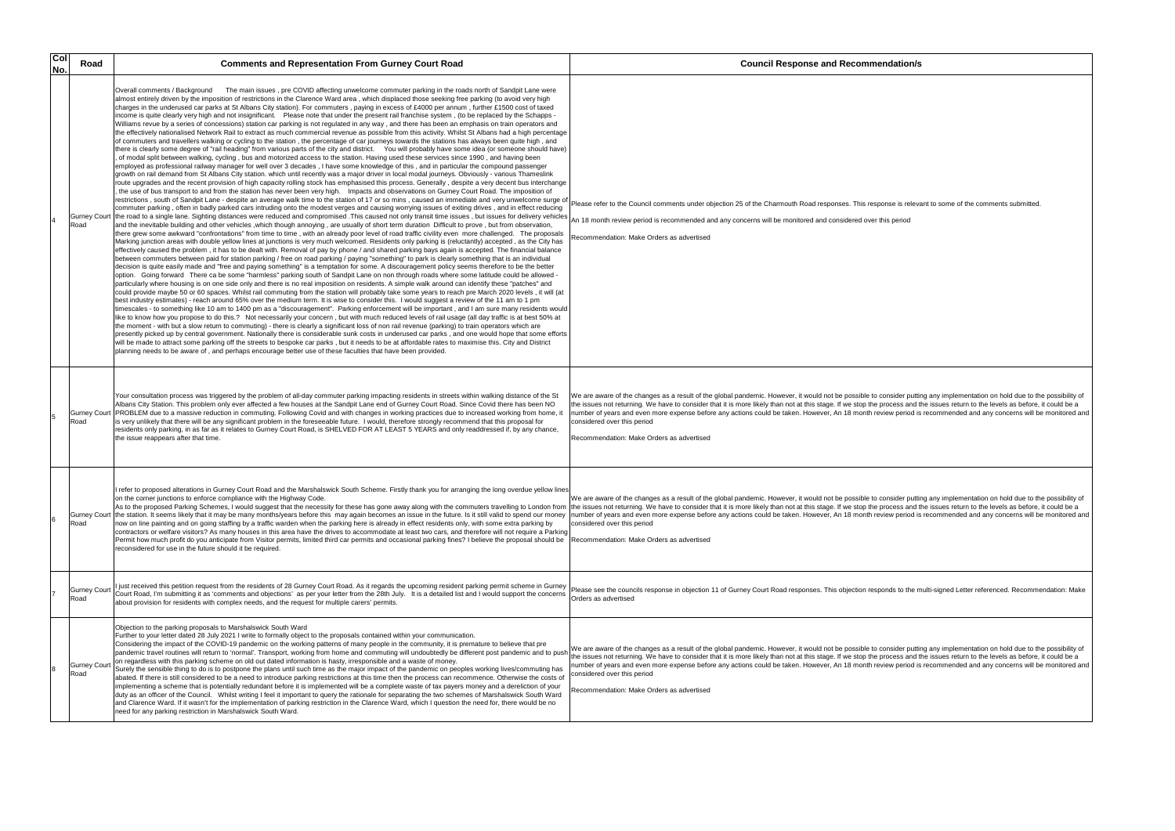| Col<br>No. | Road                        | <b>Comments and Representation From Gurney Court Road</b>                                                                                                                                                                                                                                                                                                                                                                                                                                                                                                                                                                                                                                                                                                                                                                                                                                                                                                                                                                                                                                                                                                                                                                                                                                                                                                                                                                                                                                                                                                                                                                                                                                                                                                                                                                                                                                                                                                                                                                                                                                                                                                                                                                                                                                                                                                                                                                                                                                                                                                                                                                                                                                                                                                                                                                                                                                                                                                                                                                                                                                                                                                                                                                                                                                                                                                                                                                                                                                                                                                                                                                                                                                                                                                                                                                                                                                                                                                                                                                                                                                                                                                                                                                                                                                                                                                                                                                                                                                                                                                                                                                                                                                                                                                                                                                                                                                                                                                                                           | <b>Council Response and Recommendation/s</b>                                                                                                                                                                                                                                                                                                                                                                                                                                                                                                                                                                                                                 |
|------------|-----------------------------|-----------------------------------------------------------------------------------------------------------------------------------------------------------------------------------------------------------------------------------------------------------------------------------------------------------------------------------------------------------------------------------------------------------------------------------------------------------------------------------------------------------------------------------------------------------------------------------------------------------------------------------------------------------------------------------------------------------------------------------------------------------------------------------------------------------------------------------------------------------------------------------------------------------------------------------------------------------------------------------------------------------------------------------------------------------------------------------------------------------------------------------------------------------------------------------------------------------------------------------------------------------------------------------------------------------------------------------------------------------------------------------------------------------------------------------------------------------------------------------------------------------------------------------------------------------------------------------------------------------------------------------------------------------------------------------------------------------------------------------------------------------------------------------------------------------------------------------------------------------------------------------------------------------------------------------------------------------------------------------------------------------------------------------------------------------------------------------------------------------------------------------------------------------------------------------------------------------------------------------------------------------------------------------------------------------------------------------------------------------------------------------------------------------------------------------------------------------------------------------------------------------------------------------------------------------------------------------------------------------------------------------------------------------------------------------------------------------------------------------------------------------------------------------------------------------------------------------------------------------------------------------------------------------------------------------------------------------------------------------------------------------------------------------------------------------------------------------------------------------------------------------------------------------------------------------------------------------------------------------------------------------------------------------------------------------------------------------------------------------------------------------------------------------------------------------------------------------------------------------------------------------------------------------------------------------------------------------------------------------------------------------------------------------------------------------------------------------------------------------------------------------------------------------------------------------------------------------------------------------------------------------------------------------------------------------------------------------------------------------------------------------------------------------------------------------------------------------------------------------------------------------------------------------------------------------------------------------------------------------------------------------------------------------------------------------------------------------------------------------------------------------------------------------------------------------------------------------------------------------------------------------------------------------------------------------------------------------------------------------------------------------------------------------------------------------------------------------------------------------------------------------------------------------------------------------------------------------------------------------------------------------------------------------------------------------------------------------------------------------------------------|--------------------------------------------------------------------------------------------------------------------------------------------------------------------------------------------------------------------------------------------------------------------------------------------------------------------------------------------------------------------------------------------------------------------------------------------------------------------------------------------------------------------------------------------------------------------------------------------------------------------------------------------------------------|
|            | <b>Gurney Court</b><br>Road | The main issues, pre COVID affecting unwelcome commuter parking in the roads north of Sandpit Lane were<br>Overall comments / Background<br>almost entirely driven by the imposition of restrictions in the Clarence Ward area, which displaced those seeking free parking (to avoid very high<br>charges in the underused car parks at St Albans City station). For commuters, paying in excess of £4000 per annum, further £1500 cost of taxed<br>income is quite clearly very high and not insignificant. Please note that under the present rail franchise system, (to be replaced by the Schapps -<br>Williams revue by a series of concessions) station car parking is not regulated in any way, and there has been an emphasis on train operators and<br>the effectively nationalised Network Rail to extract as much commercial revenue as possible from this activity. Whilst St Albans had a high percentage<br>of commuters and travellers walking or cycling to the station, the percentage of car journeys towards the stations has always been quite high, and<br>there is clearly some degree of "rail heading" from various parts of the city and district. You will probably have some idea (or someone should have)<br>of modal split between walking, cycling, bus and motorized access to the station. Having used these services since 1990, and having been<br>employed as professional railway manager for well over 3 decades, I have some knowledge of this, and in particular the compound passenger<br>growth on rail demand from St Albans City station. which until recently was a major driver in local modal journeys. Obviously - various Thameslink<br>route upgrades and the recent provision of high capacity rolling stock has emphasised this process. Generally, despite a very decent bus interchange<br>the use of bus transport to and from the station has never been very high. Impacts and observations on Gurney Court Road. The imposition of<br>restrictions, south of Sandpit Lane - despite an average walk time to the station of 17 or so mins, caused an immediate and very unwelcome surge of<br>commuter parking, often in badly parked cars intruding onto the modest verges and causing worrying issues of exiting drives, and in effect reducing<br>the road to a single lane. Sighting distances were reduced and compromised. This caused not only transit time issues, but issues for delivery vehicles An 18 month review period is recommended and any concerns will be monit<br>and the inevitable building and other vehicles , which though annoying, are usually of short term duration Difficult to prove, but from observation,<br>there grew some awkward "confrontations" from time to time, with an already poor level of road traffic civility even more challenged. The proposals<br>Marking junction areas with double yellow lines at junctions is very much welcomed. Residents only parking is (reluctantly) accepted, as the City has<br>effectively caused the problem, it has to be dealt with. Removal of pay by phone / and shared parking bays again is accepted. The financial balance<br>between commuters between paid for station parking / free on road parking / paying "something" to park is clearly something that is an individual<br>decision is quite easily made and "free and paying something" is a temptation for some. A discouragement policy seems therefore to be the better<br>option. Going forward There ca be some "harmless" parking south of Sandpit Lane on non through roads where some latitude could be allowed -<br>particularly where housing is on one side only and there is no real imposition on residents. A simple walk around can identify these "patches" and<br>could provide maybe 50 or 60 spaces. Whilst rail commuting from the station will probably take some years to reach pre March 2020 levels, it will (at<br>best industry estimates) - reach around 65% over the medium term. It is wise to consider this. I would suggest a review of the 11 am to 1 pm<br>timescales - to something like 10 am to 1400 pm as a "discouragement". Parking enforcement will be important, and I am sure many residents would<br>like to know how you propose to do this.? Not necessarily your concern, but with much reduced levels of rail usage (all day traffic is at best 50% at<br>the moment - with but a slow return to commuting) - there is clearly a significant loss of non rail revenue (parking) to train operators which are<br>presently picked up by central government. Nationally there is considerable sunk costs in underused car parks, and one would hope that some efforts<br>will be made to attract some parking off the streets to bespoke car parks, but it needs to be at affordable rates to maximise this. City and District<br>planning needs to be aware of, and perhaps encourage better use of these faculties that have been provided. | Please refer to the Council comments under objection 25 of the Charmouth Road responses. This response is relevant to some of the comments submitted.<br>Recommendation: Make Orders as advertised                                                                                                                                                                                                                                                                                                                                                                                                                                                           |
|            | <b>Gurney Court</b><br>Road | Your consultation process was triggered by the problem of all-day commuter parking impacting residents in streets within walking distance of the St<br>Albans City Station. This problem only ever affected a few houses at the Sandpit Lane end of Gurney Court Road. Since Covid there has been NO<br>PROBLEM due to a massive reduction in commuting. Following Covid and with changes in working practices due to increased working from home, it<br>is very unlikely that there will be any significant problem in the foreseeable future. I would, therefore strongly recommend that this proposal for<br>residents only parking, in as far as it relates to Gurney Court Road, is SHELVED FOR AT LEAST 5 YEARS and only readdressed if, by any chance,<br>the issue reappears after that time.                                                                                                                                                                                                                                                                                                                                                                                                                                                                                                                                                                                                                                                                                                                                                                                                                                                                                                                                                                                                                                                                                                                                                                                                                                                                                                                                                                                                                                                                                                                                                                                                                                                                                                                                                                                                                                                                                                                                                                                                                                                                                                                                                                                                                                                                                                                                                                                                                                                                                                                                                                                                                                                                                                                                                                                                                                                                                                                                                                                                                                                                                                                                                                                                                                                                                                                                                                                                                                                                                                                                                                                                                                                                                                                                                                                                                                                                                                                                                                                                                                                                                                                                                                                               | We are aware of the changes as a result of the global pandemic. However, it would not be possible to consider putting any implementation on hold due to the possibility of<br>the issues not returning. We have to consider that it is more likely than not at this stage. If we stop the process and the issues return to the levels as before, it could be a<br>number of years and even more expense before any actions could be taken. However, An 18 month review period is recommended and any concerns will be monitored an<br>considered over this period<br>Recommendation: Make Orders as advertised                                               |
|            | Road                        | I refer to proposed alterations in Gurney Court Road and the Marshalswick South Scheme. Firstly thank you for arranging the long overdue yellow lines<br>on the corner junctions to enforce compliance with the Highway Code.<br>Gurney Court the station. It seems likely that it may be many months/years before this may again becomes an issue in the future. Is it still valid to spend our money<br>now on line painting and on going staffing by a traffic warden when the parking here is already in effect residents only, with some extra parking by<br>contractors or welfare visitors? As many houses in this area have the drives to accommodate at least two cars, and therefore will not require a Parking<br>Permit how much profit do you anticipate from Visitor permits, limited third car permits and occasional parking fines? I believe the proposal should be<br>reconsidered for use in the future should it be required.                                                                                                                                                                                                                                                                                                                                                                                                                                                                                                                                                                                                                                                                                                                                                                                                                                                                                                                                                                                                                                                                                                                                                                                                                                                                                                                                                                                                                                                                                                                                                                                                                                                                                                                                                                                                                                                                                                                                                                                                                                                                                                                                                                                                                                                                                                                                                                                                                                                                                                                                                                                                                                                                                                                                                                                                                                                                                                                                                                                                                                                                                                                                                                                                                                                                                                                                                                                                                                                                                                                                                                                                                                                                                                                                                                                                                                                                                                                                                                                                                                                   | We are aware of the changes as a result of the global pandemic. However, it would not be possible to consider putting any implementation on hold due to the possibility of<br>As to the proposed Parking Schemes, I would suggest that the necessity for these has gone away along with the commuters travelling to London from  the issues not returning. We have to consider that it is more likely than n<br>number of years and even more expense before any actions could be taken. However, An 18 month review period is recommended and any concerns will be monitored an<br>considered over this period<br>Recommendation: Make Orders as advertised |
|            | Gurney Court<br>Road        | just received this petition request from the residents of 28 Gurney Court Road. As it regards the upcoming resident parking permit scheme in Gurney<br>Court Road, I'm submitting it as 'comments and objections' as per your letter from the 28th July. It is a detailed list and I would support the concerns<br>about provision for residents with complex needs, and the request for multiple carers' permits.                                                                                                                                                                                                                                                                                                                                                                                                                                                                                                                                                                                                                                                                                                                                                                                                                                                                                                                                                                                                                                                                                                                                                                                                                                                                                                                                                                                                                                                                                                                                                                                                                                                                                                                                                                                                                                                                                                                                                                                                                                                                                                                                                                                                                                                                                                                                                                                                                                                                                                                                                                                                                                                                                                                                                                                                                                                                                                                                                                                                                                                                                                                                                                                                                                                                                                                                                                                                                                                                                                                                                                                                                                                                                                                                                                                                                                                                                                                                                                                                                                                                                                                                                                                                                                                                                                                                                                                                                                                                                                                                                                                  | Please see the councils response in objection 11 of Gurney Court Road responses. This objection responds to the multi-signed Letter referenced. Recommendation: Make<br>Orders as advertised                                                                                                                                                                                                                                                                                                                                                                                                                                                                 |
|            | Gurney Court<br>Road        | Objection to the parking proposals to Marshalswick South Ward<br>Further to your letter dated 28 July 2021 I write to formally object to the proposals contained within your communication<br>Considering the impact of the COVID-19 pandemic on the working patterns of many people in the community, it is premature to believe that pre<br>pandemic travel routines will return to 'normal'. Transport, working from home and commuting will undoubtedly be different post pandemic and to push<br>on regardless with this parking scheme on old out dated information is hasty, irresponsible and a waste of money.<br>Surely the sensible thing to do is to postpone the plans until such time as the major impact of the pandemic on peoples working lives/commuting has<br>abated. If there is still considered to be a need to introduce parking restrictions at this time then the process can recommence. Otherwise the costs of<br>implementing a scheme that is potentially redundant before it is implemented will be a complete waste of tax payers money and a dereliction of your<br>duty as an officer of the Council. Whilst writing I feel it important to query the rationale for separating the two schemes of Marshalswick South Ward<br>and Clarence Ward. If it wasn't for the implementation of parking restriction in the Clarence Ward, which I question the need for, there would be no<br>need for any parking restriction in Marshalswick South Ward.                                                                                                                                                                                                                                                                                                                                                                                                                                                                                                                                                                                                                                                                                                                                                                                                                                                                                                                                                                                                                                                                                                                                                                                                                                                                                                                                                                                                                                                                                                                                                                                                                                                                                                                                                                                                                                                                                                                                                                                                                                                                                                                                                                                                                                                                                                                                                                                                                                                                                                                                                                                                                                                                                                                                                                                                                                                                                                                                                                                                                                                                                                                                                                                                                                                                                                                                                                                                                                                                                                                 | We are aware of the changes as a result of the global pandemic. However, it would not be possible to consider putting any implementation on hold due to the possibility of<br>the issues not returning. We have to consider that it is more likely than not at this stage. If we stop the process and the issues return to the levels as before, it could be a<br>number of years and even more expense before any actions could be taken. However, An 18 month review period is recommended and any concerns will be monitored an<br>considered over this period<br>Recommendation: Make Orders as advertised                                               |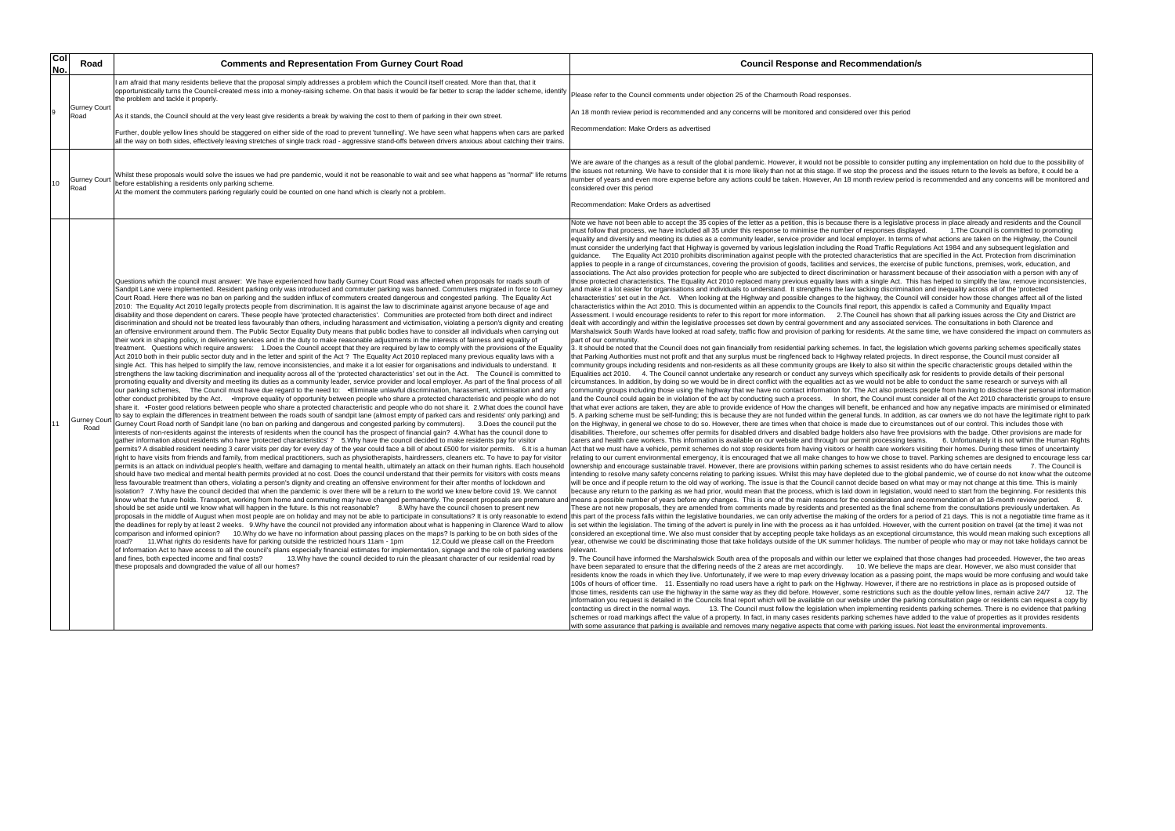| Col<br>No. | Road                        | <b>Comments and Representation From Gurney Court Road</b>                                                                                                                                                                                                                                                                                                                                                                                                                                                                                                                                                                                                                                                                                                                                                                                                                                                                                                                                                                                                                                                                                                                                                                                                                                                                                                                                                                                                                                                                                                                                                                                                                                                                                                                                                                                                                                                                                                                                                                                                                                                                                                                                                                                                                                                                                                                                                                                                                                                                                                                                                                                                                                                                                                                                                                                                                                                                                                                                                                                                                                                                                                                                                                                                                                                                                                                                                                                                                                                                                                                                                                                                                                                                                                                                                                                                                                                                                                                                                                                                                                                                                                                                                                                                                                                                                                                                                                                                                                                                                                                                                                                                                                                                                                                                                                                                                                                                                                                                                                                                                                                                                                                                                                                                                                                                                                                                            | <b>Council Response and Recommendation/s</b>                                                                                                                                                                                                                                                                                                                                                                                                                                                                                                                                                                                                                                                                                                                                                                                                                                                                                                                                                                                                                                                                                                                                                                                                                                                                                                                                                                                                                                                                                                                                                                                                                                                                                                                                                                                                                                                                                                                                                                                                                                                                                                                                                                                                                                                                                                                                                                                                                                                                                                                                                                                                                                                                                                                                                                                                                                                                                                                                                                                                                                                                                                                                                                                                                                                                                                                                                                                                                                                                                                                                                                                                                                                                                                                                                                                                                                                                                                                                                                                                                                                                                                                                                                                                                                                                                                                                                                                                                                                                                                                                                                                                                                                                                                                                                                                                                                                                                                                                                                                                                                                                                                                                                                                                                                                                                                                                                                                                                                                                                                                                                                                                                                                                                                                                                  |
|------------|-----------------------------|------------------------------------------------------------------------------------------------------------------------------------------------------------------------------------------------------------------------------------------------------------------------------------------------------------------------------------------------------------------------------------------------------------------------------------------------------------------------------------------------------------------------------------------------------------------------------------------------------------------------------------------------------------------------------------------------------------------------------------------------------------------------------------------------------------------------------------------------------------------------------------------------------------------------------------------------------------------------------------------------------------------------------------------------------------------------------------------------------------------------------------------------------------------------------------------------------------------------------------------------------------------------------------------------------------------------------------------------------------------------------------------------------------------------------------------------------------------------------------------------------------------------------------------------------------------------------------------------------------------------------------------------------------------------------------------------------------------------------------------------------------------------------------------------------------------------------------------------------------------------------------------------------------------------------------------------------------------------------------------------------------------------------------------------------------------------------------------------------------------------------------------------------------------------------------------------------------------------------------------------------------------------------------------------------------------------------------------------------------------------------------------------------------------------------------------------------------------------------------------------------------------------------------------------------------------------------------------------------------------------------------------------------------------------------------------------------------------------------------------------------------------------------------------------------------------------------------------------------------------------------------------------------------------------------------------------------------------------------------------------------------------------------------------------------------------------------------------------------------------------------------------------------------------------------------------------------------------------------------------------------------------------------------------------------------------------------------------------------------------------------------------------------------------------------------------------------------------------------------------------------------------------------------------------------------------------------------------------------------------------------------------------------------------------------------------------------------------------------------------------------------------------------------------------------------------------------------------------------------------------------------------------------------------------------------------------------------------------------------------------------------------------------------------------------------------------------------------------------------------------------------------------------------------------------------------------------------------------------------------------------------------------------------------------------------------------------------------------------------------------------------------------------------------------------------------------------------------------------------------------------------------------------------------------------------------------------------------------------------------------------------------------------------------------------------------------------------------------------------------------------------------------------------------------------------------------------------------------------------------------------------------------------------------------------------------------------------------------------------------------------------------------------------------------------------------------------------------------------------------------------------------------------------------------------------------------------------------------------------------------------------------------------------------------------------------------------------------------------------------------------------------------------|-----------------------------------------------------------------------------------------------------------------------------------------------------------------------------------------------------------------------------------------------------------------------------------------------------------------------------------------------------------------------------------------------------------------------------------------------------------------------------------------------------------------------------------------------------------------------------------------------------------------------------------------------------------------------------------------------------------------------------------------------------------------------------------------------------------------------------------------------------------------------------------------------------------------------------------------------------------------------------------------------------------------------------------------------------------------------------------------------------------------------------------------------------------------------------------------------------------------------------------------------------------------------------------------------------------------------------------------------------------------------------------------------------------------------------------------------------------------------------------------------------------------------------------------------------------------------------------------------------------------------------------------------------------------------------------------------------------------------------------------------------------------------------------------------------------------------------------------------------------------------------------------------------------------------------------------------------------------------------------------------------------------------------------------------------------------------------------------------------------------------------------------------------------------------------------------------------------------------------------------------------------------------------------------------------------------------------------------------------------------------------------------------------------------------------------------------------------------------------------------------------------------------------------------------------------------------------------------------------------------------------------------------------------------------------------------------------------------------------------------------------------------------------------------------------------------------------------------------------------------------------------------------------------------------------------------------------------------------------------------------------------------------------------------------------------------------------------------------------------------------------------------------------------------------------------------------------------------------------------------------------------------------------------------------------------------------------------------------------------------------------------------------------------------------------------------------------------------------------------------------------------------------------------------------------------------------------------------------------------------------------------------------------------------------------------------------------------------------------------------------------------------------------------------------------------------------------------------------------------------------------------------------------------------------------------------------------------------------------------------------------------------------------------------------------------------------------------------------------------------------------------------------------------------------------------------------------------------------------------------------------------------------------------------------------------------------------------------------------------------------------------------------------------------------------------------------------------------------------------------------------------------------------------------------------------------------------------------------------------------------------------------------------------------------------------------------------------------------------------------------------------------------------------------------------------------------------------------------------------------------------------------------------------------------------------------------------------------------------------------------------------------------------------------------------------------------------------------------------------------------------------------------------------------------------------------------------------------------------------------------------------------------------------------------------------------------------------------------------------------------------------------------------------------------------------------------------------------------------------------------------------------------------------------------------------------------------------------------------------------------------------------------------------------------------------------------------------------------------------------------------------------------------------------------|
|            |                             | am afraid that many residents believe that the proposal simply addresses a problem which the Council itself created. More than that, that it<br>opportunistically turns the Council-created mess into a money-raising scheme. On that basis it would be far better to scrap the ladder scheme, identify<br>the problem and tackle it properly.                                                                                                                                                                                                                                                                                                                                                                                                                                                                                                                                                                                                                                                                                                                                                                                                                                                                                                                                                                                                                                                                                                                                                                                                                                                                                                                                                                                                                                                                                                                                                                                                                                                                                                                                                                                                                                                                                                                                                                                                                                                                                                                                                                                                                                                                                                                                                                                                                                                                                                                                                                                                                                                                                                                                                                                                                                                                                                                                                                                                                                                                                                                                                                                                                                                                                                                                                                                                                                                                                                                                                                                                                                                                                                                                                                                                                                                                                                                                                                                                                                                                                                                                                                                                                                                                                                                                                                                                                                                                                                                                                                                                                                                                                                                                                                                                                                                                                                                                                                                                                                                       | Please refer to the Council comments under objection 25 of the Charmouth Road responses.                                                                                                                                                                                                                                                                                                                                                                                                                                                                                                                                                                                                                                                                                                                                                                                                                                                                                                                                                                                                                                                                                                                                                                                                                                                                                                                                                                                                                                                                                                                                                                                                                                                                                                                                                                                                                                                                                                                                                                                                                                                                                                                                                                                                                                                                                                                                                                                                                                                                                                                                                                                                                                                                                                                                                                                                                                                                                                                                                                                                                                                                                                                                                                                                                                                                                                                                                                                                                                                                                                                                                                                                                                                                                                                                                                                                                                                                                                                                                                                                                                                                                                                                                                                                                                                                                                                                                                                                                                                                                                                                                                                                                                                                                                                                                                                                                                                                                                                                                                                                                                                                                                                                                                                                                                                                                                                                                                                                                                                                                                                                                                                                                                                                                                      |
|            | <b>Gurney Court</b><br>Road | As it stands, the Council should at the very least give residents a break by waiving the cost to them of parking in their own street.                                                                                                                                                                                                                                                                                                                                                                                                                                                                                                                                                                                                                                                                                                                                                                                                                                                                                                                                                                                                                                                                                                                                                                                                                                                                                                                                                                                                                                                                                                                                                                                                                                                                                                                                                                                                                                                                                                                                                                                                                                                                                                                                                                                                                                                                                                                                                                                                                                                                                                                                                                                                                                                                                                                                                                                                                                                                                                                                                                                                                                                                                                                                                                                                                                                                                                                                                                                                                                                                                                                                                                                                                                                                                                                                                                                                                                                                                                                                                                                                                                                                                                                                                                                                                                                                                                                                                                                                                                                                                                                                                                                                                                                                                                                                                                                                                                                                                                                                                                                                                                                                                                                                                                                                                                                                | An 18 month review period is recommended and any concerns will be monitored and considered over this period                                                                                                                                                                                                                                                                                                                                                                                                                                                                                                                                                                                                                                                                                                                                                                                                                                                                                                                                                                                                                                                                                                                                                                                                                                                                                                                                                                                                                                                                                                                                                                                                                                                                                                                                                                                                                                                                                                                                                                                                                                                                                                                                                                                                                                                                                                                                                                                                                                                                                                                                                                                                                                                                                                                                                                                                                                                                                                                                                                                                                                                                                                                                                                                                                                                                                                                                                                                                                                                                                                                                                                                                                                                                                                                                                                                                                                                                                                                                                                                                                                                                                                                                                                                                                                                                                                                                                                                                                                                                                                                                                                                                                                                                                                                                                                                                                                                                                                                                                                                                                                                                                                                                                                                                                                                                                                                                                                                                                                                                                                                                                                                                                                                                                   |
|            |                             | Further, double yellow lines should be staggered on either side of the road to prevent 'tunnelling'. We have seen what happens when cars are parked<br>all the way on both sides, effectively leaving stretches of single track road - aggressive stand-offs between drivers anxious about catching their trains.                                                                                                                                                                                                                                                                                                                                                                                                                                                                                                                                                                                                                                                                                                                                                                                                                                                                                                                                                                                                                                                                                                                                                                                                                                                                                                                                                                                                                                                                                                                                                                                                                                                                                                                                                                                                                                                                                                                                                                                                                                                                                                                                                                                                                                                                                                                                                                                                                                                                                                                                                                                                                                                                                                                                                                                                                                                                                                                                                                                                                                                                                                                                                                                                                                                                                                                                                                                                                                                                                                                                                                                                                                                                                                                                                                                                                                                                                                                                                                                                                                                                                                                                                                                                                                                                                                                                                                                                                                                                                                                                                                                                                                                                                                                                                                                                                                                                                                                                                                                                                                                                                    | Recommendation: Make Orders as advertised                                                                                                                                                                                                                                                                                                                                                                                                                                                                                                                                                                                                                                                                                                                                                                                                                                                                                                                                                                                                                                                                                                                                                                                                                                                                                                                                                                                                                                                                                                                                                                                                                                                                                                                                                                                                                                                                                                                                                                                                                                                                                                                                                                                                                                                                                                                                                                                                                                                                                                                                                                                                                                                                                                                                                                                                                                                                                                                                                                                                                                                                                                                                                                                                                                                                                                                                                                                                                                                                                                                                                                                                                                                                                                                                                                                                                                                                                                                                                                                                                                                                                                                                                                                                                                                                                                                                                                                                                                                                                                                                                                                                                                                                                                                                                                                                                                                                                                                                                                                                                                                                                                                                                                                                                                                                                                                                                                                                                                                                                                                                                                                                                                                                                                                                                     |
| 10         | Gurney Court<br>Road        | Whilst these proposals would solve the issues we had pre pandemic, would it not be reasonable to wait and see what happens as "normal" life returns<br>before establishing a residents only parking scheme.<br>At the moment the commuters parking regularly could be counted on one hand which is clearly not a problem.                                                                                                                                                                                                                                                                                                                                                                                                                                                                                                                                                                                                                                                                                                                                                                                                                                                                                                                                                                                                                                                                                                                                                                                                                                                                                                                                                                                                                                                                                                                                                                                                                                                                                                                                                                                                                                                                                                                                                                                                                                                                                                                                                                                                                                                                                                                                                                                                                                                                                                                                                                                                                                                                                                                                                                                                                                                                                                                                                                                                                                                                                                                                                                                                                                                                                                                                                                                                                                                                                                                                                                                                                                                                                                                                                                                                                                                                                                                                                                                                                                                                                                                                                                                                                                                                                                                                                                                                                                                                                                                                                                                                                                                                                                                                                                                                                                                                                                                                                                                                                                                                            | We are aware of the changes as a result of the global pandemic. However, it would not be possible to consider puttir<br>the issues not returning. We have to consider that it is more likely than not at this stage. If we stop the process and tl<br>number of years and even more expense before any actions could be taken. However, An 18 month review period is<br>considered over this period<br>Recommendation: Make Orders as advertised                                                                                                                                                                                                                                                                                                                                                                                                                                                                                                                                                                                                                                                                                                                                                                                                                                                                                                                                                                                                                                                                                                                                                                                                                                                                                                                                                                                                                                                                                                                                                                                                                                                                                                                                                                                                                                                                                                                                                                                                                                                                                                                                                                                                                                                                                                                                                                                                                                                                                                                                                                                                                                                                                                                                                                                                                                                                                                                                                                                                                                                                                                                                                                                                                                                                                                                                                                                                                                                                                                                                                                                                                                                                                                                                                                                                                                                                                                                                                                                                                                                                                                                                                                                                                                                                                                                                                                                                                                                                                                                                                                                                                                                                                                                                                                                                                                                                                                                                                                                                                                                                                                                                                                                                                                                                                                                                              |
|            | Gurney Court<br>Road        | Questions which the council must answer: We have experienced how badly Gurney Court Road was affected when proposals for roads south of<br>Sandpit Lane were implemented. Resident parking only was introduced and commuter parking was banned. Commuters migrated in force to Gurney<br>Court Road. Here there was no ban on parking and the sudden influx of commuters created dangerous and congested parking. The Equality Act<br>2010: The Equality Act 2010 legally protects people from discrimination. It is against the law to discriminate against anyone because of age and<br>disability and those dependent on carers. These people have 'protected characteristics'. Communities are protected from both direct and indirect<br>discrimination and should not be treated less favourably than others, including harassment and victimisation, violating a person's dignity and creating<br>an offensive environment around them. The Public Sector Equality Duty means that public bodies have to consider all individuals when carrying out<br>their work in shaping policy, in delivering services and in the duty to make reasonable adjustments in the interests of fairness and equality of<br>treatment. Questions which require answers: 1.Does the Council accept that they are required by law to comply with the provisions of the Equality<br>Act 2010 both in their public sector duty and in the letter and spirit of the Act ? The Equality Act 2010 replaced many previous equality laws with a<br>single Act. This has helped to simplify the law, remove inconsistencies, and make it a lot easier for organisations and individuals to understand. It<br>strengthens the law tacking discrimination and inequality across all of the 'protected characteristics' set out in the Act. The Council is committed to<br>promoting equality and diversity and meeting its duties as a community leader, service provider and local employer. As part of the final process of all<br>our parking schemes, The Council must have due regard to the need to: •Eliminate unlawful discrimination, harassment, victimisation and any<br>other conduct prohibited by the Act. . Improve equality of opportunity between people who share a protected characteristic and people who do not<br>share it. •Foster good relations between people who share a protected characteristic and people who do not share it. 2. What does the council have<br>to say to explain the differences in treatment between the roads south of sandpit lane (almost empty of parked cars and residents' only parking) and<br>Gurney Court Road north of Sandpit lane (no ban on parking and dangerous and congested parking by commuters). 3.Does the council put the<br>interests of non-residents against the interests of residents when the council has the prospect of financial gain? 4. What has the council done to<br>gather information about residents who have 'protected characteristics'? 5.Why have the council decided to make residents pay for visitor<br>permits? A disabled resident needing 3 carer visits per day for every day of the year could face a bill of about £500 for visitor permits. 6.It is a humar<br>right to have visits from friends and family, from medical practitioners, such as physiotherapists, hairdressers, cleaners etc. To have to pay for visitor<br>permits is an attack on individual people's health, welfare and damaging to mental health, ultimately an attack on their human rights. Each household<br>should have two medical and mental health permits provided at no cost. Does the council understand that their permits for visitors with costs means<br>less favourable treatment than others, violating a person's dignity and creating an offensive environment for their after months of lockdown and<br>isolation? 7.Why have the council decided that when the pandemic is over there will be a return to the world we knew before covid 19. We cannot<br>know what the future holds. Transport, working from home and commuting may have changed permanently. The present proposals are premature and means a possible number of years before any changes. This is one of the main reas<br>should be set aside until we know what will happen in the future. Is this not reasonable?<br>8. Why have the council chosen to present new<br>proposals in the middle of August when most people are on holiday and may not be able to participate in consultations? It is only reasonable to extend<br>the deadlines for reply by at least 2 weeks. 9. Why have the council not provided any information about what is happening in Clarence Ward to allow<br>comparison and informed opinion? 10.Why do we have no information about passing places on the maps? Is parking to be on both sides of the<br>11. What rights do residents have for parking outside the restricted hours 11am - 1pm<br>12. Could we please call on the Freedom<br>road?<br>of Information Act to have access to all the council's plans especially financial estimates for implementation, signage and the role of parking wardens<br>and fines, both expected income and final costs?<br>13. Why have the council decided to ruin the pleasant character of our residential road by<br>these proposals and downgraded the value of all our homes? | Note we have not been able to accept the 35 copies of the letter as a petition, this is because there is a legislative pr<br>must follow that process, we have included all 35 under this response to minimise the number of responses displaye<br>equality and diversity and meeting its duties as a community leader, service provider and local employer. In terms of<br>must consider the underlying fact that Highway is governed by various legislation including the Road Traffic Regulati<br>guidance. The Equality Act 2010 prohibits discrimination against people with the protected characteristics that are<br>applies to people in a range of circumstances, covering the provision of goods, facilities and services, the exercise o<br>associations. The Act also provides protection for people who are subjected to direct discrimination or harassment b<br>those protected characteristics. The Equality Act 2010 replaced many previous equality laws with a single Act. This l<br>and make it a lot easier for organisations and individuals to understand. It strengthens the law tacking discrimination<br>characteristics' set out in the Act.  When looking at the Highway and possible changes to the highway, the Council<br>characteristics within the Act 2010. This is documented within an appendix to the Councils final report, this appendix<br>Assessment. I would encourage residents to refer to this report for more information. 2. The Council has shown th<br>dealt with accordingly and within the legislative processes set down by central government and any associated servi<br>Marshalswick South Wards have looked at road safety, traffic flow and provision of parking for residents. At the same<br>part of our community.<br>3. It should be noted that the Council does not gain financially from residential parking schemes. In fact, the legislation<br>that Parking Authorities must not profit and that any surplus must be ringfenced back to Highway related projects. In<br>community groups including residents and non-residents as all these community groups are likely to also sit within th<br>Equalities act 2010. 4. The Council cannot undertake any research or conduct any surveys which specifically ask<br>circumstances. In addition, by doing so we would be in direct conflict with the equalities act as we would not be able<br>community groups including those using the highway that we have no contact information for. The Act also protects <sub>l</sub><br>and the Council could again be in violation of the act by conducting such a process.  In short, the Council must coi<br>that what ever actions are taken, they are able to provide evidence of How the changes will benefit, be enhanced an<br>5. A parking scheme must be self-funding; this is because they are not funded within the general funds. In addition, a<br>on the Highway, in general we chose to do so. However, there are times when that choice is made due to circumstar<br>disabilities. Therefore, our schemes offer permits for disabled drivers and disabled badge holders also have free pro<br>carers and health care workers. This information is available on our website and through our permit processing team<br>Act that we must have a vehicle, permit schemes do not stop residents from having visitors or health care workers vi<br>relating to our current environmental emergency, it is encouraged that we all make changes to how we chose to trav<br>ownership and encourage sustainable travel. However, there are provisions within parking schemes to assist resider<br>intending to resolve many safety concerns relating to parking issues. Whilst this may have depleted due to the globa<br>will be once and if people return to the old way of working. The issue is that the Council cannot decide based on wha<br>because any return to the parking as we had prior, would mean that the process, which is laid down in legislation, wo<br>These are not new proposals, they are amended from comments made by residents and presented as the final sche<br>this part of the process falls within the legislative boundaries, we can only advertise the making of the orders for a pe<br>is set within the legislation. The timing of the advert is purely in line with the process as it has unfolded. However, wit<br>considered an exceptional time. We also must consider that by accepting people take holidays as an exceptional ciro<br>year, otherwise we could be discriminating those that take holidays outside of the UK summer holidays. The number<br>relevant.<br>9. The Council have informed the Marshalswick South area of the proposals and within our letter we explained that tl<br>have been separated to ensure that the differing needs of the 2 areas are met accordingly. 10. We believe the m<br>residents know the roads in which they live. Unfortunately, if we were to map every driveway location as a passing po<br>100s of hours of officer time. 11. Essentially no road users have a right to park on the Highway. However, if there a<br>those times, residents can use the highway in the same way as they did before. However, some restrictions such as<br>information you request is detailed in the Councils final report which will be available on our website under the parkin<br>contacting us direct in the normal ways.<br>13. The Council must follow the legislation when implementing residen<br>schemes or road markings affect the value of a property. In fact, in many cases residents parking schemes have add<br>with some assurance that parking is available and removes many negative aspects that come with parking issues. N |

isider putting any implementation on hold due to the possibility of ocess and the issues return to the levels as before, it could be a ew period is recommended and any concerns will be monitored and

Note process in place already and residents and the Council<br>
As a period of the Council is committed to promoting<br>
The Council is committed to promoting in The Council is committed to promoting In terms of what actions are taken on the Highway, the Council fic Regulations Act 1984 and any subsequent legislation and tics that are specified in the Act. Protection from discrimination exercise of public functions, premises, work, education, and rassment because of their association with a person with any of e Act. This has helped to simplify the law, remove inconsistencies, scrimination and inequality across all of the 'protected he Council will consider how those changes affect all of the listed s appendix is called a Community and Equality Impact as shown that all parking issues across the City and District are ciated services. The consultations in both Clarence and At the same time, we have considered the impact on commute

he legislation which governs parking schemes specifically states projects. In direct response, the Council must consider all sit within the specific characteristic groups detailed within the ifically ask for residents to provide details of their personal not be able to conduct the same research or surveys with all so protects people from having to disclose their personal information and the Council must consider all of the Act 2010 characteristic groups to ensure hanced and how any negative impacts are minimised or eliminated 5. A parking scheme must be self-funding; this is because they are not funded within the general funds. In addition, as car owners we do not have the legitimate right to park on the to do solon to do solon are that choice the solon choice is due to circumstances out of our control. This includes those with ave free provisions with the badge. Other provisions are made for essing teams. This infortunately it is not within the Human Rights workers visiting their homes. During these times of uncertainty relation to travel. Parking schemes are designed to encourage less carrent environmental emergency. It is encourage less carrent make to travel. Parking schemes are to travel. Parking schemes are designed to encoural to tr ssist residents who do have certain needs to the global pandemic, we of course do not know what the outcom ised on what may or may not change at this time. This is mainly gislation, would need to start from the beginning. For residents this ation and recommendation of an 18-month review period. 8. a final scheme from the consultations previously undertaken. As ters for a period of 21 days. This is not a negotiable time frame as i lowever, with the current position on travel (at the time) it was not eptional circumstance, this would mean making such exceptions al he number of people who may or may not take holidays cannot be

ained that those changes had proceeded. However, the two areas lieve the maps are clear. However, we also must consider that i passing point, the maps would be more confusing and would take er, if there are no restrictions in place as is proposed outside of  $\frac{1}{10}$  as the double yellow lines, remain active 24/7  $\qquad$  12. The r the parking consultation page or residents can request a copy by ting residents parking schemes. There is no evidence that parking es have added to the value of properties as it provides residents g issues. Not least the environmental improvements.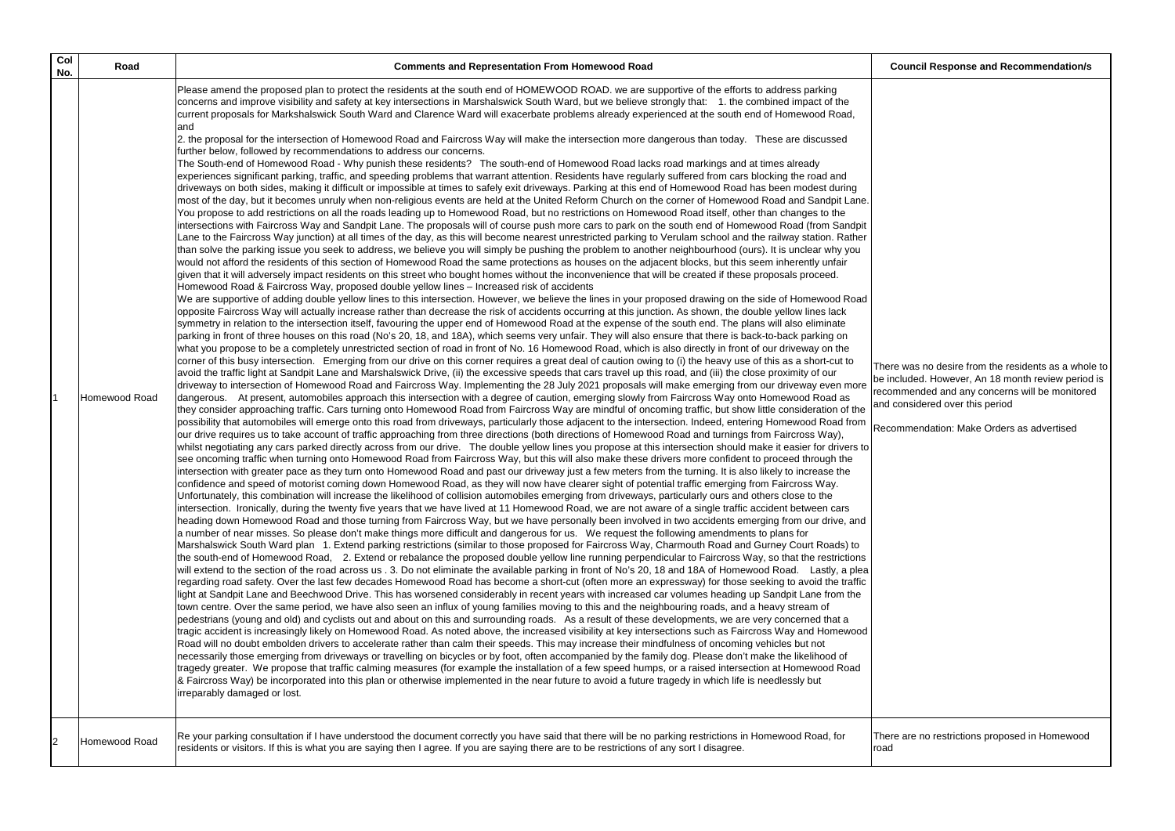There are no restrictions proposed in Homewood bad

There was no desire from the residents as a whole to be included. However, An 18 month review period is recommended and any concerns will be monitored and considered over this period

| Col<br>No.     | Road          | <b>Comments and Representation From Homewood Road</b>                                                                                                                                                                                                                                                                                                                                                                                                                                                                                                                                                                                                                                                                                                                                                                                                                                                                                                                                                                                                                                                                                                                                                                                                                                                                                                                                                                                                                                                                                                                                                                                                                                                                                                                                                                                                                                                                                                                                                                                                                                                                                                                                                                                                                                                                                                                                                                                                                                                                                                                                                                                                                                                                                                                                                                                                                                                                                                                                                                                                                                                                                                                                                                                                                                                                                                                                                                                                                                                                                                                                                                                                                                                                                                                                                                                                                                                                                                                                                                                |  |
|----------------|---------------|--------------------------------------------------------------------------------------------------------------------------------------------------------------------------------------------------------------------------------------------------------------------------------------------------------------------------------------------------------------------------------------------------------------------------------------------------------------------------------------------------------------------------------------------------------------------------------------------------------------------------------------------------------------------------------------------------------------------------------------------------------------------------------------------------------------------------------------------------------------------------------------------------------------------------------------------------------------------------------------------------------------------------------------------------------------------------------------------------------------------------------------------------------------------------------------------------------------------------------------------------------------------------------------------------------------------------------------------------------------------------------------------------------------------------------------------------------------------------------------------------------------------------------------------------------------------------------------------------------------------------------------------------------------------------------------------------------------------------------------------------------------------------------------------------------------------------------------------------------------------------------------------------------------------------------------------------------------------------------------------------------------------------------------------------------------------------------------------------------------------------------------------------------------------------------------------------------------------------------------------------------------------------------------------------------------------------------------------------------------------------------------------------------------------------------------------------------------------------------------------------------------------------------------------------------------------------------------------------------------------------------------------------------------------------------------------------------------------------------------------------------------------------------------------------------------------------------------------------------------------------------------------------------------------------------------------------------------------------------------------------------------------------------------------------------------------------------------------------------------------------------------------------------------------------------------------------------------------------------------------------------------------------------------------------------------------------------------------------------------------------------------------------------------------------------------------------------------------------------------------------------------------------------------------------------------------------------------------------------------------------------------------------------------------------------------------------------------------------------------------------------------------------------------------------------------------------------------------------------------------------------------------------------------------------------------------------------------------------------------------------------------------------------------|--|
|                |               | Please amend the proposed plan to protect the residents at the south end of HOMEWOOD ROAD. we are supportive of the efforts to address parking<br>concerns and improve visibility and safety at key intersections in Marshalswick South Ward, but we believe strongly that: 1. the combined impact of the<br>current proposals for Markshalswick South Ward and Clarence Ward will exacerbate problems already experienced at the south end of Homewood Road,<br>land<br>2. the proposal for the intersection of Homewood Road and Faircross Way will make the intersection more dangerous than today. These are discussed<br>further below, followed by recommendations to address our concerns.<br>The South-end of Homewood Road - Why punish these residents? The south-end of Homewood Road lacks road markings and at times already<br>experiences significant parking, traffic, and speeding problems that warrant attention. Residents have regularly suffered from cars blocking the road and<br>driveways on both sides, making it difficult or impossible at times to safely exit driveways. Parking at this end of Homewood Road has been modest during<br>most of the day, but it becomes unruly when non-religious events are held at the United Reform Church on the corner of Homewood Road and Sandpit Lane.<br>You propose to add restrictions on all the roads leading up to Homewood Road, but no restrictions on Homewood Road itself, other than changes to the<br>intersections with Faircross Way and Sandpit Lane. The proposals will of course push more cars to park on the south end of Homewood Road (from Sandpit<br>Lane to the Faircross Way junction) at all times of the day, as this will become nearest unrestricted parking to Verulam school and the railway station. Rather<br>than solve the parking issue you seek to address, we believe you will simply be pushing the problem to another neighbourhood (ours). It is unclear why you<br>would not afford the residents of this section of Homewood Road the same protections as houses on the adjacent blocks, but this seem inherently unfair<br>given that it will adversely impact residents on this street who bought homes without the inconvenience that will be created if these proposals proceed.<br>Homewood Road & Faircross Way, proposed double yellow lines - Increased risk of accidents<br>We are supportive of adding double yellow lines to this intersection. However, we believe the lines in your proposed drawing on the side of Homewood Road<br>opposite Faircross Way will actually increase rather than decrease the risk of accidents occurring at this junction. As shown, the double yellow lines lack<br>symmetry in relation to the intersection itself, favouring the upper end of Homewood Road at the expense of the south end. The plans will also eliminate<br>parking in front of three houses on this road (No's 20, 18, and 18A), which seems very unfair. They will also ensure that there is back-to-back parking on<br>what you propose to be a completely unrestricted section of road in front of No. 16 Homewood Road, which is also directly in front of our driveway on the<br>corner of this busy intersection. Emerging from our drive on this corner requires a great deal of caution owing to (i) the heavy use of this as a short-cut to<br>avoid the traffic light at Sandpit Lane and Marshalswick Drive, (ii) the excessive speeds that cars travel up this road, and (iii) the close proximity of our                                                                                                                                                                                                                                                                                                                                                                                                                                                                            |  |
|                | Homewood Road | driveway to intersection of Homewood Road and Faircross Way. Implementing the 28 July 2021 proposals will make emerging from our driveway even more<br>dangerous. At present, automobiles approach this intersection with a degree of caution, emerging slowly from Faircross Way onto Homewood Road as<br>they consider approaching traffic. Cars turning onto Homewood Road from Faircross Way are mindful of oncoming traffic, but show little consideration of the<br>possibility that automobiles will emerge onto this road from driveways, particularly those adjacent to the intersection. Indeed, entering Homewood Road from<br>our drive requires us to take account of traffic approaching from three directions (both directions of Homewood Road and turnings from Faircross Way),<br>whilst negotiating any cars parked directly across from our drive. The double yellow lines you propose at this intersection should make it easier for drivers to<br>see oncoming traffic when turning onto Homewood Road from Faircross Way, but this will also make these drivers more confident to proceed through the<br>intersection with greater pace as they turn onto Homewood Road and past our driveway just a few meters from the turning. It is also likely to increase the<br>confidence and speed of motorist coming down Homewood Road, as they will now have clearer sight of potential traffic emerging from Faircross Way.<br>Unfortunately, this combination will increase the likelihood of collision automobiles emerging from driveways, particularly ours and others close to the<br>intersection. Ironically, during the twenty five years that we have lived at 11 Homewood Road, we are not aware of a single traffic accident between cars<br>heading down Homewood Road and those turning from Faircross Way, but we have personally been involved in two accidents emerging from our drive, and<br>a number of near misses. So please don't make things more difficult and dangerous for us. We request the following amendments to plans for<br>Marshalswick South Ward plan 1. Extend parking restrictions (similar to those proposed for Faircross Way, Charmouth Road and Gurney Court Roads) to<br>the south-end of Homewood Road, 2. Extend or rebalance the proposed double yellow line running perpendicular to Faircross Way, so that the restrictions<br>will extend to the section of the road across us . 3. Do not eliminate the available parking in front of No's 20, 18 and 18A of Homewood Road. Lastly, a plea<br>regarding road safety. Over the last few decades Homewood Road has become a short-cut (often more an expressway) for those seeking to avoid the traffic<br>light at Sandpit Lane and Beechwood Drive. This has worsened considerably in recent years with increased car volumes heading up Sandpit Lane from the<br>town centre. Over the same period, we have also seen an influx of young families moving to this and the neighbouring roads, and a heavy stream of<br>pedestrians (young and old) and cyclists out and about on this and surrounding roads. As a result of these developments, we are very concerned that a<br>tragic accident is increasingly likely on Homewood Road. As noted above, the increased visibility at key intersections such as Faircross Way and Homewood<br>Road will no doubt embolden drivers to accelerate rather than calm their speeds. This may increase their mindfulness of oncoming vehicles but not<br>necessarily those emerging from driveways or travelling on bicycles or by foot, often accompanied by the family dog. Please don't make the likelihood of<br>tragedy greater. We propose that traffic calming measures (for example the installation of a few speed humps, or a raised intersection at Homewood Road<br>& Faircross Way) be incorporated into this plan or otherwise implemented in the near future to avoid a future tragedy in which life is needlessly but<br>irreparably damaged or lost. |  |
| $\overline{2}$ | Homewood Road | Re your parking consultation if I have understood the document correctly you have said that there will be no parking restrictions in Homewood Road, for<br>residents or visitors. If this is what you are saying then I agree. If you are saying there are to be restrictions of any sort I disagree.                                                                                                                                                                                                                                                                                                                                                                                                                                                                                                                                                                                                                                                                                                                                                                                                                                                                                                                                                                                                                                                                                                                                                                                                                                                                                                                                                                                                                                                                                                                                                                                                                                                                                                                                                                                                                                                                                                                                                                                                                                                                                                                                                                                                                                                                                                                                                                                                                                                                                                                                                                                                                                                                                                                                                                                                                                                                                                                                                                                                                                                                                                                                                                                                                                                                                                                                                                                                                                                                                                                                                                                                                                                                                                                                |  |

**Council Response and Recommendation/s**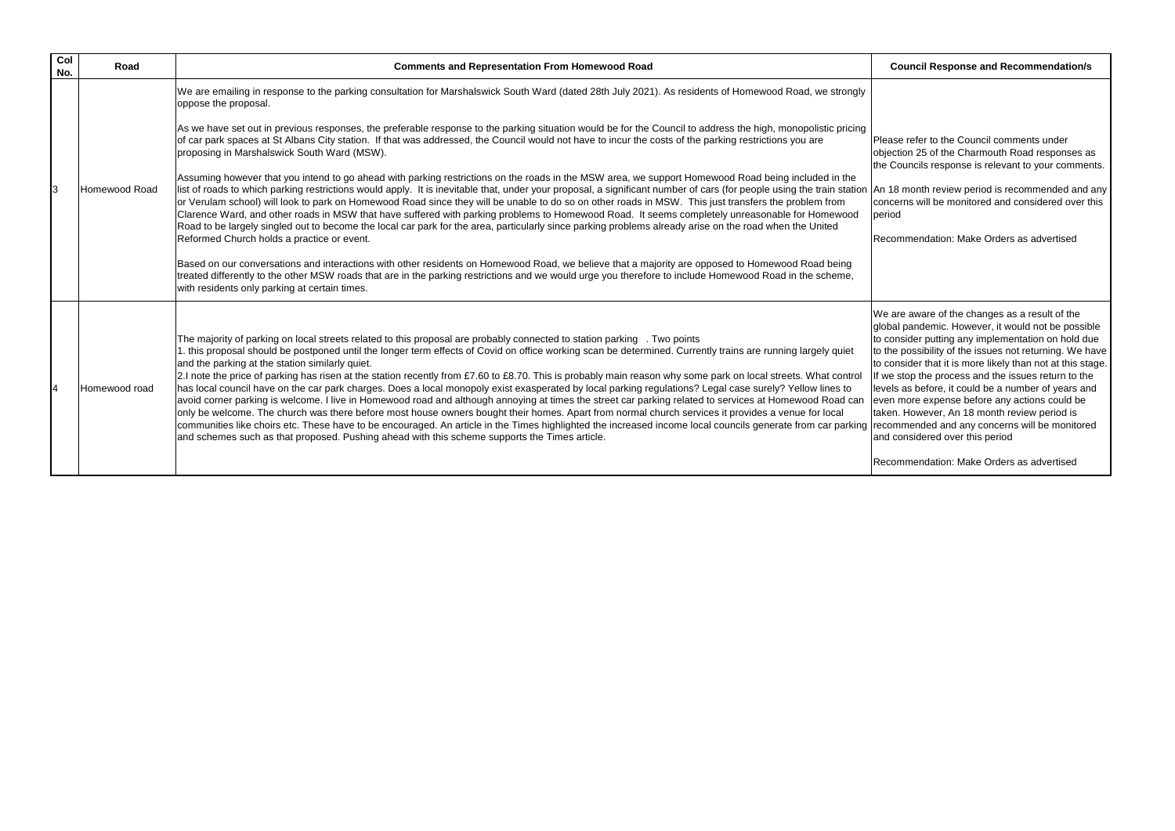18 month review period is recommended and any ncerns will be monitored and considered over this period

commendation: Make Orders as advertised

are aware of the changes as a result of the bal pandemic. However, it would not be possible consider putting any implementation on hold due he possibility of the issues not returning. We have consider that it is more likely than not at this stage. le stop the process and the issues return to the els as before, it could be a number of years and en more expense before any actions could be en. However, An 18 month review period is ommended and any concerns will be monitored considered over this period

commendation: Make Orders as advertised

| Col<br>No.     | Road          | <b>Comments and Representation From Homewood Road</b>                                                                                                                                                                                                                                                                                                                                                                                                                                                                                                                                                                                                                                                                                                                                                                                                                                                                                                                                                                                                                                                                                                                                                                                                                                                                                                                                                                                                                                                                                                                |                                                                              |
|----------------|---------------|----------------------------------------------------------------------------------------------------------------------------------------------------------------------------------------------------------------------------------------------------------------------------------------------------------------------------------------------------------------------------------------------------------------------------------------------------------------------------------------------------------------------------------------------------------------------------------------------------------------------------------------------------------------------------------------------------------------------------------------------------------------------------------------------------------------------------------------------------------------------------------------------------------------------------------------------------------------------------------------------------------------------------------------------------------------------------------------------------------------------------------------------------------------------------------------------------------------------------------------------------------------------------------------------------------------------------------------------------------------------------------------------------------------------------------------------------------------------------------------------------------------------------------------------------------------------|------------------------------------------------------------------------------|
| 3              | Homewood Road | We are emailing in response to the parking consultation for Marshalswick South Ward (dated 28th July 2021). As residents of Homewood Road, we strongly<br>oppose the proposal.<br>As we have set out in previous responses, the preferable response to the parking situation would be for the Council to address the high, monopolistic pricing<br>of car park spaces at St Albans City station. If that was addressed, the Council would not have to incur the costs of the parking restrictions you are<br>proposing in Marshalswick South Ward (MSW).<br>Assuming however that you intend to go ahead with parking restrictions on the roads in the MSW area, we support Homewood Road being included in the<br>list of roads to which parking restrictions would apply. It is inevitable that, under your proposal, a significant number of cars (for people using the train station An '<br>or Verulam school) will look to park on Homewood Road since they will be unable to do so on other roads in MSW. This just transfers the problem from<br>Clarence Ward, and other roads in MSW that have suffered with parking problems to Homewood Road. It seems completely unreasonable for Homewood<br>Road to be largely singled out to become the local car park for the area, particularly since parking problems already arise on the road when the United<br>Reformed Church holds a practice or event.<br>Based on our conversations and interactions with other residents on Homewood Road, we believe that a majority are opposed to Homewood Road being | Plea<br>obje<br>the<br><b>con</b><br>peri<br>Rec                             |
| $\overline{4}$ | Homewood road | treated differently to the other MSW roads that are in the parking restrictions and we would urge you therefore to include Homewood Road in the scheme,<br>with residents only parking at certain times.<br>The majority of parking on local streets related to this proposal are probably connected to station parking . Two points<br>1. this proposal should be postponed until the longer term effects of Covid on office working scan be determined. Currently trains are running largely quiet<br>and the parking at the station similarly quiet.<br>2.I note the price of parking has risen at the station recently from £7.60 to £8.70. This is probably main reason why some park on local streets. What control<br>has local council have on the car park charges. Does a local monopoly exist exasperated by local parking regulations? Legal case surely? Yellow lines to<br>avoid corner parking is welcome. I live in Homewood road and although annoying at times the street car parking related to services at Homewood Road can Jever<br>only be welcome. The church was there before most house owners bought their homes. Apart from normal church services it provides a venue for local<br>communities like choirs etc. These have to be encouraged. An article in the Times highlighted the increased income local councils generate from car parking reco<br>and schemes such as that proposed. Pushing ahead with this scheme supports the Times article.                                                                                    | We<br>glob<br>to c<br>to th<br>to c<br>If we<br>lleve<br>take<br>land<br>Rec |

### **Council Response and Recommendation/s**

ase refer to the Council comments under ection 25 of the Charmouth Road responses as Councils response is relevant to your comments.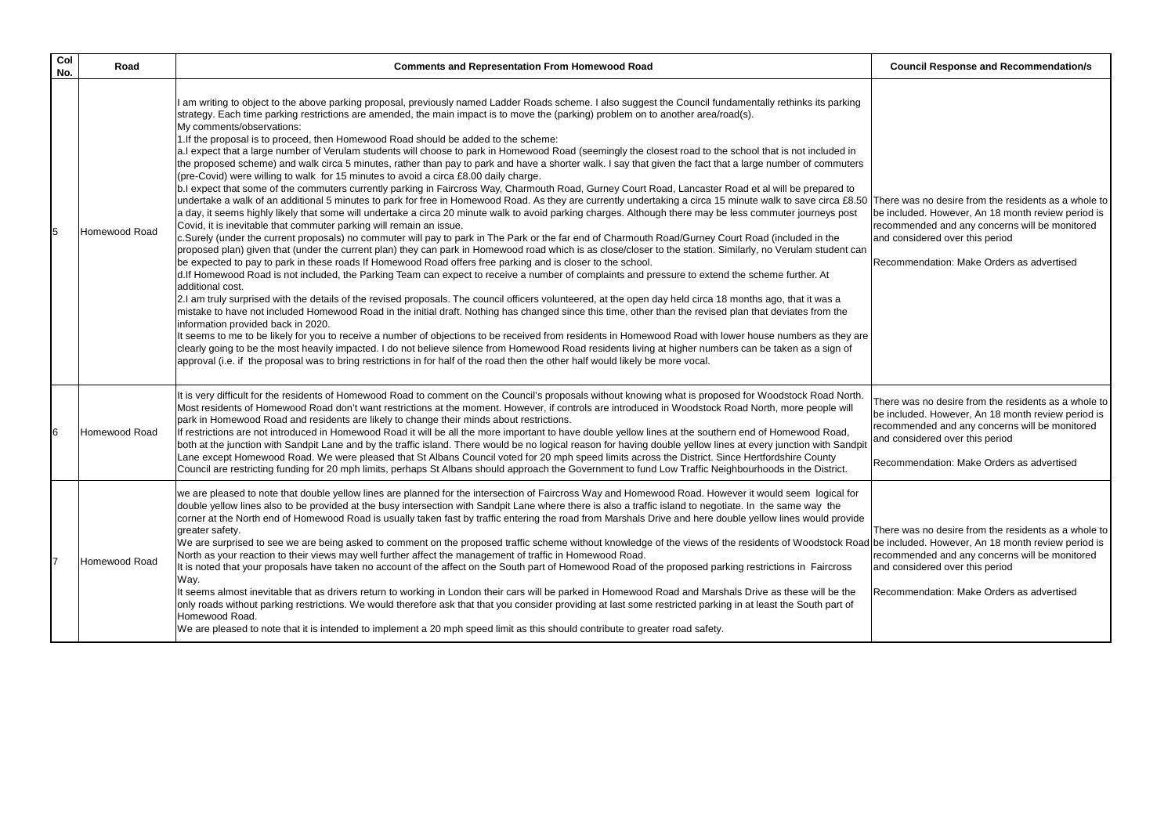| Col<br>No. | Road          | <b>Comments and Representation From Homewood Road</b>                                                                                                                                                                                                                                                                                                                                                                                                                                                                                                                                                                                                                                                                                                                                                                                                                                                                                                                                                                                                                                                                                                                                                                                                                                                                                                                                                                                                                                                                                                                                                                                                                                                                                                                                                                                                                                                                                                                                                                                                                                                                                                                                                                                                                                                                                                                                                                                                                                                                                                                                                                                                                                                                                                                                                                                           |                                   |
|------------|---------------|-------------------------------------------------------------------------------------------------------------------------------------------------------------------------------------------------------------------------------------------------------------------------------------------------------------------------------------------------------------------------------------------------------------------------------------------------------------------------------------------------------------------------------------------------------------------------------------------------------------------------------------------------------------------------------------------------------------------------------------------------------------------------------------------------------------------------------------------------------------------------------------------------------------------------------------------------------------------------------------------------------------------------------------------------------------------------------------------------------------------------------------------------------------------------------------------------------------------------------------------------------------------------------------------------------------------------------------------------------------------------------------------------------------------------------------------------------------------------------------------------------------------------------------------------------------------------------------------------------------------------------------------------------------------------------------------------------------------------------------------------------------------------------------------------------------------------------------------------------------------------------------------------------------------------------------------------------------------------------------------------------------------------------------------------------------------------------------------------------------------------------------------------------------------------------------------------------------------------------------------------------------------------------------------------------------------------------------------------------------------------------------------------------------------------------------------------------------------------------------------------------------------------------------------------------------------------------------------------------------------------------------------------------------------------------------------------------------------------------------------------------------------------------------------------------------------------------------------------|-----------------------------------|
| 5          | Homewood Road | am writing to object to the above parking proposal, previously named Ladder Roads scheme. I also suggest the Council fundamentally rethinks its parking<br>strategy. Each time parking restrictions are amended, the main impact is to move the (parking) problem on to another area/road(s).<br>My comments/observations:<br>1. If the proposal is to proceed, then Homewood Road should be added to the scheme:<br>a.I expect that a large number of Verulam students will choose to park in Homewood Road (seemingly the closest road to the school that is not included in<br>the proposed scheme) and walk circa 5 minutes, rather than pay to park and have a shorter walk. I say that given the fact that a large number of commuters<br>(pre-Covid) were willing to walk for 15 minutes to avoid a circa £8.00 daily charge.<br>b.I expect that some of the commuters currently parking in Faircross Way, Charmouth Road, Gurney Court Road, Lancaster Road et al will be prepared to<br>undertake a walk of an additional 5 minutes to park for free in Homewood Road. As they are currently undertaking a circa 15 minute walk to save circa £8.50 The<br>a day, it seems highly likely that some will undertake a circa 20 minute walk to avoid parking charges. Although there may be less commuter journeys post<br>Covid, it is inevitable that commuter parking will remain an issue.<br>c.Surely (under the current proposals) no commuter will pay to park in The Park or the far end of Charmouth Road/Gurney Court Road (included in the<br>proposed plan) given that (under the current plan) they can park in Homewood road which is as close/closer to the station. Similarly, no Verulam student can<br>be expected to pay to park in these roads If Homewood Road offers free parking and is closer to the school.<br>d. If Homewood Road is not included, the Parking Team can expect to receive a number of complaints and pressure to extend the scheme further. At<br>additional cost.<br>2.I am truly surprised with the details of the revised proposals. The council officers volunteered, at the open day held circa 18 months ago, that it was a<br>mistake to have not included Homewood Road in the initial draft. Nothing has changed since this time, other than the revised plan that deviates from the<br>information provided back in 2020.<br>It seems to me to be likely for you to receive a number of objections to be received from residents in Homewood Road with lower house numbers as they are<br>clearly going to be the most heavily impacted. I do not believe silence from Homewood Road residents living at higher numbers can be taken as a sign of<br>approval (i.e. if the proposal was to bring restrictions in for half of the road then the other half would likely be more vocal. | be i<br>reco<br>and<br>Rec        |
| 6          | Homewood Road | It is very difficult for the residents of Homewood Road to comment on the Council's proposals without knowing what is proposed for Woodstock Road North.<br>Most residents of Homewood Road don't want restrictions at the moment. However, if controls are introduced in Woodstock Road North, more people will<br>park in Homewood Road and residents are likely to change their minds about restrictions.<br>If restrictions are not introduced in Homewood Road it will be all the more important to have double yellow lines at the southern end of Homewood Road,<br>both at the junction with Sandpit Lane and by the traffic island. There would be no logical reason for having double yellow lines at every junction with Sandpit<br>Lane except Homewood Road. We were pleased that St Albans Council voted for 20 mph speed limits across the District. Since Hertfordshire County<br>Council are restricting funding for 20 mph limits, perhaps St Albans should approach the Government to fund Low Traffic Neighbourhoods in the District.                                                                                                                                                                                                                                                                                                                                                                                                                                                                                                                                                                                                                                                                                                                                                                                                                                                                                                                                                                                                                                                                                                                                                                                                                                                                                                                                                                                                                                                                                                                                                                                                                                                                                                                                                                                       | The<br>be i<br>reco<br>and<br>Rec |
|            | Homewood Road | we are pleased to note that double yellow lines are planned for the intersection of Faircross Way and Homewood Road. However it would seem logical for<br>double yellow lines also to be provided at the busy intersection with Sandpit Lane where there is also a traffic island to negotiate. In the same way the<br>corner at the North end of Homewood Road is usually taken fast by traffic entering the road from Marshals Drive and here double yellow lines would provide<br>greater safety.<br>We are surprised to see we are being asked to comment on the proposed traffic scheme without knowledge of the views of the residents of Woodstock Road be i<br>North as your reaction to their views may well further affect the management of traffic in Homewood Road.<br>It is noted that your proposals have taken no account of the affect on the South part of Homewood Road of the proposed parking restrictions in Faircross<br>Way.<br>It seems almost inevitable that as drivers return to working in London their cars will be parked in Homewood Road and Marshals Drive as these will be the<br>only roads without parking restrictions. We would therefore ask that that you consider providing at last some restricted parking in at least the South part of<br>Homewood Road.<br>We are pleased to note that it is intended to implement a 20 mph speed limit as this should contribute to greater road safety.                                                                                                                                                                                                                                                                                                                                                                                                                                                                                                                                                                                                                                                                                                                                                                                                                                                                                                                                                                                                                                                                                                                                                                                                                                                                                                                                                                                                         | <b>The</b><br>reco<br>land<br>Rec |

### **Council Response and Recommendation/s**

ere was no desire from the residents as a whole to included. However, An 18 month review period is ommended and any concerns will be monitored d considered over this period

commendation: Make Orders as advertised

ere was no desire from the residents as a whole to included. However, An 18 month review period is ommended and any concerns will be monitored considered over this period

commendation: Make Orders as advertised

 $\overline{B}$  ere was no desire from the residents as a whole to included. However, An 18 month review period is ommended and any concerns will be monitored considered over this period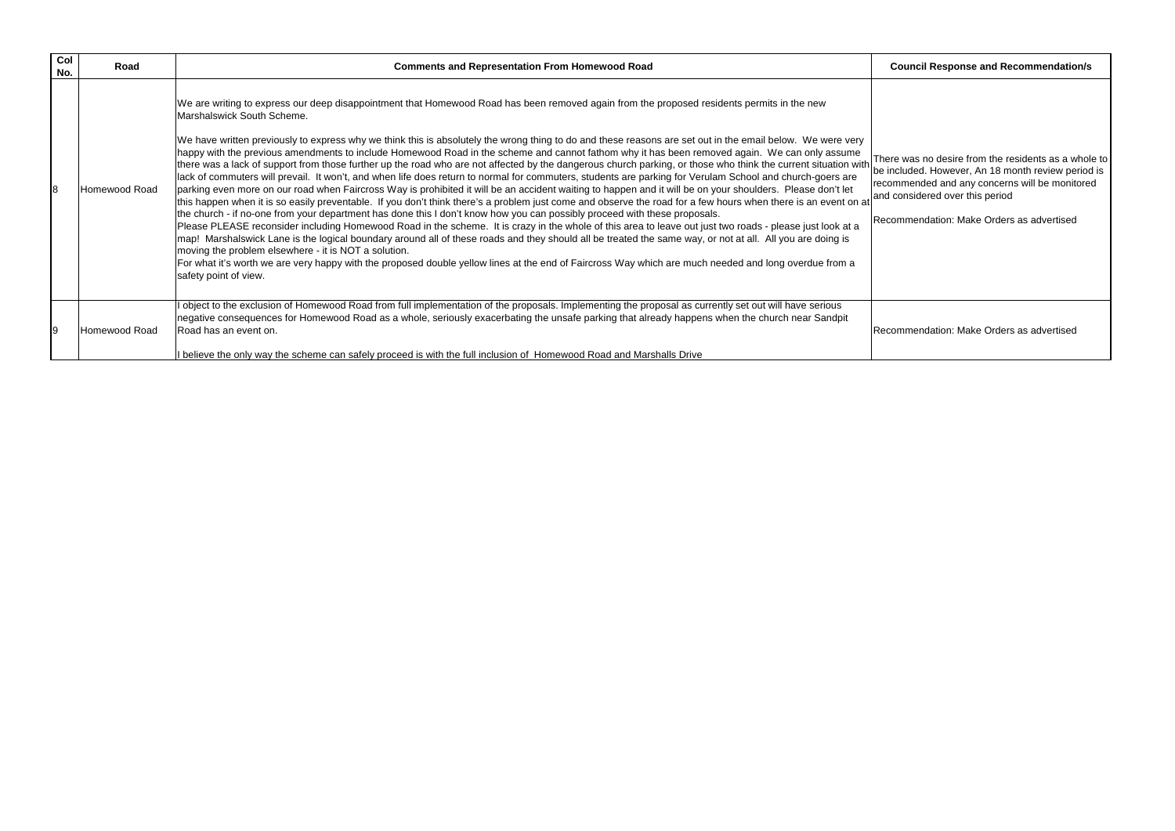$\overline{1}$  are was no desire from the residents as a whole to be included. However, An 18 month review period is recommended and any concerns will be monitored and considered over this period

ecommendation: Make Orders as advertised

ecommendation: Make Orders as advertised

| Col<br>No. | Road          | <b>Comments and Representation From Homewood Road</b>                                                                                                                                                                                                                                                                                                                                                                                                                                                                                                                                                                                                                                                                                                                                                                                                                                                                                                                                                                                                                                                                                                                                                                                                                                                                                                                                                                                                                                                                                                                                                                                                                                                                                                                                                                                                                                                                   |                                     |
|------------|---------------|-------------------------------------------------------------------------------------------------------------------------------------------------------------------------------------------------------------------------------------------------------------------------------------------------------------------------------------------------------------------------------------------------------------------------------------------------------------------------------------------------------------------------------------------------------------------------------------------------------------------------------------------------------------------------------------------------------------------------------------------------------------------------------------------------------------------------------------------------------------------------------------------------------------------------------------------------------------------------------------------------------------------------------------------------------------------------------------------------------------------------------------------------------------------------------------------------------------------------------------------------------------------------------------------------------------------------------------------------------------------------------------------------------------------------------------------------------------------------------------------------------------------------------------------------------------------------------------------------------------------------------------------------------------------------------------------------------------------------------------------------------------------------------------------------------------------------------------------------------------------------------------------------------------------------|-------------------------------------|
| 8          | Homewood Road | We are writing to express our deep disappointment that Homewood Road has been removed again from the proposed residents permits in the new<br>Marshalswick South Scheme.<br>We have written previously to express why we think this is absolutely the wrong thing to do and these reasons are set out in the email below. We were very<br>happy with the previous amendments to include Homewood Road in the scheme and cannot fathom why it has been removed again. We can only assume<br>there was a lack of support from those further up the road who are not affected by the dangerous church parking, or those who think the current situation with the current situation with the current situation with the curre<br>lack of commuters will prevail. It won't, and when life does return to normal for commuters, students are parking for Verulam School and church-goers are<br>parking even more on our road when Faircross Way is prohibited it will be an accident waiting to happen and it will be on your shoulders. Please don't let<br>this happen when it is so easily preventable. If you don't think there's a problem just come and observe the road for a few hours when there is an event on at<br>the church - if no-one from your department has done this I don't know how you can possibly proceed with these proposals.<br>Please PLEASE reconsider including Homewood Road in the scheme. It is crazy in the whole of this area to leave out just two roads - please just look at a<br>map! Marshalswick Lane is the logical boundary around all of these roads and they should all be treated the same way, or not at all. All you are doing is<br>moving the problem elsewhere - it is NOT a solution.<br>For what it's worth we are very happy with the proposed double yellow lines at the end of Faircross Way which are much needed and long overdue from a<br>safety point of view. | <b>I</b> rec<br>land<br><b>I</b> Re |
| Ι9         | Homewood Road | I object to the exclusion of Homewood Road from full implementation of the proposals. Implementing the proposal as currently set out will have serious<br>negative consequences for Homewood Road as a whole, seriously exacerbating the unsafe parking that already happens when the church near Sandpit<br>Road has an event on.<br>I believe the only way the scheme can safely proceed is with the full inclusion of Homewood Road and Marshalls Drive                                                                                                                                                                                                                                                                                                                                                                                                                                                                                                                                                                                                                                                                                                                                                                                                                                                                                                                                                                                                                                                                                                                                                                                                                                                                                                                                                                                                                                                              | IRe                                 |

### **Council Response and Recommendation/s**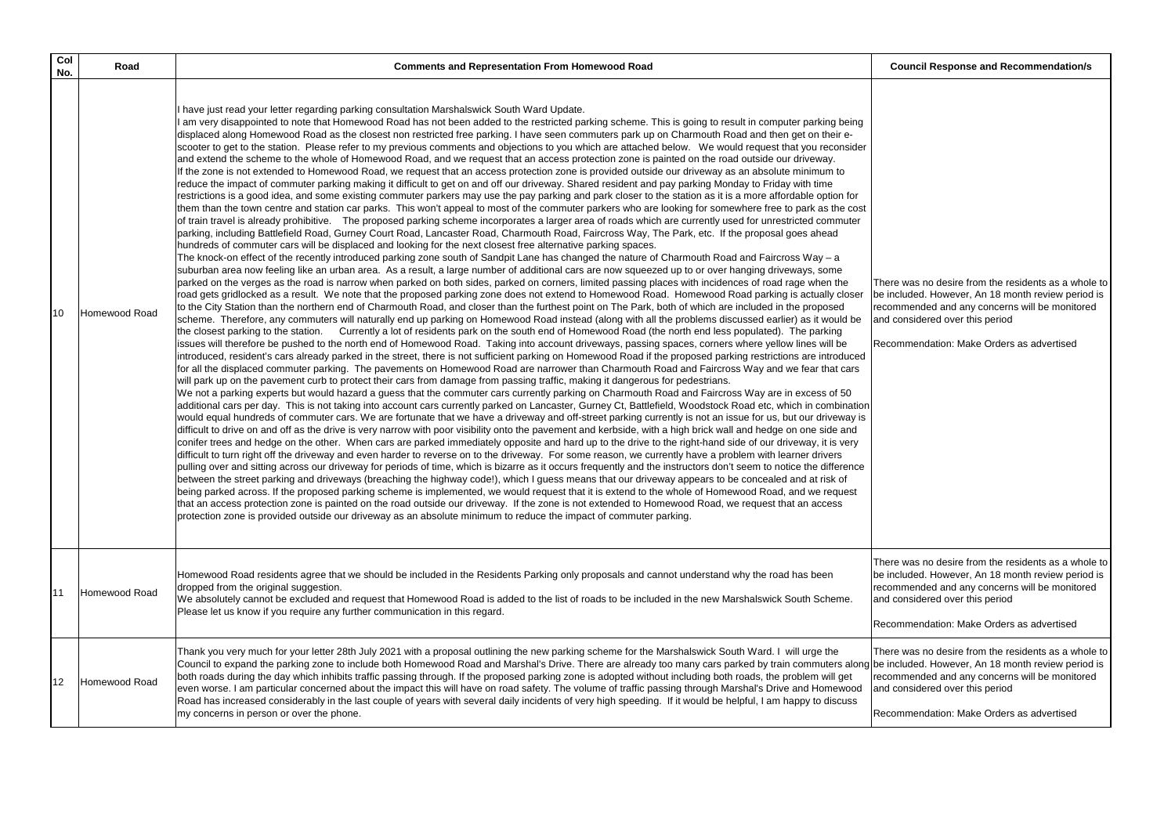| Col<br>No. | Road          | <b>Comments and Representation From Homewood Road</b>                                                                                                                                                                                                                                                                                                                                                                                                                                                                                                                                                                                                                                                                                                                                                                                                                                                                                                                                                                                                                                                                                                                                                                                                                                                                                                                                                                                                                                                                                                                                                                                                                                                                                                                                                                                                                                                                                                                                                                                                                                                                                                                                                                                                                                                                                                                                                                                                                                                                                                                                                                                                                                                                                                                                                                                                                                                                                                                                                                                                                                                                                                                                                                                                                                                                                                                                                                                                                                                                                                                                                                                                                                                                                                                                                                                                                                                                                                                                                                                                                                                                                                                                                                                                                                                                                                                                                                                                                                                                                                                                                                                                                                                                                                                                                                                                                                                                                                                                                                                                                                                                                                                                                                                                                                       |                                    |
|------------|---------------|---------------------------------------------------------------------------------------------------------------------------------------------------------------------------------------------------------------------------------------------------------------------------------------------------------------------------------------------------------------------------------------------------------------------------------------------------------------------------------------------------------------------------------------------------------------------------------------------------------------------------------------------------------------------------------------------------------------------------------------------------------------------------------------------------------------------------------------------------------------------------------------------------------------------------------------------------------------------------------------------------------------------------------------------------------------------------------------------------------------------------------------------------------------------------------------------------------------------------------------------------------------------------------------------------------------------------------------------------------------------------------------------------------------------------------------------------------------------------------------------------------------------------------------------------------------------------------------------------------------------------------------------------------------------------------------------------------------------------------------------------------------------------------------------------------------------------------------------------------------------------------------------------------------------------------------------------------------------------------------------------------------------------------------------------------------------------------------------------------------------------------------------------------------------------------------------------------------------------------------------------------------------------------------------------------------------------------------------------------------------------------------------------------------------------------------------------------------------------------------------------------------------------------------------------------------------------------------------------------------------------------------------------------------------------------------------------------------------------------------------------------------------------------------------------------------------------------------------------------------------------------------------------------------------------------------------------------------------------------------------------------------------------------------------------------------------------------------------------------------------------------------------------------------------------------------------------------------------------------------------------------------------------------------------------------------------------------------------------------------------------------------------------------------------------------------------------------------------------------------------------------------------------------------------------------------------------------------------------------------------------------------------------------------------------------------------------------------------------------------------------------------------------------------------------------------------------------------------------------------------------------------------------------------------------------------------------------------------------------------------------------------------------------------------------------------------------------------------------------------------------------------------------------------------------------------------------------------------------------------------------------------------------------------------------------------------------------------------------------------------------------------------------------------------------------------------------------------------------------------------------------------------------------------------------------------------------------------------------------------------------------------------------------------------------------------------------------------------------------------------------------------------------------------------------------------------------------------------------------------------------------------------------------------------------------------------------------------------------------------------------------------------------------------------------------------------------------------------------------------------------------------------------------------------------------------------------------------------------------------------------------------------------------------------|------------------------------------|
| 10         | Homewood Road | I have just read your letter regarding parking consultation Marshalswick South Ward Update.<br>I am very disappointed to note that Homewood Road has not been added to the restricted parking scheme. This is going to result in computer parking being<br>displaced along Homewood Road as the closest non restricted free parking. I have seen commuters park up on Charmouth Road and then get on their e-<br>scooter to get to the station. Please refer to my previous comments and objections to you which are attached below. We would request that you reconsider<br>and extend the scheme to the whole of Homewood Road, and we request that an access protection zone is painted on the road outside our driveway.<br>If the zone is not extended to Homewood Road, we request that an access protection zone is provided outside our driveway as an absolute minimum to<br>reduce the impact of commuter parking making it difficult to get on and off our driveway. Shared resident and pay parking Monday to Friday with time<br>restrictions is a good idea, and some existing commuter parkers may use the pay parking and park closer to the station as it is a more affordable option for<br>them than the town centre and station car parks. This won't appeal to most of the commuter parkers who are looking for somewhere free to park as the cost<br>of train travel is already prohibitive. The proposed parking scheme incorporates a larger area of roads which are currently used for unrestricted commuter<br>parking, including Battlefield Road, Gurney Court Road, Lancaster Road, Charmouth Road, Faircross Way, The Park, etc. If the proposal goes ahead<br>hundreds of commuter cars will be displaced and looking for the next closest free alternative parking spaces.<br>The knock-on effect of the recently introduced parking zone south of Sandpit Lane has changed the nature of Charmouth Road and Faircross Way - a<br>suburban area now feeling like an urban area. As a result, a large number of additional cars are now squeezed up to or over hanging driveways, some<br>parked on the verges as the road is narrow when parked on both sides, parked on corners, limited passing places with incidences of road rage when the<br>road gets gridlocked as a result. We note that the proposed parking zone does not extend to Homewood Road. Homewood Road parking is actually closer<br>to the City Station than the northern end of Charmouth Road, and closer than the furthest point on The Park, both of which are included in the proposed<br>scheme. Therefore, any commuters will naturally end up parking on Homewood Road instead (along with all the problems discussed earlier) as it would be<br>Currently a lot of residents park on the south end of Homewood Road (the north end less populated). The parking<br>the closest parking to the station.<br>issues will therefore be pushed to the north end of Homewood Road. Taking into account driveways, passing spaces, corners where yellow lines will be<br>introduced, resident's cars already parked in the street, there is not sufficient parking on Homewood Road if the proposed parking restrictions are introduced<br>for all the displaced commuter parking. The pavements on Homewood Road are narrower than Charmouth Road and Faircross Way and we fear that cars<br>will park up on the pavement curb to protect their cars from damage from passing traffic, making it dangerous for pedestrians.<br>We not a parking experts but would hazard a guess that the commuter cars currently parking on Charmouth Road and Faircross Way are in excess of 50<br>additional cars per day. This is not taking into account cars currently parked on Lancaster, Gurney Ct, Battlefield, Woodstock Road etc, which in combination<br>would equal hundreds of commuter cars. We are fortunate that we have a driveway and off-street parking currently is not an issue for us, but our driveway is<br>difficult to drive on and off as the drive is very narrow with poor visibility onto the pavement and kerbside, with a high brick wall and hedge on one side and<br>conifer trees and hedge on the other. When cars are parked immediately opposite and hard up to the drive to the right-hand side of our driveway, it is very<br>difficult to turn right off the driveway and even harder to reverse on to the driveway. For some reason, we currently have a problem with learner drivers<br>pulling over and sitting across our driveway for periods of time, which is bizarre as it occurs frequently and the instructors don't seem to notice the difference<br>between the street parking and driveways (breaching the highway code!), which I guess means that our driveway appears to be concealed and at risk of<br>being parked across. If the proposed parking scheme is implemented, we would request that it is extend to the whole of Homewood Road, and we request<br>that an access protection zone is painted on the road outside our driveway. If the zone is not extended to Homewood Road, we request that an access<br>protection zone is provided outside our driveway as an absolute minimum to reduce the impact of commuter parking. | The<br>be i<br>reco<br>land<br>Rec |
| 11         | Homewood Road | Homewood Road residents agree that we should be included in the Residents Parking only proposals and cannot understand why the road has been<br>dropped from the original suggestion.<br>We absolutely cannot be excluded and request that Homewood Road is added to the list of roads to be included in the new Marshalswick South Scheme.<br>Please let us know if you require any further communication in this regard.                                                                                                                                                                                                                                                                                                                                                                                                                                                                                                                                                                                                                                                                                                                                                                                                                                                                                                                                                                                                                                                                                                                                                                                                                                                                                                                                                                                                                                                                                                                                                                                                                                                                                                                                                                                                                                                                                                                                                                                                                                                                                                                                                                                                                                                                                                                                                                                                                                                                                                                                                                                                                                                                                                                                                                                                                                                                                                                                                                                                                                                                                                                                                                                                                                                                                                                                                                                                                                                                                                                                                                                                                                                                                                                                                                                                                                                                                                                                                                                                                                                                                                                                                                                                                                                                                                                                                                                                                                                                                                                                                                                                                                                                                                                                                                                                                                                                  | The<br>be i<br>reco<br>and<br>Rec  |
| 12         | Homewood Road | Thank you very much for your letter 28th July 2021 with a proposal outlining the new parking scheme for the Marshalswick South Ward. I will urge the<br>Council to expand the parking zone to include both Homewood Road and Marshal's Drive. There are already too many cars parked by train commuters along be i<br>both roads during the day which inhibits traffic passing through. If the proposed parking zone is adopted without including both roads, the problem will get<br>even worse. I am particular concerned about the impact this will have on road safety. The volume of traffic passing through Marshal's Drive and Homewood<br>Road has increased considerably in the last couple of years with several daily incidents of very high speeding. If it would be helpful, I am happy to discuss<br>my concerns in person or over the phone.                                                                                                                                                                                                                                                                                                                                                                                                                                                                                                                                                                                                                                                                                                                                                                                                                                                                                                                                                                                                                                                                                                                                                                                                                                                                                                                                                                                                                                                                                                                                                                                                                                                                                                                                                                                                                                                                                                                                                                                                                                                                                                                                                                                                                                                                                                                                                                                                                                                                                                                                                                                                                                                                                                                                                                                                                                                                                                                                                                                                                                                                                                                                                                                                                                                                                                                                                                                                                                                                                                                                                                                                                                                                                                                                                                                                                                                                                                                                                                                                                                                                                                                                                                                                                                                                                                                                                                                                                                 | The<br>reco<br>and<br>Red          |

**Council Response and Recommendation/s** 

ere was no desire from the residents as a whole to included. However, An 18 month review period is ommended and any concerns will be monitored I considered over this period

commendation: Make Orders as advertised

ere was no desire from the residents as a whole to included. However, An 18 month review period is commended and any concerns will be monitored I considered over this period

commendation: Make Orders as advertised

ere was no desire from the residents as a whole to included. However, An 18 month review period is ommended and any concerns will be monitored I considered over this period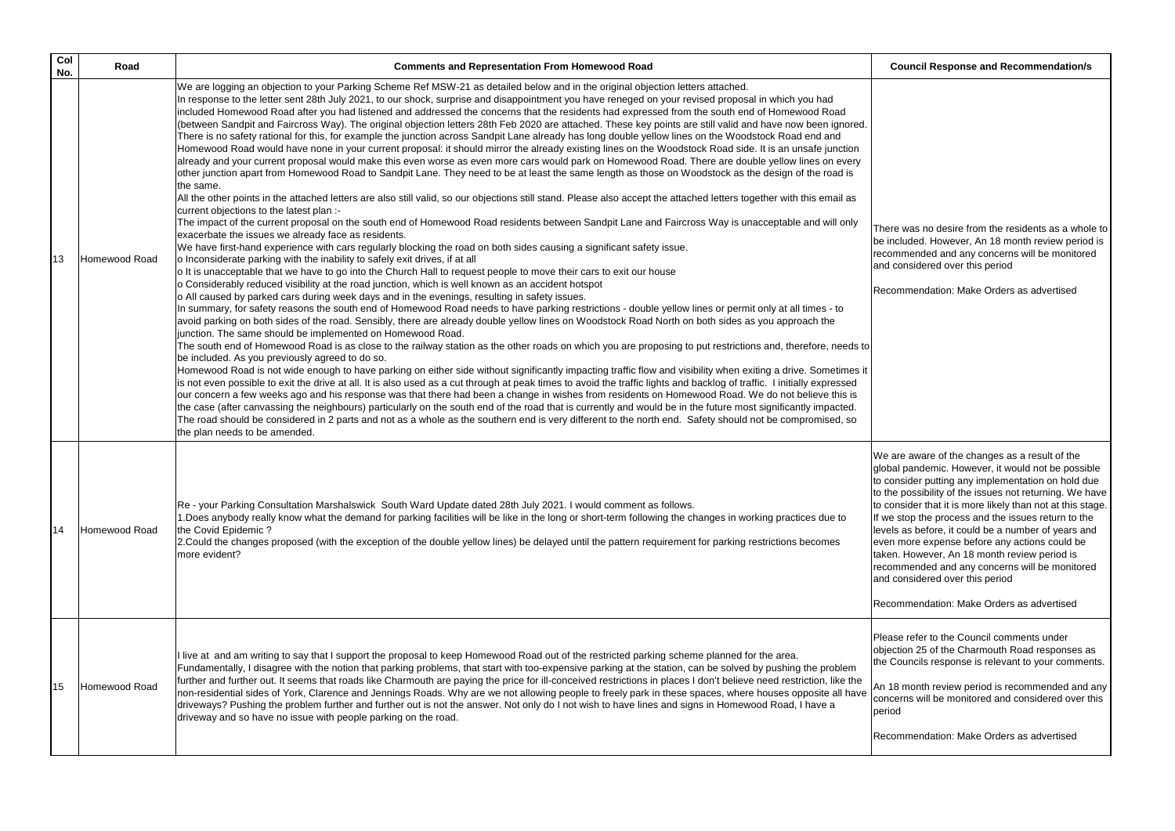18 month review period is recommended and any ncerns will be monitored and considered over this period

commendation: Make Orders as advertised

| Col<br>No. | Road          | <b>Comments and Representation From Homewood Road</b>                                                                                                                                                                                                                                                                                                                                                                                                                                                                                                                                                                                                                                                                                                                                                                                                                                                                                                                                                                                                                                                                                                                                                                                                                                                                                                                                                                                                                                                                                                                                                                                                                                                                                                                                                                                                                                                                                                                                                                                                                                                                                                                                                                                                                                                                                                                                                                                                                                                                                                                                                                                                                                                                                                                                                                                                                                                                                                                                                                                                                                                                                                                                                                                                                                                                                                                                                                                                                                                                                                                                                                                                                                               |                                                                                                    |
|------------|---------------|-----------------------------------------------------------------------------------------------------------------------------------------------------------------------------------------------------------------------------------------------------------------------------------------------------------------------------------------------------------------------------------------------------------------------------------------------------------------------------------------------------------------------------------------------------------------------------------------------------------------------------------------------------------------------------------------------------------------------------------------------------------------------------------------------------------------------------------------------------------------------------------------------------------------------------------------------------------------------------------------------------------------------------------------------------------------------------------------------------------------------------------------------------------------------------------------------------------------------------------------------------------------------------------------------------------------------------------------------------------------------------------------------------------------------------------------------------------------------------------------------------------------------------------------------------------------------------------------------------------------------------------------------------------------------------------------------------------------------------------------------------------------------------------------------------------------------------------------------------------------------------------------------------------------------------------------------------------------------------------------------------------------------------------------------------------------------------------------------------------------------------------------------------------------------------------------------------------------------------------------------------------------------------------------------------------------------------------------------------------------------------------------------------------------------------------------------------------------------------------------------------------------------------------------------------------------------------------------------------------------------------------------------------------------------------------------------------------------------------------------------------------------------------------------------------------------------------------------------------------------------------------------------------------------------------------------------------------------------------------------------------------------------------------------------------------------------------------------------------------------------------------------------------------------------------------------------------------------------------------------------------------------------------------------------------------------------------------------------------------------------------------------------------------------------------------------------------------------------------------------------------------------------------------------------------------------------------------------------------------------------------------------------------------------------------------------------------|----------------------------------------------------------------------------------------------------|
| 13         | Homewood Road | We are logging an objection to your Parking Scheme Ref MSW-21 as detailed below and in the original objection letters attached.<br>In response to the letter sent 28th July 2021, to our shock, surprise and disappointment you have reneged on your revised proposal in which you had<br>included Homewood Road after you had listened and addressed the concerns that the residents had expressed from the south end of Homewood Road<br>(between Sandpit and Faircross Way). The original objection letters 28th Feb 2020 are attached. These key points are still valid and have now been ignored.<br>There is no safety rational for this, for example the junction across Sandpit Lane already has long double yellow lines on the Woodstock Road end and<br>Homewood Road would have none in your current proposal: it should mirror the already existing lines on the Woodstock Road side. It is an unsafe junction<br>already and your current proposal would make this even worse as even more cars would park on Homewood Road. There are double yellow lines on every<br>other junction apart from Homewood Road to Sandpit Lane. They need to be at least the same length as those on Woodstock as the design of the road is<br>the same.<br>All the other points in the attached letters are also still valid, so our objections still stand. Please also accept the attached letters together with this email as<br>current objections to the latest plan :-<br>The impact of the current proposal on the south end of Homewood Road residents between Sandpit Lane and Faircross Way is unacceptable and will only<br>exacerbate the issues we already face as residents.<br>We have first-hand experience with cars regularly blocking the road on both sides causing a significant safety issue.<br>o Inconsiderate parking with the inability to safely exit drives, if at all<br>o It is unacceptable that we have to go into the Church Hall to request people to move their cars to exit our house<br>o Considerably reduced visibility at the road junction, which is well known as an accident hotspot<br>o All caused by parked cars during week days and in the evenings, resulting in safety issues.<br>In summary, for safety reasons the south end of Homewood Road needs to have parking restrictions - double yellow lines or permit only at all times - to<br>avoid parking on both sides of the road. Sensibly, there are already double yellow lines on Woodstock Road North on both sides as you approach the<br>junction. The same should be implemented on Homewood Road.<br>The south end of Homewood Road is as close to the railway station as the other roads on which you are proposing to put restrictions and, therefore, needs to<br>be included. As you previously agreed to do so.<br>Homewood Road is not wide enough to have parking on either side without significantly impacting traffic flow and visibility when exiting a drive. Sometimes it<br>is not even possible to exit the drive at all. It is also used as a cut through at peak times to avoid the traffic lights and backlog of traffic. I initially expressed<br>our concern a few weeks ago and his response was that there had been a change in wishes from residents on Homewood Road. We do not believe this is<br>the case (after canvassing the neighbours) particularly on the south end of the road that is currently and would be in the future most significantly impacted.<br>The road should be considered in 2 parts and not as a whole as the southern end is very different to the north end. Safety should not be compromised, so<br>the plan needs to be amended. | The<br>be i<br>reco<br>and<br>Rec                                                                  |
| 14         | Homewood Road | Re - your Parking Consultation Marshalswick South Ward Update dated 28th July 2021. I would comment as follows.<br>1. Does anybody really know what the demand for parking facilities will be like in the long or short-term following the changes in working practices due to<br>the Covid Epidemic?<br>2. Could the changes proposed (with the exception of the double yellow lines) be delayed until the pattern requirement for parking restrictions becomes<br>more evident?                                                                                                                                                                                                                                                                                                                                                                                                                                                                                                                                                                                                                                                                                                                                                                                                                                                                                                                                                                                                                                                                                                                                                                                                                                                                                                                                                                                                                                                                                                                                                                                                                                                                                                                                                                                                                                                                                                                                                                                                                                                                                                                                                                                                                                                                                                                                                                                                                                                                                                                                                                                                                                                                                                                                                                                                                                                                                                                                                                                                                                                                                                                                                                                                                   | We<br>glot<br>to c<br>to th<br>to c<br>If w<br><b>lleve</b><br>leve<br>take<br>reco<br>land<br>Rec |
| 15         | Homewood Road | I live at and am writing to say that I support the proposal to keep Homewood Road out of the restricted parking scheme planned for the area.<br>Fundamentally, I disagree with the notion that parking problems, that start with too-expensive parking at the station, can be solved by pushing the problem<br>further and further out. It seems that roads like Charmouth are paying the price for ill-conceived restrictions in places I don't believe need restriction, like the<br>non-residential sides of York, Clarence and Jennings Roads. Why are we not allowing people to freely park in these spaces, where houses opposite all have<br>driveways? Pushing the problem further and further out is not the answer. Not only do I not wish to have lines and signs in Homewood Road, I have a<br>driveway and so have no issue with people parking on the road.                                                                                                                                                                                                                                                                                                                                                                                                                                                                                                                                                                                                                                                                                                                                                                                                                                                                                                                                                                                                                                                                                                                                                                                                                                                                                                                                                                                                                                                                                                                                                                                                                                                                                                                                                                                                                                                                                                                                                                                                                                                                                                                                                                                                                                                                                                                                                                                                                                                                                                                                                                                                                                                                                                                                                                                                                           | Plea<br>obje<br>the<br>An<br>con<br>peri<br>Rec                                                    |

### **Council Response and Recommendation/s**

ere was no desire from the residents as a whole to included. However, An 18 month review period is ommended and any concerns will be monitored I considered over this period

commendation: Make Orders as advertised

are aware of the changes as a result of the bal pandemic. However, it would not be possible consider putting any implementation on hold due he possibility of the issues not returning. We have consider that it is more likely than not at this stage. e stop the process and the issues return to the els as before, it could be a number of years and en more expense before any actions could be en. However, An 18 month review period is ommended and any concerns will be monitored I considered over this period

commendation: Make Orders as advertised

ase refer to the Council comments under ection 25 of the Charmouth Road responses as Councils response is relevant to your comments.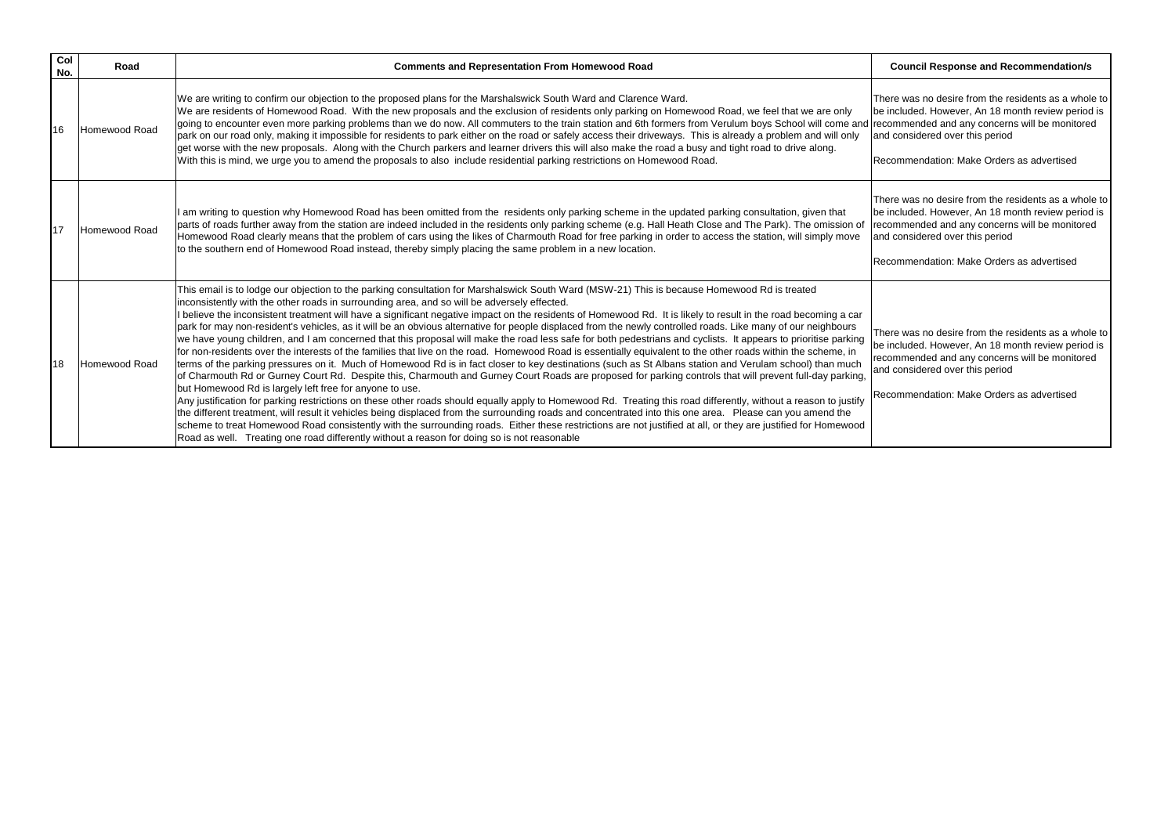| Col<br>No. | Road                 | <b>Comments and Representation From Homewood Road</b>                                                                                                                                                                                                                                                                                                                                                                                                                                                                                                                                                                                                                                                                                                                                                                                                                                                                                                                                                                                                                                                                                                                                                                                                                                                                                                                                                                                                                                                                                                                                                                                                                                                                                                                                                                                                                                              |                                        |
|------------|----------------------|----------------------------------------------------------------------------------------------------------------------------------------------------------------------------------------------------------------------------------------------------------------------------------------------------------------------------------------------------------------------------------------------------------------------------------------------------------------------------------------------------------------------------------------------------------------------------------------------------------------------------------------------------------------------------------------------------------------------------------------------------------------------------------------------------------------------------------------------------------------------------------------------------------------------------------------------------------------------------------------------------------------------------------------------------------------------------------------------------------------------------------------------------------------------------------------------------------------------------------------------------------------------------------------------------------------------------------------------------------------------------------------------------------------------------------------------------------------------------------------------------------------------------------------------------------------------------------------------------------------------------------------------------------------------------------------------------------------------------------------------------------------------------------------------------------------------------------------------------------------------------------------------------|----------------------------------------|
| 16         | Homewood Road        | We are writing to confirm our objection to the proposed plans for the Marshalswick South Ward and Clarence Ward.<br>We are residents of Homewood Road. With the new proposals and the exclusion of residents only parking on Homewood Road, we feel that we are only<br>going to encounter even more parking problems than we do now. All commuters to the train station and 6th formers from Verulum boys School will come and rec<br>park on our road only, making it impossible for residents to park either on the road or safely access their driveways. This is already a problem and will only<br>get worse with the new proposals. Along with the Church parkers and learner drivers this will also make the road a busy and tight road to drive along.<br>With this is mind, we urge you to amend the proposals to also include residential parking restrictions on Homewood Road.                                                                                                                                                                                                                                                                                                                                                                                                                                                                                                                                                                                                                                                                                                                                                                                                                                                                                                                                                                                                        | <b>The</b><br><b>be</b><br>land<br>IRe |
| 17         | Homewood Road        | am writing to question why Homewood Road has been omitted from the residents only parking scheme in the updated parking consultation, given that<br>parts of roads further away from the station are indeed included in the residents only parking scheme (e.g. Hall Heath Close and The Park). The omission of<br>Homewood Road clearly means that the problem of cars using the likes of Charmouth Road for free parking in order to access the station, will simply move<br>to the southern end of Homewood Road instead, thereby simply placing the same problem in a new location.                                                                                                                                                                                                                                                                                                                                                                                                                                                                                                                                                                                                                                                                                                                                                                                                                                                                                                                                                                                                                                                                                                                                                                                                                                                                                                            | <b>The</b><br>be<br>rec<br>land<br>Re  |
| 18         | <b>Homewood Road</b> | This email is to lodge our objection to the parking consultation for Marshalswick South Ward (MSW-21) This is because Homewood Rd is treated<br>inconsistently with the other roads in surrounding area, and so will be adversely effected.<br>believe the inconsistent treatment will have a significant negative impact on the residents of Homewood Rd. It is likely to result in the road becoming a car<br>park for may non-resident's vehicles, as it will be an obvious alternative for people displaced from the newly controlled roads. Like many of our neighbours<br>we have young children, and I am concerned that this proposal will make the road less safe for both pedestrians and cyclists. It appears to prioritise parking<br>for non-residents over the interests of the families that live on the road. Homewood Road is essentially equivalent to the other roads within the scheme, in<br>terms of the parking pressures on it. Much of Homewood Rd is in fact closer to key destinations (such as St Albans station and Verulam school) than much<br>of Charmouth Rd or Gurney Court Rd. Despite this, Charmouth and Gurney Court Roads are proposed for parking controls that will prevent full-day parking,<br>but Homewood Rd is largely left free for anyone to use.<br>Any justification for parking restrictions on these other roads should equally apply to Homewood Rd. Treating this road differently, without a reason to justify<br>the different treatment, will result it vehicles being displaced from the surrounding roads and concentrated into this one area. Please can you amend the<br>scheme to treat Homewood Road consistently with the surrounding roads. Either these restrictions are not justified at all, or they are justified for Homewood<br>Road as well. Treating one road differently without a reason for doing so is not reasonable | <b>The</b><br>be<br>rec<br>and<br>Re   |

### **Council Response and Recommendation/s**

nere was no desire from the residents as a whole to included. However, An 18 month review period is commended and any concerns will be monitored and considered over this period

ecommendation: Make Orders as advertised

ere was no desire from the residents as a whole to included. However, An 18 month review period is commended and any concerns will be monitored d considered over this period

ecommendation: Make Orders as advertised

ere was no desire from the residents as a whole to included. However, An 18 month review period is commended and any concerns will be monitored d considered over this period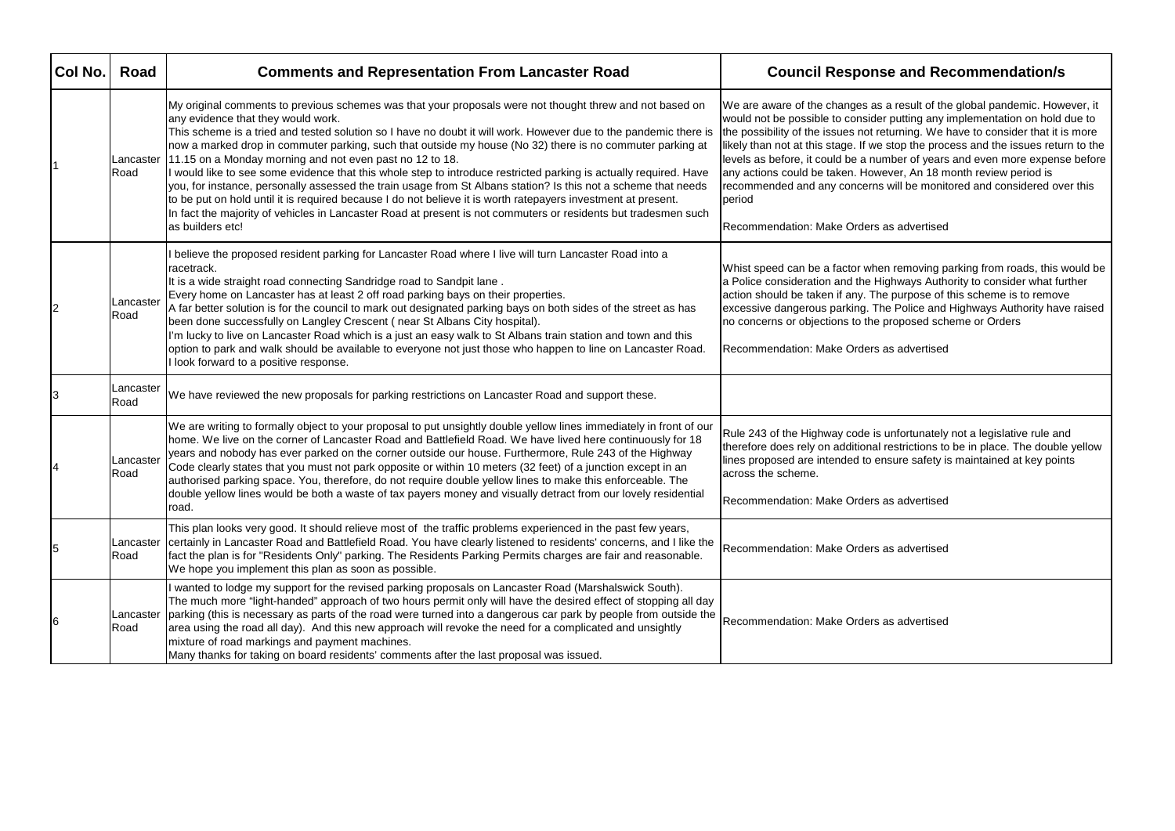| Col No. | Road              | <b>Comments and Representation From Lancaster Road</b>                                                                                                                                                                                                                                                                                                                                                                                                                                                                                                                                                                                                                                                                                                                                                                                                                                                                                    | <b>Council Respons</b>                                                                                                                                                                                                                                                                                         |
|---------|-------------------|-------------------------------------------------------------------------------------------------------------------------------------------------------------------------------------------------------------------------------------------------------------------------------------------------------------------------------------------------------------------------------------------------------------------------------------------------------------------------------------------------------------------------------------------------------------------------------------------------------------------------------------------------------------------------------------------------------------------------------------------------------------------------------------------------------------------------------------------------------------------------------------------------------------------------------------------|----------------------------------------------------------------------------------------------------------------------------------------------------------------------------------------------------------------------------------------------------------------------------------------------------------------|
|         | Lancaster<br>Road | My original comments to previous schemes was that your proposals were not thought threw and not based on<br>any evidence that they would work.<br>This scheme is a tried and tested solution so I have no doubt it will work. However due to the pandemic there is<br>now a marked drop in commuter parking, such that outside my house (No 32) there is no commuter parking at<br>11.15 on a Monday morning and not even past no 12 to 18.<br>I would like to see some evidence that this whole step to introduce restricted parking is actually required. Have<br>you, for instance, personally assessed the train usage from St Albans station? Is this not a scheme that needs<br>to be put on hold until it is required because I do not believe it is worth ratepayers investment at present.<br>In fact the majority of vehicles in Lancaster Road at present is not commuters or residents but tradesmen such<br>as builders etc! | We are aware of the changes as a<br>would not be possible to consider<br>the possibility of the issues not ret<br>likely than not at this stage. If we :<br>levels as before, it could be a nun<br>any actions could be taken. Howe<br>recommended and any concerns<br>period<br>Recommendation: Make Orders a |
|         | Lancaster<br>Road | I believe the proposed resident parking for Lancaster Road where I live will turn Lancaster Road into a<br>racetrack.<br>It is a wide straight road connecting Sandridge road to Sandpit lane.<br>Every home on Lancaster has at least 2 off road parking bays on their properties.<br>A far better solution is for the council to mark out designated parking bays on both sides of the street as has<br>been done successfully on Langley Crescent (near St Albans City hospital).<br>I'm lucky to live on Lancaster Road which is a just an easy walk to St Albans train station and town and this<br>option to park and walk should be available to everyone not just those who happen to line on Lancaster Road.<br>I look forward to a positive response.                                                                                                                                                                           | Whist speed can be a factor wher<br>a Police consideration and the Hig<br>action should be taken if any. The<br>excessive dangerous parking. The<br>no concerns or objections to the p<br>Recommendation: Make Orders a                                                                                        |
|         | Lancaster<br>Road | We have reviewed the new proposals for parking restrictions on Lancaster Road and support these.                                                                                                                                                                                                                                                                                                                                                                                                                                                                                                                                                                                                                                                                                                                                                                                                                                          |                                                                                                                                                                                                                                                                                                                |
|         | Lancaster<br>Road | We are writing to formally object to your proposal to put unsightly double yellow lines immediately in front of our<br>home. We live on the corner of Lancaster Road and Battlefield Road. We have lived here continuously for 18<br>years and nobody has ever parked on the corner outside our house. Furthermore, Rule 243 of the Highway<br>Code clearly states that you must not park opposite or within 10 meters (32 feet) of a junction except in an<br>authorised parking space. You, therefore, do not require double yellow lines to make this enforceable. The<br>double yellow lines would be both a waste of tax payers money and visually detract from our lovely residential<br>road.                                                                                                                                                                                                                                      | Rule 243 of the Highway code is u<br>therefore does rely on additional r<br>lines proposed are intended to en<br>across the scheme.<br>Recommendation: Make Orders a                                                                                                                                           |
| 5       | Lancaster<br>Road | This plan looks very good. It should relieve most of the traffic problems experienced in the past few years,<br>certainly in Lancaster Road and Battlefield Road. You have clearly listened to residents' concerns, and I like the<br>fact the plan is for "Residents Only" parking. The Residents Parking Permits charges are fair and reasonable.<br>We hope you implement this plan as soon as possible.                                                                                                                                                                                                                                                                                                                                                                                                                                                                                                                               | Recommendation: Make Orders a                                                                                                                                                                                                                                                                                  |
| 6       | Lancaster<br>Road | wanted to lodge my support for the revised parking proposals on Lancaster Road (Marshalswick South).<br>The much more "light-handed" approach of two hours permit only will have the desired effect of stopping all day<br>parking (this is necessary as parts of the road were turned into a dangerous car park by people from outside the<br>area using the road all day). And this new approach will revoke the need for a complicated and unsightly<br>mixture of road markings and payment machines.<br>Many thanks for taking on board residents' comments after the last proposal was issued.                                                                                                                                                                                                                                                                                                                                      | Recommendation: Make Orders a                                                                                                                                                                                                                                                                                  |

## **Co. Bo. Andal Recommendation/s**

a result of the global pandemic. However, it putting any implementation on hold due to turning. We have to consider that it is more stop the process and the issues return to the mber of years and even more expense before ever, An 18 month review period is will be monitored and considered over this

as advertised

In removing parking from roads, this would be ighways Authority to consider what further purpose of this scheme is to remove e Police and Highways Authority have raised proposed scheme or Orders

as advertised

unfortunately not a legislative rule and restrictions to be in place. The double yellow nsure safety is maintained at key points

as advertised

as advertised

as advertised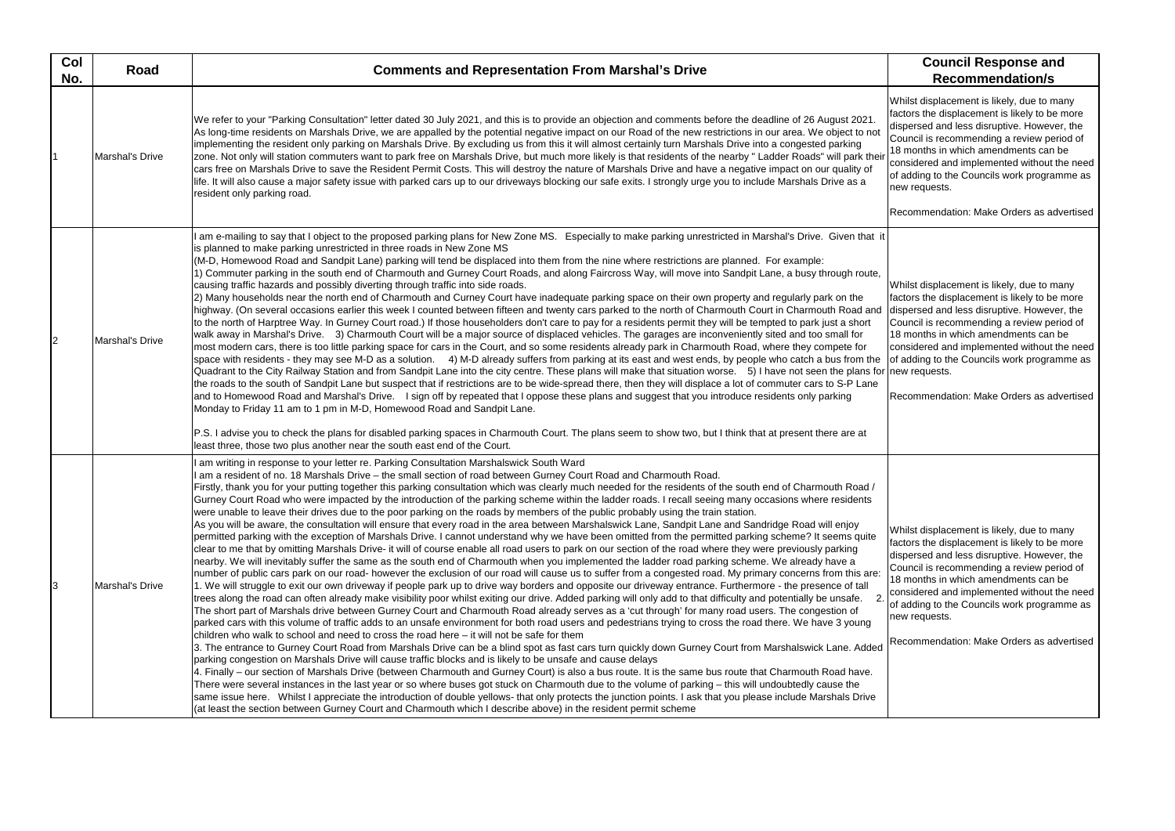Whilst displacement is likely, due to many factors the displacement is likely to be more dispersed and less disruptive. However, the Council is recommending a review period of 18 months in which amendments can be considered and implemented without the need of adding to the Councils work programme as new requests.

Recommendation: Make Orders as advertised

| Col<br>No. | <b>Road</b>     | <b>Comments and Representation From Marshal's Drive</b>                                                                                                                                                                                                                                                                                                                                                                                                                                                                                                                                                                                                                                                                                                                                                                                                                                                                                                                                                                                                                                                                                                                                                                                                                                                                                                                                                                                                                                                                                                                                                                                                                                                                                                                                                                                                                                                                                                                                                                                                                                                                                                                                                                                                                                                                                                                                                                                                                                                                                                                                                                                                                                                                                                                                                                                                                                                                                                                                                                                                                                                         | <b>Council Response and</b><br><b>Recommendation/s</b>                                                                                                                                                                                                                                                                                                            |
|------------|-----------------|-----------------------------------------------------------------------------------------------------------------------------------------------------------------------------------------------------------------------------------------------------------------------------------------------------------------------------------------------------------------------------------------------------------------------------------------------------------------------------------------------------------------------------------------------------------------------------------------------------------------------------------------------------------------------------------------------------------------------------------------------------------------------------------------------------------------------------------------------------------------------------------------------------------------------------------------------------------------------------------------------------------------------------------------------------------------------------------------------------------------------------------------------------------------------------------------------------------------------------------------------------------------------------------------------------------------------------------------------------------------------------------------------------------------------------------------------------------------------------------------------------------------------------------------------------------------------------------------------------------------------------------------------------------------------------------------------------------------------------------------------------------------------------------------------------------------------------------------------------------------------------------------------------------------------------------------------------------------------------------------------------------------------------------------------------------------------------------------------------------------------------------------------------------------------------------------------------------------------------------------------------------------------------------------------------------------------------------------------------------------------------------------------------------------------------------------------------------------------------------------------------------------------------------------------------------------------------------------------------------------------------------------------------------------------------------------------------------------------------------------------------------------------------------------------------------------------------------------------------------------------------------------------------------------------------------------------------------------------------------------------------------------------------------------------------------------------------------------------------------------|-------------------------------------------------------------------------------------------------------------------------------------------------------------------------------------------------------------------------------------------------------------------------------------------------------------------------------------------------------------------|
|            | Marshal's Drive | We refer to your "Parking Consultation" letter dated 30 July 2021, and this is to provide an objection and comments before the deadline of 26 August 2021.<br>As long-time residents on Marshals Drive, we are appalled by the potential negative impact on our Road of the new restrictions in our area. We object to not<br>implementing the resident only parking on Marshals Drive. By excluding us from this it will almost certainly turn Marshals Drive into a congested parking<br>zone. Not only will station commuters want to park free on Marshals Drive, but much more likely is that residents of the nearby "Ladder Roads" will park their<br>cars free on Marshals Drive to save the Resident Permit Costs. This will destroy the nature of Marshals Drive and have a negative impact on our quality of<br>life. It will also cause a major safety issue with parked cars up to our driveways blocking our safe exits. I strongly urge you to include Marshals Drive as a<br>resident only parking road.                                                                                                                                                                                                                                                                                                                                                                                                                                                                                                                                                                                                                                                                                                                                                                                                                                                                                                                                                                                                                                                                                                                                                                                                                                                                                                                                                                                                                                                                                                                                                                                                                                                                                                                                                                                                                                                                                                                                                                                                                                                                                        | Whilst displacement is likely, due to mar<br>factors the displacement is likely to be m<br>dispersed and less disruptive. However,<br>Council is recommending a review perio<br>18 months in which amendments can be<br>considered and implemented without the<br>of adding to the Councils work programn<br>new requests.<br>Recommendation: Make Orders as adve |
|            | Marshal's Drive | am e-mailing to say that I object to the proposed parking plans for New Zone MS. Especially to make parking unrestricted in Marshal's Drive. Given that it<br>is planned to make parking unrestricted in three roads in New Zone MS<br>(M-D, Homewood Road and Sandpit Lane) parking will tend be displaced into them from the nine where restrictions are planned. For example:<br>1) Commuter parking in the south end of Charmouth and Gurney Court Roads, and along Faircross Way, will move into Sandpit Lane, a busy through route,<br>causing traffic hazards and possibly diverting through traffic into side roads.<br>2) Many households near the north end of Charmouth and Curney Court have inadequate parking space on their own property and regularly park on the<br>highway. (On several occasions earlier this week I counted between fifteen and twenty cars parked to the north of Charmouth Court in Charmouth Road and<br>to the north of Harptree Way. In Gurney Court road.) If those householders don't care to pay for a residents permit they will be tempted to park just a short<br>walk away in Marshal's Drive. 3) Charmouth Court will be a major source of displaced vehicles. The garages are inconveniently sited and too small for<br>most modern cars, there is too little parking space for cars in the Court, and so some residents already park in Charmouth Road, where they compete for<br>space with residents - they may see M-D as a solution. 4) M-D already suffers from parking at its east and west ends, by people who catch a bus from the<br>Quadrant to the City Railway Station and from Sandpit Lane into the city centre. These plans will make that situation worse. 5) I have not seen the plans for new requests.<br>the roads to the south of Sandpit Lane but suspect that if restrictions are to be wide-spread there, then they will displace a lot of commuter cars to S-P Lane<br>and to Homewood Road and Marshal's Drive. I sign off by repeated that I oppose these plans and suggest that you introduce residents only parking<br>Monday to Friday 11 am to 1 pm in M-D, Homewood Road and Sandpit Lane.<br>P.S. I advise you to check the plans for disabled parking spaces in Charmouth Court. The plans seem to show two, but I think that at present there are at<br>least three, those two plus another near the south east end of the Court.                                                                                                                                                                                                                                                                                                                                                                                                                                                                                                                                                                                                                                                                                         | Whilst displacement is likely, due to mar<br>factors the displacement is likely to be m<br>dispersed and less disruptive. However,<br>Council is recommending a review perio<br>18 months in which amendments can be<br>considered and implemented without the<br>of adding to the Councils work programn<br>Recommendation: Make Orders as adve                  |
|            | Marshal's Drive | am writing in response to your letter re. Parking Consultation Marshalswick South Ward<br>am a resident of no. 18 Marshals Drive - the small section of road between Gurney Court Road and Charmouth Road.<br>Firstly, thank you for your putting together this parking consultation which was clearly much needed for the residents of the south end of Charmouth Road /<br>Gurney Court Road who were impacted by the introduction of the parking scheme within the ladder roads. I recall seeing many occasions where residents<br>were unable to leave their drives due to the poor parking on the roads by members of the public probably using the train station.<br>As you will be aware, the consultation will ensure that every road in the area between Marshalswick Lane, Sandpit Lane and Sandridge Road will enjoy<br>permitted parking with the exception of Marshals Drive. I cannot understand why we have been omitted from the permitted parking scheme? It seems quite<br>clear to me that by omitting Marshals Drive- it will of course enable all road users to park on our section of the road where they were previously parking<br>nearby. We will inevitably suffer the same as the south end of Charmouth when you implemented the ladder road parking scheme. We already have a<br>number of public cars park on our road- however the exclusion of our road will cause us to suffer from a congested road. My primary concerns from this are:<br>1. We will struggle to exit our own driveway if people park up to drive way borders and opposite our driveway entrance. Furthermore - the presence of tall<br>2.<br>trees along the road can often already make visibility poor whilst exiting our drive. Added parking will only add to that difficulty and potentially be unsafe.<br>The short part of Marshals drive between Gurney Court and Charmouth Road already serves as a 'cut through' for many road users. The congestion of<br>parked cars with this volume of traffic adds to an unsafe environment for both road users and pedestrians trying to cross the road there. We have 3 young<br>children who walk to school and need to cross the road here - it will not be safe for them<br>3. The entrance to Gurney Court Road from Marshals Drive can be a blind spot as fast cars turn quickly down Gurney Court from Marshalswick Lane. Added<br>parking congestion on Marshals Drive will cause traffic blocks and is likely to be unsafe and cause delays<br>4. Finally – our section of Marshals Drive (between Charmouth and Gurney Court) is also a bus route. It is the same bus route that Charmouth Road have.<br>There were several instances in the last year or so where buses got stuck on Charmouth due to the volume of parking - this will undoubtedly cause the<br>same issue here. Whilst I appreciate the introduction of double yellows- that only protects the junction points. I ask that you please include Marshals Drive<br>(at least the section between Gurney Court and Charmouth which I describe above) in the resident permit scheme | Whilst displacement is likely, due to mar<br>factors the displacement is likely to be m<br>dispersed and less disruptive. However,<br>Council is recommending a review perio<br>18 months in which amendments can be<br>considered and implemented without the<br>of adding to the Councils work programn<br>new requests.<br>Recommendation: Make Orders as adve |

Whilst displacement is likely, due to many factors the displacement is likely to be more dispersed and less disruptive. However, the Council is recommending a review period of 18 months in which amendments can be considered and implemented without the need of adding to the Councils work programme as new requests.

Recommendation: Make Orders as advertised

Whilst displacement is likely, due to many factors the displacement is likely to be more dispersed and less disruptive. However, the Council is recommending a review period of 18 months in which amendments can be considered and implemented without the need of adding to the Councils work programme as new requests.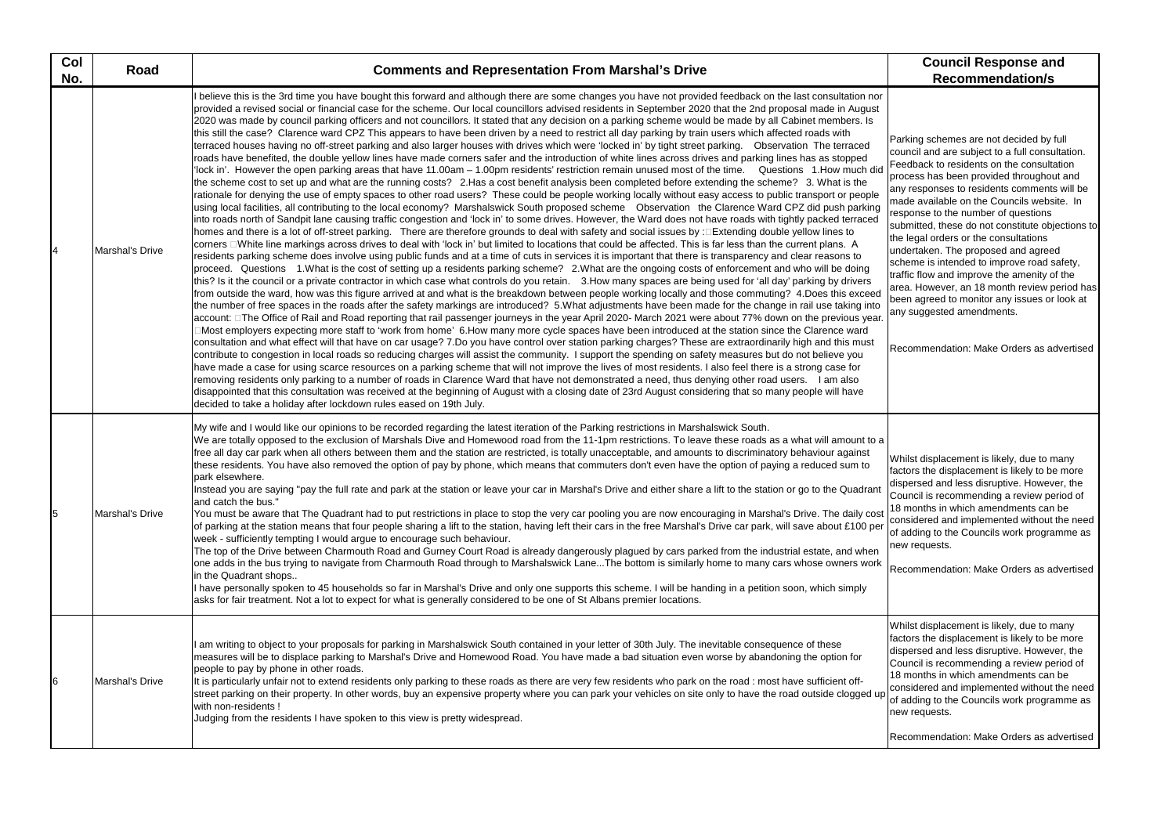| Col<br>No. | Road            | <b>Comments and Representation From Marshal's Drive</b>                                                                                                                                                                                                                                                                                                                                                                                                                                                                                                                                                                                                                                                                                                                                                                                                                                                                                                                                                                                                                                                                                                                                                                                                                                                                                                                                                                                                                                                                                                                                                                                                                                                                                                                                                                                                                                                                                                                                                                                                                                                                                                                                                                                                                                                                                                                                                                                                                                                                                                                                                                                                                                                                                                                                                                                                                                                                                                                                                                                                                                                                                                                                                                                                                                                                                                                                                                                                                                                                                                                                                                                                                                                                                                                                                                                                                                                                                                                                                                                                                                                               | <b>Council Response and</b><br><b>Recommendation/s</b>                                                                                                                                                                                                                                                                                                                                                                                                                                                                                                                                                                                                                                   |
|------------|-----------------|-----------------------------------------------------------------------------------------------------------------------------------------------------------------------------------------------------------------------------------------------------------------------------------------------------------------------------------------------------------------------------------------------------------------------------------------------------------------------------------------------------------------------------------------------------------------------------------------------------------------------------------------------------------------------------------------------------------------------------------------------------------------------------------------------------------------------------------------------------------------------------------------------------------------------------------------------------------------------------------------------------------------------------------------------------------------------------------------------------------------------------------------------------------------------------------------------------------------------------------------------------------------------------------------------------------------------------------------------------------------------------------------------------------------------------------------------------------------------------------------------------------------------------------------------------------------------------------------------------------------------------------------------------------------------------------------------------------------------------------------------------------------------------------------------------------------------------------------------------------------------------------------------------------------------------------------------------------------------------------------------------------------------------------------------------------------------------------------------------------------------------------------------------------------------------------------------------------------------------------------------------------------------------------------------------------------------------------------------------------------------------------------------------------------------------------------------------------------------------------------------------------------------------------------------------------------------------------------------------------------------------------------------------------------------------------------------------------------------------------------------------------------------------------------------------------------------------------------------------------------------------------------------------------------------------------------------------------------------------------------------------------------------------------------------------------------------------------------------------------------------------------------------------------------------------------------------------------------------------------------------------------------------------------------------------------------------------------------------------------------------------------------------------------------------------------------------------------------------------------------------------------------------------------------------------------------------------------------------------------------------------------------------------------------------------------------------------------------------------------------------------------------------------------------------------------------------------------------------------------------------------------------------------------------------------------------------------------------------------------------------------------------------------------------------------------------------------------------------------------------------|------------------------------------------------------------------------------------------------------------------------------------------------------------------------------------------------------------------------------------------------------------------------------------------------------------------------------------------------------------------------------------------------------------------------------------------------------------------------------------------------------------------------------------------------------------------------------------------------------------------------------------------------------------------------------------------|
|            | Marshal's Drive | I believe this is the 3rd time you have bought this forward and although there are some changes you have not provided feedback on the last consultation nor<br>provided a revised social or financial case for the scheme. Our local councillors advised residents in September 2020 that the 2nd proposal made in August<br>2020 was made by council parking officers and not councillors. It stated that any decision on a parking scheme would be made by all Cabinet members. Is<br>this still the case? Clarence ward CPZ This appears to have been driven by a need to restrict all day parking by train users which affected roads with<br>terraced houses having no off-street parking and also larger houses with drives which were 'locked in' by tight street parking.  Observation The terraced<br>roads have benefited, the double yellow lines have made corners safer and the introduction of white lines across drives and parking lines has as stopped<br>'lock in'. However the open parking areas that have 11.00am – 1.00pm residents' restriction remain unused most of the time. Questions 1.How much did<br>the scheme cost to set up and what are the running costs? 2.Has a cost benefit analysis been completed before extending the scheme? 3. What is the<br>rationale for denying the use of empty spaces to other road users? These could be people working locally without easy access to public transport or people<br>using local facilities, all contributing to the local economy? Marshalswick South proposed scheme Observation the Clarence Ward CPZ did push parking<br>into roads north of Sandpit lane causing traffic congestion and 'lock in' to some drives. However, the Ward does not have roads with tightly packed terraced<br> homes and there is a lot of off-street parking. There are therefore grounds to deal with safety and social issues by :□Extending double yellow lines to<br>corners □White line markings across drives to deal with 'lock in' but limited to locations that could be affected. This is far less than the current plans. A<br>residents parking scheme does involve using public funds and at a time of cuts in services it is important that there is transparency and clear reasons to<br>proceed. Questions 1. What is the cost of setting up a residents parking scheme? 2. What are the ongoing costs of enforcement and who will be doing<br>this? Is it the council or a private contractor in which case what controls do you retain. 3. How many spaces are being used for 'all day' parking by drivers<br>from outside the ward, how was this figure arrived at and what is the breakdown between people working locally and those commuting? 4.Does this exceed<br>the number of free spaces in the roads after the safety markings are introduced? 5.What adjustments have been made for the change in rail use taking into<br> account: □The Office of Rail and Road reporting that rail passenger journeys in the year April 2020- March 2021 were about 77% down on the previous year.<br>∃Most employers expecting more staff to 'work from home' 6.How many more cycle spaces have been introduced at the station since the Clarence ward<br>consultation and what effect will that have on car usage? 7.Do you have control over station parking charges? These are extraordinarily high and this must<br>contribute to congestion in local roads so reducing charges will assist the community. I support the spending on safety measures but do not believe you<br>have made a case for using scarce resources on a parking scheme that will not improve the lives of most residents. I also feel there is a strong case for<br>removing residents only parking to a number of roads in Clarence Ward that have not demonstrated a need, thus denying other road users. I am also<br>disappointed that this consultation was received at the beginning of August with a closing date of 23rd August considering that so many people will have<br>decided to take a holiday after lockdown rules eased on 19th July. | Parking schemes are not decided by full<br>council and are subject to a full consultat<br>Feedback to residents on the consultation<br>process has been provided throughout a<br>any responses to residents comments w<br>made available on the Councils website.<br>response to the number of questions<br>submitted, these do not constitute object<br>the legal orders or the consultations<br>undertaken. The proposed and agreed<br>scheme is intended to improve road safe<br>traffic flow and improve the amenity of th<br>area. However, an 18 month review peri<br>been agreed to monitor any issues or loo<br>any suggested amendments.<br>Recommendation: Make Orders as adve |
|            | Marshal's Drive | My wife and I would like our opinions to be recorded regarding the latest iteration of the Parking restrictions in Marshalswick South.<br>We are totally opposed to the exclusion of Marshals Dive and Homewood road from the 11-1pm restrictions. To leave these roads as a what will amount to a<br>free all day car park when all others between them and the station are restricted, is totally unacceptable, and amounts to discriminatory behaviour against<br>these residents. You have also removed the option of pay by phone, which means that commuters don't even have the option of paying a reduced sum to<br>park elsewhere.<br>Instead you are saying "pay the full rate and park at the station or leave your car in Marshal's Drive and either share a lift to the station or go to the Quadrant<br>and catch the bus."<br>You must be aware that The Quadrant had to put restrictions in place to stop the very car pooling you are now encouraging in Marshal's Drive. The daily cost<br>of parking at the station means that four people sharing a lift to the station, having left their cars in the free Marshal's Drive car park, will save about £100 per<br>week - sufficiently tempting I would argue to encourage such behaviour.<br>The top of the Drive between Charmouth Road and Gurney Court Road is already dangerously plagued by cars parked from the industrial estate, and when<br>one adds in the bus trying to navigate from Charmouth Road through to Marshalswick LaneThe bottom is similarly home to many cars whose owners work<br>in the Quadrant shops<br>I have personally spoken to 45 households so far in Marshal's Drive and only one supports this scheme. I will be handing in a petition soon, which simply<br>asks for fair treatment. Not a lot to expect for what is generally considered to be one of St Albans premier locations.                                                                                                                                                                                                                                                                                                                                                                                                                                                                                                                                                                                                                                                                                                                                                                                                                                                                                                                                                                                                                                                                                                                                                                                                                                                                                                                                                                                                                                                                                                                                                                                                                                                                                                                                                                                                                                                                                                                                                                                                                                                                                                                                                                                                                          | Whilst displacement is likely, due to mar<br>factors the displacement is likely to be m<br>dispersed and less disruptive. However,<br>Council is recommending a review perio<br>18 months in which amendments can be<br>considered and implemented without the<br>of adding to the Councils work programn<br>new requests.<br>Recommendation: Make Orders as adve                                                                                                                                                                                                                                                                                                                        |
| 6          | Marshal's Drive | am writing to object to your proposals for parking in Marshalswick South contained in your letter of 30th July. The inevitable consequence of these<br>measures will be to displace parking to Marshal's Drive and Homewood Road. You have made a bad situation even worse by abandoning the option for<br>people to pay by phone in other roads.<br>It is particularly unfair not to extend residents only parking to these roads as there are very few residents who park on the road : most have sufficient off-<br>street parking on their property. In other words, buy an expensive property where you can park your vehicles on site only to have the road outside clogged up<br>with non-residents !<br>Judging from the residents I have spoken to this view is pretty widespread.                                                                                                                                                                                                                                                                                                                                                                                                                                                                                                                                                                                                                                                                                                                                                                                                                                                                                                                                                                                                                                                                                                                                                                                                                                                                                                                                                                                                                                                                                                                                                                                                                                                                                                                                                                                                                                                                                                                                                                                                                                                                                                                                                                                                                                                                                                                                                                                                                                                                                                                                                                                                                                                                                                                                                                                                                                                                                                                                                                                                                                                                                                                                                                                                                                                                                                                           | Whilst displacement is likely, due to mar<br>factors the displacement is likely to be m<br>dispersed and less disruptive. However,<br>Council is recommending a review perio<br>18 months in which amendments can be<br>considered and implemented without the<br>of adding to the Councils work programn<br>new requests.<br>Recommendation: Make Orders as adve                                                                                                                                                                                                                                                                                                                        |

Parking schemes are not decided by full council and are subject to a full consultation. Feedback to residents on the consultation process has been provided throughout and any responses to residents comments will be made available on the Councils website. In response to the number of questions submitted, these do not constitute objections to the legal orders or the consultations undertaken. The proposed and agreed scheme is intended to improve road safety, traffic flow and improve the amenity of the area. However, an 18 month review period has been agreed to monitor any issues or look at any suggested amendments.

Recommendation: Make Orders as advertised

Whilst displacement is likely, due to many factors the displacement is likely to be more dispersed and less disruptive. However, the Council is recommending a review period of 18 months in which amendments can be considered and implemented without the need of adding to the Councils work programme as new requests.

Recommendation: Make Orders as advertised

Whilst displacement is likely, due to many factors the displacement is likely to be more dispersed and less disruptive. However, the Council is recommending a review period of 18 months in which amendments can be considered and implemented without the need of adding to the Councils work programme as new requests.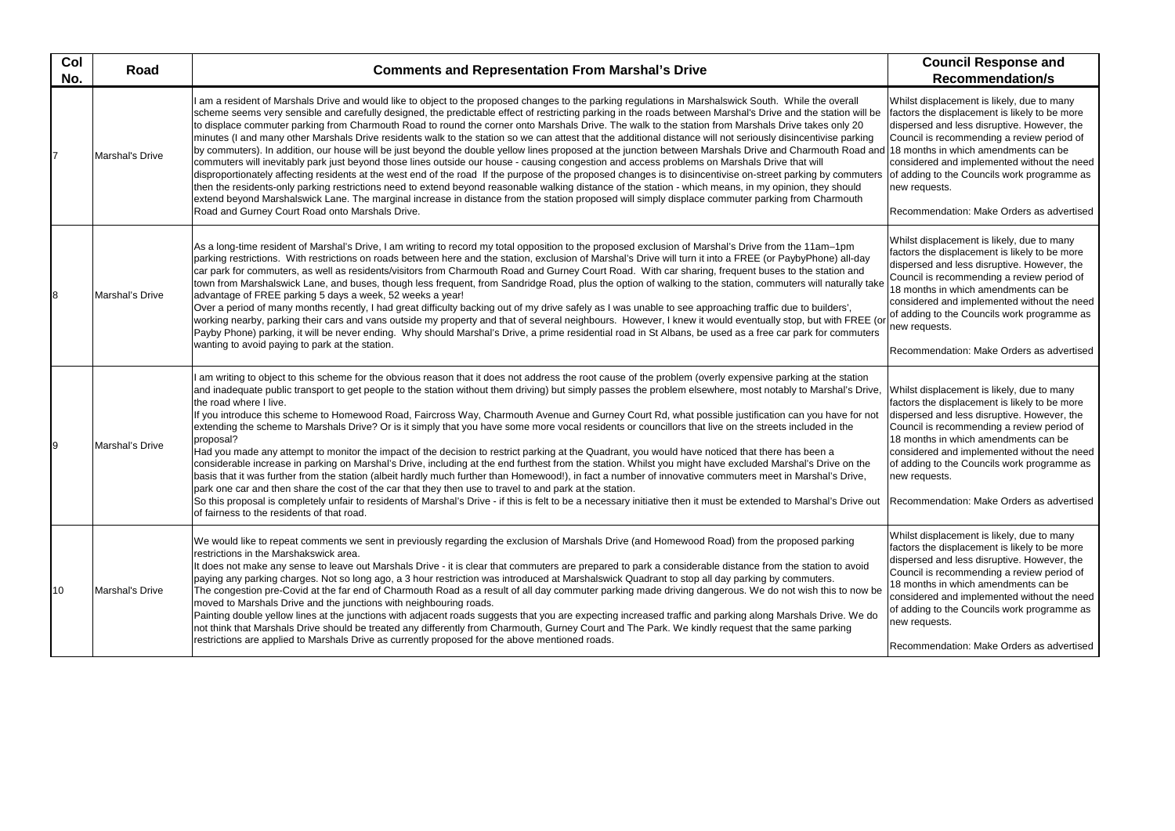Whilst displacement is likely, due to many factors the displacement is likely to be more dispersed and less disruptive. However, the Council is recommending a review period of 18 months in which amendments can be considered and implemented without the need of adding to the Councils work programme as new requests.

Recommendation: Make Orders as advertised

| Col<br>No. | <b>Road</b>     | <b>Comments and Representation From Marshal's Drive</b>                                                                                                                                                                                                                                                                                                                                                                                                                                                                                                                                                                                                                                                                                                                                                                                                                                                                                                                                                                                                                                                                                                                                                                                                                                                                                                                                                                                                                                                                                   | <b>Council Response and</b><br><b>Recommendation/s</b>                                                                                                                                                                                                                                                                                                            |
|------------|-----------------|-------------------------------------------------------------------------------------------------------------------------------------------------------------------------------------------------------------------------------------------------------------------------------------------------------------------------------------------------------------------------------------------------------------------------------------------------------------------------------------------------------------------------------------------------------------------------------------------------------------------------------------------------------------------------------------------------------------------------------------------------------------------------------------------------------------------------------------------------------------------------------------------------------------------------------------------------------------------------------------------------------------------------------------------------------------------------------------------------------------------------------------------------------------------------------------------------------------------------------------------------------------------------------------------------------------------------------------------------------------------------------------------------------------------------------------------------------------------------------------------------------------------------------------------|-------------------------------------------------------------------------------------------------------------------------------------------------------------------------------------------------------------------------------------------------------------------------------------------------------------------------------------------------------------------|
|            | Marshal's Drive | I am a resident of Marshals Drive and would like to object to the proposed changes to the parking regulations in Marshalswick South. While the overall<br>scheme seems very sensible and carefully designed, the predictable effect of restricting parking in the roads between Marshal's Drive and the station will be<br>to displace commuter parking from Charmouth Road to round the corner onto Marshals Drive. The walk to the station from Marshals Drive takes only 20<br>minutes (I and many other Marshals Drive residents walk to the station so we can attest that the additional distance will not seriously disincentivise parking<br>by commuters). In addition, our house will be just beyond the double yellow lines proposed at the junction between Marshals Drive and Charmouth Road and 18 months in which amendments can be<br>commuters will inevitably park just beyond those lines outside our house - causing congestion and access problems on Marshals Drive that will<br>disproportionately affecting residents at the west end of the road If the purpose of the proposed changes is to disincentivise on-street parking by commuters<br>then the residents-only parking restrictions need to extend beyond reasonable walking distance of the station - which means, in my opinion, they should<br>extend beyond Marshalswick Lane. The marginal increase in distance from the station proposed will simply displace commuter parking from Charmouth<br>Road and Gurney Court Road onto Marshals Drive.    | Whilst displacement is likely, due to mar<br>factors the displacement is likely to be m<br>dispersed and less disruptive. However,<br>Council is recommending a review perio<br>considered and implemented without the<br>of adding to the Councils work programn<br>new requests.<br>Recommendation: Make Orders as adve                                         |
|            | Marshal's Drive | As a long-time resident of Marshal's Drive, I am writing to record my total opposition to the proposed exclusion of Marshal's Drive from the 11am-1pm<br>parking restrictions. With restrictions on roads between here and the station, exclusion of Marshal's Drive will turn it into a FREE (or PaybyPhone) all-day<br>car park for commuters, as well as residents/visitors from Charmouth Road and Gurney Court Road. With car sharing, frequent buses to the station and<br>town from Marshalswick Lane, and buses, though less frequent, from Sandridge Road, plus the option of walking to the station, commuters will naturally take<br>advantage of FREE parking 5 days a week, 52 weeks a year!<br>Over a period of many months recently, I had great difficulty backing out of my drive safely as I was unable to see approaching traffic due to builders',<br>working nearby, parking their cars and vans outside my property and that of several neighbours. However, I knew it would eventually stop, but with FREE (or<br>Payby Phone) parking, it will be never ending. Why should Marshal's Drive, a prime residential road in St Albans, be used as a free car park for commuters<br>wanting to avoid paying to park at the station.                                                                                                                                                                                                                                                                                    | Whilst displacement is likely, due to mar<br>factors the displacement is likely to be m<br>dispersed and less disruptive. However,<br>Council is recommending a review perio<br>18 months in which amendments can be<br>considered and implemented without the<br>of adding to the Councils work programn<br>new requests.<br>Recommendation: Make Orders as adve |
|            | Marshal's Drive | am writing to object to this scheme for the obvious reason that it does not address the root cause of the problem (overly expensive parking at the station<br>and inadequate public transport to get people to the station without them driving) but simply passes the problem elsewhere, most notably to Marshal's Drive,<br>the road where I live.<br>If you introduce this scheme to Homewood Road, Faircross Way, Charmouth Avenue and Gurney Court Rd, what possible justification can you have for not<br>extending the scheme to Marshals Drive? Or is it simply that you have some more vocal residents or councillors that live on the streets included in the<br>proposal?<br>Had you made any attempt to monitor the impact of the decision to restrict parking at the Quadrant, you would have noticed that there has been a<br>considerable increase in parking on Marshal's Drive, including at the end furthest from the station. Whilst you might have excluded Marshal's Drive on the<br>basis that it was further from the station (albeit hardly much further than Homewood!), in fact a number of innovative commuters meet in Marshal's Drive,<br>park one car and then share the cost of the car that they then use to travel to and park at the station.<br>So this proposal is completely unfair to residents of Marshal's Drive - if this is felt to be a necessary initiative then it must be extended to Marshal's Drive out Recommendation: Make Orders as adve<br>of fairness to the residents of that road. | Whilst displacement is likely, due to mar<br>factors the displacement is likely to be m<br>dispersed and less disruptive. However,<br>Council is recommending a review perio<br>18 months in which amendments can be<br>considered and implemented without the<br>of adding to the Councils work programn<br>new requests.                                        |
| 10         | Marshal's Drive | We would like to repeat comments we sent in previously regarding the exclusion of Marshals Drive (and Homewood Road) from the proposed parking<br>restrictions in the Marshakswick area.<br>It does not make any sense to leave out Marshals Drive - it is clear that commuters are prepared to park a considerable distance from the station to avoid<br>paying any parking charges. Not so long ago, a 3 hour restriction was introduced at Marshalswick Quadrant to stop all day parking by commuters.<br>The congestion pre-Covid at the far end of Charmouth Road as a result of all day commuter parking made driving dangerous. We do not wish this to now be<br>moved to Marshals Drive and the junctions with neighbouring roads.<br>Painting double yellow lines at the junctions with adjacent roads suggests that you are expecting increased traffic and parking along Marshals Drive. We do<br>not think that Marshals Drive should be treated any differently from Charmouth, Gurney Court and The Park. We kindly request that the same parking<br>restrictions are applied to Marshals Drive as currently proposed for the above mentioned roads.                                                                                                                                                                                                                                                                                                                                                                        | Whilst displacement is likely, due to mar<br>factors the displacement is likely to be m<br>dispersed and less disruptive. However,<br>Council is recommending a review perio<br>18 months in which amendments can be<br>considered and implemented without the<br>of adding to the Councils work programn<br>new requests.<br>Recommendation: Make Orders as adve |

Whilst displacement is likely, due to many factors the displacement is likely to be more dispersed and less disruptive. However, the Council is recommending a review period of 18 months in which amendments can be considered and implemented without the need of adding to the Councils work programme as new requests.

Recommendation: Make Orders as advertised

Whilst displacement is likely, due to many factors the displacement is likely to be more dispersed and less disruptive. However, the Council is recommending a review period of 18 months in which amendments can be considered and implemented without the need of adding to the Councils work programme as new requests.

Recommendation: Make Orders as advertised

Whilst displacement is likely, due to many factors the displacement is likely to be more dispersed and less disruptive. However, the Council is recommending a review period of 18 months in which amendments can be considered and implemented without the need of adding to the Councils work programme as new requests.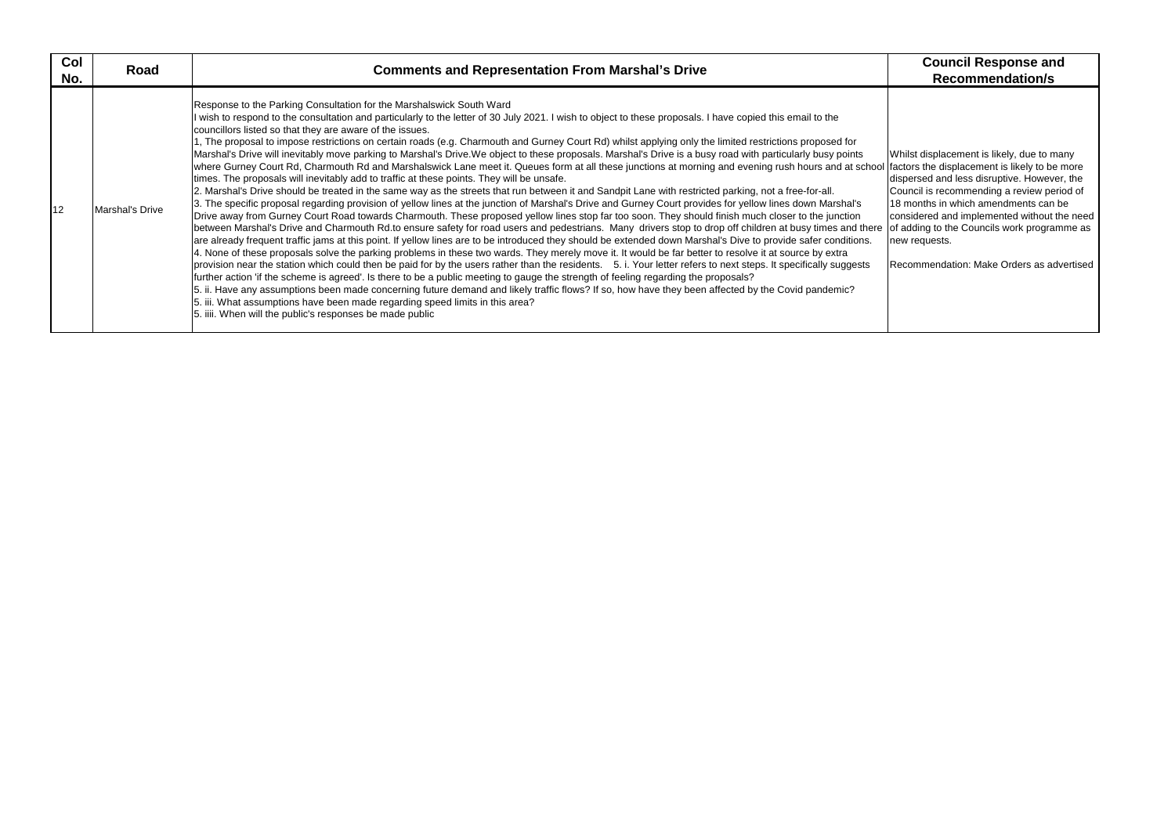| Col<br>No. | Road            | <b>Comments and Representation From Marshal's Drive</b>                                                                                                                                                                                                                                                                                                                                                                                                                                                                                                                                                                                                                                                                                                                                                                                                                                                                                                                                                                                                                                                                                                                                                                                                                                                                                                                                                                                                                                                                                                                                                                                                                                                                                                                                                                                                                                                                                                                                                                                                                                                                                                                                                                                                                                                                                                                                                                                                     | <b>Council Response and</b><br><b>Recommendation/s</b>                                                                                                                                                                                                                                                                                                            |
|------------|-----------------|-------------------------------------------------------------------------------------------------------------------------------------------------------------------------------------------------------------------------------------------------------------------------------------------------------------------------------------------------------------------------------------------------------------------------------------------------------------------------------------------------------------------------------------------------------------------------------------------------------------------------------------------------------------------------------------------------------------------------------------------------------------------------------------------------------------------------------------------------------------------------------------------------------------------------------------------------------------------------------------------------------------------------------------------------------------------------------------------------------------------------------------------------------------------------------------------------------------------------------------------------------------------------------------------------------------------------------------------------------------------------------------------------------------------------------------------------------------------------------------------------------------------------------------------------------------------------------------------------------------------------------------------------------------------------------------------------------------------------------------------------------------------------------------------------------------------------------------------------------------------------------------------------------------------------------------------------------------------------------------------------------------------------------------------------------------------------------------------------------------------------------------------------------------------------------------------------------------------------------------------------------------------------------------------------------------------------------------------------------------------------------------------------------------------------------------------------------------|-------------------------------------------------------------------------------------------------------------------------------------------------------------------------------------------------------------------------------------------------------------------------------------------------------------------------------------------------------------------|
| 12         | Marshal's Drive | Response to the Parking Consultation for the Marshalswick South Ward<br>wish to respond to the consultation and particularly to the letter of 30 July 2021. I wish to object to these proposals. I have copied this email to the<br>councillors listed so that they are aware of the issues.<br>, The proposal to impose restrictions on certain roads (e.g. Charmouth and Gurney Court Rd) whilst applying only the limited restrictions proposed for<br>Marshal's Drive will inevitably move parking to Marshal's Drive.We object to these proposals. Marshal's Drive is a busy road with particularly busy points<br>where Gurney Court Rd, Charmouth Rd and Marshalswick Lane meet it. Queues form at all these junctions at morning and evening rush hours and at school<br>times. The proposals will inevitably add to traffic at these points. They will be unsafe.<br>2. Marshal's Drive should be treated in the same way as the streets that run between it and Sandpit Lane with restricted parking, not a free-for-all.<br>3. The specific proposal regarding provision of yellow lines at the junction of Marshal's Drive and Gurney Court provides for yellow lines down Marshal's<br>Drive away from Gurney Court Road towards Charmouth. These proposed yellow lines stop far too soon. They should finish much closer to the junction<br>between Marshal's Drive and Charmouth Rd.to ensure safety for road users and pedestrians. Many drivers stop to drop off children at busy times and there<br>are already frequent traffic jams at this point. If yellow lines are to be introduced they should be extended down Marshal's Dive to provide safer conditions.<br>4. None of these proposals solve the parking problems in these two wards. They merely move it. It would be far better to resolve it at source by extra<br>provision near the station which could then be paid for by the users rather than the residents. 5. i. Your letter refers to next steps. It specifically suggests<br>further action 'if the scheme is agreed'. Is there to be a public meeting to gauge the strength of feeling regarding the proposals?<br>5. ii. Have any assumptions been made concerning future demand and likely traffic flows? If so, how have they been affected by the Covid pandemic?<br>5. iii. What assumptions have been made regarding speed limits in this area?<br>5. iiii. When will the public's responses be made public | Whilst displacement is likely, due to mar<br>factors the displacement is likely to be m<br>dispersed and less disruptive. However,<br>Council is recommending a review perio<br>18 months in which amendments can be<br>considered and implemented without the<br>of adding to the Councils work programn<br>new requests.<br>Recommendation: Make Orders as adve |

Whilst displacement is likely, due to many factors the displacement is likely to be more dispersed and less disruptive. However, the Council is recommending a review period of 18 months in which amendments can be considered and implemented without the need of adding to the Councils work programme as new requests.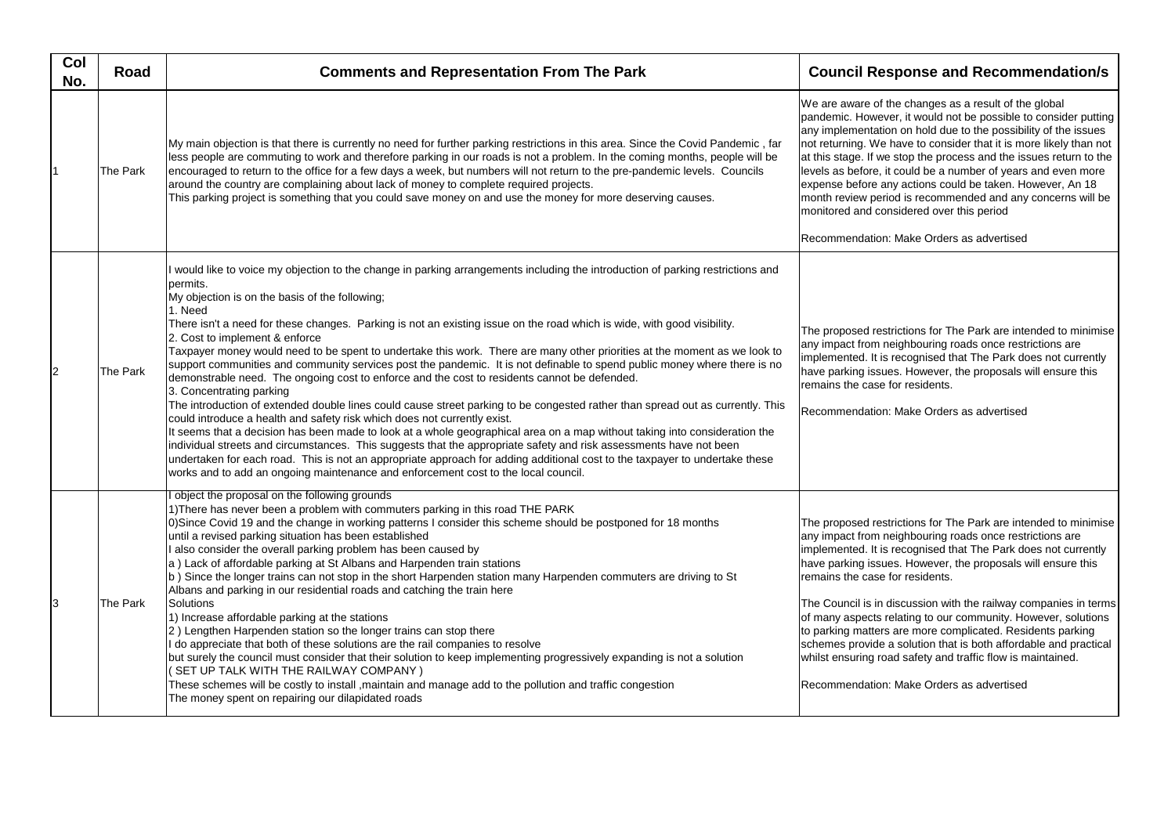| Col<br>No.     | Road     | <b>Comments and Representation From The Park</b>                                                                                                                                                                                                                                                                                                                                                                                                                                                                                                                                                                                                                                                                                                                                                                                                                                                                                                                                                                                                                                                                                                                                                                                                                                                                                                                                                                                                   | <b>Council Re</b>                                                                                                                                                                                                             |
|----------------|----------|----------------------------------------------------------------------------------------------------------------------------------------------------------------------------------------------------------------------------------------------------------------------------------------------------------------------------------------------------------------------------------------------------------------------------------------------------------------------------------------------------------------------------------------------------------------------------------------------------------------------------------------------------------------------------------------------------------------------------------------------------------------------------------------------------------------------------------------------------------------------------------------------------------------------------------------------------------------------------------------------------------------------------------------------------------------------------------------------------------------------------------------------------------------------------------------------------------------------------------------------------------------------------------------------------------------------------------------------------------------------------------------------------------------------------------------------------|-------------------------------------------------------------------------------------------------------------------------------------------------------------------------------------------------------------------------------|
|                | The Park | My main objection is that there is currently no need for further parking restrictions in this area. Since the Covid Pandemic, far<br>less people are commuting to work and therefore parking in our roads is not a problem. In the coming months, people will be<br>encouraged to return to the office for a few days a week, but numbers will not return to the pre-pandemic levels. Councils<br>around the country are complaining about lack of money to complete required projects.<br>This parking project is something that you could save money on and use the money for more deserving causes.                                                                                                                                                                                                                                                                                                                                                                                                                                                                                                                                                                                                                                                                                                                                                                                                                                             | We are aware of<br>pandemic. Howey<br>any implementati<br>not returning. We<br>at this stage. If we<br>levels as before,<br>expense before a<br>month review per<br>monitored and co<br>Recommendation                        |
| $\overline{2}$ | The Park | I would like to voice my objection to the change in parking arrangements including the introduction of parking restrictions and<br>permits.<br>My objection is on the basis of the following;<br>1. Need<br>There isn't a need for these changes. Parking is not an existing issue on the road which is wide, with good visibility.<br>2. Cost to implement & enforce<br>Taxpayer money would need to be spent to undertake this work. There are many other priorities at the moment as we look to<br>support communities and community services post the pandemic. It is not definable to spend public money where there is no<br>demonstrable need. The ongoing cost to enforce and the cost to residents cannot be defended.<br>3. Concentrating parking<br>The introduction of extended double lines could cause street parking to be congested rather than spread out as currently. This<br>could introduce a health and safety risk which does not currently exist.<br>It seems that a decision has been made to look at a whole geographical area on a map without taking into consideration the<br>individual streets and circumstances. This suggests that the appropriate safety and risk assessments have not been<br>undertaken for each road. This is not an appropriate approach for adding additional cost to the taxpayer to undertake these<br>works and to add an ongoing maintenance and enforcement cost to the local council. | The proposed res<br>any impact from r<br>implemented. It is<br>have parking issu<br>remains the case<br>Recommendation                                                                                                        |
| 3              | The Park | object the proposal on the following grounds<br>1) There has never been a problem with commuters parking in this road THE PARK<br>0)Since Covid 19 and the change in working patterns I consider this scheme should be postponed for 18 months<br>until a revised parking situation has been established<br>also consider the overall parking problem has been caused by<br>a) Lack of affordable parking at St Albans and Harpenden train stations<br>b) Since the longer trains can not stop in the short Harpenden station many Harpenden commuters are driving to St<br>Albans and parking in our residential roads and catching the train here<br>Solutions<br>1) Increase affordable parking at the stations<br>2) Lengthen Harpenden station so the longer trains can stop there<br>do appreciate that both of these solutions are the rail companies to resolve<br>but surely the council must consider that their solution to keep implementing progressively expanding is not a solution<br>SET UP TALK WITH THE RAILWAY COMPANY )<br>These schemes will be costly to install , maintain and manage add to the pollution and traffic congestion<br>The money spent on repairing our dilapidated roads                                                                                                                                                                                                                                    | The proposed res<br>any impact from r<br>implemented. It is<br>have parking issu<br>remains the case<br>The Council is in<br>of many aspects<br>to parking matters<br>schemes provide<br>whilst ensuring ro<br>Recommendation |

## **Progress and Recommendation/s**

the changes as a result of the global ver, it would not be possible to consider putting ion on hold due to the possibility of the issues have to consider that it is more likely than not e stop the process and the issues return to the it could be a number of years and even more any actions could be taken. However, An 18 riod is recommended and any concerns will be onsidered over this period

n: Make Orders as advertised

strictions for The Park are intended to minimise neighbouring roads once restrictions are s recognised that The Park does not currently les. However, the proposals will ensure this for residents.

n: Make Orders as advertised

strictions for The Park are intended to minimise neighbouring roads once restrictions are is recognised that The Park does not currently ues. However, the proposals will ensure this for residents.

discussion with the railway companies in terms relating to our community. However, solutions to are more complicated. Residents parking a solution that is both affordable and practical bad safety and traffic flow is maintained.

n: Make Orders as advertised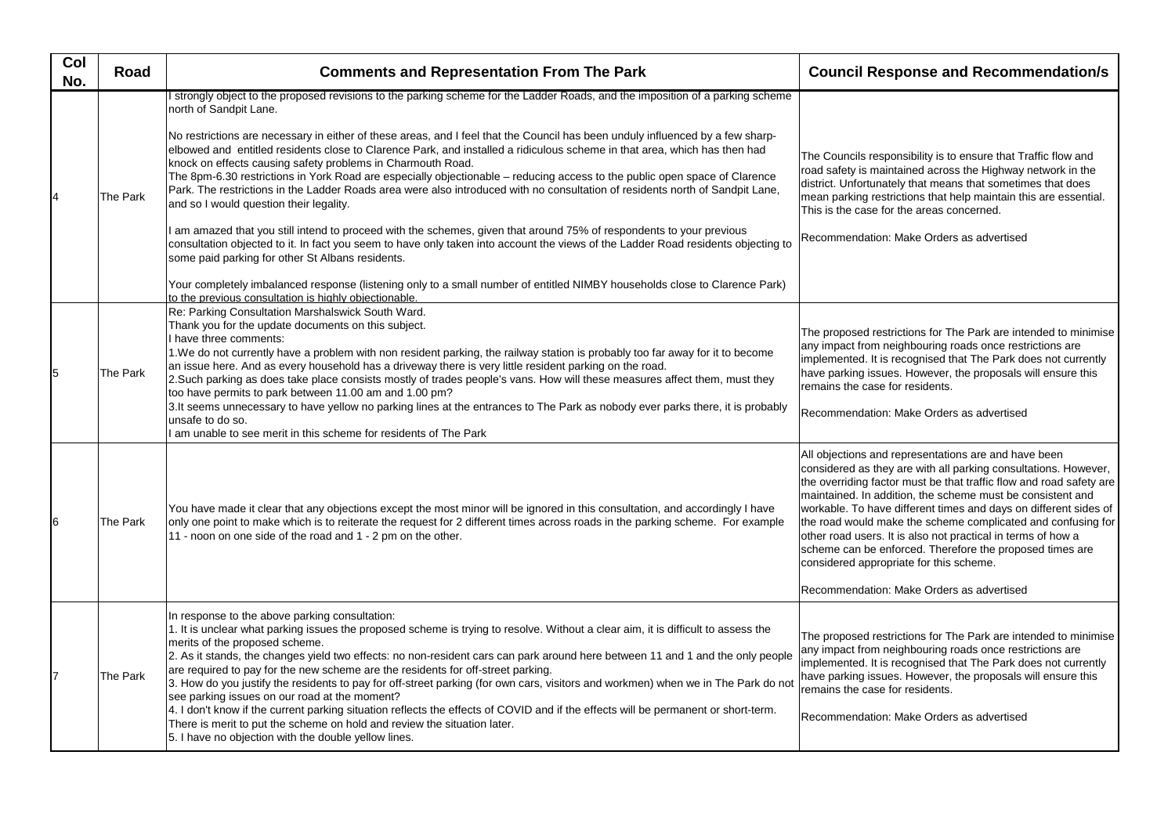| Col<br>No.     | Road     | <b>Comments and Representation From The Park</b>                                                                                                                                                                                                                                                                                                                                                                                                                                                                                                                                                                                                                                                                                                                                                                                                                                                                                                                                                                                                                                                                                                                                                                                                                                                     | <b>Council Res</b>                                                                                                                                                                                            |
|----------------|----------|------------------------------------------------------------------------------------------------------------------------------------------------------------------------------------------------------------------------------------------------------------------------------------------------------------------------------------------------------------------------------------------------------------------------------------------------------------------------------------------------------------------------------------------------------------------------------------------------------------------------------------------------------------------------------------------------------------------------------------------------------------------------------------------------------------------------------------------------------------------------------------------------------------------------------------------------------------------------------------------------------------------------------------------------------------------------------------------------------------------------------------------------------------------------------------------------------------------------------------------------------------------------------------------------------|---------------------------------------------------------------------------------------------------------------------------------------------------------------------------------------------------------------|
| $\overline{4}$ | The Park | strongly object to the proposed revisions to the parking scheme for the Ladder Roads, and the imposition of a parking scheme<br>north of Sandpit Lane.<br>No restrictions are necessary in either of these areas, and I feel that the Council has been unduly influenced by a few sharp-<br>elbowed and entitled residents close to Clarence Park, and installed a ridiculous scheme in that area, which has then had<br>knock on effects causing safety problems in Charmouth Road.<br>The 8pm-6.30 restrictions in York Road are especially objectionable – reducing access to the public open space of Clarence<br>Park. The restrictions in the Ladder Roads area were also introduced with no consultation of residents north of Sandpit Lane,<br>and so I would question their legality.<br>am amazed that you still intend to proceed with the schemes, given that around 75% of respondents to your previous<br>consultation objected to it. In fact you seem to have only taken into account the views of the Ladder Road residents objecting to<br>some paid parking for other St Albans residents.<br>Your completely imbalanced response (listening only to a small number of entitled NIMBY households close to Clarence Park)<br>to the previous consultation is highly objectionable. | The Councils resp<br>road safety is mai<br>district. Unfortuna<br>mean parking rest<br>This is the case fo<br>Recommendation                                                                                  |
| 5              | The Park | Re: Parking Consultation Marshalswick South Ward.<br>Thank you for the update documents on this subject.<br>I have three comments:<br>1.We do not currently have a problem with non resident parking, the railway station is probably too far away for it to become<br>an issue here. And as every household has a driveway there is very little resident parking on the road.<br>2.Such parking as does take place consists mostly of trades people's vans. How will these measures affect them, must they<br>too have permits to park between 11.00 am and 1.00 pm?<br>3.It seems unnecessary to have yellow no parking lines at the entrances to The Park as nobody ever parks there, it is probably<br>unsafe to do so.<br>I am unable to see merit in this scheme for residents of The Park                                                                                                                                                                                                                                                                                                                                                                                                                                                                                                     | The proposed res<br>any impact from n<br>implemented. It is<br>have parking issu<br>remains the case<br>Recommendation                                                                                        |
| 6              | The Park | You have made it clear that any objections except the most minor will be ignored in this consultation, and accordingly I have<br>only one point to make which is to reiterate the request for 2 different times across roads in the parking scheme. For example<br>11 - noon on one side of the road and 1 - 2 pm on the other.                                                                                                                                                                                                                                                                                                                                                                                                                                                                                                                                                                                                                                                                                                                                                                                                                                                                                                                                                                      | All objections and<br>considered as the<br>the overriding fact<br>maintained. In add<br>workable. To have<br>the road would ma<br>other road users.<br>scheme can be er<br>considered appro<br>Recommendation |
| 17             | The Park | In response to the above parking consultation:<br>1. It is unclear what parking issues the proposed scheme is trying to resolve. Without a clear aim, it is difficult to assess the<br>merits of the proposed scheme.<br>2. As it stands, the changes yield two effects: no non-resident cars can park around here between 11 and 1 and the only people<br>are required to pay for the new scheme are the residents for off-street parking.<br>3. How do you justify the residents to pay for off-street parking (for own cars, visitors and workmen) when we in The Park do not<br>see parking issues on our road at the moment?<br>4. I don't know if the current parking situation reflects the effects of COVID and if the effects will be permanent or short-term.<br>There is merit to put the scheme on hold and review the situation later.<br>5. I have no objection with the double yellow lines.                                                                                                                                                                                                                                                                                                                                                                                          | The proposed res<br>any impact from n<br>implemented. It is<br>have parking issu<br>remains the case<br>Recommendation                                                                                        |

## **sponse and Recommendation/s**

oonsibility is to ensure that Traffic flow and intained across the Highway network in the ately that means that sometimes that does trictions that help maintain this are essential. or the areas concerned.

r: Make Orders as advertised

trictions for The Park are intended to minimise neighbouring roads once restrictions are i recognised that The Park does not currently les. However, the proposals will ensure this for residents.

n: Make Orders as advertised

representations are and have been ey are with all parking consultations. However, tor must be that traffic flow and road safety are dition, the scheme must be consistent and e different times and days on different sides of ake the scheme complicated and confusing for It is also not practical in terms of how a nforced. Therefore the proposed times are priate for this scheme.

r: Make Orders as advertised

trictions for The Park are intended to minimise heighbouring roads once restrictions are recognised that The Park does not currently les. However, the proposals will ensure this for residents.

n: Make Orders as advertised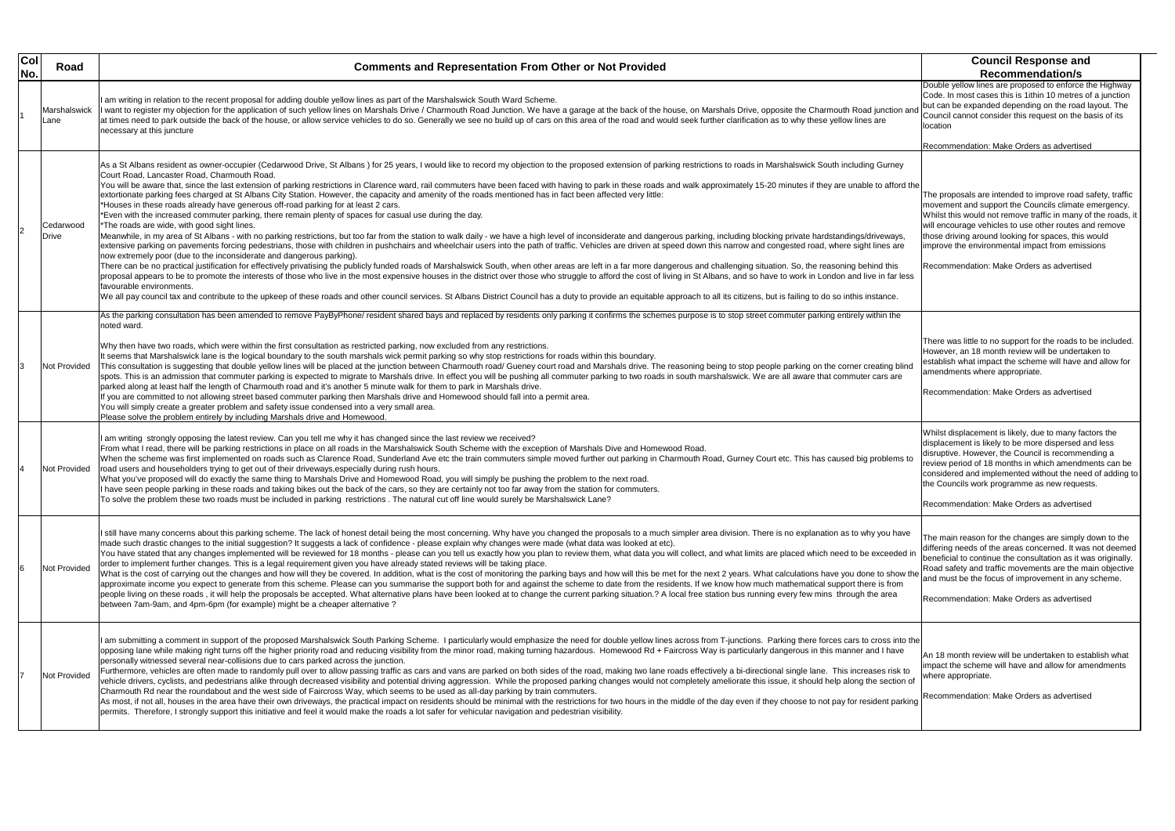| Col<br>No. | Road                 | <b>Comments and Representation From Other or Not Provided</b>                                                                                                                                                                                                                                                                                                                                                                                                                                                                                                                                                                                                                                                                                                                                                                                                                                                                                                                                                                                                                                                                                                                                                                                                                                                                                                                                                                                                                                                                                                                                                                                                                                                                                                                                                                                                                                                                                                                                                                                                                                                                                                                                           | <b>Council Response and</b><br><b>Recommendation/s</b>                                                                                                                                                                                                                                                                                              |
|------------|----------------------|---------------------------------------------------------------------------------------------------------------------------------------------------------------------------------------------------------------------------------------------------------------------------------------------------------------------------------------------------------------------------------------------------------------------------------------------------------------------------------------------------------------------------------------------------------------------------------------------------------------------------------------------------------------------------------------------------------------------------------------------------------------------------------------------------------------------------------------------------------------------------------------------------------------------------------------------------------------------------------------------------------------------------------------------------------------------------------------------------------------------------------------------------------------------------------------------------------------------------------------------------------------------------------------------------------------------------------------------------------------------------------------------------------------------------------------------------------------------------------------------------------------------------------------------------------------------------------------------------------------------------------------------------------------------------------------------------------------------------------------------------------------------------------------------------------------------------------------------------------------------------------------------------------------------------------------------------------------------------------------------------------------------------------------------------------------------------------------------------------------------------------------------------------------------------------------------------------|-----------------------------------------------------------------------------------------------------------------------------------------------------------------------------------------------------------------------------------------------------------------------------------------------------------------------------------------------------|
|            | Marshalswick<br>Lane | I am writing in relation to the recent proposal for adding double yellow lines as part of the Marshalswick South Ward Scheme.<br>I want to register my objection for the application of such yellow lines on Marshals Drive / Charmouth Road Junction. We have a garage at the back of the house, on Marshals Drive, opposite the Charmouth Road junction an<br>at times need to park outside the back of the house, or allow service vehicles to do so. Generally we see no build up of cars on this area of the road and would seek further clarification as to why these yellow lines are<br>necessary at this juncture                                                                                                                                                                                                                                                                                                                                                                                                                                                                                                                                                                                                                                                                                                                                                                                                                                                                                                                                                                                                                                                                                                                                                                                                                                                                                                                                                                                                                                                                                                                                                                              | Double yellow lines are proposed to enforce th<br>Code. In most cases this is 1ithin 10 metres of<br>but can be expanded depending on the road la<br>Council cannot consider this request on the ba<br>location                                                                                                                                     |
|            |                      |                                                                                                                                                                                                                                                                                                                                                                                                                                                                                                                                                                                                                                                                                                                                                                                                                                                                                                                                                                                                                                                                                                                                                                                                                                                                                                                                                                                                                                                                                                                                                                                                                                                                                                                                                                                                                                                                                                                                                                                                                                                                                                                                                                                                         | Recommendation: Make Orders as advertised                                                                                                                                                                                                                                                                                                           |
|            | Cedarwood<br>Drive   | As a St Albans resident as owner-occupier (Cedarwood Drive, St Albans) for 25 years, I would like to record my objection to the proposed extension of parking restrictions to roads in Marshalswick South including Gurney<br>Court Road. Lancaster Road. Charmouth Road.<br>You will be aware that, since the last extension of parking restrictions in Clarence ward, rail commuters have been faced with having to park in these roads and walk approximately 15-20 minutes if they are unable to afford<br>extortionate parking fees charged at St Albans City Station. However, the capacity and amenity of the roads mentioned has in fact been affected very little:<br>*Houses in these roads already have generous off-road parking for at least 2 cars.<br>*Even with the increased commuter parking, there remain plenty of spaces for casual use during the day.<br>*The roads are wide, with good sight lines.<br>Meanwhile, in my area of St Albans - with no parking restrictions, but too far from the station to walk daily - we have a high level of inconsiderate and dangerous parking, including blocking private hardstandings/driveway<br>extensive parking on pavements forcing pedestrians, those with children in pushchairs and wheelchair users into the path of traffic. Vehicles are driven at speed down this narrow and congested road, where sight lines are<br>now extremely poor (due to the inconsiderate and dangerous parking).<br>There can be no practical justification for effectively privatising the publicly funded roads of Marshalswick South, when other areas are left in a far more dangerous and challenging situation. So, the reasoning behind thi<br>proposal appears to be to promote the interests of those who live in the most expensive houses in the district over those who struggle to afford the cost of living in St Albans, and so have to work in London and live in fa<br>favourable environments.<br>We all pay council tax and contribute to the upkeep of these roads and other council services. St Albans District Council has a duty to provide an equitable approach to all its citizens, but is failing to do so inthis inst | The proposals are intended to improve road sa<br>movement and support the Councils climate er<br>Whilst this would not remove traffic in many of<br>will encourage vehicles to use other routes and<br>those driving around looking for spaces, this w<br>improve the environmental impact from emissi<br>Recommendation: Make Orders as advertised |
|            | Not Provided         | As the parking consultation has been amended to remove PayByPhone/ resident shared bays and replaced by residents only parking it confirms the schemes purpose is to stop street commuter parking entirely within the<br>noted ward.<br>Why then have two roads, which were within the first consultation as restricted parking, now excluded from any restrictions.<br>It seems that Marshalswick lane is the logical boundary to the south marshals wick permit parking so why stop restrictions for roads within this boundary.<br>This consultation is suggesting that double yellow lines will be placed at the junction between Charmouth road/ Gueney court road and Marshals drive. The reasoning being to stop people parking on the corner creating blind<br>spots. This is an admission that commuter parking is expected to migrate to Marshals drive. In effect you will be pushing all commuter parking to two roads in south marshalswick. We are all aware that commuter cars are<br>parked along at least half the length of Charmouth road and it's another 5 minute walk for them to park in Marshals drive.<br>If you are committed to not allowing street based commuter parking then Marshals drive and Homewood should fall into a permit area.<br>You will simply create a greater problem and safety issue condensed into a very small area.<br>Please solve the problem entirely by including Marshals drive and Homewood.                                                                                                                                                                                                                                                                                                                                                                                                                                                                                                                                                                                                                                                                                                                                                    | There was little to no support for the roads to b<br>However, an 18 month review will be undertak<br>establish what impact the scheme will have an<br>amendments where appropriate.<br>Recommendation: Make Orders as advertised                                                                                                                    |
|            | Not Provided         | I am writing strongly opposing the latest review. Can you tell me why it has changed since the last review we received?<br>From what I read, there will be parking restrictions in place on all roads in the Marshalswick South Scheme with the exception of Marshals Dive and Homewood Road.<br>When the scheme was first implemented on roads such as Clarence Road, Sunderland Ave etc the train commuters simple moved further out parking in Charmouth Road, Gurney Court etc. This has caused big problems to<br>road users and householders trying to get out of their driveways, especially during rush hours.<br>What you've proposed will do exactly the same thing to Marshals Drive and Homewood Road, you will simply be pushing the problem to the next road.<br>I have seen people parking in these roads and taking bikes out the back of the cars, so they are certainly not too far away from the station for commuters.<br>To solve the problem these two roads must be included in parking restrictions. The natural cut off line would surely be Marshalswick Lane?                                                                                                                                                                                                                                                                                                                                                                                                                                                                                                                                                                                                                                                                                                                                                                                                                                                                                                                                                                                                                                                                                                                | Whilst displacement is likely, due to many facte<br>displacement is likely to be more dispersed an<br>disruptive. However, the Council is recommend<br>review period of 18 months in which amendme<br>considered and implemented without the need<br>the Councils work programme as new requests<br>Recommendation: Make Orders as advertised       |
|            | Not Provided         | I still have many concerns about this parking scheme. The lack of honest detail being the most concerning. Why have you changed the proposals to a much simpler area division. There is no explanation as to why you have<br>made such drastic changes to the initial suggestion? It suggests a lack of confidence - please explain why changes were made (what data was looked at etc).<br>You have stated that any changes implemented will be reviewed for 18 months - please can you tell us exactly how you plan to review them, what data you will collect, and what limits are placed which need to be exceeded in<br>order to implement further changes. This is a legal requirement given you have already stated reviews will be taking place.<br>What is the cost of carrying out the changes and how will they be covered. In addition, what is the cost of monitoring the parking bays and how will this be met for the next 2 years. What calculations have you done to show<br>approximate income you expect to generate from this scheme. Please can you summarise the support both for and against the scheme to date from the residents. If we know how much mathematical support there is from<br>people living on these roads, it will help the proposals be accepted. What alternative plans have been looked at to change the current parking situation.? A local free station bus running every few mins through the area<br>between 7am-9am, and 4pm-6pm (for example) might be a cheaper alternative ?                                                                                                                                                                                                                                                                                                                                                                                                                                                                                                                                                                                                                                                                         | The main reason for the changes are simply do<br>differing needs of the areas concerned. It was<br>beneficial to continue the consultation as it was<br>Road safety and traffic movements are the ma<br>and must be the focus of improvement in any s<br>Recommendation: Make Orders as advertised                                                  |
|            | <b>Not Provided</b>  | I am submitting a comment in support of the proposed Marshalswick South Parking Scheme. I particularly would emphasize the need for double yellow lines across from T-junctions. Parking there forces cars to cross into the<br>opposing lane while making right turns off the higher priority road and reducing visibility from the minor road, making turning hazardous. Homewood Rd + Faircross Way is particularly dangerous in this manner and I have<br>personally witnessed several near-collisions due to cars parked across the junction.<br>Furthermore, vehicles are often made to randomly pull over to allow passing traffic as cars and vans are parked on both sides of the road, making two lane roads effectively a bi-directional single lane. This increases risk<br>vehicle drivers, cyclists, and pedestrians alike through decreased visibility and potential driving aggression. While the proposed parking changes would not completely ameliorate this issue, it should help along the sectio<br>Charmouth Rd near the roundabout and the west side of Faircross Way, which seems to be used as all-day parking by train commuters.<br>As most, if not all, houses in the area have their own driveways, the practical impact on residents should be minimal with the restrictions for two hours in the middle of the day even if they choose to not pay for resident<br>permits. Therefore, I strongly support this initiative and feel it would make the roads a lot safer for vehicular navigation and pedestrian visibility.                                                                                                                                                                                                                                                                                                                                                                                                                                                                                                                                                                                                                                               | An 18 month review will be undertaken to estal<br>impact the scheme will have and allow for ame<br>where appropriate.<br>Recommendation: Make Orders as advertised                                                                                                                                                                                  |

|                                                      | <b>Council Response and</b>                                                                                                                                                                                                                                                                                                                                                            |
|------------------------------------------------------|----------------------------------------------------------------------------------------------------------------------------------------------------------------------------------------------------------------------------------------------------------------------------------------------------------------------------------------------------------------------------------------|
|                                                      | <b>Recommendation/s</b><br>Double yellow lines are proposed to enforce the Highway                                                                                                                                                                                                                                                                                                     |
| tion and:                                            | Code. In most cases this is 1ithin 10 metres of a junction<br>but can be expanded depending on the road layout. The<br>Council cannot consider this request on the basis of its<br>location                                                                                                                                                                                            |
|                                                      | Recommendation: Make Orders as advertised                                                                                                                                                                                                                                                                                                                                              |
| rney                                                 |                                                                                                                                                                                                                                                                                                                                                                                        |
| fford the<br>ayyy,<br>s are                          | The proposals are intended to improve road safety, traffic<br>movement and support the Councils climate emergency.<br>Whilst this would not remove traffic in many of the roads, it<br>will encourage vehicles to use other routes and remove<br>those driving around looking for spaces, this would<br>improve the environmental impact from emissions                                |
| his<br>far less                                      | Recommendation: Make Orders as advertised                                                                                                                                                                                                                                                                                                                                              |
| ce.                                                  |                                                                                                                                                                                                                                                                                                                                                                                        |
| the                                                  |                                                                                                                                                                                                                                                                                                                                                                                        |
| g blind<br>are                                       | There was little to no support for the roads to be included.<br>However, an 18 month review will be undertaken to<br>establish what impact the scheme will have and allow for<br>amendments where appropriate.<br>Recommendation: Make Orders as advertised                                                                                                                            |
| ems to                                               | Whilst displacement is likely, due to many factors the<br>displacement is likely to be more dispersed and less<br>disruptive. However, the Council is recommending a<br>review period of 18 months in which amendments can be<br>considered and implemented without the need of adding to<br>the Councils work programme as new requests.<br>Recommendation: Make Orders as advertised |
| ı have<br>eded in<br>show the<br>rom<br>ea           | The main reason for the changes are simply down to the<br>differing needs of the areas concerned. It was not deemed<br>beneficial to continue the consultation as it was originally.<br>Road safety and traffic movements are the main objective<br>and must be the focus of improvement in any scheme.<br>Recommendation: Make Orders as advertised                                   |
| s into the<br>าave<br>risk to<br>ction of<br>parking | An 18 month review will be undertaken to establish what<br>impact the scheme will have and allow for amendments<br>where appropriate.<br>Recommendation: Make Orders as advertised                                                                                                                                                                                                     |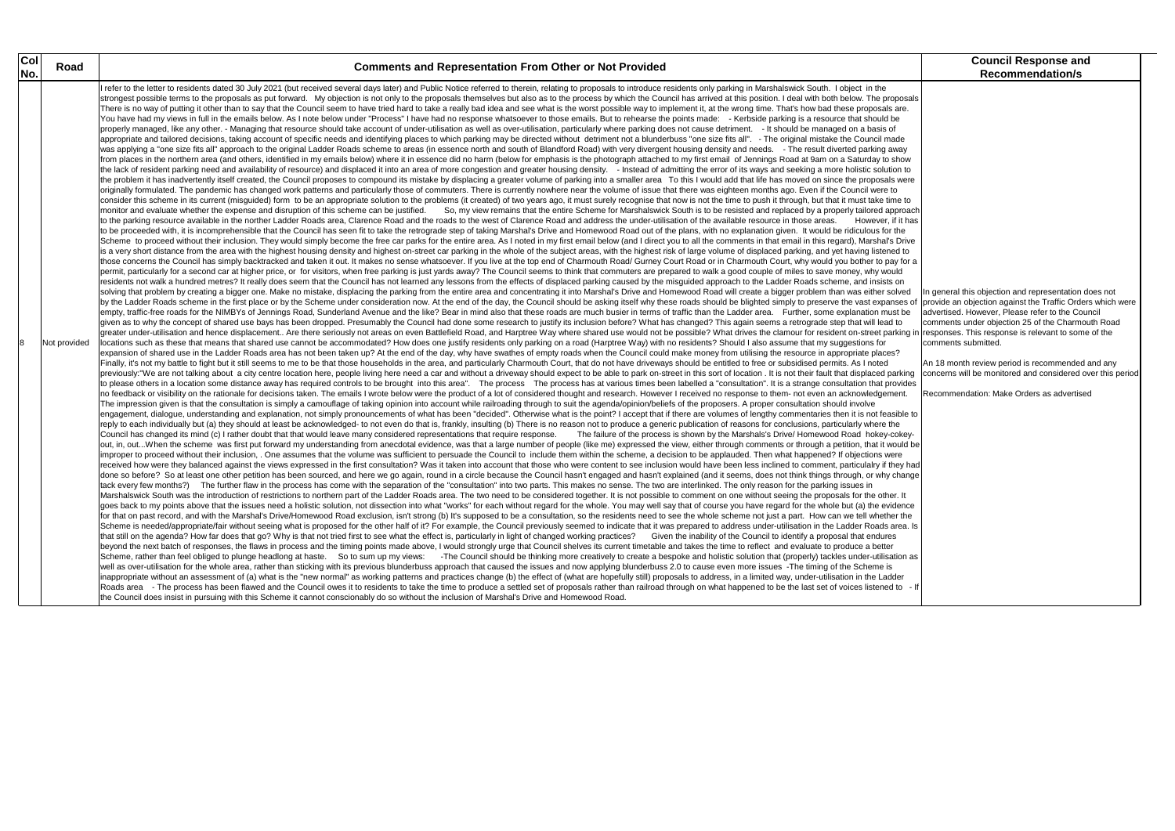|                                                                                                                                                                               | <b>Council Response and</b>                                                                                                                                                                                                                                                                                          |  |  |
|-------------------------------------------------------------------------------------------------------------------------------------------------------------------------------|----------------------------------------------------------------------------------------------------------------------------------------------------------------------------------------------------------------------------------------------------------------------------------------------------------------------|--|--|
|                                                                                                                                                                               | <b>Recommendation/s</b>                                                                                                                                                                                                                                                                                              |  |  |
| roposals<br>s are.<br>be<br>οf<br>าade<br>away<br>show (<br>tion to<br>ıls were<br>to<br>ime to<br>approach<br>, if it has<br>r the<br>'s Drive<br>าed to<br>ay for a<br>puld |                                                                                                                                                                                                                                                                                                                      |  |  |
| s on<br>solved<br>anses of<br>ust be<br>d to<br>es?                                                                                                                           | In general this objection and representation does not<br>provide an objection against the Traffic Orders which were<br>advertised. However, Please refer to the Council<br>comments under objection 25 of the Charmouth Road<br>arking in responses. This response is relevant to some of the<br>comments submitted. |  |  |
| parking<br>provides<br>ment.                                                                                                                                                  | An 18 month review period is recommended and any<br>concerns will be monitored and considered over this period<br>Recommendation: Make Orders as advertised                                                                                                                                                          |  |  |
| asible to<br>the<br>-cokey-<br>would be<br>vere<br>they had<br><sub>/</sub> change                                                                                            |                                                                                                                                                                                                                                                                                                                      |  |  |
| ıer. It<br>/idence<br>าer the<br>area. Is<br>es<br>эr<br>ation as<br>s<br>dder<br>d to<br>- If                                                                                |                                                                                                                                                                                                                                                                                                                      |  |  |

| Col | Road         | <b>Comments and Representation From Other or Not Provided</b>                                                                                                                                                                                                                                                                                                                                                                                                                                                                                                                                                                                                                                                                                                                                                                                                                                                                                                                                                                                                                                                                                                                                                                                                                                                                                                                                                                                                                                                                                                                                                                                                                                                                                                                                                                                                                                                                                                                                                                                                                                                                                                                                                                                                                                                                                                                                                                                                                                                                                                                                                                                                                                                                                                                                                                                                                                                                                                                                                                                                                                                                                                                                                                                                                                                                                                                                                                                                                                                                                                                                                                                                                                                                                                                                                                                                                                                                                                                                                                                                                                                                                                                                                                                                                                                                                                                                                                                                                                                                                                                                                                                                                                                                                                                                                                                                                                                                                                                                                                                                                                                                                                                                                                                                                                                                                                                                                                                                                                                                                                                                                                                                                                                                                                                                                                                                                                                                                                                                                                                                                                                                                                                                                                                                                                                                                                                                                                                                                                                                                                                                                                                                                                                                                                                                                                                                                                                                                                                                                                                                                                                                                                                                                                                                                                                                                                                                                                                                                                                                                                                                                                                                                                                                                                                                                                                                                                                                                                                                                                                                                                                                                                                                                                                                                                                                                                                                                                                                                                                                                                                                                                                                                                                                                                                                                                                                                                                                                                                                                                                                                                                                                                                                                                                                                                                                                                                                                                                                                                                                                                                                                                                                                                                                                                                                                                                                                                                                                                                                                                                                                                                                                                                                                                                                                                                                                                                                                                                                                                                                                                                                                                                                                                                                                                                                                                                                                                                                                                                                                                                                                                                                                                                                                                                                                                                                                                                                                                                                                                                                                                                                                                                                                                                                                    | <b>Council Response and</b>                                                                                                                                                                                                                                                                                                                                                                                                                      |
|-----|--------------|--------------------------------------------------------------------------------------------------------------------------------------------------------------------------------------------------------------------------------------------------------------------------------------------------------------------------------------------------------------------------------------------------------------------------------------------------------------------------------------------------------------------------------------------------------------------------------------------------------------------------------------------------------------------------------------------------------------------------------------------------------------------------------------------------------------------------------------------------------------------------------------------------------------------------------------------------------------------------------------------------------------------------------------------------------------------------------------------------------------------------------------------------------------------------------------------------------------------------------------------------------------------------------------------------------------------------------------------------------------------------------------------------------------------------------------------------------------------------------------------------------------------------------------------------------------------------------------------------------------------------------------------------------------------------------------------------------------------------------------------------------------------------------------------------------------------------------------------------------------------------------------------------------------------------------------------------------------------------------------------------------------------------------------------------------------------------------------------------------------------------------------------------------------------------------------------------------------------------------------------------------------------------------------------------------------------------------------------------------------------------------------------------------------------------------------------------------------------------------------------------------------------------------------------------------------------------------------------------------------------------------------------------------------------------------------------------------------------------------------------------------------------------------------------------------------------------------------------------------------------------------------------------------------------------------------------------------------------------------------------------------------------------------------------------------------------------------------------------------------------------------------------------------------------------------------------------------------------------------------------------------------------------------------------------------------------------------------------------------------------------------------------------------------------------------------------------------------------------------------------------------------------------------------------------------------------------------------------------------------------------------------------------------------------------------------------------------------------------------------------------------------------------------------------------------------------------------------------------------------------------------------------------------------------------------------------------------------------------------------------------------------------------------------------------------------------------------------------------------------------------------------------------------------------------------------------------------------------------------------------------------------------------------------------------------------------------------------------------------------------------------------------------------------------------------------------------------------------------------------------------------------------------------------------------------------------------------------------------------------------------------------------------------------------------------------------------------------------------------------------------------------------------------------------------------------------------------------------------------------------------------------------------------------------------------------------------------------------------------------------------------------------------------------------------------------------------------------------------------------------------------------------------------------------------------------------------------------------------------------------------------------------------------------------------------------------------------------------------------------------------------------------------------------------------------------------------------------------------------------------------------------------------------------------------------------------------------------------------------------------------------------------------------------------------------------------------------------------------------------------------------------------------------------------------------------------------------------------------------------------------------------------------------------------------------------------------------------------------------------------------------------------------------------------------------------------------------------------------------------------------------------------------------------------------------------------------------------------------------------------------------------------------------------------------------------------------------------------------------------------------------------------------------------------------------------------------------------------------------------------------------------------------------------------------------------------------------------------------------------------------------------------------------------------------------------------------------------------------------------------------------------------------------------------------------------------------------------------------------------------------------------------------------------------------------------------------------------------------------------------------------------------------------------------------------------------------------------------------------------------------------------------------------------------------------------------------------------------------------------------------------------------------------------------------------------------------------------------------------------------------------------------------------------------------------------------------------------------------------------------------------------------------------------------------------------------------------------------------------------------------------------------------------------------------------------------------------------------------------------------------------------------------------------------------------------------------------------------------------------------------------------------------------------------------------------------------------------------------------------------------------------------------------------------------------------------------------------------------------------------------------------------------------------------------------------------------------------------------------------------------------------------------------------------------------------------------------------------------------------------------------------------------------------------------------------------------------------------------------------------------------------------------------------------------------------------------------------------------------------------------------------------------------------------------------------------------------------------------------------------------------------------------------------------------------------------------------------------------------------------------------------------------------------------------------------------------------------------------------------------------------------------------------------------------------------------------------------------------------------------------------------------------------------------------------------------------------------------------------------------------------------------------------------------------------------------------------------------------------------------------------------------------------------------------------------------------------------------------------------------------------------------------------------------------------------------------------------------------------------------------------------------------------------------------------------------------------------------------------------------------------------------------------------------------------------------------------------------------------------------------------------------------------------------------------------------------------------------------------------------------------------------------------------------------------------------------------------------------------------------------------------------------------------------------------------------------------------------------------------------------------------------------------------------------------------------------------------------------------------------------------------------------------------------------------------------------------------------------------------------------------------------------------------------------------------------------------------------------------------------------------------------------------------------------------------------------------------------------------------------------------------------------------------------------------------------------------------------------------------------------------------------------------------------------------------------------------------------------------------------------------------------------------------------------------------------------------------------------------------------------------------------------------------------------------------------------------------------------------------------------------------------------------------------------------------------------------------------------------------------------------------------------------------------------------------------------------------------------------------------------------------------------------------------------------------------------------------------------------------------------------------------------------------------------------------------------------------------------------------------------|--------------------------------------------------------------------------------------------------------------------------------------------------------------------------------------------------------------------------------------------------------------------------------------------------------------------------------------------------------------------------------------------------------------------------------------------------|
| No. | Not provided | I refer to the letter to residents dated 30 July 2021 (but received several days later) and Public Notice referred to therein, relating to proposals to introduce residents only parking in Marshalswick South. I object in th<br>strongest possible terms to the proposals as put forward. My objection is not only to the proposals themselves but also as to the process by which the Council has arrived at this position. I deal with both below. The propo<br>There is no way of putting it other than to say that the Council seem to have tried hard to take a really bad idea and see what is the worst possible way to implement it, at the wrong time. That's how bad these proposals a<br>You have had my views in full in the emails below. As I note below under "Process" I have had no response whatsoever to those emails. But to rehearse the points made: - Kerbside parking is a resource that should be<br>properly managed, like any other. - Managing that resource should take account of under-utilisation as well as over-utilisation, particularly where parking does not cause detriment. - It should be managed on a basis of<br>appropriate and tailored decisions, taking account of specific needs and identifying places to which parking may be directed without detriment not a blunderbuss "one size fits all". - The original mistake the Council made<br>was applying a "one size fits all" approach to the original Ladder Roads scheme to areas (in essence north and south of Blandford Road) with very divergent housing density and needs. - The result diverted parking away<br>from places in the northern area (and others, identified in my emails below) where it in essence did no harm (below for emphasis is the photograph attached to my first email of Jennings Road at 9am on a Saturday to show<br>the lack of resident parking need and availability of resource) and displaced it into an area of more congestion and greater housing density. - Instead of admitting the error of its ways and seeking a more holistic solutio<br>the problem it has inadvertently itself created, the Council proposes to compound its mistake by displacing a greater volume of parking into a smaller area To this I would add that life has moved on since the proposals wer<br>originally formulated. The pandemic has changed work patterns and particularly those of commuters. There is currently nowhere near the volume of issue that there was eighteen months ago. Even if the Council were to<br>consider this scheme in its current (misguided) form to be an appropriate solution to the problems (it created) of two years ago, it must surely recognise that now is not the time to push it through, but that it must take<br>monitor and evaluate whether the expense and disruption of this scheme can be justified. So, my view remains that the entire Scheme for Marshalswick South is to be resisted and replaced by a properly tailored approach<br>to the parking resource available in the norther Ladder Roads area, Clarence Road and the roads to the west of Clarence Road and address the under-utilisation of the available resource in those areas. However, if it has<br>to be proceeded with, it is incomprehensible that the Council has seen fit to take the retrograde step of taking Marshal's Drive and Homewood Road out of the plans, with no explanation given. It would be ridiculous for the<br>Scheme to proceed without their inclusion. They would simply become the free car parks for the entire area. As I noted in my first email below (and I direct you to all the comments in that email in this regard), Marshal's<br>is a very short distance from the area with the highest housing density and highest on-street car parking in the whole of the subject areas, with the highest risk of large volume of displaced parking, and yet having listen<br>those concerns the Council has simply backtracked and taken it out. It makes no sense whatsoever. If you live at the top end of Charmouth Road/ Gurney Court Road or in Charmouth Court, why would you bother to pay for a<br>permit, particularly for a second car at higher price, or for visitors, when free parking is just yards away? The Council seems to think that commuters are prepared to walk a good couple of miles to save money, why would<br>residents not walk a hundred metres? It really does seem that the Council has not learned any lessons from the effects of displaced parking caused by the misguided approach to the Ladder Roads scheme, and insists on<br>solving that problem by creating a bigger one. Make no mistake, displacing the parking from the entire area and concentrating it into Marshal's Drive and Homewood Road will create a bigger problem than was either solved<br>by the Ladder Roads scheme in the first place or by the Scheme under consideration now. At the end of the day, the Council should be asking itself why these roads should be blighted simply to preserve the vast expanses o<br>empty, traffic-free roads for the NIMBYs of Jennings Road, Sunderland Avenue and the like? Bear in mind also that these roads are much busier in terms of traffic than the Ladder area. Further, some explanation must be<br>given as to why the concept of shared use bays has been dropped. Presumably the Council had done some research to justify its inclusion before? What has changed? This again seems a retrograde step that will lead to<br>greater under-utilisation and hence displacement Are there seriously not areas on even Battlefield Road, and Harptree Way where shared use would not be possible? What drives the clamour for resident on-street parking<br>locations such as these that means that shared use cannot be accommodated? How does one justify residents only parking on a road (Harptree Way) with no residents? Should I also assume that my suggestions for<br>expansion of shared use in the Ladder Roads area has not been taken up? At the end of the day, why have swathes of empty roads when the Council could make money from utilising the resource in appropriate places?<br>Finally, it's not my battle to fight but it still seems to me to be that those households in the area, and particularly Charmouth Court, that do not have driveways should be entitled to free or subsidised permits. As I not<br>previously:"We are not talking about a city centre location here, people living here need a car and without a driveway should expect to be able to park on-street in this sort of location. It is not their fault that displac<br>to please others in a location some distance away has required controls to be brought into this area". The process The process has at various times been labelled a "consultation". It is a strange consultation that provides<br>no feedback or visibility on the rationale for decisions taken. The emails I wrote below were the product of a lot of considered thought and research. However I received no response to them- not even an acknowledgement.<br>The impression given is that the consultation is simply a camouflage of taking opinion into account while railroading through to suit the agenda/opinion/beliefs of the proposers. A proper consultation should involve<br>engagement, dialogue, understanding and explanation, not simply pronouncements of what has been "decided". Otherwise what is the point? I accept that if there are volumes of lengthy commentaries then it is not feasible to<br>reply to each individually but (a) they should at least be acknowledged- to not even do that is, frankly, insulting (b) There is no reason not to produce a generic publication of reasons for conclusions, particularly where<br>Council has changed its mind (c) I rather doubt that that would leave many considered representations that require response. The failure of the process is shown by the Marshals's Drive/ Homewood Road hokey-cokey-<br>out, in, outWhen the scheme was first put forward my understanding from anecdotal evidence, was that a large number of people (like me) expressed the view, either through comments or through a petition, that it would be<br>improper to proceed without their inclusion, . One assumes that the volume was sufficient to persuade the Council to include them within the scheme, a decision to be applauded. Then what happened? If objections were<br>received how were they balanced against the views expressed in the first consultation? Was it taken into account that those who were content to see inclusion would have been less inclined to comment, particulalry if they h<br>done so before? So at least one other petition has been sourced, and here we go again, round in a circle because the Council hasn't engaged and hasn't explained (and it seems, does not think things through, or why change<br>tack every few months?) The further flaw in the process has come with the separation of the "consultation" into two parts. This makes no sense. The two are interlinked. The only reason for the parking issues in<br>Marshalswick South was the introduction of restrictions to northern part of the Ladder Roads area. The two need to be considered together. It is not possible to comment on one without seeing the proposals for the other. It<br>goes back to my points above that the issues need a holistic solution, not dissection into what "works" for each without regard for the whole. You may well say that of course you have regard for the whole but (a) the evide<br>for that on past record, and with the Marshal's Drive/Homewood Road exclusion, isn't strong (b) It's supposed to be a consultation, so the residents need to see the whole scheme not just a part. How can we tell whether the<br>Scheme is needed/appropriate/fair without seeing what is proposed for the other half of it? For example, the Council previously seemed to indicate that it was prepared to address under-utilisation in the Ladder Roads area.<br>that still on the agenda? How far does that go? Why is that not tried first to see what the effect is, particularly in light of changed working practices? Given the inability of the Council to identify a proposal that endu<br>beyond the next batch of responses, the flaws in process and the timing points made above, I would strongly urge that Council shelves its current timetable and takes the time to reflect and evaluate to produce a better<br>Scheme, rather than feel obliged to plunge headlong at haste. So to sum up my views: - The Council should be thinking more creatively to create a bespoke and holistic solution that (properly) tackles under-utilisation as<br>well as over-utilisation for the whole area, rather than sticking with its previous blunderbuss approach that caused the issues and now applying blunderbuss 2.0 to cause even more issues -The timing of the Scheme is<br>inappropriate without an assessment of (a) what is the "new normal" as working patterns and practices change (b) the effect of (what are hopefully still) proposals to address, in a limited way, under-utilisation in the Lad<br>Roads area - The process has been flawed and the Council owes it to residents to take the time to produce a settled set of proposals rather than railroad through on what happened to be the last set of voices listened to -<br>the Council does insist in pursuing with this Scheme it cannot conscionably do so without the inclusion of Marshal's Drive and Homewood Road. | <b>Recommendation/s</b><br>In general this objection and representation do<br>provide an objection against the Traffic Orders<br>advertised. However, Please refer to the Coun<br>comments under objection 25 of the Charmout<br>responses. This response is relevant to some<br>comments submitted.<br>An 18 month review period is recommended a<br>concerns will be monitored and considered ove<br>Recommendation: Make Orders as advertised |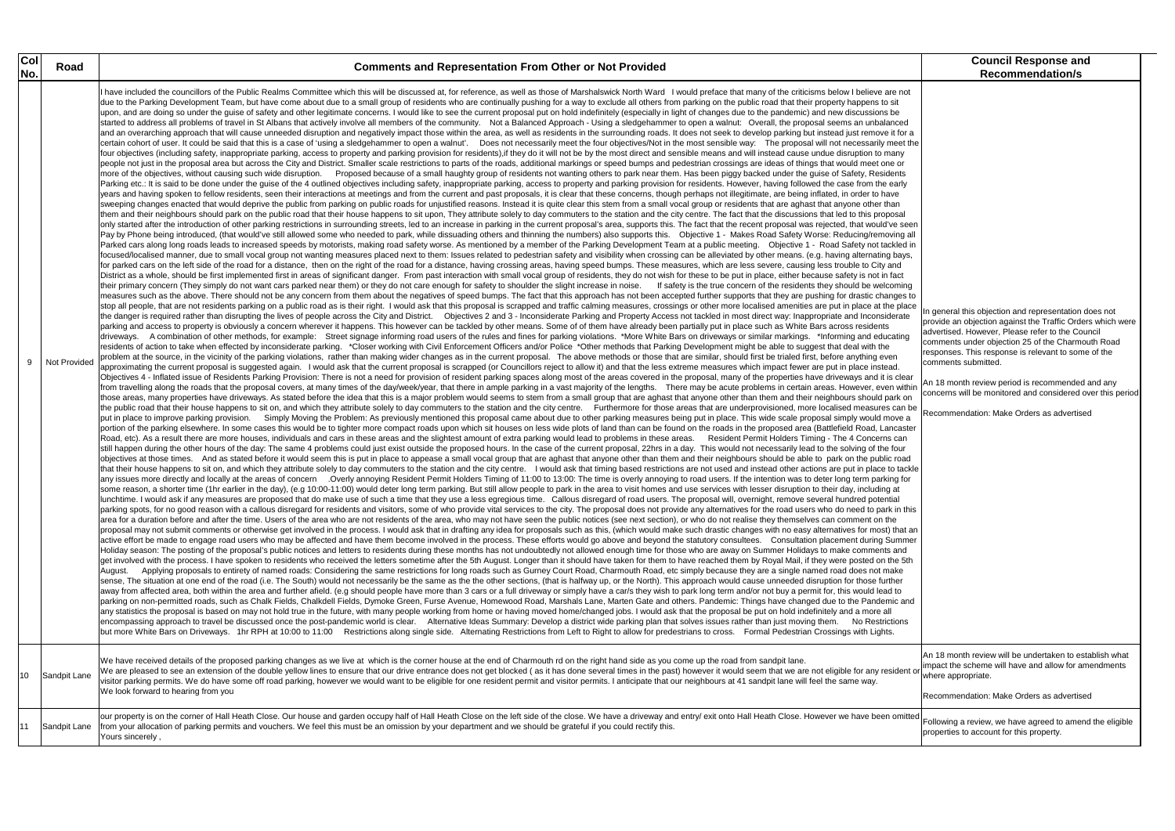| Col |              |                                                                                                                                                                                                                                                                                                                                                                                                                                                                                                                                                                                                                                                                                                                                                                                                                                                                                                                                                                                                                                                                                                                                                                                                                                                                                                                                                                                                                                                                                                                                                                                                                                                                                                                                                                                                                                                                                                                                                                                                                                                                                                                                                                                                                                                                                                                                                                                                                                                                                                                                                                                                                                                                                                                                                                                                                                                                                                                                                                                                                                                                                                                                                                                                                                                                                                                                                                                                                                                                                                                                                                                                                                                                                                                                                                                                                                                                                                                                                                                                                                                                                                                                                                                                                                                                                                                                                                                                                                                                                                                                                                                                                                                                                                                                                                                                                                                                                                                                                                                                                                                                                                                                                                                                                                                                                                                                                                                                                                                                                                                                                                                                                                                                                                                                                                                                                                                                                                                                                                                                                                                                                                                                                                                                                                                                                                                                                                                                                                                                                                                                                                                                                                                                                                                                                                                                                                                                                                                                                                                                                                                                                                                                                                                                                                                                                                                                                                                                                                                                                                                                                                                                                                                                                                                                                                                                                                                                                                                                                                                                                                                                                                                                                                                                                                                                                                                                                                                                                                                                                                                                                                                                                                                                                                                                                                                                                                                                                                                                                                                                                                                                                                                                                                                                                                                                                                                                                                                                                                                                                                                                                                                                                                                                                                                                                                                                                                                                                                                                                                                                                                                                                                                                                                                                                                                                                                                                                                                                                                                                                                                                                                                                                                                                                                                                                                                                                                                                                                                                                                                                                                                                                                                                                                                                                                                                                                                                                                                                                                                                                                                                                                                                                                                                                                                                                                                                                                                                                                                                                                                                                                                                                                                                                                                                                                                                                                                                                                                                                                                                                                            | <b>Council Response and</b>                                                                                                                                                                                                                                                                                                                                                                                                                                               |
|-----|--------------|------------------------------------------------------------------------------------------------------------------------------------------------------------------------------------------------------------------------------------------------------------------------------------------------------------------------------------------------------------------------------------------------------------------------------------------------------------------------------------------------------------------------------------------------------------------------------------------------------------------------------------------------------------------------------------------------------------------------------------------------------------------------------------------------------------------------------------------------------------------------------------------------------------------------------------------------------------------------------------------------------------------------------------------------------------------------------------------------------------------------------------------------------------------------------------------------------------------------------------------------------------------------------------------------------------------------------------------------------------------------------------------------------------------------------------------------------------------------------------------------------------------------------------------------------------------------------------------------------------------------------------------------------------------------------------------------------------------------------------------------------------------------------------------------------------------------------------------------------------------------------------------------------------------------------------------------------------------------------------------------------------------------------------------------------------------------------------------------------------------------------------------------------------------------------------------------------------------------------------------------------------------------------------------------------------------------------------------------------------------------------------------------------------------------------------------------------------------------------------------------------------------------------------------------------------------------------------------------------------------------------------------------------------------------------------------------------------------------------------------------------------------------------------------------------------------------------------------------------------------------------------------------------------------------------------------------------------------------------------------------------------------------------------------------------------------------------------------------------------------------------------------------------------------------------------------------------------------------------------------------------------------------------------------------------------------------------------------------------------------------------------------------------------------------------------------------------------------------------------------------------------------------------------------------------------------------------------------------------------------------------------------------------------------------------------------------------------------------------------------------------------------------------------------------------------------------------------------------------------------------------------------------------------------------------------------------------------------------------------------------------------------------------------------------------------------------------------------------------------------------------------------------------------------------------------------------------------------------------------------------------------------------------------------------------------------------------------------------------------------------------------------------------------------------------------------------------------------------------------------------------------------------------------------------------------------------------------------------------------------------------------------------------------------------------------------------------------------------------------------------------------------------------------------------------------------------------------------------------------------------------------------------------------------------------------------------------------------------------------------------------------------------------------------------------------------------------------------------------------------------------------------------------------------------------------------------------------------------------------------------------------------------------------------------------------------------------------------------------------------------------------------------------------------------------------------------------------------------------------------------------------------------------------------------------------------------------------------------------------------------------------------------------------------------------------------------------------------------------------------------------------------------------------------------------------------------------------------------------------------------------------------------------------------------------------------------------------------------------------------------------------------------------------------------------------------------------------------------------------------------------------------------------------------------------------------------------------------------------------------------------------------------------------------------------------------------------------------------------------------------------------------------------------------------------------------------------------------------------------------------------------------------------------------------------------------------------------------------------------------------------------------------------------------------------------------------------------------------------------------------------------------------------------------------------------------------------------------------------------------------------------------------------------------------------------------------------------------------------------------------------------------------------------------------------------------------------------------------------------------------------------------------------------------------------------------------------------------------------------------------------------------------------------------------------------------------------------------------------------------------------------------------------------------------------------------------------------------------------------------------------------------------------------------------------------------------------------------------------------------------------------------------------------------------------------------------------------------------------------------------------------------------------------------------------------------------------------------------------------------------------------------------------------------------------------------------------------------------------------------------------------------------------------------------------------------------------------------------------------------------------------------------------------------------------------------------------------------------------------------------------------------------------------------------------------------------------------------------------------------------------------------------------------------------------------------------------------------------------------------------------------------------------------------------------------------------------------------------------------------------------------------------------------------------------------------------------------------------------------------------------------------------------------------------------------------------------------------------------------------------------------------------------------------------------------------------------------------------------------------------------------------------------------------------------------------------------------------------------------------------------------------------------------------------------------------------------------------------------------------------------------------------------------------------------------------------------------------------------------------------------------------------------------------------------------------------------------------------------------------------------------------------------------------------------------------------------------------------------------------------------------------------------------------------------------------------------------------------------------------------------------------------------------------------------------------------------------------------------------------------------------------------------------------------------------------------------------------------------------------------------------------------------------------------------------------------------------------------------------------------------------------------------------------------------------------------------------------------------------------------------------------------------------------------------------------------------------------------------------------------------------------------------------------------------------------------------------------------------------------------------------------------------------------------------------------------------------------------------------------------------------------------------------------------------------------------------------------------------------------------------------------------------------------------------------------------------------------------------------------------------------------------------------------------------------------------------------------------------------------------------------------------------------------------------------------------------------------------------------------------------------------------------------------------------------------------------------------------------------------------------------------------------------------------------------------------------------------------------------------------------------------------------------------------------------------------------------------------------------------------------------------------------------------------------------------------------------------------------------------------------------------------------------------------------------------------------------------------------------------------------------------------------------------------------------------------------------------------------------------------------------------------------------------------------------------------------------------------------------------------------------------------------------------------------------------------------------------------------------------------------------------------------------------------------------------------------------------------------------------------------------------------------------------------------------------------------------------------------------------------------------------------------------------------------------------------------------------------------------------------------------|---------------------------------------------------------------------------------------------------------------------------------------------------------------------------------------------------------------------------------------------------------------------------------------------------------------------------------------------------------------------------------------------------------------------------------------------------------------------------|
| No. | Road         | <b>Comments and Representation From Other or Not Provided</b>                                                                                                                                                                                                                                                                                                                                                                                                                                                                                                                                                                                                                                                                                                                                                                                                                                                                                                                                                                                                                                                                                                                                                                                                                                                                                                                                                                                                                                                                                                                                                                                                                                                                                                                                                                                                                                                                                                                                                                                                                                                                                                                                                                                                                                                                                                                                                                                                                                                                                                                                                                                                                                                                                                                                                                                                                                                                                                                                                                                                                                                                                                                                                                                                                                                                                                                                                                                                                                                                                                                                                                                                                                                                                                                                                                                                                                                                                                                                                                                                                                                                                                                                                                                                                                                                                                                                                                                                                                                                                                                                                                                                                                                                                                                                                                                                                                                                                                                                                                                                                                                                                                                                                                                                                                                                                                                                                                                                                                                                                                                                                                                                                                                                                                                                                                                                                                                                                                                                                                                                                                                                                                                                                                                                                                                                                                                                                                                                                                                                                                                                                                                                                                                                                                                                                                                                                                                                                                                                                                                                                                                                                                                                                                                                                                                                                                                                                                                                                                                                                                                                                                                                                                                                                                                                                                                                                                                                                                                                                                                                                                                                                                                                                                                                                                                                                                                                                                                                                                                                                                                                                                                                                                                                                                                                                                                                                                                                                                                                                                                                                                                                                                                                                                                                                                                                                                                                                                                                                                                                                                                                                                                                                                                                                                                                                                                                                                                                                                                                                                                                                                                                                                                                                                                                                                                                                                                                                                                                                                                                                                                                                                                                                                                                                                                                                                                                                                                                                                                                                                                                                                                                                                                                                                                                                                                                                                                                                                                                                                                                                                                                                                                                                                                                                                                                                                                                                                                                                                                                                                                                                                                                                                                                                                                                                                                                                                                                                                                                                                              | <b>Recommendation/s</b>                                                                                                                                                                                                                                                                                                                                                                                                                                                   |
|     | Not Provided | have included the councillors of the Public Realms Committee which this will be discussed at, for reference, as well as those of Marshalswick North Ward I would preface that many of the criticisms below I believe are not<br>due to the Parking Development Team, but have come about due to a small group of residents who are continually pushing for a way to exclude all others from parking on the public road that their property happens to sit<br>upon, and are doing so under the guise of safety and other legitimate concerns. I would like to see the current proposal put on hold indefinitely (especially in light of changes due to the pandemic) and new discussions be<br>started to address all problems of travel in St Albans that actively involve all members of the community. Not a Balanced Approach - Using a sledgehammer to open a walnut: Overall, the proposal seems an unbalanced<br>and an overarching approach that will cause unneeded disruption and negatively impact those within the area, as well as residents in the surrounding roads. It does not seek to develop parking but instead just remove it for<br>certain cohort of user. It could be said that this is a case of 'using a sledgehammer to open a walnut'. Does not necessarily meet the four objectives/Not in the most sensible way: The proposal will not necessarily meet th<br>four objectives (including safety, inappropriate parking, access to property and parking provision for residents), if they do it will not be by the most direct and sensible means and will instead cause undue disruption to<br>people not just in the proposal area but across the City and District. Smaller scale restrictions to parts of the roads, additional markings or speed bumps and pedestrian crossings are ideas of things that would meet one o<br>more of the objectives, without causing such wide disruption. Proposed because of a small haughty group of residents not wanting others to park near them. Has been piggy backed under the guise of Safety, Residents<br>Parking etc.: It is said to be done under the quise of the 4 outlined objectives including safety, inappropriate parking, access to property and parking provision for residents. However, having followed the case from the e<br>years and having spoken to fellow residents, seen their interactions at meetings and from the current and past proposals, it is clear that these concerns, though perhaps not illegitimate, are being inflated, in order to ha<br>sweeping changes enacted that would deprive the public from parking on public roads for unjustified reasons. Instead it is quite clear this stem from a small vocal group or residents that are aghast that anyone other than<br>them and their neighbours should park on the public road that their house happens to sit upon, They attribute solely to day commuters to the station and the city centre. The fact that the discussions that led to this propo<br>only started after the introduction of other parking restrictions in surrounding streets, led to an increase in parking in the current proposal's area, supports this. The fact that the recent proposal was rejected, that wo<br>Pay by Phone being introduced, (that would've still allowed some who needed to park, while dissuading others and thinning the numbers) also supports this.  Objective 1 - Makes Road Safety Worse: Reducing/removing all<br>Parked cars along long roads leads to increased speeds by motorists, making road safety worse. As mentioned by a member of the Parking Development Team at a public meeting.  Objective 1 - Road Safety not tackled in<br>focused/localised manner, due to small vocal group not wanting measures placed next to them: Issues related to pedestrian safety and visibility when crossing can be alleviated by other means. (e.g. having alternating bays,<br>for parked cars on the left side of the road for a distance, then on the right of the road for a distance, having crossing areas, having speed bumps. These measures, which are less severe, causing less trouble to City and<br>District as a whole, should be first implemented first in areas of significant danger. From past interaction with small vocal group of residents, they do not wish for these to be put in place, either because safety is not<br>their primary concern (They simply do not want cars parked near them) or they do not care enough for safety to shoulder the slight increase in noise. If safety is the true concern of the residents they should be welcoming<br>measures such as the above. There should not be any concern from them about the negatives of speed bumps. The fact that this approach has not been accepted further supports that they are pushing for drastic changes to<br>stop all people, that are not residents parking on a public road as is their right. I would ask that this proposal is scrapped and traffic calming measures, crossings or other more localised amenities are put in place at t<br>the danger is required rather than disrupting the lives of people across the City and District. Objectives 2 and 3 - Inconsiderate Parking and Property Access not tackled in most direct way: Inappropriate and Inconsiderate<br>parking and access to property is obviously a concern wherever it happens. This however can be tackled by other means. Some of of them have already been partially put in place such as White Bars across residents<br>driveways. A combination of other methods, for example: Street signage informing road users of the rules and fines for parking violations. *More White Bars on driveways or similar markings. *Informing and educating<br>residents of action to take when effected by inconsiderate parking. *Closer working with Civil Enforcement Officers and/or Police *Other methods that Parking Development might be able to suggest that deal with the<br>problem at the source, in the vicinity of the parking violations, rather than making wider changes as in the current proposal. The above methods or those that are similar, should first be trialed first, before anything eve<br>approximating the current proposal is suggested again. I would ask that the current proposal is scrapped (or Councillors reject to allow it) and that the less extreme measures which impact fewer are put in place instead.<br>Objectives 4 - Inflated issue of Residents Parking Provision: There is not a need for provision of resident parking spaces along most of the areas covered in the proposal, many of the properties have driveways and it is cl<br>from travelling along the roads that the proposal covers, at many times of the day/week/year, that there in ample parking in a vast majority of the lengths. There may be acute problems in certain areas. However, even withi<br>those areas, many properties have driveways. As stated before the idea that this is a major problem would seems to stem from a small group that are aghast that anyone other than them and their neighbours should park on<br>the public road that their house happens to sit on, and which they attribute solely to day commuters to the station and the city centre. Furthermore for those areas that are underprovisioned, more localised measures can be<br>put in place to improve parking provision. Simply Moving the Problem: As previously mentioned this proposal came about due to other parking measures being put in place. This wide scale proposal simply would move a<br>portion of the parking elsewhere. In some cases this would be to tighter more compact roads upon which sit houses on less wide plots of land than can be found on the roads in the proposed area (Battlefield Road, Lancaster<br>Road, etc). As a result there are more houses, individuals and cars in these areas and the slightest amount of extra parking would lead to problems in these areas. Resident Permit Holders Timing - The 4 Concerns can<br>still happen during the other hours of the day: The same 4 problems could just exist outside the proposed hours. In the case of the current proposal, 22hrs in a day. This would not necessarily lead to the solving of the fo<br>objectives at those times. And as stated before it would seem this is put in place to appease a small vocal group that are aghast that anyone other than them and their neighbours should be able to park on the public road<br>that their house happens to sit on, and which they attribute solely to day commuters to the station and the city centre. I would ask that timing based restrictions are not used and instead other actions are put in place to<br>any issues more directly and locally at the areas of concern . Overly annoying Resident Permit Holders Timing of 11:00 to 13:00: The time is overly annoying to road users. If the intention was to deter long term parking fo<br>some reason, a shorter time (1hr earlier in the day), (e.g 10:00-11:00) would deter long term parking. But still allow people to park in the area to visit homes and use services with lesser disruption to their day, includi<br>lunchtime. I would ask if any measures are proposed that do make use of such a time that they use a less egregious time. Callous disregard of road users. The proposal will, overnight, remove several hundred potential<br>parking spots, for no good reason with a callous disregard for residents and visitors, some of who provide vital services to the city. The proposal does not provide any alternatives for the road users who do need to park i<br>area for a duration before and after the time. Users of the area who are not residents of the area, who may not have seen the public notices (see next section), or who do not realise they themselves can comment on the<br>proposal may not submit comments or otherwise get involved in the process. I would ask that in drafting any idea for proposals such as this, (which would make such drastic changes with no easy alternatives for most) that a<br>active effort be made to engage road users who may be affected and have them become involved in the process. These efforts would go above and beyond the statutory consultees. Consultation placement during Summer<br>Holiday season: The posting of the proposal's public notices and letters to residents during these months has not undoubtedly not allowed enough time for those who are away on Summer Holidays to make comments and<br>get involved with the process. I have spoken to residents who received the letters sometime after the 5th August. Longer than it should have taken for them to have reached them by Royal Mail, if they were posted on the 5th<br>Applying proposals to entirety of named roads: Considering the same restrictions for long roads such as Gurney Court Road, Charmouth Road, etc simply because they are a single named road does not make<br>August.<br>sense, The situation at one end of the road (i.e. The South) would not necessarily be the same as the the other sections, (that is halfway up, or the North). This approach would cause unneeded disruption for those further<br>away from affected area, both within the area and further afield. (e.g should people have more than 3 cars or a full driveway or simply have a car/s they wish to park long term and/or not buy a permit for, this would lead<br>parking on non-permitted roads, such as Chalk Fields, Chalkdell Fields, Dymoke Green, Furse Avenue, Homewood Road, Marshals Lane, Marten Gate and others. Pandemic: Things have changed due to the Pandemic and<br>any statistics the proposal is based on may not hold true in the future, with many people working from home or having moved home/changed jobs. I would ask that the proposal be put on hold indefinitely and a more all<br>encompassing approach to travel be discussed once the post-pandemic world is clear. Alternative Ideas Summary: Develop a district wide parking plan that solves issues rather than just moving them. No Restrictions<br>but more White Bars on Driveways. 1hr RPH at 10:00 to 11:00 Restrictions along single side. Alternating Restrictions from Left to Right to allow for predestrians to cross. Formal Pedestrian Crossings with Lights. | In general this objection and representation does not<br>provide an objection against the Traffic Orders which were<br>advertised. However, Please refer to the Council<br>comments under objection 25 of the Charmouth Road<br>responses. This response is relevant to some of the<br>comments submitted.<br>An 18 month review period is recommended and any<br>concerns will be monitored and considered over this period<br>Recommendation: Make Orders as advertised |
| l10 | Sandpit Lane | We have received details of the proposed parking changes as we live at which is the corner house at the end of Charmouth rd on the right hand side as you come up the road from sandpit lane.<br>We are pleased to see an extension of the double yellow lines to ensure that our drive entrance does not get blocked (as it has done several times in the past) however it would seem that we are not eligible for any residen<br>visitor parking permits. We do have some off road parking, however we would want to be eligible for one resident permit and visitor permits. I anticipate that our neighbours at 41 sandpit lane will feel the same way.<br>We look forward to hearing from you                                                                                                                                                                                                                                                                                                                                                                                                                                                                                                                                                                                                                                                                                                                                                                                                                                                                                                                                                                                                                                                                                                                                                                                                                                                                                                                                                                                                                                                                                                                                                                                                                                                                                                                                                                                                                                                                                                                                                                                                                                                                                                                                                                                                                                                                                                                                                                                                                                                                                                                                                                                                                                                                                                                                                                                                                                                                                                                                                                                                                                                                                                                                                                                                                                                                                                                                                                                                                                                                                                                                                                                                                                                                                                                                                                                                                                                                                                                                                                                                                                                                                                                                                                                                                                                                                                                                                                                                                                                                                                                                                                                                                                                                                                                                                                                                                                                                                                                                                                                                                                                                                                                                                                                                                                                                                                                                                                                                                                                                                                                                                                                                                                                                                                                                                                                                                                                                                                                                                                                                                                                                                                                                                                                                                                                                                                                                                                                                                                                                                                                                                                                                                                                                                                                                                                                                                                                                                                                                                                                                                                                                                                                                                                                                                                                                                                                                                                                                                                                                                                                                                                                                                                                                                                                                                                                                                                                                                                                                                                                                                                                                                                                                                                                                                                                                                                                                                                                                                                                                                                                                                                                                                                                                                                                                                                                                                                                                                                                                                                                                                                                                                                                                                                                                                                                                                                                                                                                                                                                                                                                                                                                                                                                                                                                                                                                                                                                                                                                                                                                                                                                                                                                                                                                                                                                                                                                                                                                                                                                                                                                                                                                                                                                                                                                                                                                                                                                                                                                                                                                                                                                                                                                                                                                                                                                                                                                                                                                                                                                                                                                                                                                                                                                                                                                                                                                                         | An 18 month review will be undertaken to establish what<br>impact the scheme will have and allow for amendments<br>where appropriate.<br>Recommendation: Make Orders as advertised                                                                                                                                                                                                                                                                                        |
| 11  | Sandpit Lane | our property is on the corner of Hall Heath Close. Our house and garden occupy half of Hall Heath Close on the left side of the close. We have a driveway and entry/ exit onto Hall Heath Close. However we have been omitted<br>from your allocation of parking permits and vouchers. We feel this must be an omission by your department and we should be grateful if you could rectify this.<br>Yours sincerely,                                                                                                                                                                                                                                                                                                                                                                                                                                                                                                                                                                                                                                                                                                                                                                                                                                                                                                                                                                                                                                                                                                                                                                                                                                                                                                                                                                                                                                                                                                                                                                                                                                                                                                                                                                                                                                                                                                                                                                                                                                                                                                                                                                                                                                                                                                                                                                                                                                                                                                                                                                                                                                                                                                                                                                                                                                                                                                                                                                                                                                                                                                                                                                                                                                                                                                                                                                                                                                                                                                                                                                                                                                                                                                                                                                                                                                                                                                                                                                                                                                                                                                                                                                                                                                                                                                                                                                                                                                                                                                                                                                                                                                                                                                                                                                                                                                                                                                                                                                                                                                                                                                                                                                                                                                                                                                                                                                                                                                                                                                                                                                                                                                                                                                                                                                                                                                                                                                                                                                                                                                                                                                                                                                                                                                                                                                                                                                                                                                                                                                                                                                                                                                                                                                                                                                                                                                                                                                                                                                                                                                                                                                                                                                                                                                                                                                                                                                                                                                                                                                                                                                                                                                                                                                                                                                                                                                                                                                                                                                                                                                                                                                                                                                                                                                                                                                                                                                                                                                                                                                                                                                                                                                                                                                                                                                                                                                                                                                                                                                                                                                                                                                                                                                                                                                                                                                                                                                                                                                                                                                                                                                                                                                                                                                                                                                                                                                                                                                                                                                                                                                                                                                                                                                                                                                                                                                                                                                                                                                                                                                                                                                                                                                                                                                                                                                                                                                                                                                                                                                                                                                                                                                                                                                                                                                                                                                                                                                                                                                                                                                                                                                                                                                                                                                                                                                                                                                                                                                                                                                                                                                                                                        | Following a review, we have agreed to amend the eligible<br>properties to account for this property.                                                                                                                                                                                                                                                                                                                                                                      |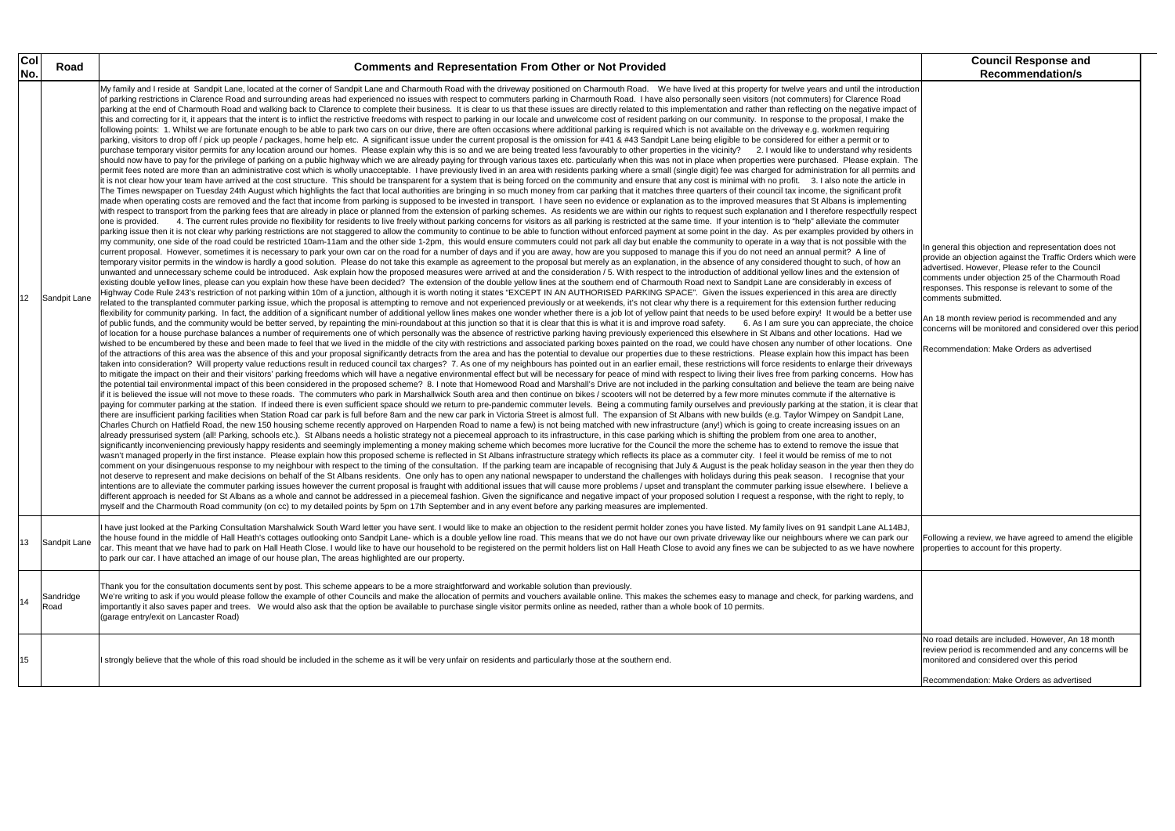|                                                                                                                                                                                                                                                                                      | <b>Council Response and</b>                                                                                                                                                                                                                                                                                                                                                                                                                                               |
|--------------------------------------------------------------------------------------------------------------------------------------------------------------------------------------------------------------------------------------------------------------------------------------|---------------------------------------------------------------------------------------------------------------------------------------------------------------------------------------------------------------------------------------------------------------------------------------------------------------------------------------------------------------------------------------------------------------------------------------------------------------------------|
|                                                                                                                                                                                                                                                                                      | <b>Recommendation/s</b>                                                                                                                                                                                                                                                                                                                                                                                                                                                   |
| oduction<br>oad<br>าpact of<br>e the<br>idents<br>iin. The<br>າits and<br>de in:<br>ofit<br>nting<br>respect<br>ıter<br>hers in<br>h the<br>' an<br>۱ of<br>f<br>tly<br>٦g<br>er use<br>choice<br>we<br>. One<br>been<br>eways<br>ow has<br>g naive<br>is<br>lear that<br>ane,<br>an | In general this objection and representation does not<br>provide an objection against the Traffic Orders which were<br>advertised. However, Please refer to the Council<br>comments under objection 25 of the Charmouth Road<br>responses. This response is relevant to some of the<br>comments submitted.<br>An 18 month review period is recommended and any<br>concerns will be monitored and considered over this period<br>Recommendation: Make Orders as advertised |
| าat<br>t<br>hey do:<br>your<br>eve a<br>y, to                                                                                                                                                                                                                                        |                                                                                                                                                                                                                                                                                                                                                                                                                                                                           |
| 14BJ,<br>'k our<br>owhere                                                                                                                                                                                                                                                            | Following a review, we have agreed to amend the eligible<br>properties to account for this property.                                                                                                                                                                                                                                                                                                                                                                      |
| าร, and                                                                                                                                                                                                                                                                              |                                                                                                                                                                                                                                                                                                                                                                                                                                                                           |
|                                                                                                                                                                                                                                                                                      | No road details are included. However, An 18 month<br>review period is recommended and any concerns will be<br>monitored and considered over this period                                                                                                                                                                                                                                                                                                                  |
|                                                                                                                                                                                                                                                                                      | Recommendation: Make Orders as advertised                                                                                                                                                                                                                                                                                                                                                                                                                                 |

### **No. 2. In the Road Comments and Representation From Other or Not Provided**

| Col<br>No.      | Road              | <b>Comments and Representation From Other or Not Provided</b>                                                                                                                                                                                                                                                                                                                                                                                                                                                                                                                                                                                                                                                                                                                                                                                                                                                                                                                                                                                                                                                                                                                                                                                                                                                                                                                                                                                                                                                                                                                                                                                                                                                                                                                                                                                                                                                                                                                                                                                                                                                                                                                                                                                                                                                                                                                                                                                                                                                                                                                                                                                                                                                                                                                                                                                                                                                                                                                                                                                                                                                                                                                                                                                                                                                                                                                                                                                                                                                                                                                                                                                                                                                                                                                                                                                                                                                                                                                                                                                                                                                                                                                                                                                                                                                                                                                                                                                                                                                                                                                                                                                                                                                                                                                                                                                                                                                                                                                                                                                                                                                                                                                                                                                                                                                                                                                                                                                                                                                                                                                                                                                                                                                                                                                                                                                                                                                                                                                                                                                                                                                                                                                                                                                                                                                                                                                                                                                                                                                                                                                                                                                                                                                                                                                                                                                                                                                                                                                                                                                                                                                                                                                                                                                                                                                                                                                                                                                                                                                                                                                                                                                                                                                                                                                                                                                                                                                                                                                                                                                                                                                                                                                                                                                                                                                                                                                                                                                                                                                                                                                                                                                                                                                                                                                                                                                                                                                                                                                                                                                                                                                                                                                                                                                                                                                                                                                                                                                                                                                                                                                                                                                                         |
|-----------------|-------------------|-----------------------------------------------------------------------------------------------------------------------------------------------------------------------------------------------------------------------------------------------------------------------------------------------------------------------------------------------------------------------------------------------------------------------------------------------------------------------------------------------------------------------------------------------------------------------------------------------------------------------------------------------------------------------------------------------------------------------------------------------------------------------------------------------------------------------------------------------------------------------------------------------------------------------------------------------------------------------------------------------------------------------------------------------------------------------------------------------------------------------------------------------------------------------------------------------------------------------------------------------------------------------------------------------------------------------------------------------------------------------------------------------------------------------------------------------------------------------------------------------------------------------------------------------------------------------------------------------------------------------------------------------------------------------------------------------------------------------------------------------------------------------------------------------------------------------------------------------------------------------------------------------------------------------------------------------------------------------------------------------------------------------------------------------------------------------------------------------------------------------------------------------------------------------------------------------------------------------------------------------------------------------------------------------------------------------------------------------------------------------------------------------------------------------------------------------------------------------------------------------------------------------------------------------------------------------------------------------------------------------------------------------------------------------------------------------------------------------------------------------------------------------------------------------------------------------------------------------------------------------------------------------------------------------------------------------------------------------------------------------------------------------------------------------------------------------------------------------------------------------------------------------------------------------------------------------------------------------------------------------------------------------------------------------------------------------------------------------------------------------------------------------------------------------------------------------------------------------------------------------------------------------------------------------------------------------------------------------------------------------------------------------------------------------------------------------------------------------------------------------------------------------------------------------------------------------------------------------------------------------------------------------------------------------------------------------------------------------------------------------------------------------------------------------------------------------------------------------------------------------------------------------------------------------------------------------------------------------------------------------------------------------------------------------------------------------------------------------------------------------------------------------------------------------------------------------------------------------------------------------------------------------------------------------------------------------------------------------------------------------------------------------------------------------------------------------------------------------------------------------------------------------------------------------------------------------------------------------------------------------------------------------------------------------------------------------------------------------------------------------------------------------------------------------------------------------------------------------------------------------------------------------------------------------------------------------------------------------------------------------------------------------------------------------------------------------------------------------------------------------------------------------------------------------------------------------------------------------------------------------------------------------------------------------------------------------------------------------------------------------------------------------------------------------------------------------------------------------------------------------------------------------------------------------------------------------------------------------------------------------------------------------------------------------------------------------------------------------------------------------------------------------------------------------------------------------------------------------------------------------------------------------------------------------------------------------------------------------------------------------------------------------------------------------------------------------------------------------------------------------------------------------------------------------------------------------------------------------------------------------------------------------------------------------------------------------------------------------------------------------------------------------------------------------------------------------------------------------------------------------------------------------------------------------------------------------------------------------------------------------------------------------------------------------------------------------------------------------------------------------------------------------------------------------------------------------------------------------------------------------------------------------------------------------------------------------------------------------------------------------------------------------------------------------------------------------------------------------------------------------------------------------------------------------------------------------------------------------------------------------------------------------------------------------------------------------------------------------------------------------------------------------------------------------------------------------------------------------------------------------------------------------------------------------------------------------------------------------------------------------------------------------------------------------------------------------------------------------------------------------------------------------------------------------------------------------------------------------------------------------------------------------------------------------------------------------------------------------------------------------------------------------------------------------------------------------------------------------------------------------------------------------------------------------------------------------------------------------------------------------------------------------------------------------------------------------------------------------------------------------------------------------------------------------------------------------------------------------------------------------------------------------------------------------------------------------------------------------------------------------------------------------------------------------------------------------------------------------------------------------------------------------------------------------------------------------------------------------------------------------------------------------------------------------------------------------------------------------------------------------------------------------------------------------------------------------------------------------------------------------------------------------------------------------------------------------------------------------------------------------------------------------------------------------------------------------------------------------------------------------------------------------------------------------|
| 12 <sup>°</sup> | Sandpit Lane      | My family and I reside at Sandpit Lane, located at the corner of Sandpit Lane and Charmouth Road with the driveway positioned on Charmouth Road. We have lived at this property for twelve years and until the introduction<br>of parking restrictions in Clarence Road and surrounding areas had experienced no issues with respect to commuters parking in Charmouth Road. I have also personally seen visitors (not commuters) for Clarence Road<br>parking at the end of Charmouth Road and walking back to Clarence to complete their business. It is clear to us that these issues are directly related to this implementation and rather than reflecting on the negative impac<br>this and correcting for it, it appears that the intent is to inflict the restrictive freedoms with respect to parking in our locale and unwelcome cost of resident parking on our community. In response to the proposal, I ma<br>following points: 1. Whilst we are fortunate enough to be able to park two cars on our drive, there are often occasions where additional parking is required which is not available on the driveway e.g. workmen requiring<br>parking, visitors to drop off / pick up people / packages, home help etc. A significant issue under the current proposal is the omission for #41 & #43 Sandpit Lane being eligible to be considered for either a permit or to<br>purchase temporary visitor permits for any location around our homes. Please explain why this is so and we are being treated less favourably to other properties in the vicinity? 2. I would like to understand why residents<br>should now have to pay for the privilege of parking on a public highway which we are already paying for through various taxes etc. particularly when this was not in place when properties were purchased. Please explain. The<br>permit fees noted are more than an administrative cost which is wholly unacceptable. I have previously lived in an area with residents parking where a small (single digit) fee was charged for administration for all permits<br>it is not clear how your team have arrived at the cost structure. This should be transparent for a system that is being forced on the community and ensure that any cost is minimal with no profit. 3. I also note the article<br>The Times newspaper on Tuesday 24th August which highlights the fact that local authorities are bringing in so much money from car parking that it matches three quarters of their council tax income, the significant profit<br>made when operating costs are removed and the fact that income from parking is supposed to be invested in transport. I have seen no evidence or explanation as to the improved measures that St Albans is implementing<br>with respect to transport from the parking fees that are already in place or planned from the extension of parking schemes. As residents we are within our rights to request such explanation and I therefore respectfully res<br>4. The current rules provide no flexibility for residents to live freely without parking concerns for visitors as all parking is restricted at the same time. If your intention is to "help" alleviate the commuter<br>one is provided.<br>parking issue then it is not clear why parking restrictions are not staggered to allow the community to continue to be able to function without enforced payment at some point in the day. As per examples provided by others<br>my community, one side of the road could be restricted 10am-11am and the other side 1-2pm, this would ensure commuters could not park all day but enable the community to operate in a way that is not possible with the<br>current proposal. However, sometimes it is necessary to park your own car on the road for a number of days and if you are away, how are you supposed to manage this if you do not need an annual permit? A line of<br>temporary visitor permits in the window is hardly a good solution. Please do not take this example as agreement to the proposal but merely as an explanation, in the absence of any considered thought to such, of how an<br>unwanted and unnecessary scheme could be introduced. Ask explain how the proposed measures were arrived at and the consideration / 5. With respect to the introduction of additional yellow lines and the extension of<br>existing double yellow lines, please can you explain how these have been decided? The extension of the double yellow lines at the southern end of Charmouth Road next to Sandpit Lane are considerably in excess of<br>Highway Code Rule 243's restriction of not parking within 10m of a junction, although it is worth noting it states "EXCEPT IN AN AUTHORISED PARKING SPACE". Given the issues experienced in this area are directly<br>related to the transplanted commuter parking issue, which the proposal is attempting to remove and not experienced previously or at weekends, it's not clear why there is a requirement for this extension further reducing<br>flexibility for community parking. In fact, the addition of a significant number of additional yellow lines makes one wonder whether there is a job lot of yellow paint that needs to be used before expiry! It would be a bet<br>of public funds, and the community would be better served, by repainting the mini-roundabout at this junction so that it is clear that this is what it is and improve road safety. 6. As I am sure you can appreciate, the cho<br>of location for a house purchase balances a number of requirements one of which personally was the absence of restrictive parking having previously experienced this elsewhere in St Albans and other locations. Had we<br>wished to be encumbered by these and been made to feel that we lived in the middle of the city with restrictions and associated parking boxes painted on the road, we could have chosen any number of other locations. One<br>of the attractions of this area was the absence of this and your proposal significantly detracts from the area and has the potential to devalue our properties due to these restrictions. Please explain how this impact has b<br>taken into consideration? Will property value reductions result in reduced council tax charges? 7. As one of my neighbours has pointed out in an earlier email, these restrictions will force residents to enlarge their drive<br>to mitigate the impact on their and their visitors' parking freedoms which will have a negative environmental effect but will be necessary for peace of mind with respect to living their lives free from parking concerns. Ho<br>the potential tail environmental impact of this been considered in the proposed scheme? 8. I note that Homewood Road and Marshall's Drive are not included in the parking consultation and believe the team are being naive<br>if it is believed the issue will not move to these roads. The commuters who park in Marshallwick South area and then continue on bikes / scooters will not be deterred by a few more minutes commute if the alternative is<br>paying for commuter parking at the station. If indeed there is even sufficient space should we return to pre-pandemic commuter levels. Being a commuting family ourselves and previously parking at the station, it is clear t<br>there are insufficient parking facilities when Station Road car park is full before 8am and the new car park in Victoria Street is almost full. The expansion of St Albans with new builds (e.g. Taylor Wimpey on Sandpit Lane<br>Charles Church on Hatfield Road, the new 150 housing scheme recently approved on Harpenden Road to name a few) is not being matched with new infrastructure (any!) which is going to create increasing issues on an<br>already pressurised system (all! Parking, schools etc.). St Albans needs a holistic strategy not a piecemeal approach to its infrastructure, in this case parking which is shifting the problem from one area to another,<br>significantly inconveniencing previously happy residents and seemingly implementing a money making scheme which becomes more lucrative for the Council the more the scheme has to extend to remove the issue that<br>wasn't managed properly in the first instance. Please explain how this proposed scheme is reflected in St Albans infrastructure strategy which reflects its place as a commuter city. I feel it would be remiss of me to not<br>comment on your disingenuous response to my neighbour with respect to the timing of the consultation. If the parking team are incapable of recognising that July & August is the peak holiday season in the year then they do<br>not deserve to represent and make decisions on behalf of the St Albans residents. One only has to open any national newspaper to understand the challenges with holidays during this peak season. I recognise that your<br>intentions are to alleviate the commuter parking issues however the current proposal is fraught with additional issues that will cause more problems / upset and transplant the commuter parking issue elsewhere. I believe a<br>different approach is needed for St Albans as a whole and cannot be addressed in a piecemeal fashion. Given the significance and negative impact of your proposed solution I request a response, with the right to reply, to<br>myself and the Charmouth Road community (on cc) to my detailed points by 5pm on 17th September and in any event before any parking measures are implemented. |
| 13              | Sandpit Lane      | I have just looked at the Parking Consultation Marshalwick South Ward letter you have sent. I would like to make an objection to the resident permit holder zones you have listed. My family lives on 91 sandpit Lane AL14BJ,<br>the house found in the middle of Hall Heath's cottages outlooking onto Sandpit Lane- which is a double yellow line road. This means that we do not have our own private driveway like our neighbours where we can park our<br>car. This meant that we have had to park on Hall Heath Close. I would like to have our household to be registered on the permit holders list on Hall Heath Close to avoid any fines we can be subjected to as we have nowhere<br>to park our car. I have attached an image of our house plan, The areas highlighted are our property.                                                                                                                                                                                                                                                                                                                                                                                                                                                                                                                                                                                                                                                                                                                                                                                                                                                                                                                                                                                                                                                                                                                                                                                                                                                                                                                                                                                                                                                                                                                                                                                                                                                                                                                                                                                                                                                                                                                                                                                                                                                                                                                                                                                                                                                                                                                                                                                                                                                                                                                                                                                                                                                                                                                                                                                                                                                                                                                                                                                                                                                                                                                                                                                                                                                                                                                                                                                                                                                                                                                                                                                                                                                                                                                                                                                                                                                                                                                                                                                                                                                                                                                                                                                                                                                                                                                                                                                                                                                                                                                                                                                                                                                                                                                                                                                                                                                                                                                                                                                                                                                                                                                                                                                                                                                                                                                                                                                                                                                                                                                                                                                                                                                                                                                                                                                                                                                                                                                                                                                                                                                                                                                                                                                                                                                                                                                                                                                                                                                                                                                                                                                                                                                                                                                                                                                                                                                                                                                                                                                                                                                                                                                                                                                                                                                                                                                                                                                                                                                                                                                                                                                                                                                                                                                                                                                                                                                                                                                                                                                                                                                                                                                                                                                                                                                                                                                                                                                                                                                                                                                                                                                                                                                                                                                                                                                                                                                                  |
| 14              | Sandridge<br>Road | Thank you for the consultation documents sent by post. This scheme appears to be a more straightforward and workable solution than previously.<br>We're writing to ask if you would please follow the example of other Councils and make the allocation of permits and vouchers available online. This makes the schemes easy to manage and check, for parking wardens, and<br>importantly it also saves paper and trees. We would also ask that the option be available to purchase single visitor permits online as needed, rather than a whole book of 10 permits.<br>(garage entry/exit on Lancaster Road)                                                                                                                                                                                                                                                                                                                                                                                                                                                                                                                                                                                                                                                                                                                                                                                                                                                                                                                                                                                                                                                                                                                                                                                                                                                                                                                                                                                                                                                                                                                                                                                                                                                                                                                                                                                                                                                                                                                                                                                                                                                                                                                                                                                                                                                                                                                                                                                                                                                                                                                                                                                                                                                                                                                                                                                                                                                                                                                                                                                                                                                                                                                                                                                                                                                                                                                                                                                                                                                                                                                                                                                                                                                                                                                                                                                                                                                                                                                                                                                                                                                                                                                                                                                                                                                                                                                                                                                                                                                                                                                                                                                                                                                                                                                                                                                                                                                                                                                                                                                                                                                                                                                                                                                                                                                                                                                                                                                                                                                                                                                                                                                                                                                                                                                                                                                                                                                                                                                                                                                                                                                                                                                                                                                                                                                                                                                                                                                                                                                                                                                                                                                                                                                                                                                                                                                                                                                                                                                                                                                                                                                                                                                                                                                                                                                                                                                                                                                                                                                                                                                                                                                                                                                                                                                                                                                                                                                                                                                                                                                                                                                                                                                                                                                                                                                                                                                                                                                                                                                                                                                                                                                                                                                                                                                                                                                                                                                                                                                                                                                                                                                        |
| 15              |                   | I strongly believe that the whole of this road should be included in the scheme as it will be very unfair on residents and particularly those at the southern end.                                                                                                                                                                                                                                                                                                                                                                                                                                                                                                                                                                                                                                                                                                                                                                                                                                                                                                                                                                                                                                                                                                                                                                                                                                                                                                                                                                                                                                                                                                                                                                                                                                                                                                                                                                                                                                                                                                                                                                                                                                                                                                                                                                                                                                                                                                                                                                                                                                                                                                                                                                                                                                                                                                                                                                                                                                                                                                                                                                                                                                                                                                                                                                                                                                                                                                                                                                                                                                                                                                                                                                                                                                                                                                                                                                                                                                                                                                                                                                                                                                                                                                                                                                                                                                                                                                                                                                                                                                                                                                                                                                                                                                                                                                                                                                                                                                                                                                                                                                                                                                                                                                                                                                                                                                                                                                                                                                                                                                                                                                                                                                                                                                                                                                                                                                                                                                                                                                                                                                                                                                                                                                                                                                                                                                                                                                                                                                                                                                                                                                                                                                                                                                                                                                                                                                                                                                                                                                                                                                                                                                                                                                                                                                                                                                                                                                                                                                                                                                                                                                                                                                                                                                                                                                                                                                                                                                                                                                                                                                                                                                                                                                                                                                                                                                                                                                                                                                                                                                                                                                                                                                                                                                                                                                                                                                                                                                                                                                                                                                                                                                                                                                                                                                                                                                                                                                                                                                                                                                                                                                    |